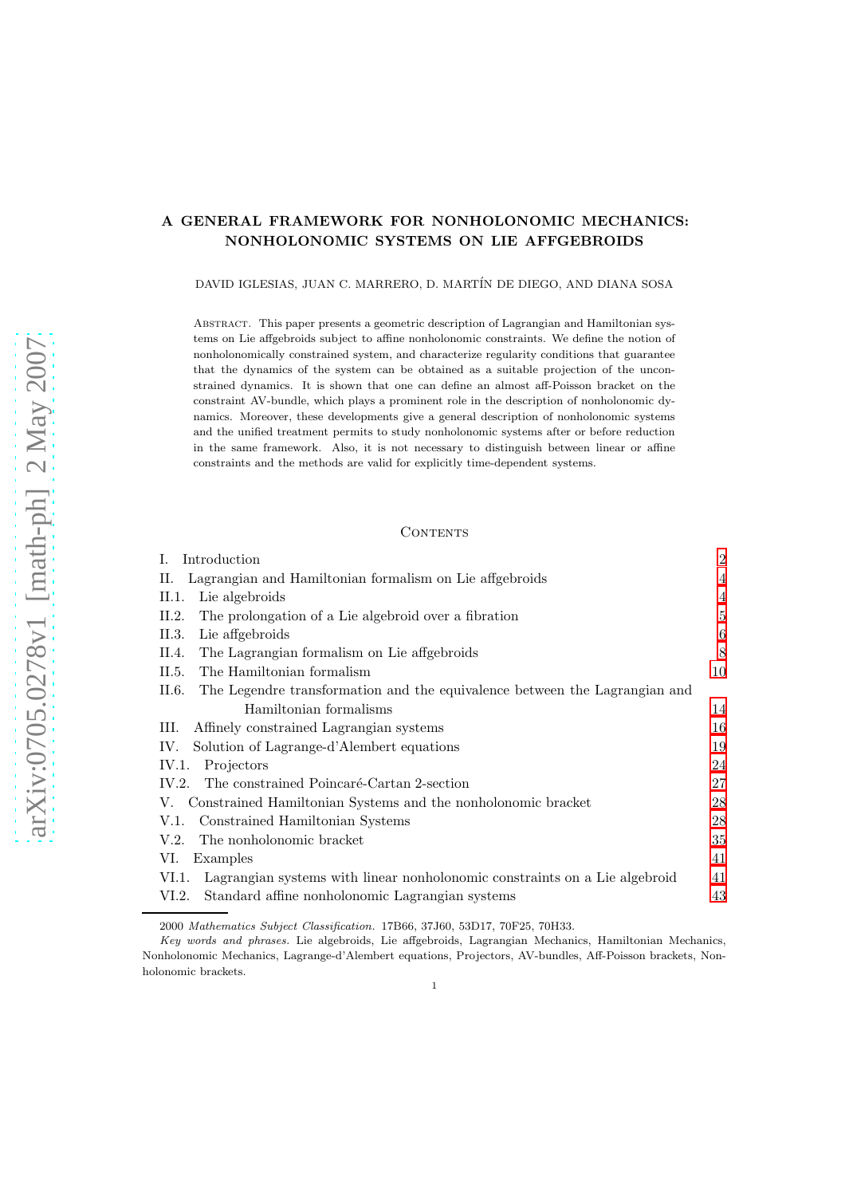# A GENERAL FRAMEWORK FOR NONHOLONOMIC MECHANICS: NONHOLONOMIC SYSTEMS ON LIE AFFGEBROIDS

DAVID IGLESIAS, JUAN C. MARRERO, D. MART´IN DE DIEGO, AND DIANA SOSA

Abstract. This paper presents a geometric description of Lagrangian and Hamiltonian systems on Lie affgebroids subject to affine nonholonomic constraints. We define the notion of nonholonomically constrained system, and characterize regularity conditions that guarantee that the dynamics of the system can be obtained as a suitable projection of the unconstrained dynamics. It is shown that one can define an almost aff-Poisson bracket on the constraint AV-bundle, which plays a prominent role in the description of nonholonomic dynamics. Moreover, these developments give a general description of nonholonomic systems and the unified treatment permits to study nonholonomic systems after or before reduction in the same framework. Also, it is not necessary to distinguish between linear or affine constraints and the methods are valid for explicitly time-dependent systems.

### **CONTENTS**

| Introduction                                                                        | $\overline{2}$ |
|-------------------------------------------------------------------------------------|----------------|
| Lagrangian and Hamiltonian formalism on Lie affgebroids<br>П.                       | 4              |
| Lie algebroids<br>II.1.                                                             | $\overline{4}$ |
| The prolongation of a Lie algebroid over a fibration<br>II.2.                       | 5              |
| Lie affgebroids<br>II.3.                                                            | 6              |
| The Lagrangian formalism on Lie affgebroids<br>II.4.                                | 8              |
| The Hamiltonian formalism<br>II.5.                                                  | 10             |
| II.6.<br>The Legendre transformation and the equivalence between the Lagrangian and |                |
| Hamiltonian formalisms                                                              | 14             |
| Affinely constrained Lagrangian systems<br>III.                                     | 16             |
| Solution of Lagrange-d'Alembert equations<br>IV.                                    | 19             |
| IV.1.<br>Projectors                                                                 | 24             |
| The constrained Poincaré-Cartan 2-section<br>IV.2.                                  | 27             |
| Constrained Hamiltonian Systems and the nonholonomic bracket<br>V.                  | 28             |
| Constrained Hamiltonian Systems<br>V.1.                                             | 28             |
| The nonholonomic bracket<br>V.2.                                                    | 35             |
| Examples<br>VI.                                                                     | 41             |
| Lagrangian systems with linear nonholonomic constraints on a Lie algebroid<br>VI.1. | 41             |
| Standard affine nonholonomic Lagrangian systems<br>VI.2.                            | 43             |

2000 Mathematics Subject Classification. 17B66, 37J60, 53D17, 70F25, 70H33.

Key words and phrases. Lie algebroids, Lie affgebroids, Lagrangian Mechanics, Hamiltonian Mechanics, Nonholonomic Mechanics, Lagrange-d'Alembert equations, Projectors, AV-bundles, Aff-Poisson brackets, Nonholonomic brackets.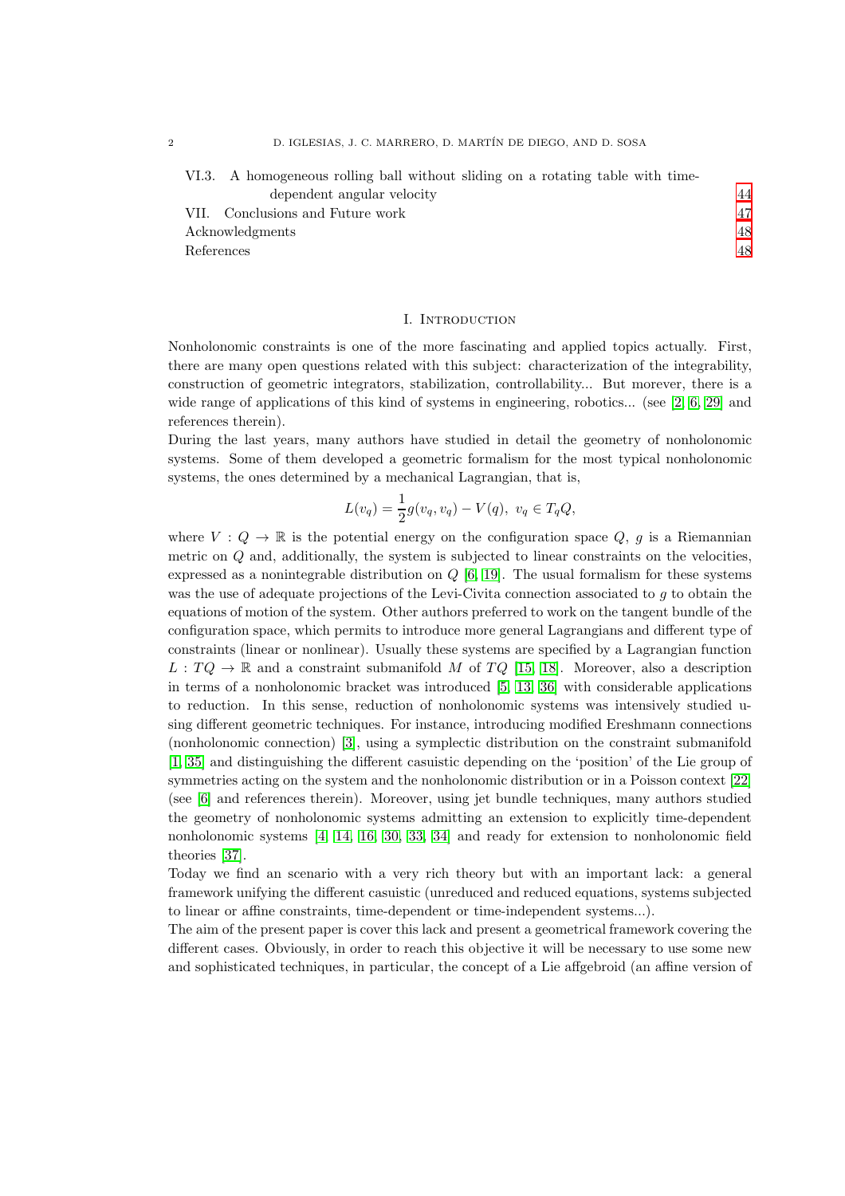| VI.3. A homogeneous rolling ball without sliding on a rotating table with time- |    |
|---------------------------------------------------------------------------------|----|
| dependent angular velocity                                                      | 44 |
| VII. Conclusions and Future work                                                | 47 |
| Acknowledgments                                                                 |    |
| References                                                                      |    |
|                                                                                 |    |

### I. Introduction

<span id="page-1-0"></span>Nonholonomic constraints is one of the more fascinating and applied topics actually. First, there are many open questions related with this subject: characterization of the integrability, construction of geometric integrators, stabilization, controllability... But morever, there is a wide range of applications of this kind of systems in engineering, robotics... (see [\[2,](#page-47-2) [6,](#page-47-3) [29\]](#page-48-0) and references therein).

During the last years, many authors have studied in detail the geometry of nonholonomic systems. Some of them developed a geometric formalism for the most typical nonholonomic systems, the ones determined by a mechanical Lagrangian, that is,

$$
L(v_q) = \frac{1}{2}g(v_q, v_q) - V(q), \ v_q \in T_qQ,
$$

where  $V: Q \to \mathbb{R}$  is the potential energy on the configuration space  $Q, g$  is a Riemannian metric on  $Q$  and, additionally, the system is subjected to linear constraints on the velocities, expressed as a nonintegrable distribution on  $Q$  [\[6,](#page-47-3) [19\]](#page-48-1). The usual formalism for these systems was the use of adequate projections of the Levi-Civita connection associated to q to obtain the equations of motion of the system. Other authors preferred to work on the tangent bundle of the configuration space, which permits to introduce more general Lagrangians and different type of constraints (linear or nonlinear). Usually these systems are specified by a Lagrangian function  $L: TQ \to \mathbb{R}$  and a constraint submanifold M of TQ [\[15,](#page-48-2) [18\]](#page-48-3). Moreover, also a description in terms of a nonholonomic bracket was introduced [\[5,](#page-47-4) [13,](#page-47-5) [36\]](#page-48-4) with considerable applications to reduction. In this sense, reduction of nonholonomic systems was intensively studied using different geometric techniques. For instance, introducing modified Ereshmann connections (nonholonomic connection) [\[3\]](#page-47-6), using a symplectic distribution on the constraint submanifold [\[1,](#page-47-7) [35\]](#page-48-5) and distinguishing the different casuistic depending on the 'position' of the Lie group of symmetries acting on the system and the nonholonomic distribution or in a Poisson context [\[22\]](#page-48-6) (see [\[6\]](#page-47-3) and references therein). Moreover, using jet bundle techniques, many authors studied the geometry of nonholonomic systems admitting an extension to explicitly time-dependent nonholonomic systems [\[4,](#page-47-8) [14,](#page-48-7) [16,](#page-48-8) [30,](#page-48-9) [33,](#page-48-10) [34\]](#page-48-11) and ready for extension to nonholonomic field theories [\[37\]](#page-48-12).

Today we find an scenario with a very rich theory but with an important lack: a general framework unifying the different casuistic (unreduced and reduced equations, systems subjected to linear or affine constraints, time-dependent or time-independent systems...).

The aim of the present paper is cover this lack and present a geometrical framework covering the different cases. Obviously, in order to reach this objective it will be necessary to use some new and sophisticated techniques, in particular, the concept of a Lie affgebroid (an affine version of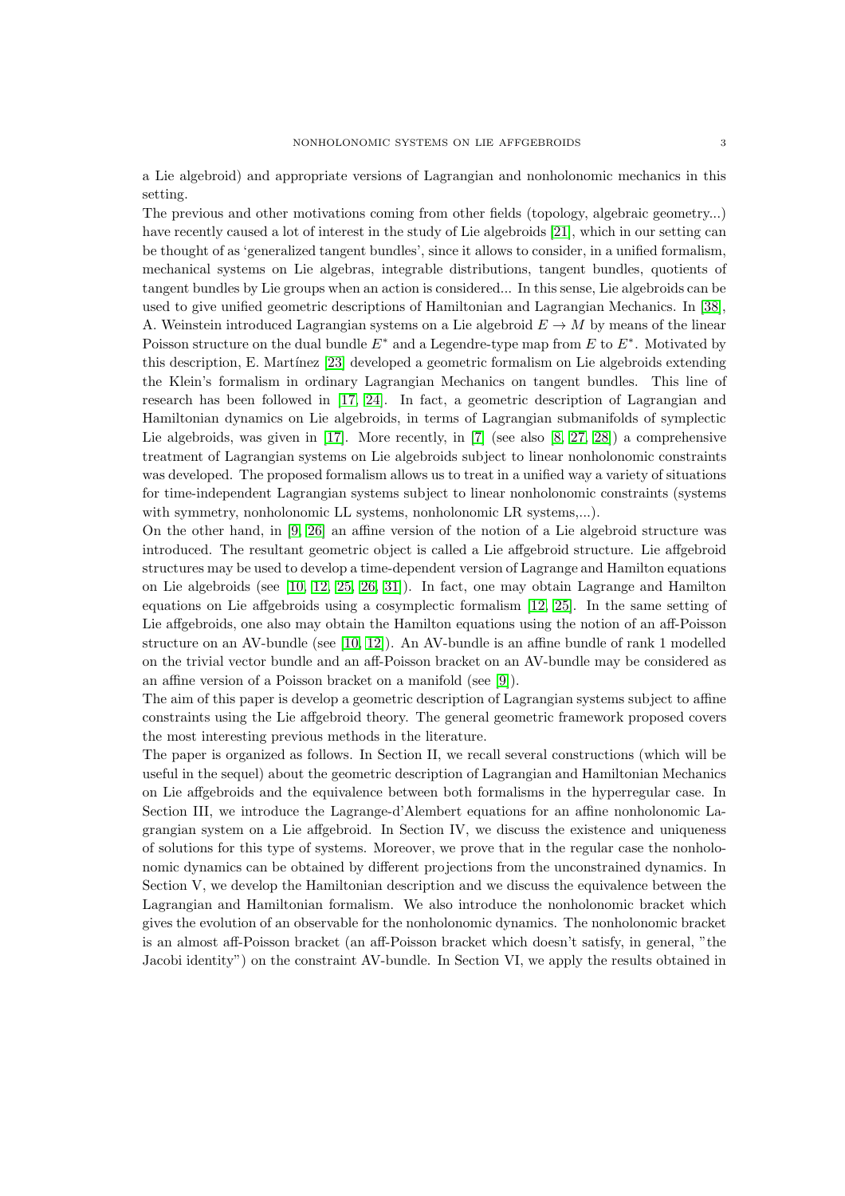a Lie algebroid) and appropriate versions of Lagrangian and nonholonomic mechanics in this setting.

The previous and other motivations coming from other fields (topology, algebraic geometry...) have recently caused a lot of interest in the study of Lie algebroids [\[21\]](#page-48-13), which in our setting can be thought of as 'generalized tangent bundles', since it allows to consider, in a unified formalism, mechanical systems on Lie algebras, integrable distributions, tangent bundles, quotients of tangent bundles by Lie groups when an action is considered... In this sense, Lie algebroids can be used to give unified geometric descriptions of Hamiltonian and Lagrangian Mechanics. In [\[38\]](#page-48-14), A. Weinstein introduced Lagrangian systems on a Lie algebroid  $E \to M$  by means of the linear Poisson structure on the dual bundle  $E^*$  and a Legendre-type map from  $E$  to  $E^*$ . Motivated by this description, E. Martínez [\[23\]](#page-48-15) developed a geometric formalism on Lie algebroids extending the Klein's formalism in ordinary Lagrangian Mechanics on tangent bundles. This line of research has been followed in [\[17,](#page-48-16) [24\]](#page-48-17). In fact, a geometric description of Lagrangian and Hamiltonian dynamics on Lie algebroids, in terms of Lagrangian submanifolds of symplectic Lie algebroids, was given in [\[17\]](#page-48-16). More recently, in [\[7\]](#page-47-9) (see also [\[8,](#page-47-10) [27,](#page-48-18) [28\]](#page-48-19)) a comprehensive treatment of Lagrangian systems on Lie algebroids subject to linear nonholonomic constraints was developed. The proposed formalism allows us to treat in a unified way a variety of situations for time-independent Lagrangian systems subject to linear nonholonomic constraints (systems with symmetry, nonholonomic LL systems, nonholonomic LR systems,...).

On the other hand, in [\[9,](#page-47-11) [26\]](#page-48-20) an affine version of the notion of a Lie algebroid structure was introduced. The resultant geometric object is called a Lie affgebroid structure. Lie affgebroid structures may be used to develop a time-dependent version of Lagrange and Hamilton equations on Lie algebroids (see [\[10,](#page-47-12) [12,](#page-47-13) [25,](#page-48-21) [26,](#page-48-20) [31\]](#page-48-22)). In fact, one may obtain Lagrange and Hamilton equations on Lie affgebroids using a cosymplectic formalism [\[12,](#page-47-13) [25\]](#page-48-21). In the same setting of Lie affgebroids, one also may obtain the Hamilton equations using the notion of an aff-Poisson structure on an AV-bundle (see [\[10,](#page-47-12) [12\]](#page-47-13)). An AV-bundle is an affine bundle of rank 1 modelled on the trivial vector bundle and an aff-Poisson bracket on an AV-bundle may be considered as an affine version of a Poisson bracket on a manifold (see [\[9\]](#page-47-11)).

The aim of this paper is develop a geometric description of Lagrangian systems subject to affine constraints using the Lie affgebroid theory. The general geometric framework proposed covers the most interesting previous methods in the literature.

The paper is organized as follows. In Section II, we recall several constructions (which will be useful in the sequel) about the geometric description of Lagrangian and Hamiltonian Mechanics on Lie affgebroids and the equivalence between both formalisms in the hyperregular case. In Section III, we introduce the Lagrange-d'Alembert equations for an affine nonholonomic Lagrangian system on a Lie affgebroid. In Section IV, we discuss the existence and uniqueness of solutions for this type of systems. Moreover, we prove that in the regular case the nonholonomic dynamics can be obtained by different projections from the unconstrained dynamics. In Section V, we develop the Hamiltonian description and we discuss the equivalence between the Lagrangian and Hamiltonian formalism. We also introduce the nonholonomic bracket which gives the evolution of an observable for the nonholonomic dynamics. The nonholonomic bracket is an almost aff-Poisson bracket (an aff-Poisson bracket which doesn't satisfy, in general, "the Jacobi identity") on the constraint AV-bundle. In Section VI, we apply the results obtained in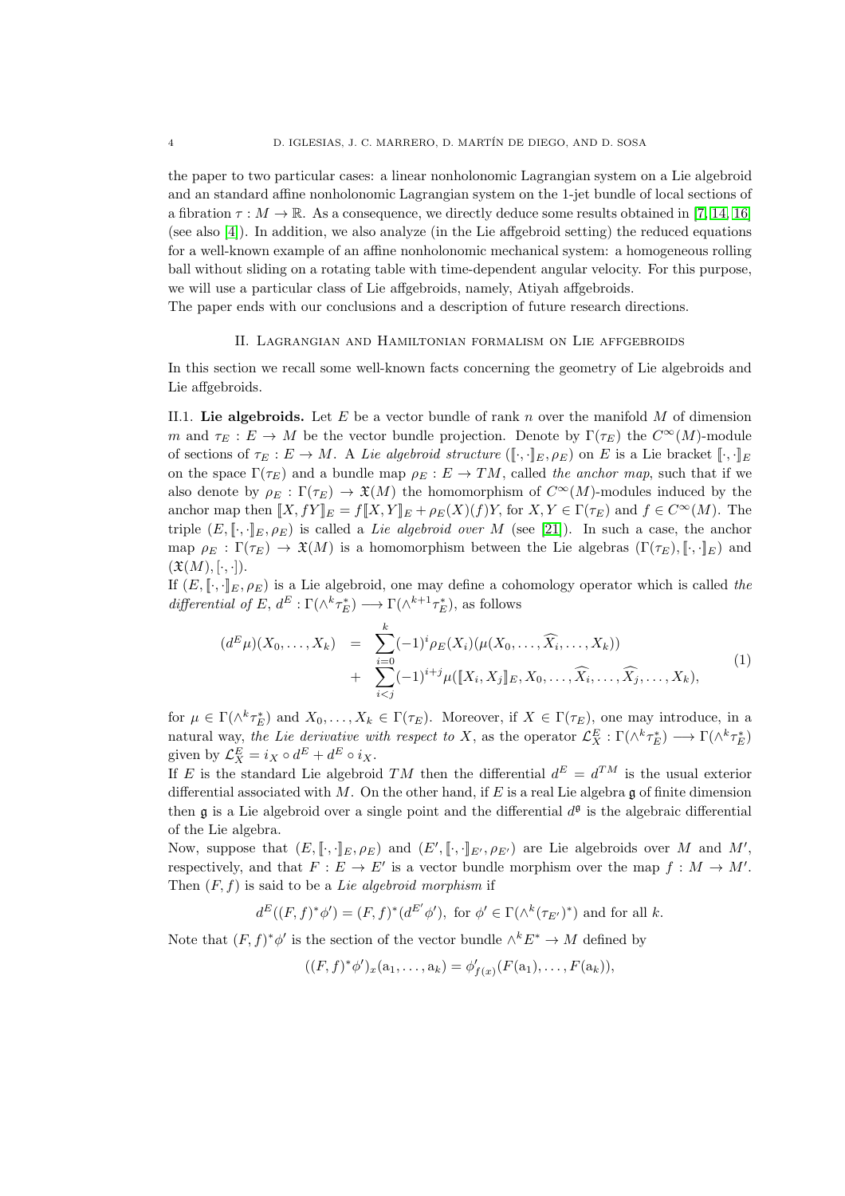the paper to two particular cases: a linear nonholonomic Lagrangian system on a Lie algebroid and an standard affine nonholonomic Lagrangian system on the 1-jet bundle of local sections of a fibration  $\tau : M \to \mathbb{R}$ . As a consequence, we directly deduce some results obtained in [\[7,](#page-47-9) [14,](#page-48-7) [16\]](#page-48-8) (see also [\[4\]](#page-47-8)). In addition, we also analyze (in the Lie affgebroid setting) the reduced equations for a well-known example of an affine nonholonomic mechanical system: a homogeneous rolling ball without sliding on a rotating table with time-dependent angular velocity. For this purpose, we will use a particular class of Lie affgebroids, namely, Atiyah affgebroids.

# <span id="page-3-0"></span>The paper ends with our conclusions and a description of future research directions.

#### II. Lagrangian and Hamiltonian formalism on Lie affgebroids

In this section we recall some well-known facts concerning the geometry of Lie algebroids and Lie affgebroids.

<span id="page-3-1"></span>II.1. Lie algebroids. Let E be a vector bundle of rank n over the manifold  $M$  of dimension m and  $\tau_E : E \to M$  be the vector bundle projection. Denote by  $\Gamma(\tau_E)$  the  $C^{\infty}(M)$ -module of sections of  $\tau_E : E \to M$ . A Lie algebroid structure  $([\cdot, \cdot]_E, \rho_E)$  on E is a Lie bracket  $[\cdot, \cdot]_E$ on the space  $\Gamma(\tau_E)$  and a bundle map  $\rho_E : E \to TM$ , called the anchor map, such that if we also denote by  $\rho_E : \Gamma(\tau_E) \to \mathfrak{X}(M)$  the homomorphism of  $C^{\infty}(M)$ -modules induced by the anchor map then  $[[X, fY]]_E = f[[X, Y]]_E + \rho_E(X)(f)Y$ , for  $X, Y \in \Gamma(\tau_E)$  and  $f \in C^{\infty}(M)$ . The triple  $(E, \lceil \cdot \rceil_E, \rho_E)$  is called a *Lie algebroid over* M (see [\[21\]](#page-48-13)). In such a case, the anchor map  $\rho_E : \Gamma(\tau_E) \to \mathfrak{X}(M)$  is a homomorphism between the Lie algebras  $(\Gamma(\tau_E), \llbracket \cdot, \cdot \rrbracket_E)$  and  $(\mathfrak{X}(M), [\cdot, \cdot]).$ 

If  $(E, [\cdot, \cdot]_E, \rho_E)$  is a Lie algebroid, one may define a cohomology operator which is called the differential of E,  $d^E : \Gamma(\wedge^k \tau_E^*) \longrightarrow \Gamma(\wedge^{k+1} \tau_E^*)$ , as follows

<span id="page-3-2"></span>
$$
(d^{E}\mu)(X_{0},...,X_{k}) = \sum_{i=0}^{k} (-1)^{i} \rho_{E}(X_{i}) (\mu(X_{0},..., \widehat{X}_{i},...,X_{k})) + \sum_{i\n(1)
$$

for  $\mu \in \Gamma(\wedge^k \tau_E^*)$  and  $X_0, \ldots, X_k \in \Gamma(\tau_E)$ . Moreover, if  $X \in \Gamma(\tau_E)$ , one may introduce, in a natural way, the Lie derivative with respect to X, as the operator  $\mathcal{L}_X^E : \Gamma(\wedge^k \tau_E^*) \longrightarrow \Gamma(\wedge^k \tau_E^*)$ given by  $\mathcal{L}_X^E = i_X \circ d^E + d^E \circ i_X$ .

If E is the standard Lie algebroid TM then the differential  $d^E = d^{TM}$  is the usual exterior differential associated with M. On the other hand, if E is a real Lie algebra  $\mathfrak g$  of finite dimension then  $\mathfrak g$  is a Lie algebroid over a single point and the differential  $d^{\mathfrak g}$  is the algebraic differential of the Lie algebra.

Now, suppose that  $(E, [\![\cdot,\cdot]\!]_E, \rho_E)$  and  $(E', [\![\cdot,\cdot]\!]_E', \rho_{E'})$  are Lie algebroids over M and M', respectively, and that  $F: E \to E'$  is a vector bundle morphism over the map  $f: M \to M'$ . Then  $(F, f)$  is said to be a Lie algebroid morphism if

$$
d^E((F, f)^*\phi') = (F, f)^*(d^{E'}\phi'),
$$
 for  $\phi' \in \Gamma(\wedge^k(\tau_{E'})^*)$  and for all k.

Note that  $(F, f)^* \phi'$  is the section of the vector bundle  $\wedge^k E^* \to M$  defined by

$$
((F, f)^{*}\phi')_{x}(a_{1},..., a_{k}) = \phi'_{f(x)}(F(a_{1}),..., F(a_{k})),
$$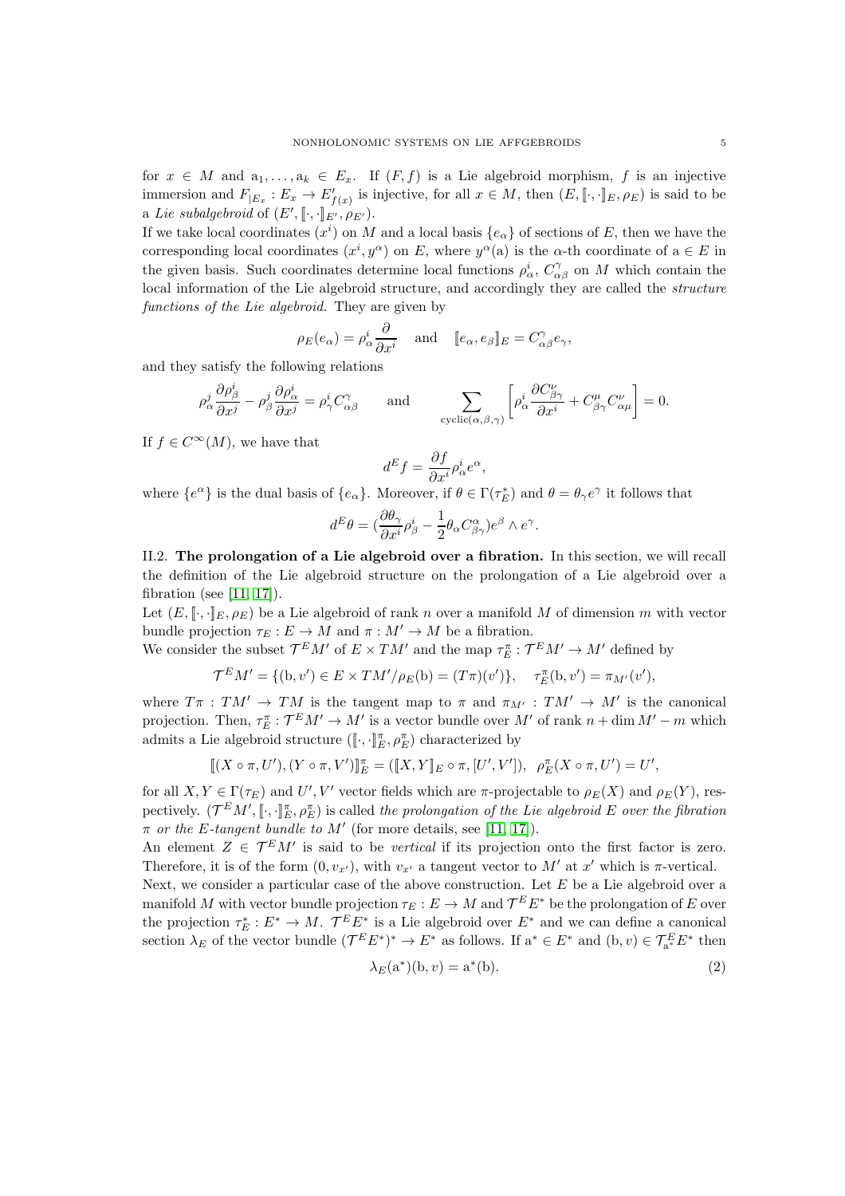for  $x \in M$  and  $a_1, \ldots, a_k \in E_x$ . If  $(F, f)$  is a Lie algebroid morphism, f is an injective immersion and  $F_{|E_x}: E_x \to E'_{f(x)}$  is injective, for all  $x \in M$ , then  $(E, [\![\cdot, \cdot]\!]_E, \rho_E)$  is said to be a Lie subalgebroid of  $(E', [\![\cdot,\cdot]\!]_{E'}, \rho_{E'}).$ 

If we take local coordinates  $(x^i)$  on M and a local basis  $\{e_\alpha\}$  of sections of E, then we have the corresponding local coordinates  $(x^i, y^{\alpha})$  on E, where  $y^{\alpha}$ (a) is the  $\alpha$ -th coordinate of  $a \in E$  in the given basis. Such coordinates determine local functions  $\rho^i_\alpha$ ,  $C_{\alpha\beta}^{\gamma}$  on M which contain the local information of the Lie algebroid structure, and accordingly they are called the *structure* functions of the Lie algebroid. They are given by

$$
\rho_E(e_\alpha) = \rho_\alpha^i \frac{\partial}{\partial x^i}
$$
 and  $[\![e_\alpha, e_\beta]\!]_E = C_{\alpha\beta}^\gamma e_\gamma$ ,

and they satisfy the following relations

$$
\rho^j_{\alpha} \frac{\partial \rho^i_{\beta}}{\partial x^j} - \rho^j_{\beta} \frac{\partial \rho^i_{\alpha}}{\partial x^j} = \rho^i_{\gamma} C^{\gamma}_{\alpha \beta} \quad \text{and} \quad \sum_{\text{cyclic}(\alpha, \beta, \gamma)} \left[ \rho^i_{\alpha} \frac{\partial C^{\nu}_{\beta \gamma}}{\partial x^i} + C^{\mu}_{\beta \gamma} C^{\nu}_{\alpha \mu} \right] = 0.
$$

If  $f \in C^{\infty}(M)$ , we have that

$$
d^E f = \frac{\partial f}{\partial x^i} \rho^i_\alpha e^\alpha,
$$

where  $\{e^{\alpha}\}\$ is the dual basis of  $\{e_{\alpha}\}\$ . Moreover, if  $\theta \in \Gamma(\tau_E^*)$  and  $\theta = \theta_{\gamma}e^{\gamma}$  it follows that

$$
d^E \theta = (\frac{\partial \theta_\gamma}{\partial x^i} \rho_\beta^i - \frac{1}{2} \theta_\alpha C^\alpha_{\beta \gamma}) e^\beta \wedge e^\gamma.
$$

<span id="page-4-0"></span>II.2. The prolongation of a Lie algebroid over a fibration. In this section, we will recall the definition of the Lie algebroid structure on the prolongation of a Lie algebroid over a fibration (see [\[11,](#page-47-14) [17\]](#page-48-16)).

Let  $(E, \|\cdot\|_E, \rho_E)$  be a Lie algebroid of rank n over a manifold M of dimension m with vector bundle projection  $\tau_E : E \to M$  and  $\pi : M' \to M$  be a fibration.

We consider the subset  $\mathcal{T}^{E}M'$  of  $E \times TM'$  and the map  $\tau_{E}^{\pi} : \mathcal{T}^{E}M' \to M'$  defined by

$$
\mathcal{T}^{E}M' = \{ (b, v') \in E \times TM'/\rho_E(b) = (T\pi)(v') \}, \quad \tau_E^{\pi}(b, v') = \pi_{M'}(v'),
$$

where  $T\pi$ :  $TM' \to TM$  is the tangent map to  $\pi$  and  $\pi_{M'}$ :  $TM' \to M'$  is the canonical projection. Then,  $\tau_E^{\pi}$ :  $\mathcal{T}^E M' \to M'$  is a vector bundle over  $M'$  of rank  $n + \dim M' - m$  which admits a Lie algebroid structure  $([\![\cdot,\cdot]\!]_E^{\pi},\rho_E^{\pi})$  characterized by

$$
[[(X \circ \pi, U'), (Y \circ \pi, V')]_E^{\pi} = ([X, Y]_E \circ \pi, [U', V']) , \ \ \rho_E^{\pi}(X \circ \pi, U') = U',
$$

for all  $X, Y \in \Gamma(\tau_E)$  and  $U', V'$  vector fields which are  $\pi$ -projectable to  $\rho_E(X)$  and  $\rho_E(Y)$ , respectively.  $(\mathcal{T}^E M', \llbracket \cdot, \cdot \rrbracket_E^{\pi}, \rho_E^{\pi})$  is called the prolongation of the Lie algebroid E over the fibration  $\pi$  or the E-tangent bundle to M' (for more details, see [\[11,](#page-47-14) [17\]](#page-48-16)).

An element  $Z \in \mathcal{T}^E M'$  is said to be *vertical* if its projection onto the first factor is zero. Therefore, it is of the form  $(0, v_{x'})$ , with  $v_{x'}$  a tangent vector to M' at x' which is  $\pi$ -vertical.

Next, we consider a particular case of the above construction. Let  $E$  be a Lie algebroid over a manifold M with vector bundle projection  $\tau_E : E \to M$  and  $\mathcal{T}^E E^*$  be the prolongation of E over the projection  $\tau_E^*: E^* \to M$ .  $\mathcal{T}^E E^*$  is a Lie algebroid over  $E^*$  and we can define a canonical section  $\lambda_E$  of the vector bundle  $({\mathcal T}^E E^*)^* \to E^*$  as follows. If  $a^* \in E^*$  and  $(b, v) \in {\mathcal T}_{a^*}^E E^*$  then

<span id="page-4-1"></span>
$$
\lambda_E(\mathbf{a}^*)(\mathbf{b}, v) = \mathbf{a}^*(\mathbf{b}).\tag{2}
$$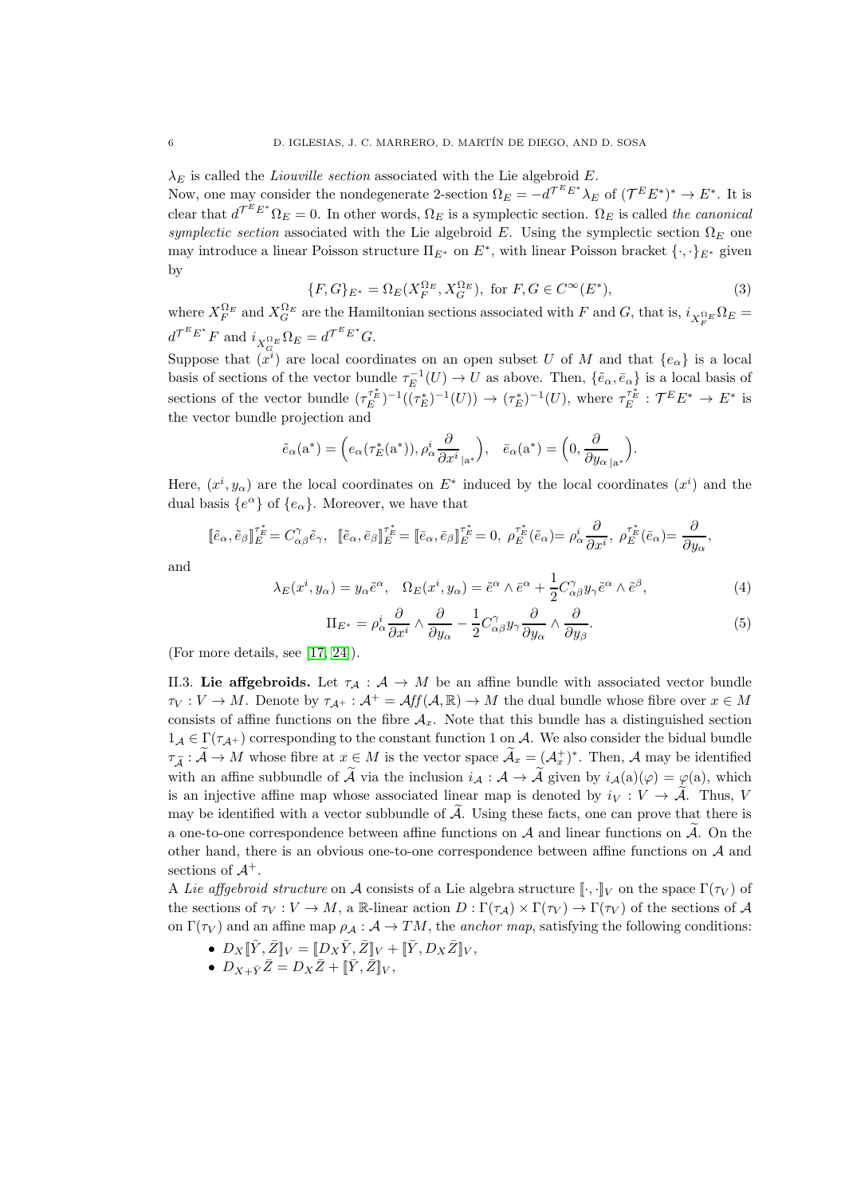$\lambda_E$  is called the *Liouville section* associated with the Lie algebroid E. Now, one may consider the nondegenerate 2-section  $\Omega_E = -d^{\mathcal{T}^E E^*} \lambda_E$  of  $(\mathcal{T}^E E^*)^* \to E^*$ . It is clear that  $d^{\mathcal{T}^E E^*} \Omega_E = 0$ . In other words,  $\Omega_E$  is a symplectic section.  $\Omega_E$  is called the canonical symplectic section associated with the Lie algebroid E. Using the symplectic section  $\Omega_E$  one may introduce a linear Poisson structure  $\Pi_{E^*}$  on  $E^*$ , with linear Poisson bracket  $\{\cdot,\cdot\}_{{E^*}}$  given by

<span id="page-5-3"></span>
$$
\{F, G\}_{E^*} = \Omega_E(X_F^{\Omega_E}, X_G^{\Omega_E}), \text{ for } F, G \in C^{\infty}(E^*),
$$
\n(3)

where  $X_F^{\Omega_E}$  and  $X_G^{\Omega_E}$  are the Hamiltonian sections associated with F and G, that is,  $i_{X_F^{\Omega_E}}\Omega_E =$  $d^{\mathcal{T}^E E^*} F$  and  $i_{X_G^{\Omega_E}} \Omega_E = d^{\mathcal{T}^E E^*} G.$ 

Suppose that  $\overline{x}^G$  are local coordinates on an open subset U of M and that  $\{e_\alpha\}$  is a local basis of sections of the vector bundle  $\tau_E^{-1}(U) \to U$  as above. Then,  $\{\tilde{e}_{\alpha}, \bar{e}_{\alpha}\}\$ is a local basis of sections of the vector bundle  $(\tau_E^{\tau_E^*})^{-1}((\tau_E^*)^{-1}(U)) \to (\tau_E^*)^{-1}(U)$ , where  $\tau_E^{\tau_E^*} : \mathcal{T}^E E^* \to E^*$  is the vector bundle projection and

$$
\tilde{e}_{\alpha}(\mathbf{a}^*) = \Big(e_{\alpha}(\tau_E^*(\mathbf{a}^*)), \rho_{\alpha}^i \frac{\partial}{\partial x^i}_{|\mathbf{a}^*}\Big), \quad \bar{e}_{\alpha}(\mathbf{a}^*) = \Big(0, \frac{\partial}{\partial y_{\alpha}}_{|\mathbf{a}^*}\Big).
$$

Here,  $(x^i, y_\alpha)$  are the local coordinates on  $E^*$  induced by the local coordinates  $(x^i)$  and the dual basis  $\{e^{\alpha}\}\$  of  $\{e_{\alpha}\}\$ . Moreover, we have that

$$
\[\![\tilde{e}_\alpha,\tilde{e}_\beta]\!]_E^{\tau_E^*} = C_{\alpha\beta}^\gamma \tilde{e}_\gamma,\quad\n[\![\tilde{e}_\alpha,\bar{e}_\beta]\!]_E^{\tau_E^*} = \[\![\bar{e}_\alpha,\bar{e}_\beta]\!]_E^{\tau_E^*} = 0,\quad\n\rho_E^{\tau_E^*}(\tilde{e}_\alpha) = \rho_\alpha^i \frac{\partial}{\partial x^i},\quad\n\rho_E^{\tau_E^*}(\bar{e}_\alpha) = \frac{\partial}{\partial y_\alpha},
$$

and

<span id="page-5-1"></span>
$$
\lambda_E(x^i, y_\alpha) = y_\alpha \tilde{e}^\alpha, \quad \Omega_E(x^i, y_\alpha) = \tilde{e}^\alpha \wedge \tilde{e}^\alpha + \frac{1}{2} C_{\alpha\beta}^\gamma y_\gamma \tilde{e}^\alpha \wedge \tilde{e}^\beta,\tag{4}
$$

<span id="page-5-2"></span>
$$
\Pi_{E^*} = \rho^i_{\alpha} \frac{\partial}{\partial x^i} \wedge \frac{\partial}{\partial y_{\alpha}} - \frac{1}{2} C^{\gamma}_{\alpha\beta} y_{\gamma} \frac{\partial}{\partial y_{\alpha}} \wedge \frac{\partial}{\partial y_{\beta}}.
$$
\n
$$
\tag{5}
$$

<span id="page-5-0"></span>(For more details, see [\[17,](#page-48-16) [24\]](#page-48-17)).

II.3. Lie affgebroids. Let  $\tau_A : A \to M$  be an affine bundle with associated vector bundle  $\tau_V: V \to M$ . Denote by  $\tau_{\mathcal{A}^+}: \mathcal{A}^+ = \mathcal{A}ff(\mathcal{A}, \mathbb{R}) \to M$  the dual bundle whose fibre over  $x \in M$ consists of affine functions on the fibre  $A_x$ . Note that this bundle has a distinguished section  $1_A \in \Gamma(\tau_{A^+})$  corresponding to the constant function 1 on A. We also consider the bidual bundle  $\tau_{\tilde{\mathcal{A}}} : \tilde{\mathcal{A}} \to M$  whose fibre at  $x \in M$  is the vector space  $\tilde{\mathcal{A}}_x = (\mathcal{A}_x^+)^*$ . Then,  $\mathcal{A}$  may be identified with an affine subbundle of  $\widetilde{A}$  via the inclusion  $i_A : A \to \widetilde{A}$  given by  $i_A(a)(\varphi) = \varphi(a)$ , which is an injective affine map whose associated linear map is denoted by  $i_V : V \to \tilde{A}$ . Thus, V may be identified with a vector subbundle of  $\tilde{A}$ . Using these facts, one can prove that there is a one-to-one correspondence between affine functions on  $A$  and linear functions on  $\overline{A}$ . On the other hand, there is an obvious one-to-one correspondence between affine functions on  $A$  and sections of  $\mathcal{A}^+$ .

A Lie affgebroid structure on A consists of a Lie algebra structure  $[\cdot,\cdot]_V$  on the space  $\Gamma(\tau_V)$  of the sections of  $\tau_V : V \to M$ , a R-linear action  $D : \Gamma(\tau_A) \times \Gamma(\tau_V) \to \Gamma(\tau_V)$  of the sections of A on  $\Gamma(\tau_V)$  and an affine map  $\rho_A : A \to TM$ , the *anchor map*, satisfying the following conditions:

- $D_X[\bar{Y}, \bar{Z}]_V = [D_X\bar{Y}, \bar{Z}]_V + [\bar{Y}, D_X\bar{Z}]_V,$
- $D_{X+\bar{Y}}\bar{Z} = D_X\bar{Z} + [\bar{Y}, \bar{Z}]_V,$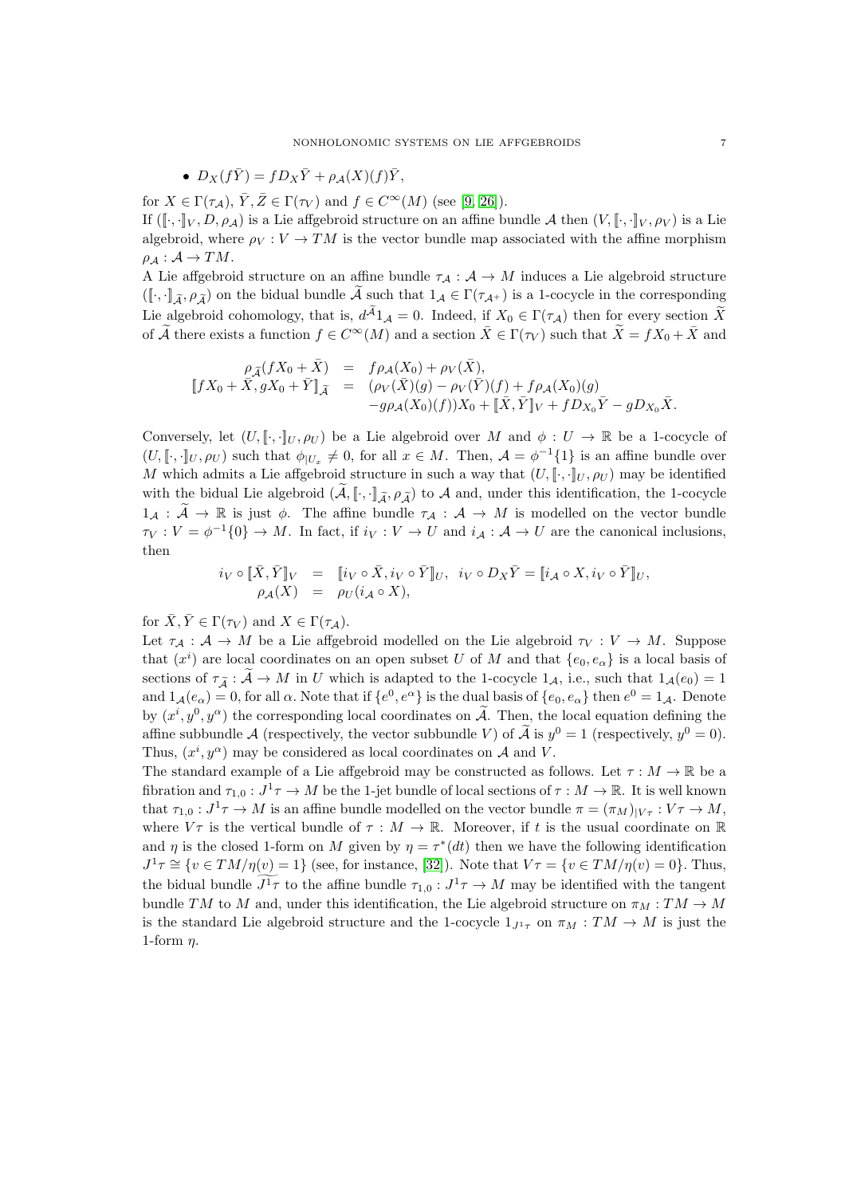• 
$$
D_X(f\overline{Y}) = fD_X\overline{Y} + \rho_{\mathcal{A}}(X)(f)\overline{Y},
$$

for  $X \in \Gamma(\tau_A)$ ,  $\overline{Y}, \overline{Z} \in \Gamma(\tau_V)$  and  $f \in C^{\infty}(M)$  (see [\[9,](#page-47-11) [26\]](#page-48-20)).

If  $([\cdot,\cdot]_V, D, \rho_\mathcal{A})$  is a Lie affgebroid structure on an affine bundle  $\mathcal{A}$  then  $(V, [\cdot,\cdot]_V, \rho_V)$  is a Lie algebroid, where  $\rho_V : V \to TM$  is the vector bundle map associated with the affine morphism  $\rho_A : A \to TM$ .

A Lie affgebroid structure on an affine bundle  $\tau_A : A \to M$  induces a Lie algebroid structure  $([\cdot,\cdot]_{\widetilde{A}}, \rho_{\widetilde{A}})$  on the bidual bundle  $\widetilde{A}$  such that  $1_{\mathcal{A}} \in \Gamma(\tau_{\mathcal{A}^+})$  is a 1-cocycle in the corresponding Lie algebroid cohomology, that is,  $d^{\mathcal{A}}1_{\mathcal{A}} = 0$ . Indeed, if  $X_0 \in \Gamma(\tau_{\mathcal{A}})$  then for every section X of  $\widetilde{A}$  there exists a function  $f \in C^{\infty}(M)$  and a section  $\overline{X} \in \Gamma(\tau_V)$  such that  $\widetilde{X} = fX_0 + \overline{X}$  and

$$
\begin{array}{rcl}\n\rho_{\widetilde{\mathcal{A}}}(fX_0+\bar{X}) & = & f\rho_{\mathcal{A}}(X_0)+\rho_V(\bar{X}), \\
\llbracket fX_0+\bar{X},gX_0+\bar{Y}\rrbracket_{\widetilde{\mathcal{A}}} & = & \left(\rho_V(\bar{X})(g)-\rho_V(\bar{Y})(f)+f\rho_{\mathcal{A}}(X_0)(g)\right) \\
&-g\rho_{\mathcal{A}}(X_0)(f))X_0+\llbracket \bar{X},\bar{Y}\rrbracket_V+fD_{X_0}\bar{Y}-gD_{X_0}\bar{X}.\n\end{array}
$$

Conversely, let  $(U, [\cdot,\cdot]_U, \rho_U)$  be a Lie algebroid over M and  $\phi: U \to \mathbb{R}$  be a 1-cocycle of  $(U, [\![ \cdot, \cdot ]\!]_U, \rho_U)$  such that  $\phi_{|U_x} \neq 0$ , for all  $x \in M$ . Then,  $\mathcal{A} = \phi^{-1}{1}$  is an affine bundle over M which admits a Lie affgebroid structure in such a way that  $(U, [\cdot, \cdot]_U, \rho_U)$  may be identified with the bidual Lie algebroid  $(\tilde{\mathcal{A}}, \llbracket \cdot, \cdot \rrbracket_{\tilde{\mathcal{A}}}, \rho_{\tilde{\mathcal{A}}})$  to  $\mathcal{A}$  and, under this identification, the 1-cocycle  $1_A : \tilde{A} \to \mathbb{R}$  is just  $\phi$ . The affine bundle  $\tau_A : A \to M$  is modelled on the vector bundle  $\tau_V: V = \phi^{-1}{0} \to M$ . In fact, if  $i_V: V \to U$  and  $i_A: A \to U$  are the canonical inclusions, then

$$
i_V \circ [\![\bar{X}, \bar{Y}]\!]_V = [\![i_V \circ \bar{X}, i_V \circ \bar{Y}]\!]_U, \ \ i_V \circ D_X \bar{Y} = [\![i_A \circ X, i_V \circ \bar{Y}]\!]_U, \rho_A(X) = \rho_U(i_A \circ X),
$$

for  $\bar{X}, \bar{Y} \in \Gamma(\tau_V)$  and  $X \in \Gamma(\tau_A)$ .

Let  $\tau_A : A \to M$  be a Lie affgebroid modelled on the Lie algebroid  $\tau_V : V \to M$ . Suppose that  $(x^{i})$  are local coordinates on an open subset U of M and that  $\{e_{0}, e_{\alpha}\}\)$  is a local basis of sections of  $\tau_{\tilde{A}} : \tilde{A} \to M$  in U which is adapted to the 1-cocycle  $1_{\mathcal{A}}$ , i.e., such that  $1_{\mathcal{A}}(e_0) = 1$ and  $1_{\mathcal{A}}(e_{\alpha})=0$ , for all  $\alpha$ . Note that if  $\{e^0, e^{\alpha}\}\$ is the dual basis of  $\{e_0, e_{\alpha}\}\$  then  $e^0=1_{\mathcal{A}}\$ . Denote by  $(x^i, y^0, y^{\alpha})$  the corresponding local coordinates on  $\tilde{A}$ . Then, the local equation defining the affine subbundle A (respectively, the vector subbundle V) of  $\tilde{A}$  is  $y^0 = 1$  (respectively,  $y^0 = 0$ ). Thus,  $(x^{i}, y^{\alpha})$  may be considered as local coordinates on A and V.

<span id="page-6-0"></span>The standard example of a Lie affgebroid may be constructed as follows. Let  $\tau : M \to \mathbb{R}$  be a fibration and  $\tau_{1,0}: J^1\tau \to M$  be the 1-jet bundle of local sections of  $\tau: M \to \mathbb{R}$ . It is well known that  $\tau_{1,0}: J^1\tau \to M$  is an affine bundle modelled on the vector bundle  $\pi = (\pi_M)_{|V\tau}: V\tau \to M$ , where  $V\tau$  is the vertical bundle of  $\tau : M \to \mathbb{R}$ . Moreover, if t is the usual coordinate on  $\mathbb{R}$ and  $\eta$  is the closed 1-form on M given by  $\eta = \tau^*(dt)$  then we have the following identification  $J^1\tau \cong \{v \in TM/\eta(v) = 1\}$  (see, for instance, [\[32\]](#page-48-23)). Note that  $V\tau = \{v \in TM/\eta(v) = 0\}$ . Thus, the bidual bundle  $J^1\tau$  to the affine bundle  $\tau_{1,0}: J^1\tau \to M$  may be identified with the tangent bundle TM to M and, under this identification, the Lie algebroid structure on  $\pi_M : TM \to M$ is the standard Lie algebroid structure and the 1-cocycle  $1_{J^1\tau}$  on  $\pi_M : TM \to M$  is just the 1-form  $n$ .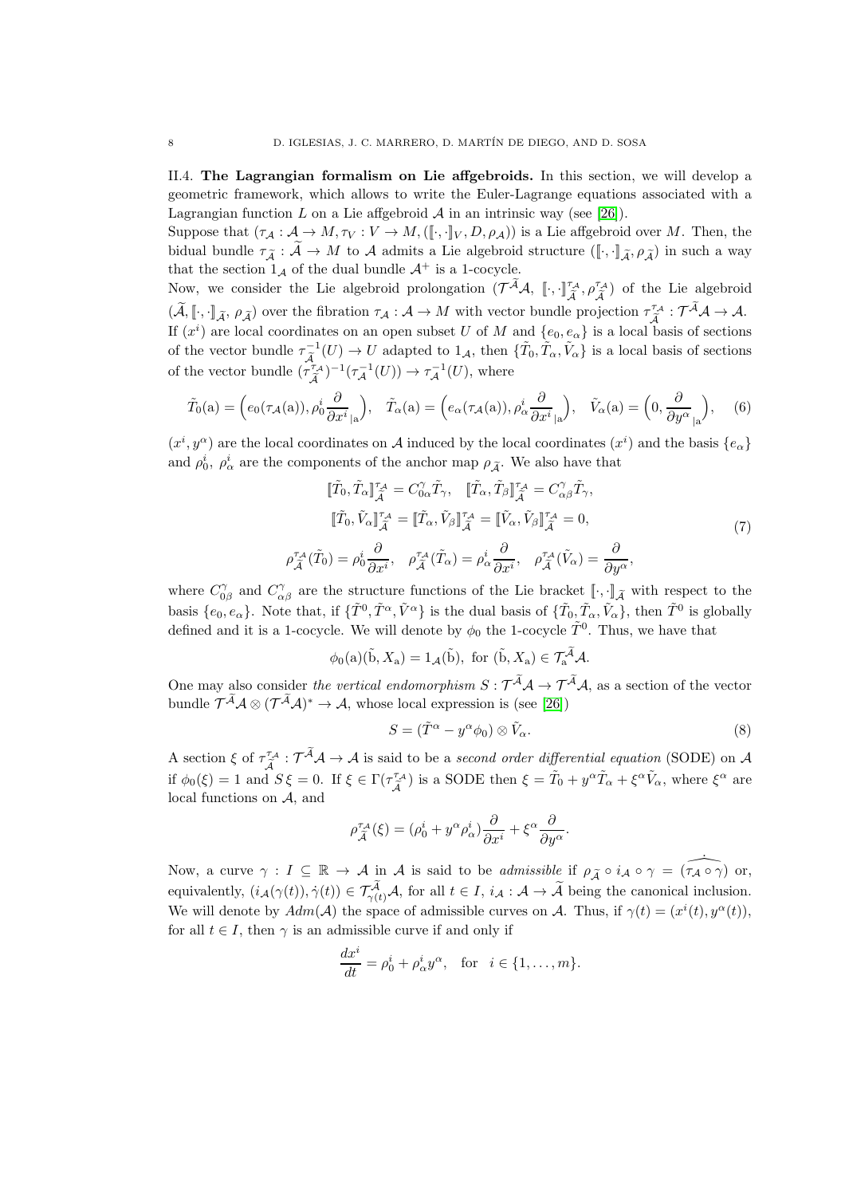II.4. The Lagrangian formalism on Lie affgebroids. In this section, we will develop a geometric framework, which allows to write the Euler-Lagrange equations associated with a Lagrangian function  $L$  on a Lie affgebroid  $A$  in an intrinsic way (see [\[26\]](#page-48-20)).

Suppose that  $(\tau_A : \mathcal{A} \to M, \tau_V : V \to M, (\llbracket \cdot, \cdot \rrbracket_V, D, \rho_\mathcal{A}))$  is a Lie affgebroid over M. Then, the bidual bundle  $\tau_{\tilde{\mathcal{A}}} : \mathcal{A} \to M$  to  $\mathcal{A}$  admits a Lie algebroid structure  $([\cdot, \cdot]_{\tilde{\mathcal{A}}}, \rho_{\tilde{\mathcal{A}}})$  in such a way that the section  $1_{\mathcal{A}}$  of the dual bundle  $\mathcal{A}^+$  is a 1-cocycle.

Now, we consider the Lie algebroid prolongation  $(\mathcal{T}^{\widetilde{\mathcal{A}}}\mathcal{A}, \; [\![\cdot,\cdot]\!]^{\tau_{\mathcal{A}}}_{\widetilde{\mathcal{A}}}, \rho^{\tau_{\mathcal{A}}}_{\widetilde{\mathcal{A}}}$  $\begin{pmatrix} \tau_A \\ \tilde{\mathcal{A}} \end{pmatrix}$  of the Lie algebroid  $(\widetilde{\mathcal{A}},\llbracket \cdot,\cdot \rrbracket_{\widetilde{\mathcal{A}}}, \rho_{\widetilde{\mathcal{A}}})$  over the fibration  $\tau_{\mathcal{A}}: \mathcal{A} \to M$  with vector bundle projection  $\tau_{\widetilde{\mathcal{A}}}^{\tau_{\mathcal{A}}}$  $\widetilde{\widetilde{\mathcal{A}}}^{\tau_{\mathcal{A}}} : \mathcal{T}^{\mathcal{A}}\mathcal{A} \to \mathcal{A}.$ If  $(x^{i})$  are local coordinates on an open subset U of M and  $\{e_{0}, e_{\alpha}\}\)$  is a local basis of sections of the vector bundle  $\tau_{\tilde{I}}^{-1}$  $\tilde{\mathcal{A}}^{-1}(U) \to U$  adapted to  $1_{\mathcal{A}}$ , then  $\{\tilde{T}_0, \tilde{T}_\alpha, \tilde{V}_\alpha\}$  is a local basis of sections of the vector bundle  $(\tau_{\widetilde{\lambda}}^{\tau_{\mathcal{A}}}$  $(\tau_{\mathcal{A}}^{-1}(\tau_{\mathcal{A}}^{-1}(U)) \to \tau_{\mathcal{A}}^{-1}(U),$  where

<span id="page-7-2"></span>
$$
\tilde{T}_0(\mathbf{a}) = \left(e_0(\tau_{\mathcal{A}}(\mathbf{a})), \rho_0^i \frac{\partial}{\partial x^i}_{|\mathbf{a}}\right), \quad \tilde{T}_\alpha(\mathbf{a}) = \left(e_\alpha(\tau_{\mathcal{A}}(\mathbf{a})), \rho_\alpha^i \frac{\partial}{\partial x^i}_{|\mathbf{a}}\right), \quad \tilde{V}_\alpha(\mathbf{a}) = \left(0, \frac{\partial}{\partial y^\alpha}_{|\mathbf{a}}\right), \quad (6)
$$

 $(x^i, y^{\alpha})$  are the local coordinates on A induced by the local coordinates  $(x^i)$  and the basis  $\{e_{\alpha}\}\$ and  $\rho_0^i$ ,  $\rho_\alpha^i$  are the components of the anchor map  $\rho_{\widetilde{\mathcal{A}}}$ . We also have that

<span id="page-7-0"></span>
$$
\begin{aligned}\n[\tilde{T}_0, \tilde{T}_\alpha]_{\tilde{A}}^{\tau_A} &= C_{0\alpha}^\gamma \tilde{T}_\gamma, \quad [\tilde{T}_\alpha, \tilde{T}_\beta]_{\tilde{A}}^{\tau_A} = C_{\alpha\beta}^\gamma \tilde{T}_\gamma, \\
[\![\tilde{T}_0, \tilde{V}_\alpha]\!]_{\tilde{A}}^{\tau_A} &= [\![\tilde{T}_\alpha, \tilde{V}_\beta]\!]_{\tilde{A}}^{\tau_A} = [\![\tilde{V}_\alpha, \tilde{V}_\beta]\!]_{\tilde{A}}^{\tau_A} = 0, \\
\rho_{\tilde{A}}^{\tau_A}(\tilde{T}_0) &= \rho_0^i \frac{\partial}{\partial x^i}, \quad \rho_{\tilde{A}}^{\tau_A}(\tilde{T}_\alpha) = \rho_\alpha^i \frac{\partial}{\partial x^i}, \quad \rho_{\tilde{A}}^{\tau_A}(\tilde{V}_\alpha) = \frac{\partial}{\partial y^\alpha},\n\end{aligned} \tag{7}
$$

where  $C_{0\beta}^{\gamma}$  and  $C_{\alpha\beta}^{\gamma}$  are the structure functions of the Lie bracket  $[\cdot,\cdot]_{\tilde{\mathcal{A}}}$  with respect to the basis  $\{e_0, e_\alpha\}$ . Note that, if  $\{\tilde{T}^0, \tilde{T}^\alpha, \tilde{V}^\alpha\}$  is the dual basis of  $\{\tilde{T}_0, \tilde{T}_\alpha, \tilde{V}_\alpha\}$ , then  $\tilde{T}^0$  is globally defined and it is a 1-cocycle. We will denote by  $\phi_0$  the 1-cocycle  $\tilde{T}^0$ . Thus, we have that

$$
\phi_0(a)(\tilde{b}, X_a) = 1_{\mathcal{A}}(\tilde{b}), \text{ for } (\tilde{b}, X_a) \in \mathcal{T}_a^{\tilde{\mathcal{A}}} \mathcal{A}.
$$

One may also consider the vertical endomorphism  $S: \mathcal{T}^{\mathcal{A}}\mathcal{A} \to \mathcal{T}^{\mathcal{A}}\mathcal{A}$ , as a section of the vector bundle  $\mathcal{T}^{\mathcal{A}}\mathcal{A}\otimes(\mathcal{T}^{\mathcal{A}}\mathcal{A})^*\to\mathcal{A}$ , whose local expression is (see [\[26\]](#page-48-20))

<span id="page-7-1"></span>
$$
S = (\tilde{T}^{\alpha} - y^{\alpha} \phi_0) \otimes \tilde{V}_{\alpha}.
$$
 (8)

.

A section  $\xi$  of  $\tau_{\tilde{\lambda}}^{\tau_{\mathcal{A}}}$  $\tilde{A}^{\tau_A}$ :  $\mathcal{T}^A \mathcal{A} \to \mathcal{A}$  is said to be a second order differential equation (SODE) on  $\mathcal{A}$ if  $\phi_0(\xi) = 1$  and  $S \xi = 0$ . If  $\xi \in \Gamma(\tau_{\widetilde{\lambda}}^{\tau_{\mathcal{A}}}$  $(\tilde{\tilde{A}}^{\tau_{\mathcal{A}}})$  is a SODE then  $\xi = \tilde{T}_0 + y^{\alpha} \tilde{T}_{\alpha} + \xi^{\alpha} \tilde{V}_{\alpha}$ , where  $\xi^{\alpha}$  are local functions on A, and

$$
\rho_{\widetilde{\cal A}}^{\tau_{\cal A}}(\xi)=(\rho_0^i+y^\alpha\rho_\alpha^i)\frac{\partial}{\partial x^i}+\xi^\alpha\frac{\partial}{\partial y^\alpha}
$$

Now, a curve  $\gamma : I \subseteq \mathbb{R} \to \mathcal{A}$  in  $\mathcal{A}$  is said to be *admissible* if  $\rho_{\tilde{\mathcal{A}}} \circ i_{\mathcal{A}} \circ \gamma = (\widehat{\tau_{\mathcal{A}} \circ \gamma})$  or, equivalently,  $(i_A(\gamma(t)), \dot{\gamma}(t)) \in \mathcal{T}_{\gamma(t)}^{\mathcal{A}} \mathcal{A}$ , for all  $t \in I$ ,  $i_A : \mathcal{A} \to \tilde{\mathcal{A}}$  being the canonical inclusion. We will denote by  $Adm(\mathcal{A})$  the space of admissible curves on  $\mathcal{A}$ . Thus, if  $\gamma(t) = (x^{i}(t), y^{\alpha}(t)),$ for all  $t \in I$ , then  $\gamma$  is an admissible curve if and only if

$$
\frac{dx^i}{dt} = \rho_0^i + \rho_\alpha^i y^\alpha, \text{ for } i \in \{1, \dots, m\}.
$$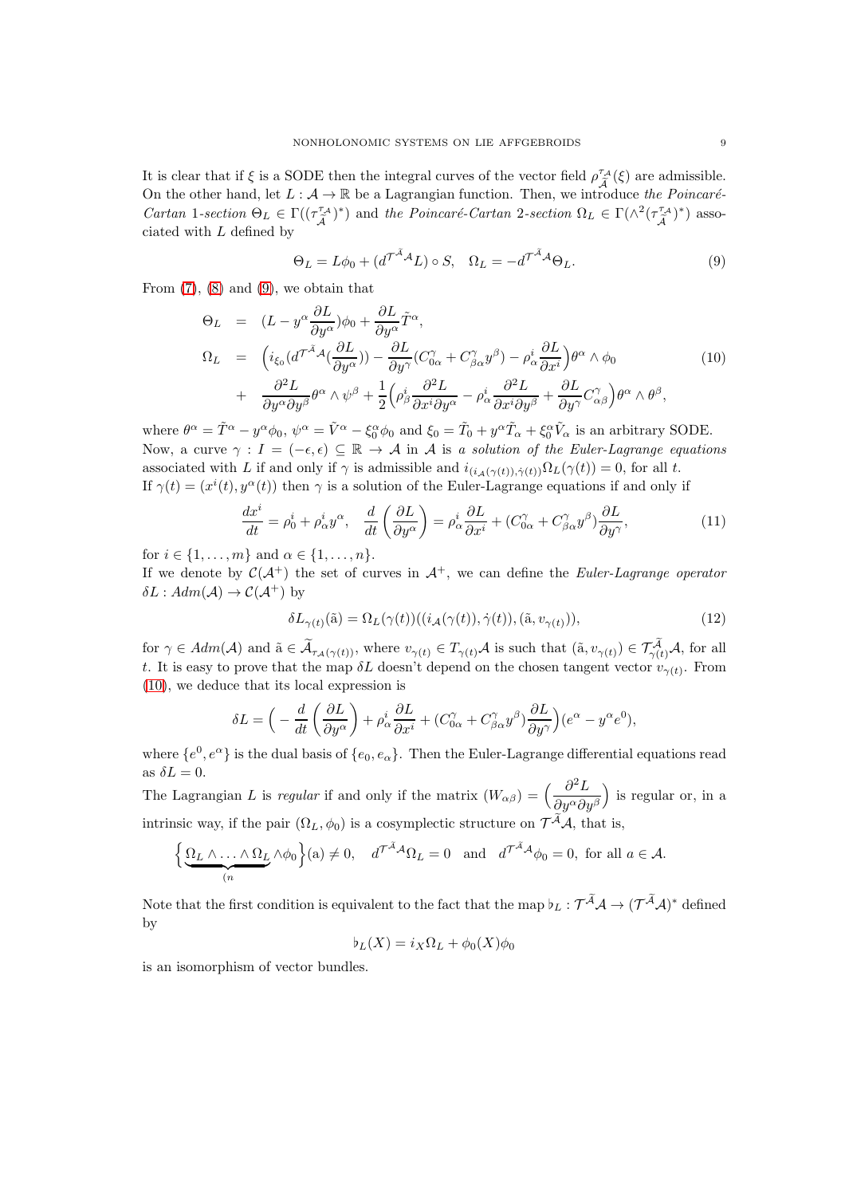It is clear that if  $\xi$  is a SODE then the integral curves of the vector field  $\rho_{\tilde{\lambda}}^{\tau_A}$  $\tilde{\tilde{A}}^{A}(\xi)$  are admissible. On the other hand, let  $L : \mathcal{A} \to \mathbb{R}$  be a Lagrangian function. Then, we introduce the Poincaré-Cartan 1-section  $\Theta_L \in \Gamma((\tau_{\widetilde{\Lambda}}^{\tau_{\mathcal{A}}}$  $(\tilde{A}^{T,A})^*$ ) and the Poincaré-Cartan 2-section  $\Omega_L \in \Gamma(\wedge^2(\tau^{\tau_A}_{\tilde{\mathcal{A}}})^*)$  $(\tilde{A}^{\tau_{\mathcal{A}}})^*$  associated with L defined by

<span id="page-8-0"></span>
$$
\Theta_L = L\phi_0 + (d^{\mathcal{T}^{\tilde{\mathcal{A}}}\mathcal{A}}L) \circ S, \quad \Omega_L = -d^{\mathcal{T}^{\tilde{\mathcal{A}}}\mathcal{A}}\Theta_L.
$$
\n<sup>(9)</sup>

From  $(7)$ ,  $(8)$  and  $(9)$ , we obtain that

<span id="page-8-1"></span>
$$
\Theta_L = (L - y^{\alpha} \frac{\partial L}{\partial y^{\alpha}}) \phi_0 + \frac{\partial L}{\partial y^{\alpha}} \tilde{T}^{\alpha},
$$
\n
$$
\Omega_L = \left( i_{\xi_0} (d^{\mathcal{T}^{\tilde{A}} \mathcal{A}} (\frac{\partial L}{\partial y^{\alpha}})) - \frac{\partial L}{\partial y^{\gamma}} (C^{\gamma}_{0\alpha} + C^{\gamma}_{\beta\alpha} y^{\beta}) - \rho^i_{\alpha} \frac{\partial L}{\partial x^i} \right) \theta^{\alpha} \wedge \phi_0
$$
\n
$$
+ \frac{\partial^2 L}{\partial y^{\alpha} \partial y^{\beta}} \theta^{\alpha} \wedge \psi^{\beta} + \frac{1}{2} \left( \rho^i_{\beta} \frac{\partial^2 L}{\partial x^i \partial y^{\alpha}} - \rho^i_{\alpha} \frac{\partial^2 L}{\partial x^i \partial y^{\beta}} + \frac{\partial L}{\partial y^{\gamma}} C^{\gamma}_{\alpha\beta} \right) \theta^{\alpha} \wedge \theta^{\beta}, \tag{10}
$$

where  $\theta^{\alpha} = \tilde{T}^{\alpha} - y^{\alpha} \phi_0$ ,  $\psi^{\alpha} = \tilde{V}^{\alpha} - \xi_0^{\alpha} \phi_0$  and  $\xi_0 = \tilde{T}_0 + y^{\alpha} \tilde{T}_{\alpha} + \xi_0^{\alpha} \tilde{V}_{\alpha}$  is an arbitrary SODE. Now, a curve  $\gamma : I = (-\epsilon, \epsilon) \subseteq \mathbb{R} \to A$  in A is a solution of the Euler-Lagrange equations associated with L if and only if  $\gamma$  is admissible and  $i_{(i_A(\gamma(t)),\dot{\gamma}(t))}\Omega_L(\gamma(t)) = 0$ , for all t. If  $\gamma(t) = (x^{i}(t), y^{\alpha}(t))$  then  $\gamma$  is a solution of the Euler-Lagrange equations if and only if

$$
\frac{dx^{i}}{dt} = \rho_{0}^{i} + \rho_{\alpha}^{i} y^{\alpha}, \quad \frac{d}{dt} \left( \frac{\partial L}{\partial y^{\alpha}} \right) = \rho_{\alpha}^{i} \frac{\partial L}{\partial x^{i}} + (C_{0\alpha}^{\gamma} + C_{\beta\alpha}^{\gamma} y^{\beta}) \frac{\partial L}{\partial y^{\gamma}},\tag{11}
$$

for  $i \in \{1, \ldots, m\}$  and  $\alpha \in \{1, \ldots, n\}$ .

If we denote by  $C(\mathcal{A}^+)$  the set of curves in  $\mathcal{A}^+$ , we can define the Euler-Lagrange operator  $\delta L : Adm(\mathcal{A}) \to \mathcal{C}(\mathcal{A}^+)$  by

<span id="page-8-2"></span>
$$
\delta L_{\gamma(t)}(\tilde{\mathbf{a}}) = \Omega_L(\gamma(t))((i_{\mathcal{A}}(\gamma(t)), \dot{\gamma}(t)), (\tilde{\mathbf{a}}, v_{\gamma(t)})),
$$
\n(12)

for  $\gamma \in Adm(\mathcal{A})$  and  $\tilde{a} \in \tilde{\mathcal{A}}_{\tau_{\mathcal{A}}(\gamma(t))}$ , where  $v_{\gamma(t)} \in T_{\gamma(t)}\mathcal{A}$  is such that  $(\tilde{a}, v_{\gamma(t)}) \in \mathcal{T}_{\gamma(t)}^{\mathcal{A}}\mathcal{A}$ , for all t. It is easy to prove that the map  $\delta L$  doesn't depend on the chosen tangent vector  $v_{\gamma(t)}$ . From [\(10\)](#page-8-1), we deduce that its local expression is

$$
\delta L = \Big( -\frac{d}{dt} \left( \frac{\partial L}{\partial y^{\alpha}} \right) + \rho_{\alpha}^{i} \frac{\partial L}{\partial x^{i}} + (C_{0\alpha}^{\gamma} + C_{\beta\alpha}^{\gamma} y^{\beta}) \frac{\partial L}{\partial y^{\gamma}} \Big) (e^{\alpha} - y^{\alpha} e^{0}),
$$

where  $\{e^0, e^{\alpha}\}\$ is the dual basis of  $\{e_0, e_{\alpha}\}\$ . Then the Euler-Lagrange differential equations read as  $\delta L = 0$ .

The Lagrangian L is regular if and only if the matrix  $(W_{\alpha\beta}) = \left(\frac{\partial^2 L}{\partial \phi \partial \beta}\right)^2$  $\partial y^\alpha \partial y^\beta$ ) is regular or, in a intrinsic way, if the pair  $(\Omega_L, \phi_0)$  is a cosymplectic structure on  $\mathcal{T}^{\mathcal{A}}\mathcal{A}$ , that is,

$$
\left\{\underbrace{\Omega_L \wedge \ldots \wedge \Omega_L}_{(n)} \wedge \phi_0\right\}(\mathbf{a}) \neq 0, \quad d^{\mathcal{T}^{\tilde{A}}\mathcal{A}}\Omega_L = 0 \quad \text{and} \quad d^{\mathcal{T}^{\tilde{A}}\mathcal{A}}\phi_0 = 0, \text{ for all } a \in \mathcal{A}.
$$

Note that the first condition is equivalent to the fact that the map  $\flat_L : \mathcal{T}^{\mathcal{A}}\mathcal{A} \to (\mathcal{T}^{\mathcal{A}}\mathcal{A})^*$  defined by

$$
\flat_L(X) = i_X \Omega_L + \phi_0(X)\phi_0
$$

is an isomorphism of vector bundles.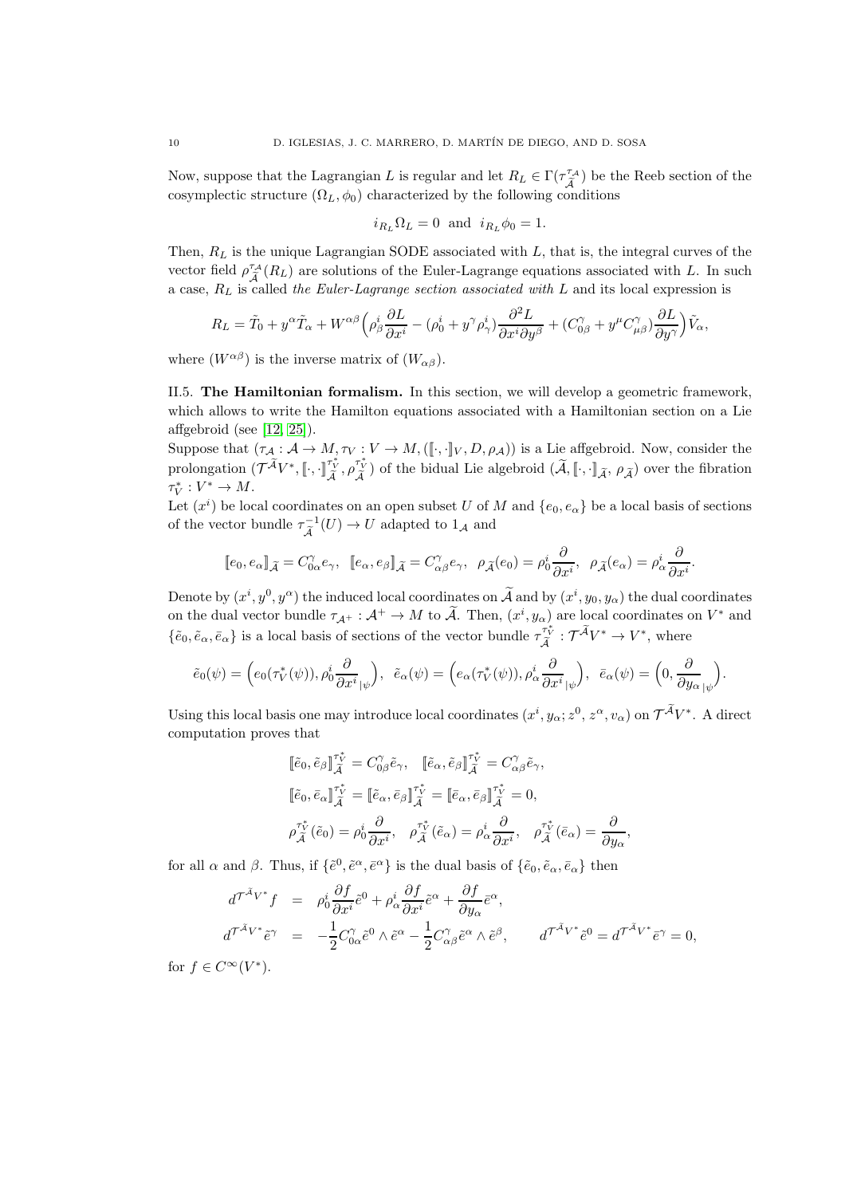Now, suppose that the Lagrangian L is regular and let  $R_L \in \Gamma(\tau_{\widetilde{A}}^{\tau_{\mathcal{A}}}$  $(\tilde{\tilde{A}}^{\tau_{\mathcal{A}}})$  be the Reeb section of the cosymplectic structure  $(\Omega_L, \phi_0)$  characterized by the following conditions

$$
i_{R_L}\Omega_L = 0 \text{ and } i_{R_L}\phi_0 = 1.
$$

Then,  $R_L$  is the unique Lagrangian SODE associated with  $L$ , that is, the integral curves of the vector field  $\rho_{\tilde{i}}^{\tau_{\mathcal{A}}}$  $\tilde{A}^{A}(R_L)$  are solutions of the Euler-Lagrange equations associated with L. In such  $\tilde{A}^{A}(R_L)$ a case,  $R_L$  is called the Euler-Lagrange section associated with L and its local expression is

$$
R_L = \tilde{T}_0 + y^{\alpha} \tilde{T}_{\alpha} + W^{\alpha\beta} \Big( \rho_{\beta}^i \frac{\partial L}{\partial x^i} - (\rho_0^i + y^{\gamma} \rho_{\gamma}^i) \frac{\partial^2 L}{\partial x^i \partial y^{\beta}} + (C_{0\beta}^{\gamma} + y^{\mu} C_{\mu\beta}^{\gamma}) \frac{\partial L}{\partial y^{\gamma}} \Big) \tilde{V}_{\alpha},
$$

<span id="page-9-0"></span>where  $(W^{\alpha\beta})$  is the inverse matrix of  $(W_{\alpha\beta})$ .

II.5. The Hamiltonian formalism. In this section, we will develop a geometric framework, which allows to write the Hamilton equations associated with a Hamiltonian section on a Lie affgebroid (see [\[12,](#page-47-13) [25\]](#page-48-21)).

Suppose that  $(\tau_{\mathcal{A}}: \mathcal{A} \to M, \tau_V: V \to M, (\lbrack\! \lbrack \cdot, \cdot \rbrack\! \rbrack_V, D, \rho_{\mathcal{A}}))$  is a Lie affgebroid. Now, consider the prolongation  $(\mathcal{T}^{\widetilde{\mathcal{A}}}_{V^*}, \llbracket \cdot, \cdot \rrbracket_{\widetilde{\mathcal{A}}}^{\tau_V^*}, \rho_{\widetilde{\mathcal{A}}}^{\tau_V^*})$  of the bidual Lie algebroid  $(\widetilde{\mathcal{A}}, \llbracket \cdot, \cdot \rrbracket_{\widetilde{\mathcal{A}}}, \rho_{\widetilde{\mathcal{A}}})$  over the fibration  $\tau_V^*: V^* \to M.$ 

Let  $(x^{i})$  be local coordinates on an open subset U of M and  $\{e_{0}, e_{\alpha}\}\$ be a local basis of sections of the vector bundle  $\tau_{\tilde{I}}^{-1}$  $\overline{\tilde{A}}^{\perp}(U) \to U$  adapted to  $1_{\mathcal{A}}$  and

$$
[\![e_0, e_\alpha]\!]_{\widetilde{\mathcal{A}}} = C_{0\alpha}^\gamma e_\gamma, \quad [\![e_\alpha, e_\beta]\!]_{\widetilde{\mathcal{A}}} = C_{\alpha\beta}^\gamma e_\gamma, \quad \rho_{\widetilde{\mathcal{A}}}(e_0) = \rho_0^i \frac{\partial}{\partial x^i}, \quad \rho_{\widetilde{\mathcal{A}}}(e_\alpha) = \rho_\alpha^i \frac{\partial}{\partial x^i}.
$$

Denote by  $(x^i, y^0, y^\alpha)$  the induced local coordinates on  $\widetilde{\mathcal{A}}$  and by  $(x^i, y_0, y_\alpha)$  the dual coordinates on the dual vector bundle  $\tau_{\mathcal{A}^+} : \mathcal{A}^+ \to M$  to  $\widetilde{\mathcal{A}}$ . Then,  $(x^i, y_{\alpha})$  are local coordinates on  $V^*$  and  $\{\tilde{e}_0, \tilde{e}_\alpha, \bar{e}_\alpha\}$  is a local basis of sections of the vector bundle  $\tau_{\tilde{\mathcal{A}}}^{\tau_V^*} : \tau^{\tilde{\mathcal{A}}} V^* \to V^*$ , where

$$
\tilde{e}_0(\psi) = \Big(e_0(\tau_V^*(\psi)), \rho_0^i \frac{\partial}{\partial x^i}_{|\psi}\Big), \quad \tilde{e}_\alpha(\psi) = \Big(e_\alpha(\tau_V^*(\psi)), \rho_\alpha^i \frac{\partial}{\partial x^i}_{|\psi}\Big), \quad \bar{e}_\alpha(\psi) = \Big(0, \frac{\partial}{\partial y_{\alpha}}_{|\psi}\Big).
$$

Using this local basis one may introduce local coordinates  $(x^i, y_\alpha; z^0, z^\alpha, v_\alpha)$  on  $\mathcal{T}^{\mathcal{A}}V^*$ . A direct computation proves that

$$
\begin{aligned}\n\left[\tilde{e}_0, \tilde{e}_\beta\right]_{\widetilde{\mathcal{A}}}^{\tau_V^*} &= C_{0\beta}^\gamma \tilde{e}_\gamma, \quad \left[\tilde{e}_\alpha, \tilde{e}_\beta\right]_{\widetilde{\mathcal{A}}}^{\tau_V^*} = C_{\alpha\beta}^\gamma \tilde{e}_\gamma, \\
\left[\tilde{e}_0, \bar{e}_\alpha\right]_{\widetilde{\mathcal{A}}}^{\tau_V^*} &= \left[\tilde{e}_\alpha, \bar{e}_\beta\right]_{\widetilde{\mathcal{A}}}^{\tau_V^*} = \left[\bar{e}_\alpha, \bar{e}_\beta\right]_{\widetilde{\mathcal{A}}}^{\tau_V^*} = 0, \\
\rho_{\widetilde{\mathcal{A}}}^{\tau_V^*}(\tilde{e}_0) &= \rho_0^i \frac{\partial}{\partial x^i}, \quad \rho_{\widetilde{\mathcal{A}}}^{\tau_V^*}(\tilde{e}_\alpha) &= \rho_\alpha^i \frac{\partial}{\partial x^i}, \quad \rho_{\widetilde{\mathcal{A}}}^{\tau_V^*}(\bar{e}_\alpha) &= \frac{\partial}{\partial y_\alpha}\n\end{aligned}
$$

,

for all  $\alpha$  and  $\beta$ . Thus, if  $\{\tilde{e}^0, \tilde{e}^\alpha, \bar{e}^\alpha\}$  is the dual basis of  $\{\tilde{e}_0, \tilde{e}_\alpha, \bar{e}_\alpha\}$  then

$$
d^{\mathcal{T}^{\tilde{\mathcal{A}}}V^{*}}f = \rho_{0}^{i} \frac{\partial f}{\partial x^{i}} \tilde{e}^{0} + \rho_{\alpha}^{i} \frac{\partial f}{\partial x^{i}} \tilde{e}^{\alpha} + \frac{\partial f}{\partial y_{\alpha}} \tilde{e}^{\alpha},
$$
  

$$
d^{\mathcal{T}^{\tilde{\mathcal{A}}}V^{*}}\tilde{e}^{\gamma} = -\frac{1}{2} C_{0\alpha}^{\gamma} \tilde{e}^{0} \wedge \tilde{e}^{\alpha} - \frac{1}{2} C_{\alpha\beta}^{\gamma} \tilde{e}^{\alpha} \wedge \tilde{e}^{\beta}, \qquad d^{\mathcal{T}^{\tilde{\mathcal{A}}}V^{*}}\tilde{e}^{0} = d^{\mathcal{T}^{\tilde{\mathcal{A}}}V^{*}}\tilde{e}^{\gamma} = 0,
$$

for  $f \in C^{\infty}(V^*)$ .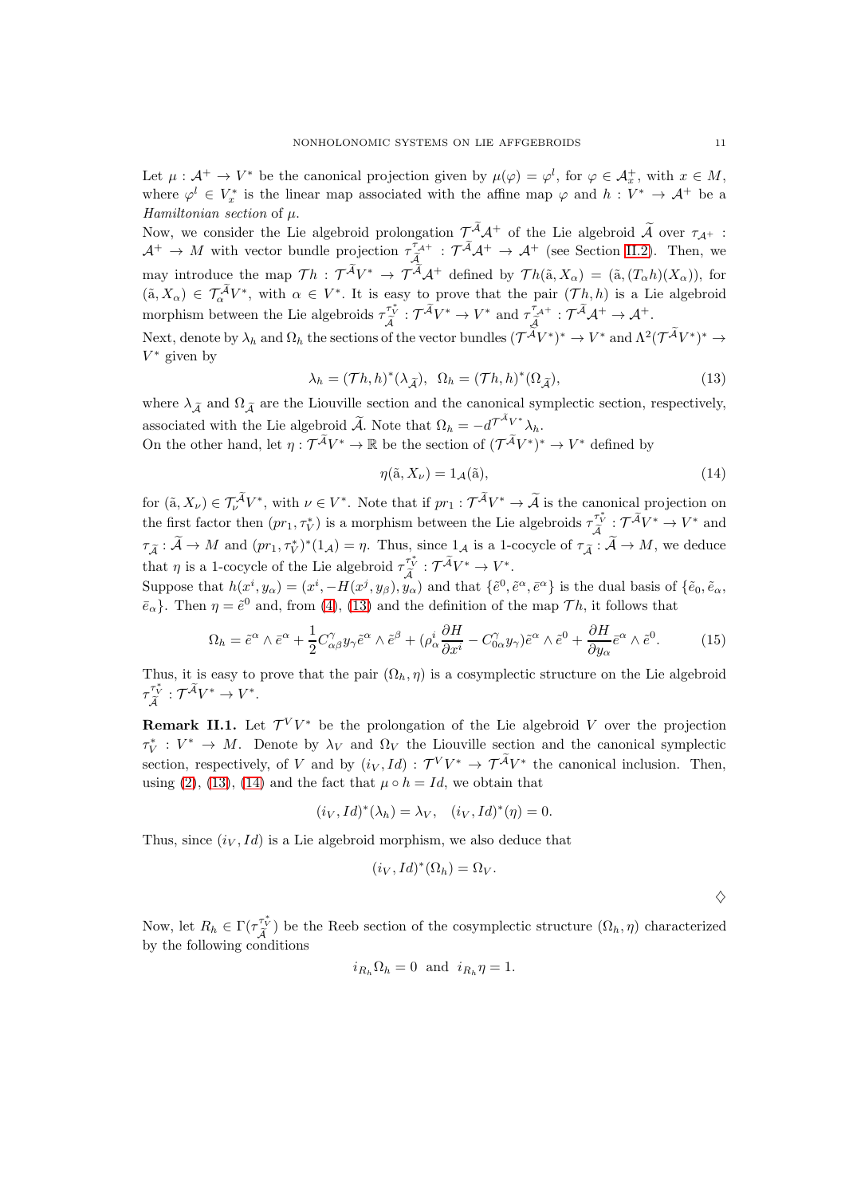Let  $\mu : \mathcal{A}^+ \to V^*$  be the canonical projection given by  $\mu(\varphi) = \varphi^l$ , for  $\varphi \in \mathcal{A}_x^+$ , with  $x \in M$ , where  $\varphi^l \in V_x^*$  is the linear map associated with the affine map  $\varphi$  and  $h: V^* \to \mathcal{A}^+$  be a Hamiltonian section of  $\mu$ .

Now, we consider the Lie algebroid prolongation  $\mathcal{T}_{\gamma}^{\mathcal{A}}\mathcal{A}^+$  of the Lie algebroid  $\mathcal{A}$  over  $\tau_{\mathcal{A}^+}$ :  $\mathcal{A}^+$   $\rightarrow$  M with vector bundle projection  $\tau_{\widetilde{\lambda}}^{\tau_{\mathcal{A}^+}}$  $\tilde{\mathcal{A}}^{\tau_{\mathcal{A}^+}}$ :  $\mathcal{T}^{\mathcal{A}}\mathcal{A}^+\rightarrow \mathcal{A}^+$  (see Section [II.2\)](#page-4-0). Then, we may introduce the map  $Th : \mathcal{T}^{\mathcal{A}}V^* \to \mathcal{T}^{\mathcal{A}}\mathcal{A}^+$  defined by  $Th(\tilde{a}, X_{\alpha}) = (\tilde{a}, (T_{\alpha}h)(X_{\alpha}))$ , for  $(\tilde{a}, X_{\alpha}) \in \mathcal{T}_{\alpha}^{\mathcal{A}} V^*$ , with  $\alpha \in V^*$ . It is easy to prove that the pair  $(\mathcal{T}h, h)$  is a Lie algebroid morphism between the Lie algebroids  $\tau_{\tilde{\mathcal{A}}}^{\tau_V^*}: \mathcal{T}^{\tilde{\mathcal{A}}V^*} \to V^*$  and  $\tau_{\tilde{\mathcal{A}}}^{\tau_{\mathcal{A}^+}}$  $\begin{array}{c} \tilde{\mathcal{A}}^{+}:\mathcal{T}^{\mathcal{A}}\mathcal{A}^{+}\rightarrow\mathcal{A}^{+}. \ \tilde{\mathcal{A}}^{+} \end{array}$ 

Next, denote by  $\lambda_h$  and  $\Omega_h$  the sections of the vector bundles  $(\mathcal{T}^{\mathcal{A}}V^*)^* \to V^*$  and  $\Lambda^2(\mathcal{T}^{\mathcal{A}}V^*)^* \to$  $V^*$  given by

<span id="page-10-0"></span>
$$
\lambda_h = (\mathcal{T}h, h)^*(\lambda_{\widetilde{\mathcal{A}}}), \ \ \Omega_h = (\mathcal{T}h, h)^*(\Omega_{\widetilde{\mathcal{A}}}), \tag{13}
$$

where  $\lambda_{\tilde{A}}$  and  $\Omega_{\tilde{A}}$  are the Liouville section and the canonical symplectic section, respectively, associated with the Lie algebroid  $\widetilde{A}$ . Note that  $\Omega_h = -d^{\mathcal{T}^A V^*} \lambda_h$ .

On the other hand, let  $\eta: \mathcal{T}^{\tilde{\mathcal{A}}}V^* \to \mathbb{R}$  be the section of  $(\mathcal{T}^{\tilde{\mathcal{A}}}V^*)^* \to V^*$  defined by

<span id="page-10-1"></span>
$$
\eta(\tilde{\mathbf{a}}, X_{\nu}) = 1_{\mathcal{A}}(\tilde{\mathbf{a}}),\tag{14}
$$

for  $(\tilde{a}, X_{\nu}) \in \mathcal{T}_{\nu}^{\mathcal{A}} V^*$ , with  $\nu \in V^*$ . Note that if  $pr_1: \mathcal{T}^{\mathcal{A}} V^* \to \tilde{\mathcal{A}}$  is the canonical projection on the first factor then  $(pr_1, \tau_V^*)$  is a morphism between the Lie algebroids  $\tau_{\widetilde{\mathcal{A}}}^{\tau_V^*} : \widetilde{\mathcal{T}}^{\widetilde{\mathcal{A}}} V^* \to V^*$  and  $\tau_{\tilde{\mathcal{A}}} : \tilde{\mathcal{A}} \to M$  and  $(pr_1, \tau_V^*)^*(1_{\mathcal{A}}) = \eta$ . Thus, since  $1_{\mathcal{A}}$  is a 1-cocycle of  $\tau_{\tilde{\mathcal{A}}} : \tilde{\mathcal{A}} \to M$ , we deduce that  $\eta$  is a 1-cocycle of the Lie algebroid  $\tau_{\tilde{\mathcal{A}}}^{\tau_V^*} : \tilde{\mathcal{T}}^{\tilde{\mathcal{A}}} V^* \to V^*$ .

Suppose that  $h(x^i, y_\alpha) = (x^i, -H(x^j, y_\beta), y_\alpha)$  and that  $\{\tilde{e}^0, \tilde{e}^\alpha, \bar{e}^\alpha\}$  is the dual basis of  $\{\tilde{e}_0, \tilde{e}_\alpha, \tilde{e}_\alpha\}$  $\bar{e}_{\alpha}$ . Then  $\eta = \tilde{e}^{0}$  and, from [\(4\)](#page-5-1), [\(13\)](#page-10-0) and the definition of the map  $\mathcal{T}h$ , it follows that

<span id="page-10-2"></span>
$$
\Omega_h = \tilde{e}^\alpha \wedge \bar{e}^\alpha + \frac{1}{2} C_{\alpha\beta}^\gamma y_\gamma \tilde{e}^\alpha \wedge \tilde{e}^\beta + (\rho_\alpha^i \frac{\partial H}{\partial x^i} - C_{0\alpha}^\gamma y_\gamma) \tilde{e}^\alpha \wedge \tilde{e}^0 + \frac{\partial H}{\partial y_\alpha} \bar{e}^\alpha \wedge \tilde{e}^0. \tag{15}
$$

Thus, it is easy to prove that the pair  $(\Omega_h, \eta)$  is a cosymplectic structure on the Lie algebroid  $\tau_{\widetilde{\mathcal{A}}}^{\tau_V^*} : \mathcal{T}^{\widetilde{\mathcal{A}}} V^* \to V^*.$ 

**Remark II.1.** Let  $\mathcal{T}^V V^*$  be the prolongation of the Lie algebroid V over the projection  $\tau_V^*: V^* \to M$ . Denote by  $\lambda_V$  and  $\Omega_V$  the Liouville section and the canonical symplectic section, respectively, of V and by  $(i_V, Id) : \mathcal{T}^V V^* \to \mathcal{T}^A V^*$  the canonical inclusion. Then, using [\(2\)](#page-4-1), [\(13\)](#page-10-0), [\(14\)](#page-10-1) and the fact that  $\mu \circ h = Id$ , we obtain that

$$
(i_V, Id)^*(\lambda_h) = \lambda_V, \quad (i_V, Id)^*(\eta) = 0.
$$

Thus, since  $(i_V, Id)$  is a Lie algebroid morphism, we also deduce that

$$
(i_V, Id)^*(\Omega_h) = \Omega_V.
$$

 $\Diamond$ 

Now, let  $R_h \in \Gamma(\tau_{\widetilde{\mathcal{A}}}^{\tau_V^*})$  be the Reeb section of the cosymplectic structure  $(\Omega_h, \eta)$  characterized by the following conditions

$$
i_{R_h} \Omega_h = 0
$$
 and  $i_{R_h} \eta = 1$ .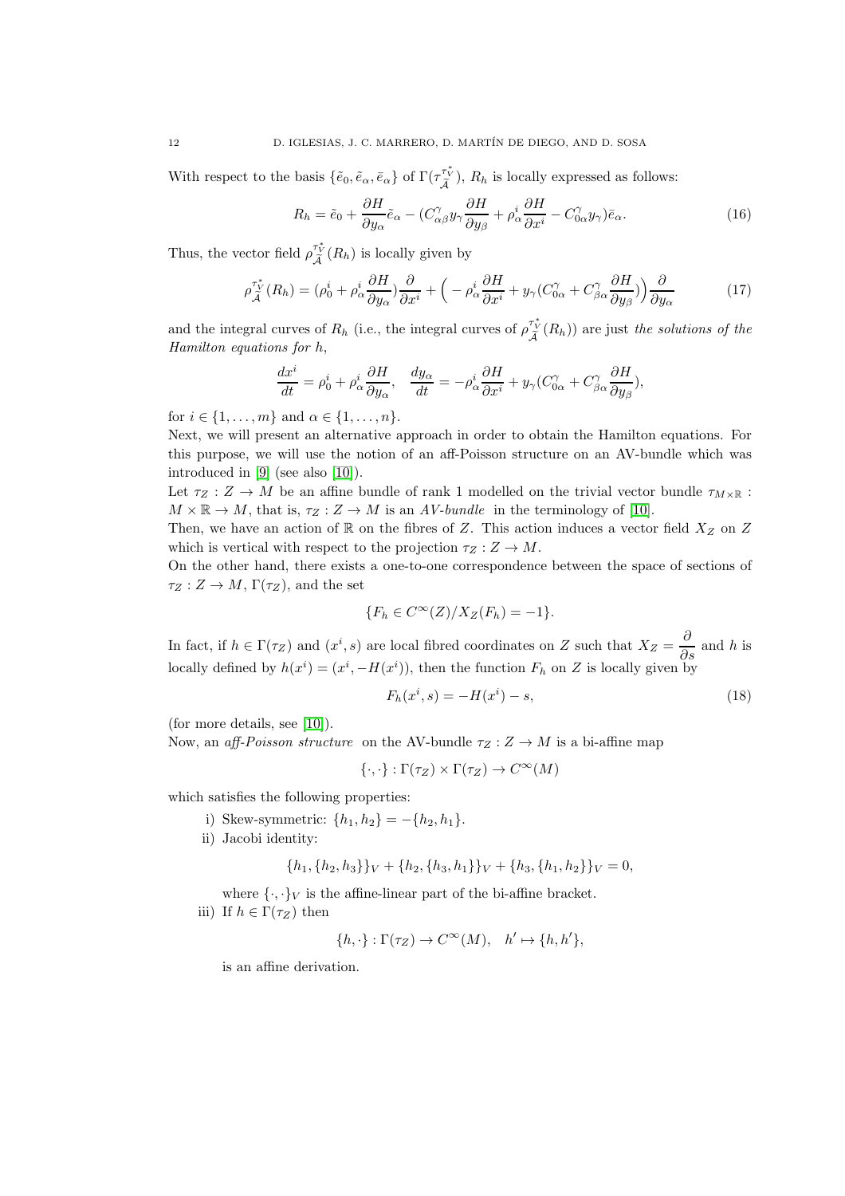With respect to the basis  $\{\tilde{e}_0, \tilde{e}_\alpha, \bar{e}_\alpha\}$  of  $\Gamma(\tau_{\tilde{\mathcal{A}}}^{\tau_V^*})$ ,  $R_h$  is locally expressed as follows:

<span id="page-11-2"></span>
$$
R_h = \tilde{e}_0 + \frac{\partial H}{\partial y_\alpha} \tilde{e}_\alpha - (C_{\alpha\beta}^\gamma y_\gamma \frac{\partial H}{\partial y_\beta} + \rho_\alpha^i \frac{\partial H}{\partial x^i} - C_{0\alpha}^\gamma y_\gamma) \bar{e}_\alpha.
$$
 (16)

Thus, the vector field  $\rho_{\widetilde{\mathcal{A}}}^{\tau_V^*}(R_h)$  is locally given by

<span id="page-11-1"></span>
$$
\rho_{\tilde{\mathcal{A}}}^{\tau_V^*}(R_h) = (\rho_0^i + \rho_\alpha^i \frac{\partial H}{\partial y_\alpha}) \frac{\partial}{\partial x^i} + \left( -\rho_\alpha^i \frac{\partial H}{\partial x^i} + y_\gamma (C_{0\alpha}^\gamma + C_{\beta\alpha}^\gamma \frac{\partial H}{\partial y_\beta}) \right) \frac{\partial}{\partial y_\alpha}
$$
(17)

and the integral curves of  $R_h$  (i.e., the integral curves of  $\rho_{\tilde{\mathcal{A}}}^{\tau_V^*}(R_h)$ ) are just the solutions of the Hamilton equations for h,

$$
\frac{dx^i}{dt}=\rho^i_0+\rho^i_\alpha\frac{\partial H}{\partial y_\alpha},\quad \frac{dy_\alpha}{dt}=-\rho^i_\alpha\frac{\partial H}{\partial x^i}+y_\gamma(C^\gamma_{0\alpha}+C^\gamma_{\beta\alpha}\frac{\partial H}{\partial y_\beta}),
$$

for  $i \in \{1, ..., m\}$  and  $\alpha \in \{1, ..., n\}$ .

Next, we will present an alternative approach in order to obtain the Hamilton equations. For this purpose, we will use the notion of an aff-Poisson structure on an AV-bundle which was introduced in [\[9\]](#page-47-11) (see also [\[10\]](#page-47-12)).

Let  $\tau_Z : Z \to M$  be an affine bundle of rank 1 modelled on the trivial vector bundle  $\tau_{M \times \mathbb{R}}$ :  $M \times \mathbb{R} \to M$ , that is,  $\tau_Z : Z \to M$  is an AV-bundle in the terminology of [\[10\]](#page-47-12).

Then, we have an action of R on the fibres of Z. This action induces a vector field  $X_Z$  on Z which is vertical with respect to the projection  $\tau_Z : Z \to M$ .

On the other hand, there exists a one-to-one correspondence between the space of sections of  $\tau_Z : Z \to M$ ,  $\Gamma(\tau_Z)$ , and the set

$$
\{F_h \in C^{\infty}(Z)/X_Z(F_h) = -1\}.
$$

In fact, if  $h \in \Gamma(\tau_Z)$  and  $(x^i, s)$  are local fibred coordinates on Z such that  $X_Z = \frac{\partial}{\partial s}$  and h is locally defined by  $h(x^i) = (x^i, -H(x^i))$ , then the function  $F_h$  on Z is locally given by

<span id="page-11-0"></span>
$$
F_h(x^i, s) = -H(x^i) - s,
$$
\n(18)

(for more details, see [\[10\]](#page-47-12)).

Now, an aff-Poisson structure on the AV-bundle  $\tau_Z : Z \to M$  is a bi-affine map

$$
\{\cdot,\cdot\}: \Gamma(\tau_Z) \times \Gamma(\tau_Z) \to C^\infty(M)
$$

which satisfies the following properties:

- i) Skew-symmetric:  $\{h_1, h_2\} = -\{h_2, h_1\}.$
- ii) Jacobi identity:

$$
{h1, {h2, h3}V + {h2, {h3, h1}V + {h3, {h1, h2}V = 0,
$$

where  $\{\cdot,\cdot\}_V$  is the affine-linear part of the bi-affine bracket.

iii) If  $h \in \Gamma(\tau_Z)$  then

$$
\{h, \cdot\} : \Gamma(\tau_Z) \to C^\infty(M), \quad h' \mapsto \{h, h'\},
$$

is an affine derivation.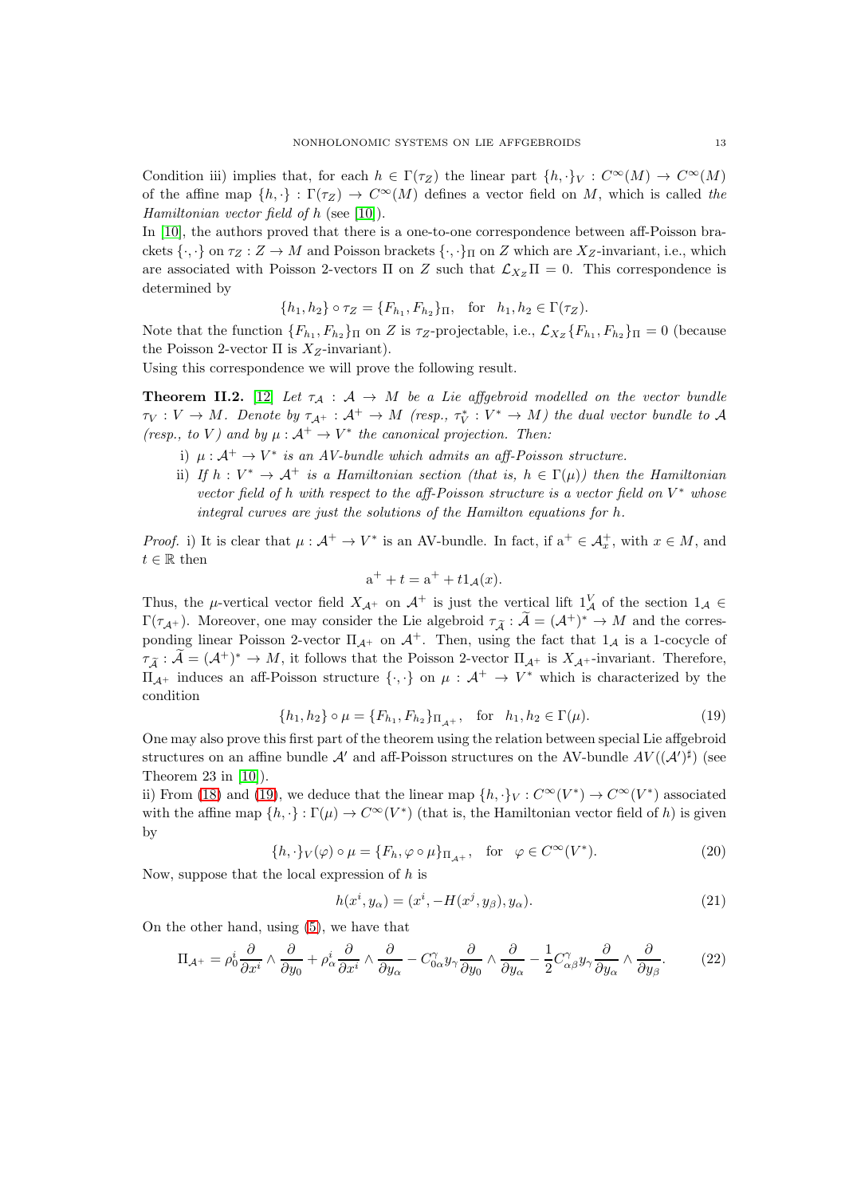Condition iii) implies that, for each  $h \in \Gamma(\tau_Z)$  the linear part  $\{h, \cdot\}_V : C^{\infty}(M) \to C^{\infty}(M)$ of the affine map  $\{h, \cdot\} : \Gamma(\tau_Z) \to C^\infty(M)$  defines a vector field on M, which is called the Hamiltonian vector field of h (see [\[10\]](#page-47-12)).

In [\[10\]](#page-47-12), the authors proved that there is a one-to-one correspondence between aff-Poisson brackets  $\{\cdot,\cdot\}$  on  $\tau_Z : Z \to M$  and Poisson brackets  $\{\cdot,\cdot\}_\Pi$  on Z which are  $X_Z$ -invariant, i.e., which are associated with Poisson 2-vectors  $\Pi$  on Z such that  $\mathcal{L}_{X_Z} \Pi = 0$ . This correspondence is determined by

$$
{h_1, h_2} \circ \tau_Z = {F_{h_1}, F_{h_2}}_{\Pi}
$$
, for  $h_1, h_2 \in \Gamma(\tau_Z)$ .

Note that the function  ${F_{h_1}, F_{h_2}}_{\Pi}$  on Z is  $\tau_Z$ -projectable, i.e.,  $\mathcal{L}_{X_Z} {F_{h_1}, F_{h_2}}_{\Pi} = 0$  (because the Poisson 2-vector  $\Pi$  is  $X_Z$ -invariant).

Using this correspondence we will prove the following result.

**Theorem II.2.** [\[12\]](#page-47-13) Let  $\tau_A : A \to M$  be a Lie affgebroid modelled on the vector bundle  $\tau_V: V \to M$ . Denote by  $\tau_{\mathcal{A}^+}: \mathcal{A}^+ \to M$  (resp.,  $\tau_V^*: V^* \to M$ ) the dual vector bundle to  $\mathcal{A}$ (resp., to V) and by  $\mu : A^+ \to V^*$  the canonical projection. Then:

- i)  $\mu: \mathcal{A}^+ \to V^*$  is an AV-bundle which admits an aff-Poisson structure.
- ii) If  $h: V^* \to \mathcal{A}^+$  is a Hamiltonian section (that is,  $h \in \Gamma(\mu)$ ) then the Hamiltonian vector field of h with respect to the aff-Poisson structure is a vector field on  $V^*$  whose integral curves are just the solutions of the Hamilton equations for h.

*Proof.* i) It is clear that  $\mu : \mathcal{A}^+ \to V^*$  is an AV-bundle. In fact, if  $a^+ \in \mathcal{A}_x^+$ , with  $x \in M$ , and  $t \in \mathbb{R}$  then

$$
a^+ + t = a^+ + t1_{\mathcal{A}}(x).
$$

Thus, the  $\mu$ -vertical vector field  $X_{\mathcal{A}^+}$  on  $\mathcal{A}^+$  is just the vertical lift  $1^V_{\mathcal{A}}$  of the section  $1_{\mathcal{A}} \in$  $\Gamma(\tau_{\mathcal{A}^+})$ . Moreover, one may consider the Lie algebroid  $\tau_{\tilde{\mathcal{A}}} : \tilde{\mathcal{A}} = (\mathcal{A}^+)^* \to M$  and the corresponding linear Poisson 2-vector  $\Pi_{\mathcal{A}^+}$  on  $\mathcal{A}^+$ . Then, using the fact that  $1_{\mathcal{A}}$  is a 1-cocycle of  $\tau_{\tilde{\mathcal{A}}} : \tilde{\mathcal{A}} = (\mathcal{A}^+)^* \to M$ , it follows that the Poisson 2-vector  $\Pi_{\mathcal{A}^+}$  is  $X_{\mathcal{A}^+}$ -invariant. Therefore,  $\Pi_{\mathcal{A}^+}$  induces an aff-Poisson structure  $\{\cdot,\cdot\}$  on  $\mu : \mathcal{A}^+ \to V^*$  which is characterized by the condition

<span id="page-12-0"></span>
$$
\{h_1, h_2\} \circ \mu = \{F_{h_1}, F_{h_2}\}_{\Pi_{\mathcal{A}^+}}, \text{ for } h_1, h_2 \in \Gamma(\mu). \tag{19}
$$

One may also prove this first part of the theorem using the relation between special Lie affgebroid structures on an affine bundle  $\mathcal{A}'$  and aff-Poisson structures on the AV-bundle  $AV((\mathcal{A}')^{\sharp})$  (see Theorem 23 in [\[10\]](#page-47-12)).

ii) From [\(18\)](#page-11-0) and [\(19\)](#page-12-0), we deduce that the linear map  $\{h, \cdot\}_V : C^\infty(V^*) \to C^\infty(V^*)$  associated with the affine map  $\{h, \cdot\} : \Gamma(\mu) \to C^{\infty}(V^*)$  (that is, the Hamiltonian vector field of h) is given by

<span id="page-12-1"></span>
$$
\{h, \cdot\}_V(\varphi) \circ \mu = \{F_h, \varphi \circ \mu\}_{\Pi_{\mathcal{A}^+}}, \quad \text{for} \quad \varphi \in C^{\infty}(V^*). \tag{20}
$$

Now, suppose that the local expression of  $h$  is

<span id="page-12-2"></span>
$$
h(x^i, y_\alpha) = (x^i, -H(x^j, y_\beta), y_\alpha). \tag{21}
$$

On the other hand, using [\(5\)](#page-5-2), we have that

<span id="page-12-3"></span>
$$
\Pi_{\mathcal{A}^+} = \rho_0^i \frac{\partial}{\partial x^i} \wedge \frac{\partial}{\partial y_0} + \rho_\alpha^i \frac{\partial}{\partial x^i} \wedge \frac{\partial}{\partial y_\alpha} - C_{0\alpha}^\gamma y_\gamma \frac{\partial}{\partial y_0} \wedge \frac{\partial}{\partial y_\alpha} - \frac{1}{2} C_{\alpha\beta}^\gamma y_\gamma \frac{\partial}{\partial y_\alpha} \wedge \frac{\partial}{\partial y_\beta}.
$$
 (22)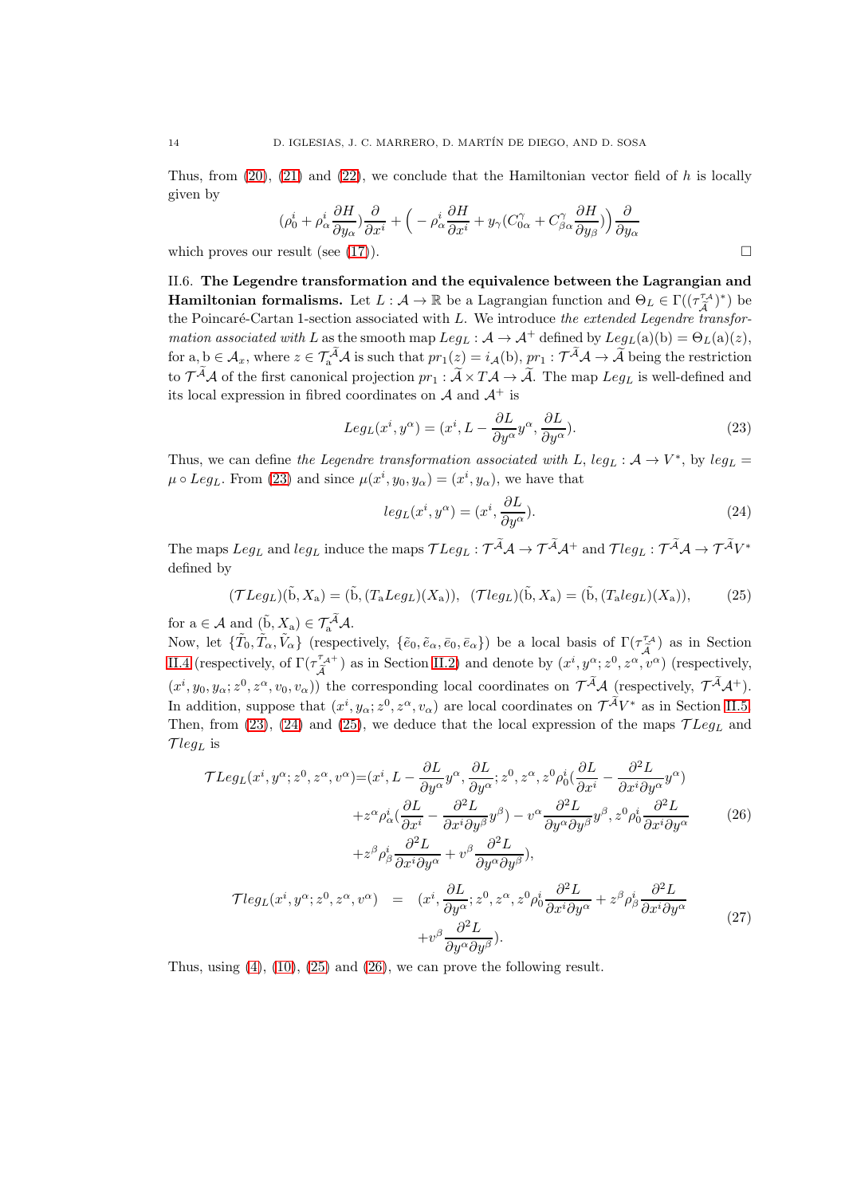Thus, from  $(20)$ ,  $(21)$  and  $(22)$ , we conclude that the Hamiltonian vector field of h is locally given by

$$
(\rho_0^i + \rho_\alpha^i \frac{\partial H}{\partial y_\alpha}) \frac{\partial}{\partial x^i} + \left( -\rho_\alpha^i \frac{\partial H}{\partial x^i} + y_\gamma (C_{0\alpha}^\gamma + C_{\beta\alpha}^\gamma \frac{\partial H}{\partial y_\beta}) \right) \frac{\partial}{\partial y_\alpha}
$$

<span id="page-13-0"></span>which proves our result (see [\(17\)](#page-11-1)).

II.6. The Legendre transformation and the equivalence between the Lagrangian and **Hamiltonian formalisms.** Let  $L : \mathcal{A} \to \mathbb{R}$  be a Lagrangian function and  $\Theta_L \in \Gamma((\tau_A^{\tau_{\mathcal{A}}}$  $(\tilde{\tilde{A}}^{\tau_{\mathcal{A}}})^*)$  be the Poincaré-Cartan 1-section associated with  $L$ . We introduce the extended Legendre transformation associated with L as the smooth map  $Leg_L : A \to A^+$  defined by  $Leg_L(a)(b) = \Theta_L(a)(z)$ , for  $a, b \in A_x$ , where  $z \in \mathcal{T}_a^{\mathcal{A}}\mathcal{A}$  is such that  $pr_1(z) = i_{\mathcal{A}}(b), pr_1 : \mathcal{T}^{\mathcal{A}}\mathcal{A} \to \widetilde{\mathcal{A}}$  being the restriction to  $\mathcal{T}^{\mathcal{A}}\mathcal{A}$  of the first canonical projection  $pr_1 : \mathcal{A} \times T\mathcal{A} \to \mathcal{A}$ . The map  $Leg_L$  is well-defined and its local expression in fibred coordinates on  $A$  and  $A^+$  is

<span id="page-13-1"></span>
$$
Leg_L(x^i, y^\alpha) = (x^i, L - \frac{\partial L}{\partial y^\alpha} y^\alpha, \frac{\partial L}{\partial y^\alpha}).
$$
\n(23)

Thus, we can define the Legendre transformation associated with L,  $leg_L : A \rightarrow V^*$ , by  $leg_L =$  $\mu \circ Leg_L$ . From [\(23\)](#page-13-1) and since  $\mu(x^i, y_0, y_\alpha) = (x^i, y_\alpha)$ , we have that

<span id="page-13-2"></span>
$$
leg_L(x^i, y^\alpha) = (x^i, \frac{\partial L}{\partial y^\alpha}).
$$
\n(24)

The maps  $Leg_L$  and  $leg_L$  induce the maps  $\mathcal{T} Leg_L: \mathcal{T^A}\mathcal{A} \to \mathcal{T^A}\mathcal{A^+}$  and  $\mathcal{T} leg_L: \mathcal{T^A}\mathcal{A} \to \mathcal{T^A} V^*$ defined by

<span id="page-13-3"></span>
$$
(\mathcal{T}Leg_L)(\tilde{b}, X_a) = (\tilde{b}, (T_a Leg_L)(X_a)), \quad (\mathcal{T}leg_L)(\tilde{b}, X_a) = (\tilde{b}, (T_a leg_L)(X_a)), \tag{25}
$$

for  $a \in \mathcal{A}$  and  $(\tilde{b}, X_a) \in \mathcal{T}_a^{\tilde{\mathcal{A}}} \mathcal{A}$ .

Now, let  $\{\tilde{T}_0, \tilde{T}_\alpha, \tilde{V}_\alpha\}$  (respectively,  $\{\tilde{e}_0, \tilde{e}_\alpha, \bar{e}_0, \bar{e}_\alpha\}$ ) be a local basis of  $\Gamma(\tau_{\tilde{\Lambda}}^{\tau_{\mathcal{A}}}$  $(\tilde{\tilde{A}}^{\tau_{\mathcal{A}}})$  as in Section [II.4](#page-6-0) (respectively, of  $\Gamma(\tau_{\widetilde{\lambda}}^{\tau_{\mathcal{A}^+}})$  as in Section [II.2\)](#page-4-0) and denote by  $(x^i, y^{\alpha}; z^0, z^{\alpha}, v^{\alpha})$  (respectively,  $\mathcal A$  $(x^i, y_0, y_\alpha; z^0, z^\alpha, v_0, v_\alpha))$  the corresponding local coordinates on  $\mathcal{T}^A \mathcal{A}$  (respectively,  $\mathcal{T}^A \mathcal{A}^+$ ). In addition, suppose that  $(x^i, y_\alpha; z^0, z^\alpha, v_\alpha)$  are local coordinates on  $\mathcal{T}^{\mathcal{A}}V^*$  as in Section [II.5.](#page-9-0) Then, from [\(23\)](#page-13-1), [\(24\)](#page-13-2) and [\(25\)](#page-13-3), we deduce that the local expression of the maps  $\mathcal{T} Leg_L$  and  $\mathcal{T}leg_L$  is

<span id="page-13-4"></span>
$$
\mathcal{T} Leg_L(x^i, y^\alpha; z^0, z^\alpha, v^\alpha) = (x^i, L - \frac{\partial L}{\partial y^\alpha} y^\alpha, \frac{\partial L}{\partial y^\alpha}; z^0, z^\alpha, z^0 \rho_0^i (\frac{\partial L}{\partial x^i} - \frac{\partial^2 L}{\partial x^i \partial y^\alpha} y^\alpha) \n+ z^\alpha \rho_\alpha^i (\frac{\partial L}{\partial x^i} - \frac{\partial^2 L}{\partial x^i \partial y^\beta} y^\beta) - v^\alpha \frac{\partial^2 L}{\partial y^\alpha \partial y^\beta} y^\beta, z^0 \rho_0^i \frac{\partial^2 L}{\partial x^i \partial y^\alpha} \n+ z^\beta \rho_\beta^i \frac{\partial^2 L}{\partial x^i \partial y^\alpha} + v^\beta \frac{\partial^2 L}{\partial y^\alpha \partial y^\beta}),
$$
\n(26)

<span id="page-13-5"></span>
$$
\mathcal{T}leg_L(x^i, y^\alpha; z^0, z^\alpha, v^\alpha) = (x^i, \frac{\partial L}{\partial y^\alpha}; z^0, z^\alpha, z^0 \rho_0^i \frac{\partial^2 L}{\partial x^i \partial y^\alpha} + z^\beta \rho_\beta^i \frac{\partial^2 L}{\partial x^i \partial y^\alpha} + v^\beta \frac{\partial^2 L}{\partial y^\alpha \partial y^\beta}).
$$
\n(27)

Thus, using [\(4\)](#page-5-1), [\(10\)](#page-8-1), [\(25\)](#page-13-3) and [\(26\)](#page-13-4), we can prove the following result.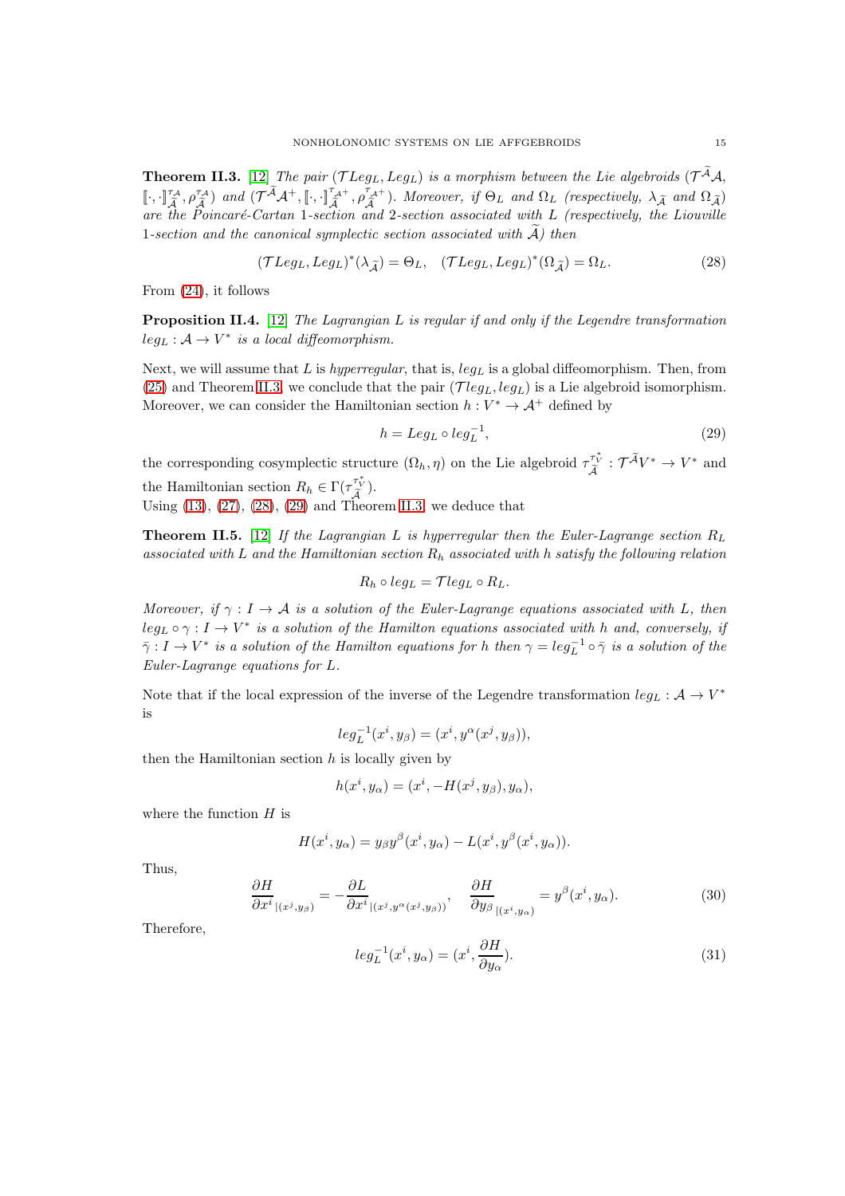<span id="page-14-0"></span>**Theorem II.3.** [\[12\]](#page-47-13) The pair ( $\mathcal{T} Leg_L, Leg_L$ ) is a morphism between the Lie algebroids ( $\mathcal{T}^A\mathcal{A}$ ,  $[\![\cdot,\cdot]\!]_{\widetilde{\mathcal{A}}}^{\tau_{\mathcal{A}}},\rho_{\widetilde{\mathcal{A}}}^{\tau_{\mathcal{A}}}$  $\left( \frac{\partial \mathcal{A}}{\tilde{\mathcal{A}}} \right)$  and  $\left( \mathcal{T} \tilde{\mathcal{A}} \mathcal{A}^+, \lbrack\! \lbrack \cdot, \cdot \rbrack \right)_{\tilde{\mathcal{A}}}^{\tau_{\mathcal{A}}+}, \rho_{\tilde{\mathcal{A}}}^{\tau_{\mathcal{A}}+}$  $\tilde{A}^{A+}_{\tilde{A}}$ ). Moreover, if  $\Theta_L$  and  $\Omega_L$  (respectively,  $\lambda_{\tilde{A}}$  and  $\Omega_{\tilde{A}}$ ) are the Poincaré-Cartan 1-section and 2-section associated with L (respectively, the Liouville 1-section and the canonical symplectic section associated with  $\tilde{A}$ ) then

<span id="page-14-1"></span>
$$
(\mathcal{T}Leg_L, Leg_L)^*(\lambda_{\widetilde{\mathcal{A}}}) = \Theta_L, \quad (\mathcal{T}Leg_L, Leg_L)^*(\Omega_{\widetilde{\mathcal{A}}}) = \Omega_L.
$$
 (28)

From [\(24\)](#page-13-2), it follows

**Proposition II.4.** [\[12\]](#page-47-13) The Lagrangian L is regular if and only if the Legendre transformation  $leg_L: \mathcal{A} \to V^*$  is a local diffeomorphism.

Next, we will assume that L is hyperregular, that is,  $leq_L$  is a global diffeomorphism. Then, from [\(25\)](#page-13-3) and Theorem [II.3,](#page-14-0) we conclude that the pair  $(\mathcal{T} leg_L, leg_L)$  is a Lie algebroid isomorphism. Moreover, we can consider the Hamiltonian section  $h: V^* \to \mathcal{A}^+$  defined by

<span id="page-14-2"></span>
$$
h = Leg_L \circ leg_L^{-1},\tag{29}
$$

the corresponding cosymplectic structure  $(\Omega_h, \eta)$  on the Lie algebroid  $\tau_{\tilde{\mathcal{A}}}^{\tau_V^*} : \tau^{\tilde{\mathcal{A}}}_{V^*} \to V^*$  and the Hamiltonian section  $R_h \in \Gamma(\tau_{\tilde{\mathcal{A}}}^{\tau_V^*}).$ Using  $(13)$ ,  $(27)$ ,  $(28)$ ,  $(29)$  and Theorem [II.3,](#page-14-0) we deduce that

**Theorem II.5.** [\[12\]](#page-47-13) If the Lagrangian L is hyperregular then the Euler-Lagrange section  $R_L$ associated with L and the Hamiltonian section  $R_h$  associated with h satisfy the following relation

$$
R_h \circ leg_L = \mathcal{T}leg_L \circ R_L.
$$

Moreover, if  $\gamma : I \to A$  is a solution of the Euler-Lagrange equations associated with L, then  $leg_L \circ \gamma : I \to V^*$  is a solution of the Hamilton equations associated with h and, conversely, if  $\bar{\gamma}: I \to V^*$  is a solution of the Hamilton equations for h then  $\gamma = leg_L^{-1} \circ \bar{\gamma}$  is a solution of the Euler-Lagrange equations for L.

Note that if the local expression of the inverse of the Legendre transformation  $leg_L : A \rightarrow V^*$ is

$$
leg_L^{-1}(x^i, y_\beta) = (x^i, y^\alpha(x^j, y_\beta)),
$$

then the Hamiltonian section  $h$  is locally given by

$$
h(x^i, y_\alpha) = (x^i, -H(x^j, y_\beta), y_\alpha),
$$

where the function  $H$  is

$$
H(x^i, y_\alpha) = y_\beta y^\beta(x^i, y_\alpha) - L(x^i, y^\beta(x^i, y_\alpha)).
$$

Thus,

<span id="page-14-3"></span>
$$
\frac{\partial H}{\partial x^i}_{|(x^j,y_\beta)} = -\frac{\partial L}{\partial x^i}_{|(x^j,y^\alpha(x^j,y_\beta))}, \quad \frac{\partial H}{\partial y_\beta}_{|(x^i,y_\alpha)} = y^\beta(x^i,y_\alpha). \tag{30}
$$

Therefore,

<span id="page-14-4"></span>
$$
leg_L^{-1}(x^i, y_\alpha) = (x^i, \frac{\partial H}{\partial y_\alpha}).
$$
\n(31)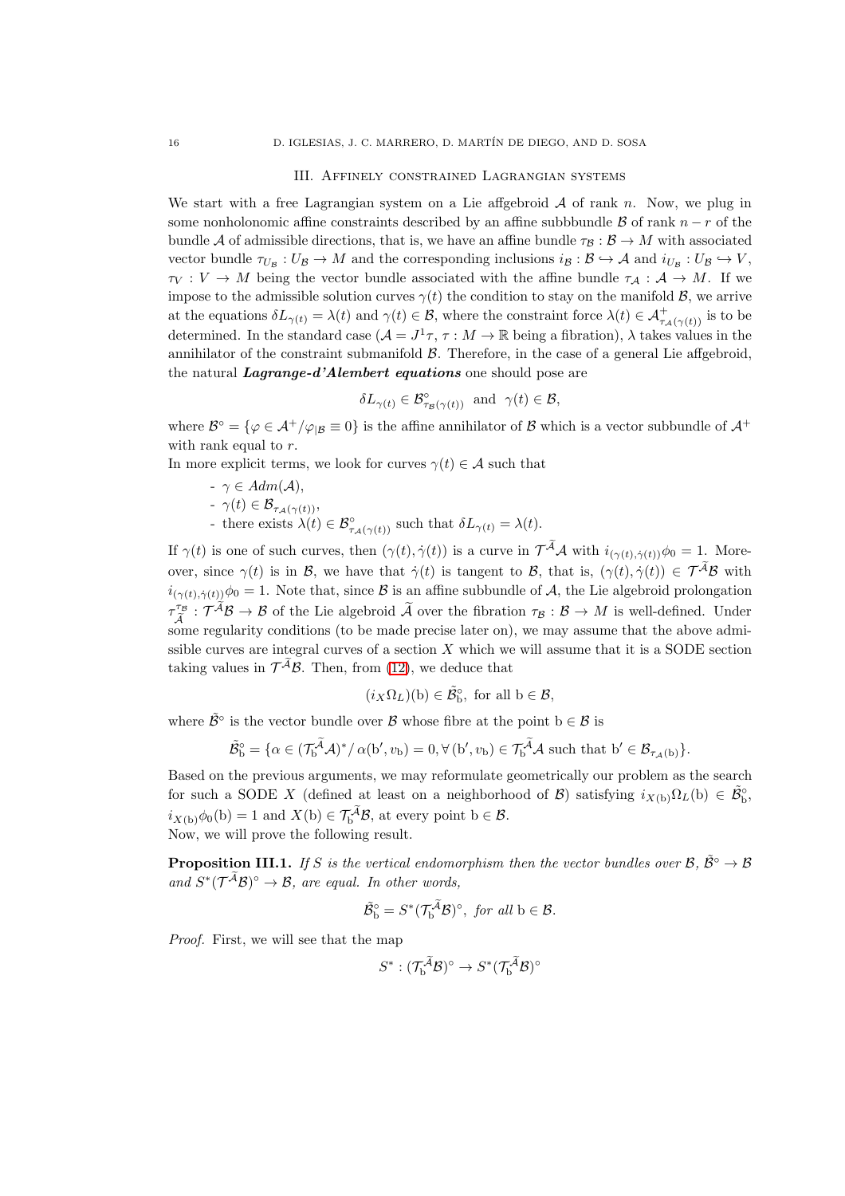### III. Affinely constrained Lagrangian systems

<span id="page-15-0"></span>We start with a free Lagrangian system on a Lie affgebroid  $A$  of rank n. Now, we plug in some nonholonomic affine constraints described by an affine subbbundle B of rank  $n - r$  of the bundle A of admissible directions, that is, we have an affine bundle  $\tau_{\mathcal{B}} : \mathcal{B} \to M$  with associated vector bundle  $\tau_{U_{\mathcal{B}}}: U_{\mathcal{B}} \to M$  and the corresponding inclusions  $i_{\mathcal{B}}: \mathcal{B} \to \mathcal{A}$  and  $i_{U_{\mathcal{B}}}: U_{\mathcal{B}} \to V$ ,  $\tau_V : V \to M$  being the vector bundle associated with the affine bundle  $\tau_A : A \to M$ . If we impose to the admissible solution curves  $\gamma(t)$  the condition to stay on the manifold  $\mathcal{B}$ , we arrive at the equations  $\delta L_{\gamma(t)} = \lambda(t)$  and  $\gamma(t) \in \mathcal{B}$ , where the constraint force  $\lambda(t) \in \mathcal{A}^+_{\tau_{\mathcal{A}}(\gamma(t))}$  is to be determined. In the standard case  $(A = J^1 \tau, \tau : M \to \mathbb{R}$  being a fibration),  $\lambda$  takes values in the annihilator of the constraint submanifold  $\beta$ . Therefore, in the case of a general Lie affgebroid, the natural Lagrange-d'Alembert equations one should pose are

$$
\delta L_{\gamma(t)} \in \mathcal{B}_{\tau_{\mathcal{B}}(\gamma(t))}^{\circ} \text{ and } \gamma(t) \in \mathcal{B},
$$

where  $\mathcal{B}^{\circ} = \{ \varphi \in \mathcal{A}^+/\varphi_{|\mathcal{B}} \equiv 0 \}$  is the affine annihilator of  $\mathcal{B}$  which is a vector subbundle of  $\mathcal{A}^+$ with rank equal to  $r$ .

In more explicit terms, we look for curves  $\gamma(t) \in \mathcal{A}$  such that

\n- \n
$$
\gamma \in \text{Adm}(\mathcal{A}),
$$
\n
\n- \n $\gamma(t) \in \mathcal{B}_{\tau_{\mathcal{A}}(\gamma(t))},$ \n
\n- \n there exists\n  $\lambda(t) \in \mathcal{B}_{\tau_{\mathcal{A}}(\gamma(t))}^{\circ}$ \n such that\n  $\delta L_{\gamma(t)} = \lambda(t).$ \n
\n

If  $\gamma(t)$  is one of such curves, then  $(\gamma(t), \dot{\gamma}(t))$  is a curve in  $\mathcal{T}^A \mathcal{A}$  with  $i_{(\gamma(t), \dot{\gamma}(t))}\phi_0 = 1$ . Moreover, since  $\gamma(t)$  is in B, we have that  $\dot{\gamma}(t)$  is tangent to B, that is,  $(\gamma(t), \dot{\gamma}(t)) \in \mathcal{T}^{\mathcal{A}}\mathcal{B}$  with  $i_{(\gamma(t),\dot{\gamma}(t))}\phi_0 = 1$ . Note that, since B is an affine subbundle of A, the Lie algebroid prolongation  $\tau_{\widetilde{\mathcal{A}}}^{\tau_{\mathcal{B}}} : \mathcal{T}^{\widetilde{\mathcal{A}}}\mathcal{B} \to \mathcal{B}$  of the Lie algebroid  $\widetilde{\mathcal{A}}$  over the fibration  $\tau_{\mathcal{B}} : \mathcal{B} \to M$  is well-defined. Under  $A \rightarrow B \rightarrow B$  and  $A \rightarrow C$  is the conditions (to be made precise later on), we may assume that the above admissible curves are integral curves of a section  $X$  which we will assume that it is a SODE section taking values in  $\mathcal{T}^{\mathcal{A}}\mathcal{B}$ . Then, from [\(12\)](#page-8-2), we deduce that

$$
(i_X \Omega_L)(b) \in \tilde{\mathcal{B}}_b^{\circ}
$$
, for all  $b \in \mathcal{B}$ ,

where  $\tilde{\mathcal{B}}^{\circ}$  is the vector bundle over  $\mathcal{B}$  whose fibre at the point  $b \in \mathcal{B}$  is

$$
\tilde{\mathcal{B}}_{\mathbf{b}}^{\circ} = \{ \alpha \in (\mathcal{T}_{\mathbf{b}}^{\widetilde{\mathcal{A}}}\mathcal{A})^* / \alpha(\mathbf{b}', v_{\mathbf{b}}) = 0, \forall (\mathbf{b}', v_{\mathbf{b}}) \in \mathcal{T}_{\mathbf{b}}^{\widetilde{\mathcal{A}}}\mathcal{A} \text{ such that } \mathbf{b}' \in \mathcal{B}_{\tau_{\mathcal{A}}(\mathbf{b})} \}.
$$

Based on the previous arguments, we may reformulate geometrically our problem as the search for such a SODE X (defined at least on a neighborhood of B) satisfying  $i_{X(b)}\Omega_L(b) \in \tilde{\mathcal{B}}_b^{\circ}$  $i_{X(b)}\phi_0(b) = 1$  and  $X(b) \in \mathcal{T}_b^{\mathcal{A}}\mathcal{B}$ , at every point  $b \in \mathcal{B}$ . Now, we will prove the following result.

<span id="page-15-1"></span>**Proposition III.1.** If S is the vertical endomorphism then the vector bundles over  $\mathcal{B}, \tilde{\mathcal{B}}^{\circ} \to \mathcal{B}$ and  $S^*(\mathcal{T}^\mathcal{A}\mathcal{B})^\circ \to \mathcal{B}$ , are equal. In other words,

$$
\tilde{\mathcal{B}}_{\mathrm{b}}^{\circ}=S^{*}(\mathcal{T}_{\mathrm{b}}^{\widetilde{\mathcal{A}}}B)^{\circ}, \text{ for all } \mathrm{b} \in \mathcal{B}.
$$

Proof. First, we will see that the map

$$
S^*:(\mathcal{T}_{\rm b}^{\widetilde{\mathcal{A}}} \mathcal{B})^\circ\rightarrow S^*(\mathcal{T}_{\rm b}^{\widetilde{\mathcal{A}}} \mathcal{B})^\circ
$$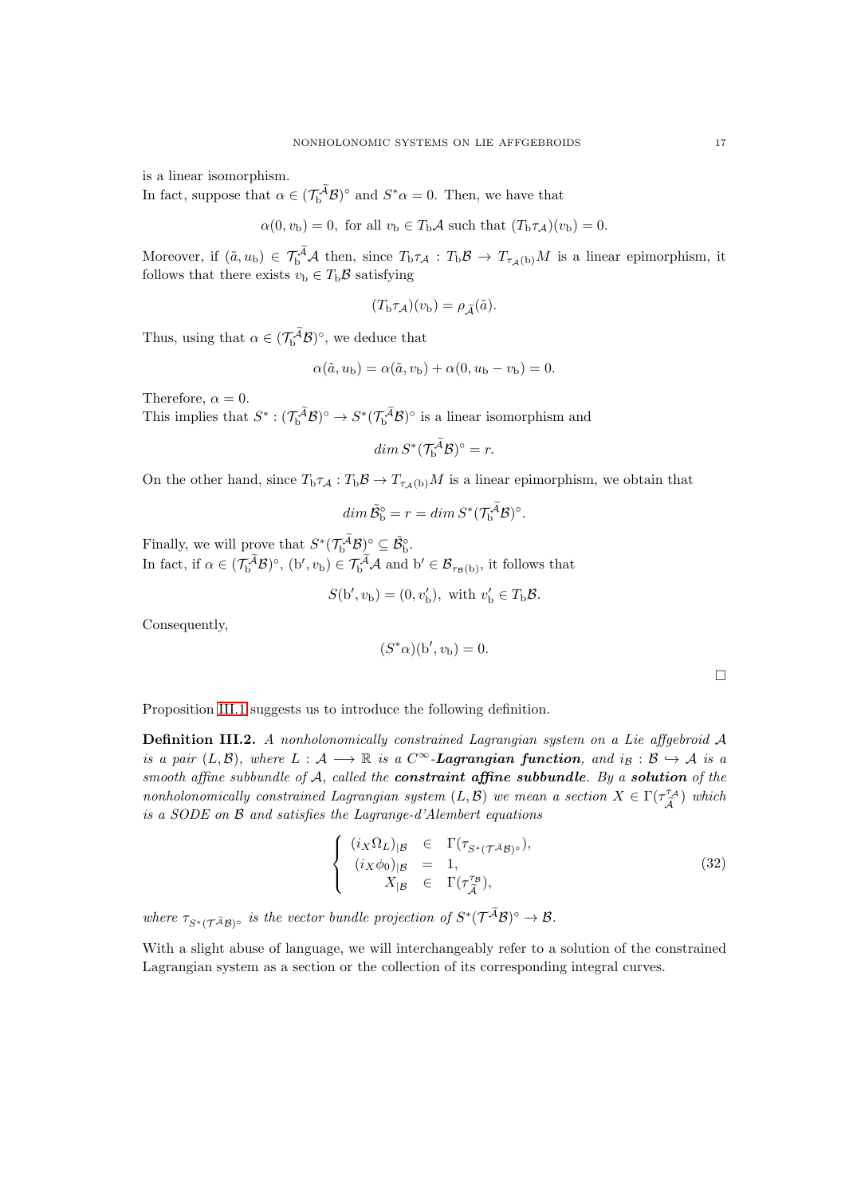is a linear isomorphism.

In fact, suppose that  $\alpha \in (\mathcal{T}_{b}^{\mathcal{A}} \mathcal{B})^{\circ}$  and  $S^* \alpha = 0$ . Then, we have that

$$
\alpha(0, v_{\rm b}) = 0
$$
, for all  $v_{\rm b} \in T_{\rm b} \mathcal{A}$  such that  $(T_{\rm b} \tau_{\mathcal{A}})(v_{\rm b}) = 0$ .

Moreover, if  $(\tilde{a}, u_b) \in \mathcal{T}_{b}^{\mathcal{A}} \mathcal{A}$  then, since  $T_b \tau_{\mathcal{A}} : T_b \mathcal{B} \to T_{\tau_{\mathcal{A}}(b)} M$  is a linear epimorphism, it follows that there exists  $v_{\rm b} \in T_{\rm b} \mathcal{B}$  satisfying

$$
(T_{\mathbf{b}}\tau_{\mathcal{A}})(v_{\mathbf{b}})=\rho_{\widetilde{\mathcal{A}}}(\widetilde{a}).
$$

Thus, using that  $\alpha \in (\mathcal{T}_{\mathbf{b}}^{\mathcal{A}} \mathcal{B})^{\circ}$ , we deduce that

$$
\alpha(\tilde{a}, u_{\mathrm{b}}) = \alpha(\tilde{a}, v_{\mathrm{b}}) + \alpha(0, u_{\mathrm{b}} - v_{\mathrm{b}}) = 0.
$$

Therefore,  $\alpha = 0$ .

This implies that  $S^* : (\mathcal{T}_{b}^{\mathcal{A}} \mathcal{B})^{\circ} \to S^* (\mathcal{T}_{b}^{\mathcal{A}} \mathcal{B})^{\circ}$  is a linear isomorphism and

$$
\dim S^*(\mathcal{T}_{\mathbf{b}}^{\widetilde{\mathcal{A}}} \mathcal{B})^{\circ} = r.
$$

On the other hand, since  $T_b \tau_A : T_b \mathcal{B} \to T_{\tau_A(b)} M$  is a linear epimorphism, we obtain that

$$
\dim \tilde{\mathcal{B}}_{\mathrm{b}}^{\circ} = r = \dim S^*(\mathcal{T}_{\mathrm{b}}^{\tilde{\mathcal{A}}} \mathcal{B})^{\circ}.
$$

Finally, we will prove that  $S^*(\mathcal{T}_{b}^{\tilde{\mathcal{A}}} \mathcal{B})^{\circ} \subseteq \tilde{\mathcal{B}}_{b}^{\circ}$ . In fact, if  $\alpha \in (\mathcal{T}_{b}^{\mathcal{A}}\mathcal{B})^{\circ}$ ,  $(b', v_{b}) \in \mathcal{T}_{b}^{\mathcal{A}}\mathcal{A}$  and  $b' \in \mathcal{B}_{\tau_{\mathcal{B}}(b)}$ , it follows that

$$
S(b', v_b) = (0, v'_b), \text{ with } v'_b \in T_b \mathcal{B}.
$$

Consequently,

$$
(S^*\alpha)(b', v_b) = 0.
$$

 $\Box$ 

Proposition [III.1](#page-15-1) suggests us to introduce the following definition.

Definition III.2. A nonholonomically constrained Lagrangian system on a Lie affgebroid A is a pair  $(L, \mathcal{B})$ , where  $L : \mathcal{A} \longrightarrow \mathbb{R}$  is a  $C^{\infty}$ -**Lagrangian function**, and i<sub>B</sub> :  $\mathcal{B} \hookrightarrow \mathcal{A}$  is a smooth affine subbundle of  $A$ , called the **constraint affine subbundle**. By a **solution** of the nonholonomically constrained Lagrangian system  $(L, \mathcal{B})$  we mean a section  $X \in \Gamma(\tau_{\widetilde{A}}^{\tau_{\mathcal{A}}}$  $\left(\begin{matrix} \tau_{\mathcal{A}} \\ \tilde{\mathcal{A}} \end{matrix}\right)$  which is a SODE on B and satisfies the Lagrange-d'Alembert equations

<span id="page-16-0"></span>
$$
\begin{cases}\n(i_X \Omega_L)_{|\mathcal{B}} \in \Gamma(\tau_{S^*(\mathcal{T}^{\tilde{A}} \mathcal{B})^{\circ}}), \\
(i_X \phi_0)_{|\mathcal{B}} = 1, \\
X_{|\mathcal{B}} \in \Gamma(\tau_{\tilde{\mathcal{A}}}^{\tau_{\mathcal{B}}}),\n\end{cases}
$$
\n(32)

where  $\tau_{S^*(\mathcal{T}^{\tilde{A}}\mathcal{B})^{\circ}}$  is the vector bundle projection of  $S^*(\mathcal{T}^{\tilde{A}}\mathcal{B})^{\circ} \to \mathcal{B}$ .

With a slight abuse of language, we will interchangeably refer to a solution of the constrained Lagrangian system as a section or the collection of its corresponding integral curves.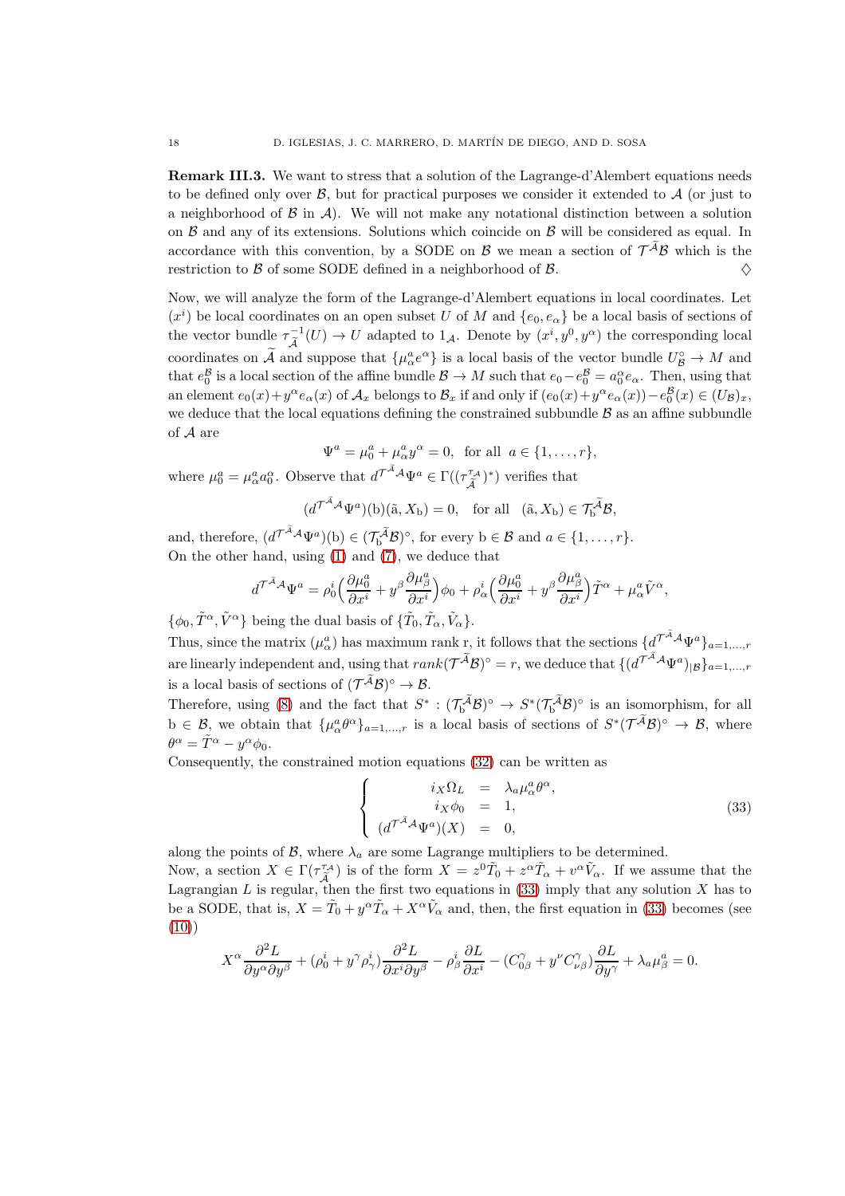Remark III.3. We want to stress that a solution of the Lagrange-d'Alembert equations needs to be defined only over  $\mathcal{B}$ , but for practical purposes we consider it extended to  $\mathcal{A}$  (or just to a neighborhood of  $\beta$  in  $\mathcal{A}$ ). We will not make any notational distinction between a solution on  $\beta$  and any of its extensions. Solutions which coincide on  $\beta$  will be considered as equal. In accordance with this convention, by a SODE on  $\beta$  we mean a section of  $\mathcal{T}^{\mathcal{A}}\mathcal{B}$  which is the restriction to B of some SODE defined in a neighborhood of B.  $\Diamond$ 

Now, we will analyze the form of the Lagrange-d'Alembert equations in local coordinates. Let  $(x^{i})$  be local coordinates on an open subset U of M and  $\{e_{0}, e_{\alpha}\}\$ be a local basis of sections of the vector bundle  $\tau_{\tilde{i}}^{-1}$  $\overline{\lambda}^{-1}(U) \to U$  adapted to  $1_{\mathcal{A}}$ . Denote by  $(x^{i}, y^{0}, y^{\alpha})$  the corresponding local coordinates on  $\tilde{\mathcal{A}}$  and suppose that  $\{\mu_\alpha^a e^\alpha\}$  is a local basis of the vector bundle  $U^{\circ}_{\mathcal{B}} \to M$  and that  $e_0^B$  is a local section of the affine bundle  $B \to M$  such that  $e_0 - e_0^B = a_0^\alpha e_\alpha$ . Then, using that an element  $e_0(x)+y^{\alpha}e_{\alpha}(x)$  of  $\mathcal{A}_x$  belongs to  $\mathcal{B}_x$  if and only if  $(e_0(x)+y^{\alpha}e_{\alpha}(x))-e_0^{\mathcal{B}}(x)\in (U_{\mathcal{B}})_x$ , we deduce that the local equations defining the constrained subbundle  $\beta$  as an affine subbundle of A are

$$
\Psi^{a} = \mu_{0}^{a} + \mu_{\alpha}^{a} y^{\alpha} = 0, \text{ for all } a \in \{1, ..., r\},
$$

where  $\mu_0^a = \mu_\alpha^a a_0^\alpha$ . Observe that  $d^{\mathcal{T}^A\mathcal{A}} \Psi^a \in \Gamma((\tau_{\widetilde{A}}^{\tau_{\mathcal{A}}}$  $(\tilde{\tilde{A}}^{\tau_{\mathcal{A}}})^*$  verifies that

$$
(d^{\mathcal{T}^{\tilde{\mathcal{A}}}\mathcal{A}}\Psi^{a})(b)(\tilde{a},X_{b})=0, \text{ for all } (\tilde{a},X_{b})\in \mathcal{T}_{b}^{\tilde{\mathcal{A}}}\mathcal{B},
$$

and, therefore,  $(d^{\mathcal{T}^{\mathcal{A}}\mathcal{A}}\Psi^{a})(b) \in (\mathcal{T}_{b}^{\tilde{\mathcal{A}}}\mathcal{B})^{\circ}$ , for every  $b \in \mathcal{B}$  and  $a \in \{1, \ldots, r\}$ . On the other hand, using [\(1\)](#page-3-2) and [\(7\)](#page-7-0), we deduce that

$$
d^{\mathcal{T}^{\tilde{\mathcal{A}}}\mathcal{A}}\Psi^{a}=\rho_{0}^{i}\Big(\frac{\partial\mu_{0}^{a}}{\partial x^{i}}+y^{\beta}\frac{\partial\mu_{\beta}^{a}}{\partial x^{i}}\Big)\phi_{0}+\rho_{\alpha}^{i}\Big(\frac{\partial\mu_{0}^{a}}{\partial x^{i}}+y^{\beta}\frac{\partial\mu_{\beta}^{a}}{\partial x^{i}}\Big)\tilde{T}^{\alpha}+\mu_{\alpha}^{a}\tilde{V}^{\alpha},
$$

 $\{\phi_0, \tilde{T}^{\alpha}, \tilde{V}^{\alpha}\}\$  being the dual basis of  $\{\tilde{T}_0, \tilde{T}_{\alpha}, \tilde{V}_{\alpha}\}\$ .

Thus, since the matrix  $(\mu_\alpha^a)$  has maximum rank r, it follows that the sections  $\{d^{\mathcal{T}^{\mathcal{A}}\mathcal{A}}\Psi^a\}_{a=1,\dots,r}$ are linearly independent and, using that  $rank(\mathcal{T}^{\widetilde{\mathcal{A}}}\mathcal{B})^{\circ} = r$ , we deduce that  $\{(\mathcal{d}^{\mathcal{T}^{\mathcal{A}}\mathcal{A}}\Psi^{a})_{|\mathcal{B}}\}_{a=1,...,r}$ is a local basis of sections of  $({\cal T}^{\mathcal{A}}{\cal B})^{\circ} \to {\cal B}$ .

Therefore, using [\(8\)](#page-7-1) and the fact that  $S^* : (\mathcal{T}^{\mathcal{A}}_b \mathcal{B})^{\circ} \to S^* (\mathcal{T}^{\mathcal{A}}_b \mathcal{B})^{\circ}$  is an isomorphism, for all  $b \in \mathcal{B}$ , we obtain that  $\{\mu_{\alpha}^a \theta^{\alpha}\}_{a=1,\dots,r}$  is a local basis of sections of  $S^*(\mathcal{T}^{\mathcal{A}} \mathcal{B})^{\circ} \to \mathcal{B}$ , where  $\theta^{\alpha} = \tilde{T}^{\alpha} - y^{\alpha} \phi_0.$ 

Consequently, the constrained motion equations [\(32\)](#page-16-0) can be written as

<span id="page-17-0"></span>
$$
\begin{cases}\n i_X \Omega_L &= \lambda_a \mu_a^a \theta^\alpha, \\
 i_X \phi_0 &= 1, \\
 (d^{\mathcal{T}^{\tilde{A}} \mathcal{A}} \Psi^a)(X) &= 0,\n\end{cases}
$$
\n(33)

along the points of  $\mathcal{B}$ , where  $\lambda_a$  are some Lagrange multipliers to be determined. Now, a section  $X \in \Gamma(\tau_{\widetilde{\Lambda}}^{\tau_{\mathcal{A}}}$  $(\tilde{A})$  is of the form  $X = z^0 \tilde{T}_0 + z^{\alpha} \tilde{T}_{\alpha} + v^{\alpha} \tilde{V}_{\alpha}$ . If we assume that the Lagrangian  $L$  is regular, then the first two equations in [\(33\)](#page-17-0) imply that any solution  $X$  has to be a SODE, that is,  $X = \tilde{T}_0 + y^{\alpha} \tilde{T}_{\alpha} + X^{\alpha} \tilde{V}_{\alpha}$  and, then, the first equation in [\(33\)](#page-17-0) becomes (see

$$
X^{\alpha} \frac{\partial^2 L}{\partial y^{\alpha} \partial y^{\beta}} + (\rho^i_0 + y^{\gamma} \rho^i_{\gamma}) \frac{\partial^2 L}{\partial x^i \partial y^{\beta}} - \rho^i_{\beta} \frac{\partial L}{\partial x^i} - (C^{\gamma}_{0\beta} + y^{\nu} C^{\gamma}_{\nu\beta}) \frac{\partial L}{\partial y^{\gamma}} + \lambda_a \mu^a_{\beta} = 0.
$$

[\(10\)](#page-8-1))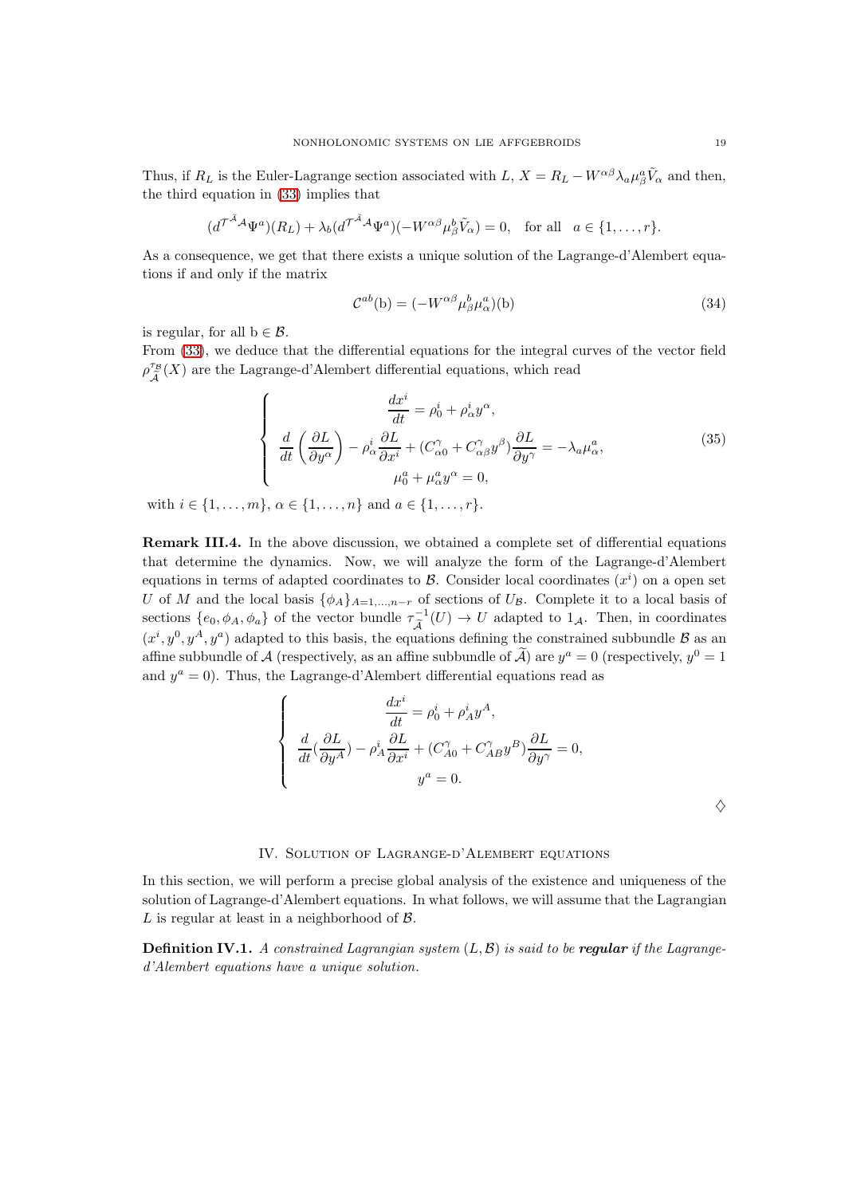Thus, if  $R_L$  is the Euler-Lagrange section associated with  $L, X = R_L - W^{\alpha\beta} \lambda_a \mu_\beta^a \tilde{V}_\alpha$  and then, the third equation in [\(33\)](#page-17-0) implies that

$$
(d^{\mathcal{T}^{\tilde{\mathcal{A}}}\mathcal{A}}\Psi^{a})(R_{L})+\lambda_{b}(d^{\mathcal{T}^{\tilde{\mathcal{A}}}\mathcal{A}}\Psi^{a})(-W^{\alpha\beta}\mu_{\beta}^{b}\tilde{V}_{\alpha})=0, \text{ for all } a\in\{1,\ldots,r\}.
$$

As a consequence, we get that there exists a unique solution of the Lagrange-d'Alembert equations if and only if the matrix

<span id="page-18-1"></span>
$$
\mathcal{C}^{ab}(\mathbf{b}) = (-W^{\alpha\beta} \mu^b_\beta \mu^a_\alpha)(\mathbf{b})\tag{34}
$$

is regular, for all  $b \in \mathcal{B}$ .

From [\(33\)](#page-17-0), we deduce that the differential equations for the integral curves of the vector field  $\rho \frac{\tau_B}{\tilde{\lambda}}$  $\frac{\tau_B}{\tilde{A}}(X)$  are the Lagrange-d'Alembert differential equations, which read

<span id="page-18-2"></span>
$$
\begin{cases}\n\frac{dx^{i}}{dt} = \rho_{0}^{i} + \rho_{\alpha}^{i} y^{\alpha}, \\
\frac{d}{dt} \left(\frac{\partial L}{\partial y^{\alpha}}\right) - \rho_{\alpha}^{i} \frac{\partial L}{\partial x^{i}} + (C_{\alpha 0}^{\gamma} + C_{\alpha \beta}^{\gamma} y^{\beta}) \frac{\partial L}{\partial y^{\gamma}} = -\lambda_{a} \mu_{\alpha}^{a}, \\
\mu_{0}^{a} + \mu_{\alpha}^{a} y^{\alpha} = 0,\n\end{cases}
$$
\n(35)

with  $i \in \{1, ..., m\}, \alpha \in \{1, ..., n\}$  and  $a \in \{1, ..., r\}.$ 

Remark III.4. In the above discussion, we obtained a complete set of differential equations that determine the dynamics. Now, we will analyze the form of the Lagrange-d'Alembert equations in terms of adapted coordinates to  $\mathcal{B}$ . Consider local coordinates  $(x<sup>i</sup>)$  on a open set U of M and the local basis  $\{\phi_A\}_{A=1,\dots,n-r}$  of sections of U<sub>B</sub>. Complete it to a local basis of sections  $\{e_0, \phi_A, \phi_a\}$  of the vector bundle  $\tau_{\widetilde{A}}^{-1}$  $\overline{\mathcal{A}}^{-1}(U) \to U$  adapted to  $1_{\mathcal{A}}$ . Then, in coordinates  $(x^{i}, y^{0}, y^{A}, y^{a})$  adapted to this basis, the equations defining the constrained subbundle  $\mathcal{B}$  as an affine subbundle of  $A$  (respectively, as an affine subbundle of  $\tilde{A}$ ) are  $y^a = 0$  (respectively,  $y^0 = 1$ and  $y^a = 0$ ). Thus, the Lagrange-d'Alembert differential equations read as

$$
\begin{cases}\n\frac{dx^i}{dt} = \rho_0^i + \rho_A^i y^A, \\
\frac{d}{dt}(\frac{\partial L}{\partial y^A}) - \rho_A^i \frac{\partial L}{\partial x^i} + (C_{A0}^{\gamma} + C_{AB}^{\gamma} y^B) \frac{\partial L}{\partial y^{\gamma}} = 0, \\
y^a = 0.\n\end{cases}
$$

### IV. Solution of Lagrange-d'Alembert equations

<span id="page-18-0"></span>In this section, we will perform a precise global analysis of the existence and uniqueness of the solution of Lagrange-d'Alembert equations. In what follows, we will assume that the Lagrangian  $L$  is regular at least in a neighborhood of  $\beta$ .

**Definition IV.1.** A constrained Lagrangian system  $(L, \mathcal{B})$  is said to be **regular** if the Lagranged'Alembert equations have a unique solution.

 $\diamondsuit$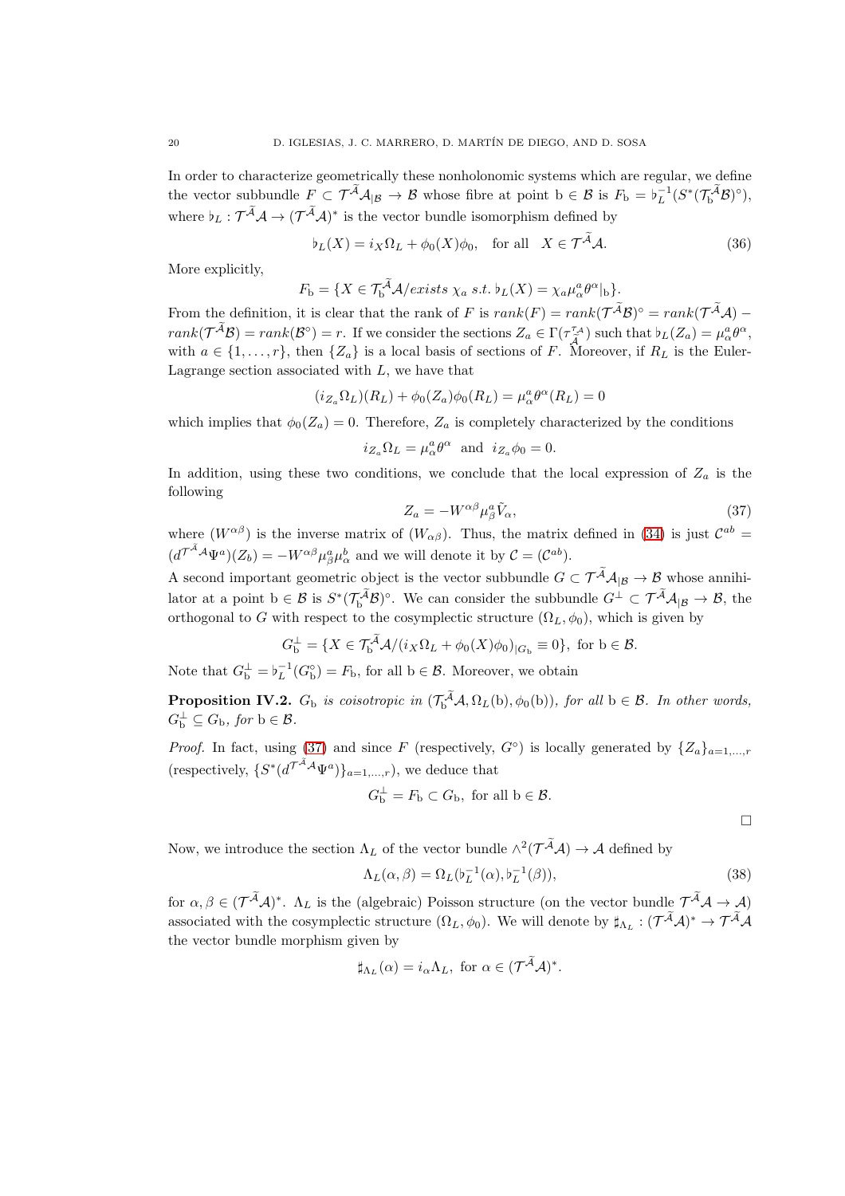In order to characterize geometrically these nonholonomic systems which are regular, we define the vector subbundle  $F \subset \mathcal{T}^{\mathcal{A}}\mathcal{A}_{|\mathcal{B}} \to \mathcal{B}$  whose fibre at point  $b \in \mathcal{B}$  is  $F_b = b_L^{-1}(S^*(\mathcal{T}_b^{\mathcal{A}}\mathcal{B})^{\circ}),$ where  $\flat_L : \mathcal{T}^A \mathcal{A} \to (\mathcal{T}^A \mathcal{A})^*$  is the vector bundle isomorphism defined by

<span id="page-19-3"></span>
$$
\flat_L(X) = i_X \Omega_L + \phi_0(X)\phi_0, \quad \text{for all} \quad X \in \mathcal{T}^{\mathcal{A}}\mathcal{A}.
$$
 (36)

More explicitly,

$$
F_{\mathbf{b}} = \{ X \in \mathcal{T}_{\mathbf{b}}^{\widetilde{\mathcal{A}}}\mathcal{A}/exists \; \chi_a \; s.t. \; \mathfrak{b}_L(X) = \chi_a \mu_a^a \theta^\alpha \vert_{\mathbf{b}} \}.
$$

From the definition, it is clear that the rank of F is  $rank(F) = rank(\mathcal{T}^{\mathcal{A}}\mathcal{B})^{\circ} = rank(\mathcal{T}^{\mathcal{A}}\mathcal{A})$  –  $rank(\mathcal{T}^{\tilde{\mathcal{A}}}\mathcal{B})=rank(\mathcal{B}^{\circ})=r.$  If we consider the sections  $Z_a \in \Gamma(\tau_{\tilde{\mathcal{A}}}^{\tau_{\mathcal{A}}}$  $(\tilde{\mathcal{A}})$  such that  $\flat_L(Z_a) = \mu^a_\alpha \theta^\alpha,$ with  $a \in \{1, \ldots, r\}$ , then  $\{Z_a\}$  is a local basis of sections of F. Moreover, if  $R_L$  is the Euler-Lagrange section associated with  $L$ , we have that

$$
(i_{Z_a}\Omega_L)(R_L) + \phi_0(Z_a)\phi_0(R_L) = \mu_\alpha^a\theta^\alpha(R_L) = 0
$$

which implies that  $\phi_0(Z_a) = 0$ . Therefore,  $Z_a$  is completely characterized by the conditions

$$
i_{Z_a}\Omega_L = \mu_\alpha^a \theta^\alpha
$$
 and  $i_{Z_a}\phi_0 = 0$ .

In addition, using these two conditions, we conclude that the local expression of  $Z_a$  is the following

<span id="page-19-0"></span>
$$
Z_a = -W^{\alpha\beta} \mu_\beta^a \tilde{V}_\alpha,\tag{37}
$$

where  $(W^{\alpha\beta})$  is the inverse matrix of  $(W_{\alpha\beta})$ . Thus, the matrix defined in [\(34\)](#page-18-1) is just  $\mathcal{C}^{ab}$  =  $(d^{\mathcal{T}^A A} \Psi^a)(Z_b) = -W^{\alpha\beta} \mu^a_\beta \mu^b_\alpha$  and we will denote it by  $\mathcal{C} = (\mathcal{C}^{ab})$ .

A second important geometric object is the vector subbundle  $G \subset \mathcal{T}^{\widetilde{\mathcal{A}}}\mathcal{A}_{|\mathcal{B}} \to \mathcal{B}$  whose annihilator at a point  $b \in \mathcal{B}$  is  $S^*(\mathcal{T}^{\mathcal{A}}_b\mathcal{B})^{\circ}$ . We can consider the subbundle  $G^{\perp} \subset \mathcal{T}^{\mathcal{A}}\mathcal{A}_{|\mathcal{B}} \to \mathcal{B}$ , the orthogonal to G with respect to the cosymplectic structure  $(\Omega_L, \phi_0)$ , which is given by

$$
G_{\mathbf{b}}^{\perp} = \{ X \in \mathcal{T}_{\mathbf{b}}^{\mathcal{A}} \mathcal{A} / (i_{X} \Omega_{L} + \phi_{0}(X)\phi_{0})_{|G_{\mathbf{b}}} \equiv 0 \}, \text{ for } \mathbf{b} \in \mathcal{B}.
$$

Note that  $G_{\rm b}^{\perp} = \overline{b}_L^{-1}(G_{\rm b}^{\circ}) = F_{\rm b}$ , for all  ${\rm b} \in \mathcal{B}$ . Moreover, we obtain

<span id="page-19-2"></span>**Proposition IV.2.**  $G_b$  is coisotropic in  $(\mathcal{T}_b^{\mathcal{A}}\mathcal{A}, \Omega_L(b), \phi_0(b))$ , for all  $b \in \mathcal{B}$ . In other words,  $G_{\mathrm{b}}^{\perp} \subseteq G_{\mathrm{b}}$ , for  $\mathrm{b} \in \mathcal{B}$ .

*Proof.* In fact, using [\(37\)](#page-19-0) and since F (respectively,  $G^{\circ}$ ) is locally generated by  $\{Z_a\}_{a=1,\dots,r}$ (respectively,  $\{S^*(d^{\mathcal{T}^A\mathcal{A}}\Psi^a)\}_{a=1,\dots,r}$ ), we deduce that

$$
G_{\mathbf{b}}^{\perp} = F_{\mathbf{b}} \subset G_{\mathbf{b}}, \text{ for all } \mathbf{b} \in \mathcal{B}.
$$

 $\Box$ 

Now, we introduce the section  $\Lambda_L$  of the vector bundle  $\wedge^2(\mathcal{T}^{\mathcal{A}}\mathcal{A})\to\mathcal{A}$  defined by

<span id="page-19-1"></span>
$$
\Lambda_L(\alpha,\beta) = \Omega_L(\flat_L^{-1}(\alpha),\flat_L^{-1}(\beta)),\tag{38}
$$

for  $\alpha, \beta \in (\mathcal{T}^{\mathcal{A}}\mathcal{A})^*$ .  $\Lambda_L$  is the (algebraic) Poisson structure (on the vector bundle  $\mathcal{T}^{\mathcal{A}}\mathcal{A} \to \mathcal{A}$ ) associated with the cosymplectic structure  $(\Omega_L, \phi_0)$ . We will denote by  $\sharp_{\Lambda_L} : (\mathcal{T}^{\mathcal{A}}\mathcal{A})^* \to \mathcal{T}^{\mathcal{A}}\mathcal{A}$ the vector bundle morphism given by

$$
\sharp_{\Lambda_L}(\alpha) = i_{\alpha} \Lambda_L, \text{ for } \alpha \in (\mathcal{T}^{\mathcal{A}}\mathcal{A})^*.
$$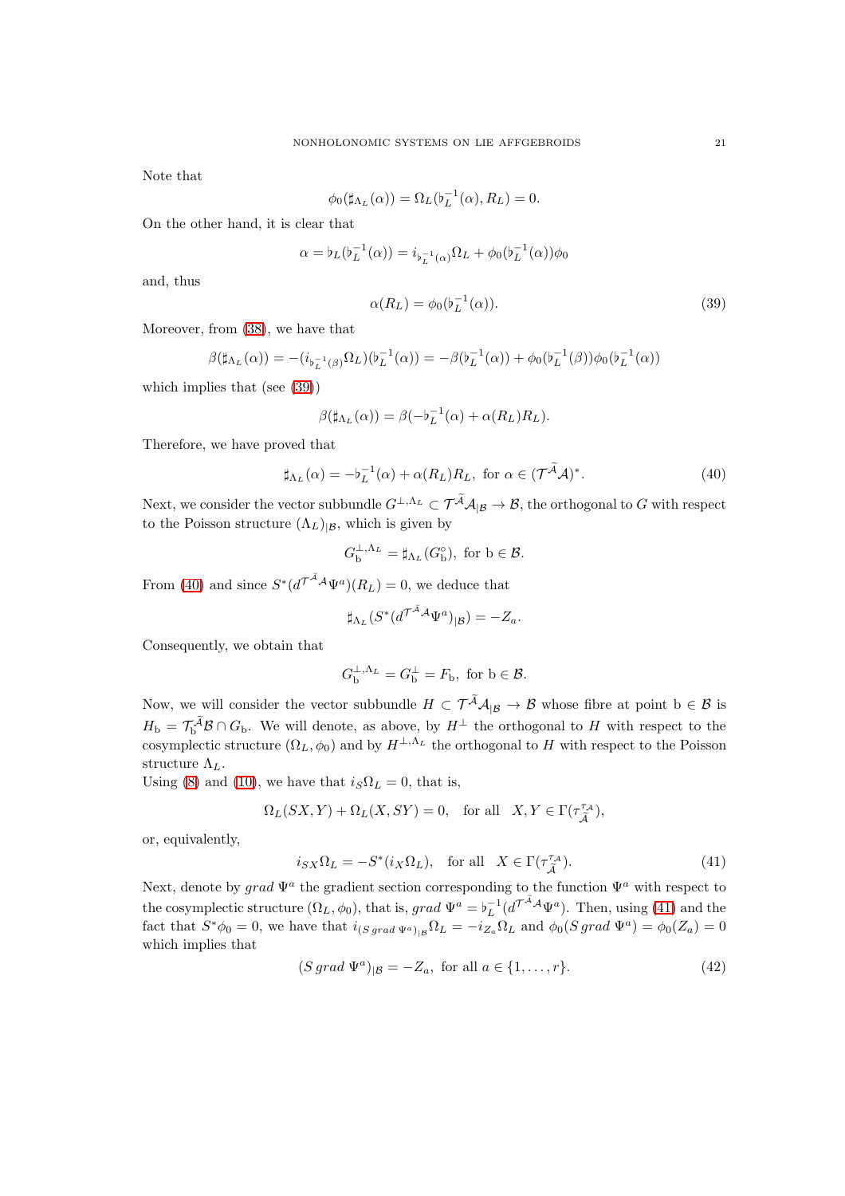Note that

$$
\phi_0(\sharp_{\Lambda_L}(\alpha)) = \Omega_L(b_L^{-1}(\alpha), R_L) = 0.
$$

On the other hand, it is clear that

$$
\alpha = b_L(b_L^{-1}(\alpha)) = i_{b_L^{-1}(\alpha)}\Omega_L + \phi_0(b_L^{-1}(\alpha))\phi_0
$$

and, thus

<span id="page-20-0"></span>
$$
\alpha(R_L) = \phi_0(\flat_L^{-1}(\alpha)).\tag{39}
$$

Moreover, from [\(38\)](#page-19-1), we have that

$$
\beta(\sharp_{\Lambda_L}(\alpha)) = -(i_{\flat_L^{-1}(\beta)}\Omega_L)(\flat_L^{-1}(\alpha)) = -\beta(\flat_L^{-1}(\alpha)) + \phi_0(\flat_L^{-1}(\beta))\phi_0(\flat_L^{-1}(\alpha))
$$

which implies that (see [\(39\)](#page-20-0))

$$
\beta(\sharp_{\Lambda_L}(\alpha)) = \beta(-\flat_L^{-1}(\alpha) + \alpha(R_L)R_L).
$$

Therefore, we have proved that

<span id="page-20-1"></span>
$$
\sharp_{\Lambda_L}(\alpha) = -b_L^{-1}(\alpha) + \alpha(R_L)R_L, \text{ for } \alpha \in (\mathcal{T}^{\widetilde{\mathcal{A}}}\mathcal{A})^*.
$$
 (40)

Next, we consider the vector subbundle  $G^{\perp,\Lambda_L} \subset \mathcal{T}^{\widetilde{\mathcal{A}}}\mathcal{A}_{|\mathcal{B}} \to \mathcal{B}$ , the orthogonal to G with respect to the Poisson structure  $(\Lambda_L)_{|B}$ , which is given by

$$
G_{\mathbf{b}}^{\perp,\Lambda_L} = \sharp_{\Lambda_L}(G_{\mathbf{b}}^{\circ}), \text{ for } \mathbf{b} \in \mathcal{B}.
$$

From [\(40\)](#page-20-1) and since  $S^*(d^{\mathcal{T}^A\mathcal{A}}\Psi^a)(R_L) = 0$ , we deduce that

$$
\sharp_{\Lambda_L}(S^*(d^{\mathcal{T}^{\widetilde{\mathcal{A}}}\mathcal{A}}\Psi^a)|_{\mathcal{B}})=-Z_a.
$$

Consequently, we obtain that

$$
G_{\mathbf{b}}^{\perp,\Lambda_L} = G_{\mathbf{b}}^{\perp} = F_{\mathbf{b}}, \text{ for } \mathbf{b} \in \mathcal{B}.
$$

Now, we will consider the vector subbundle  $H \subset \mathcal{T}^{\widetilde{\mathcal{A}}}\mathcal{A}_{|\mathcal{B}} \to \mathcal{B}$  whose fibre at point  $b \in \mathcal{B}$  is  $H_{\rm b} = \mathcal{T}_{\rm b}^{\mathcal{A}} \mathcal{B} \cap G_{\rm b}$ . We will denote, as above, by  $H^{\perp}$  the orthogonal to H with respect to the cosymplectic structure  $(\Omega_L, \phi_0)$  and by  $H^{\perp,\Lambda_L}$  the orthogonal to H with respect to the Poisson structure  $\Lambda_L$ .

Using [\(8\)](#page-7-1) and [\(10\)](#page-8-1), we have that  $i_S\Omega_L = 0$ , that is,

$$
\Omega_L(SX,Y)+\Omega_L(X,SY)=0,\quad \text{for all}\quad X,Y\in\Gamma(\tau^{\tau_{\mathcal{A}}}_{\widetilde{\mathcal{A}}}),
$$

or, equivalently,

<span id="page-20-2"></span>
$$
i_{SX}\Omega_L = -S^*(i_X\Omega_L), \text{ for all } X \in \Gamma(\tau_{\widetilde{\mathcal{A}}}^{\tau_{\mathcal{A}}}).
$$
\n(41)

Next, denote by grad  $\Psi^a$  the gradient section corresponding to the function  $\Psi^a$  with respect to the cosymplectic structure  $(\Omega_L, \phi_0)$ , that is,  $grad \Psi^a = \phi_L^{-1} (d^{\mathcal{T}^{\mathcal{A}}} A \Psi^a)$ . Then, using [\(41\)](#page-20-2) and the fact that  $S^*\phi_0 = 0$ , we have that  $i_{(S\ grad\ \Psi^a)_|B} \Omega_L = -i_{Z_a} \Omega_L$  and  $\phi_0(S\ grad\ \Psi^a) = \phi_0(Z_a) = 0$ which implies that

<span id="page-20-3"></span>
$$
(S\,grad\,\Psi^a)_{|\mathcal{B}} = -Z_a, \text{ for all } a \in \{1, \dots, r\}. \tag{42}
$$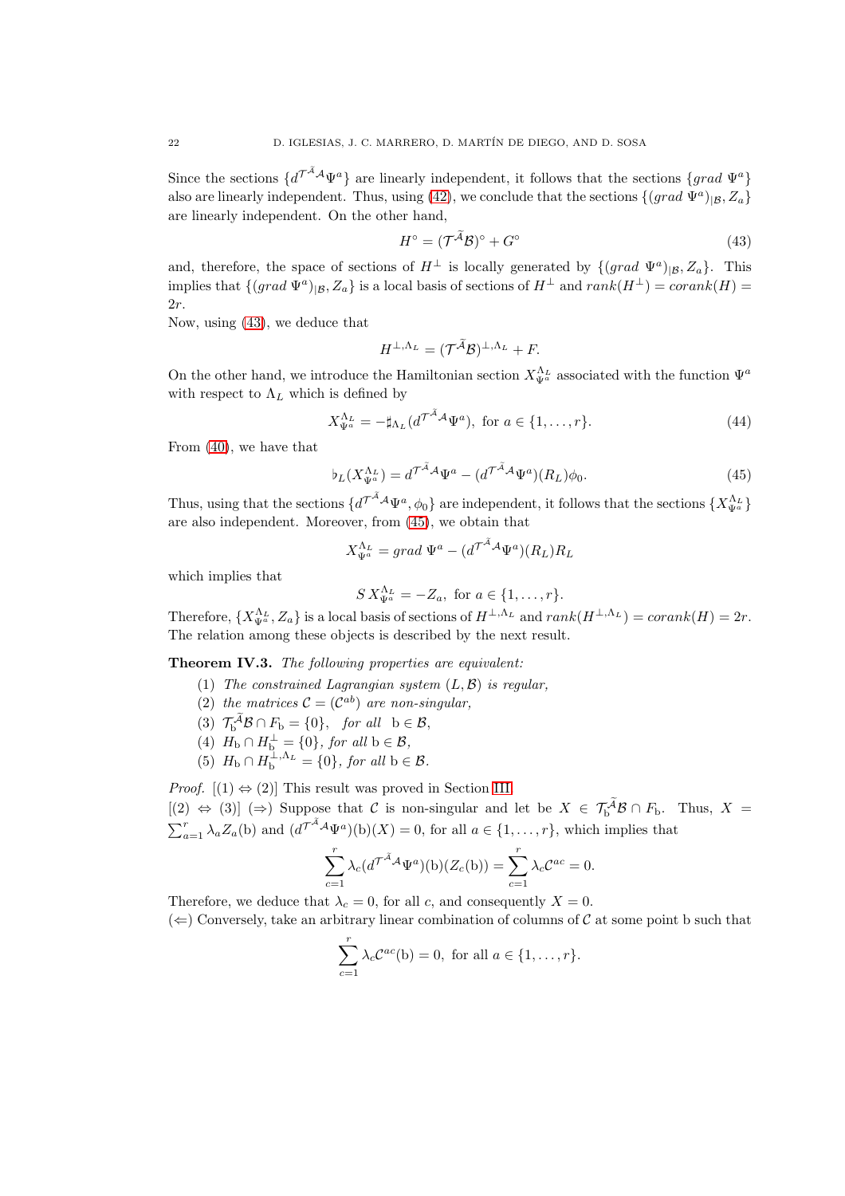Since the sections  $\{d^{\mathcal{T}^{\mathcal{A}}\mathcal{A}}\Psi^{a}\}\$ are linearly independent, it follows that the sections  $\{grad \Psi^{a}\}\$ also are linearly independent. Thus, using [\(42\)](#page-20-3), we conclude that the sections  $\{(grad \Psi^a)_{|\mathcal{B}}, Z_a\}$ are linearly independent. On the other hand,

<span id="page-21-0"></span>
$$
H^{\circ} = (\mathcal{T}^{\widetilde{\mathcal{A}}}\mathcal{B})^{\circ} + G^{\circ} \tag{43}
$$

and, therefore, the space of sections of  $H^{\perp}$  is locally generated by  $\{(grad \Psi^a)_{|\mathcal{B}}, Z_a\}$ . This implies that  $\{(\text{grad }\Psi^a)_{|\mathcal{B}}, Z_a\}$  is a local basis of sections of  $H^{\perp}$  and  $\text{rank}(H^{\perp}) = \text{corank}(H)$ 2r.

Now, using [\(43\)](#page-21-0), we deduce that

$$
H^{\perp,\Lambda_L} = (\mathcal{T}^{\widetilde{\mathcal{A}}}\mathcal{B})^{\perp,\Lambda_L} + F.
$$

On the other hand, we introduce the Hamiltonian section  $X_{\Psi^a}^{\Lambda_L}$  associated with the function  $\Psi^a$ with respect to  $\Lambda_L$  which is defined by

<span id="page-21-3"></span>
$$
X_{\Psi^a}^{\Lambda_L} = -\sharp_{\Lambda_L}(d^{\mathcal{T}^A \mathcal{A}} \Psi^a), \text{ for } a \in \{1, \dots, r\}.
$$
 (44)

From [\(40\)](#page-20-1), we have that

<span id="page-21-1"></span>
$$
\flat_L(X_{\Psi^a}^{\Lambda_L}) = d^{\mathcal{T}^{\tilde{\mathcal{A}}}\mathcal{A}}\Psi^a - (d^{\mathcal{T}^{\tilde{\mathcal{A}}}\mathcal{A}}\Psi^a)(R_L)\phi_0.
$$
\n(45)

Thus, using that the sections  $\{d^{\mathcal{T}^A\mathcal{A}}\Psi^a,\phi_0\}$  are independent, it follows that the sections  $\{X_{\Psi^a}^{\Lambda_L}\}$ are also independent. Moreover, from [\(45\)](#page-21-1), we obtain that

$$
X_{\Psi^a}^{\Lambda_L} = grad \, \Psi^a - (d^{\mathcal{T}^A \mathcal{A}} \Psi^a)(R_L) R_L
$$

which implies that

$$
S X_{\Psi^a}^{\Lambda_L} = -Z_a, \text{ for } a \in \{1, \ldots, r\}.
$$

Therefore,  $\{X_{\Psi^a}^{\Lambda_L}, Z_a\}$  is a local basis of sections of  $H^{\perp,\Lambda_L}$  and  $rank(H^{\perp,\Lambda_L}) = corank(H) = 2r$ . The relation among these objects is described by the next result.

<span id="page-21-2"></span>Theorem IV.3. The following properties are equivalent:

- (1) The constrained Lagrangian system  $(L, \mathcal{B})$  is regular,
- (2) the matrices  $\mathcal{C} = (\mathcal{C}^{ab})$  are non-singular,
- (3)  $\mathcal{T}_{\mathbf{b}}^{\mathcal{A}} \mathcal{B} \cap F_{\mathbf{b}} = \{0\}, \text{ for all } \mathbf{b} \in \mathcal{B},$
- (4)  $H_{\text{b}} \cap H_{\text{b}}^{\perp} = \{0\}$ , for all  $\text{b} \in \mathcal{B}$ ,
- (5)  $H_{\text{b}} \cap H_{\text{b}}^{\perp,\Lambda_L} = \{0\}, \text{ for all } \text{b} \in \mathcal{B}.$

*Proof.*  $[(1) \Leftrightarrow (2)]$  This result was proved in Section [III.](#page-15-0)

 $[(2) \Leftrightarrow (3)] \Rightarrow$  Suppose that C is non-singular and let be  $X \in \mathcal{T}_{\mathrm{b}}^{\mathcal{A}} \mathcal{B} \cap F_{\mathrm{b}}$ . Thus,  $X =$  $\sum_{a=1}^r \lambda_a Z_a(b)$  and  $(d^{\mathcal{T}^A A} \Psi^a)(b)(X) = 0$ , for all  $a \in \{1, \ldots, r\}$ , which implies that

$$
\sum_{c=1}^r \lambda_c (d^{\mathcal{T}^{\tilde{\mathcal{A}}}\mathcal{A}} \Psi^a)(b) (Z_c(b)) = \sum_{c=1}^r \lambda_c \mathcal{C}^{ac} = 0.
$$

Therefore, we deduce that  $\lambda_c = 0$ , for all c, and consequently  $X = 0$ .

 $(\Leftarrow)$  Conversely, take an arbitrary linear combination of columns of C at some point b such that

$$
\sum_{c=1}^r \lambda_c \mathcal{C}^{ac}(\mathbf{b}) = 0, \text{ for all } a \in \{1, \dots, r\}.
$$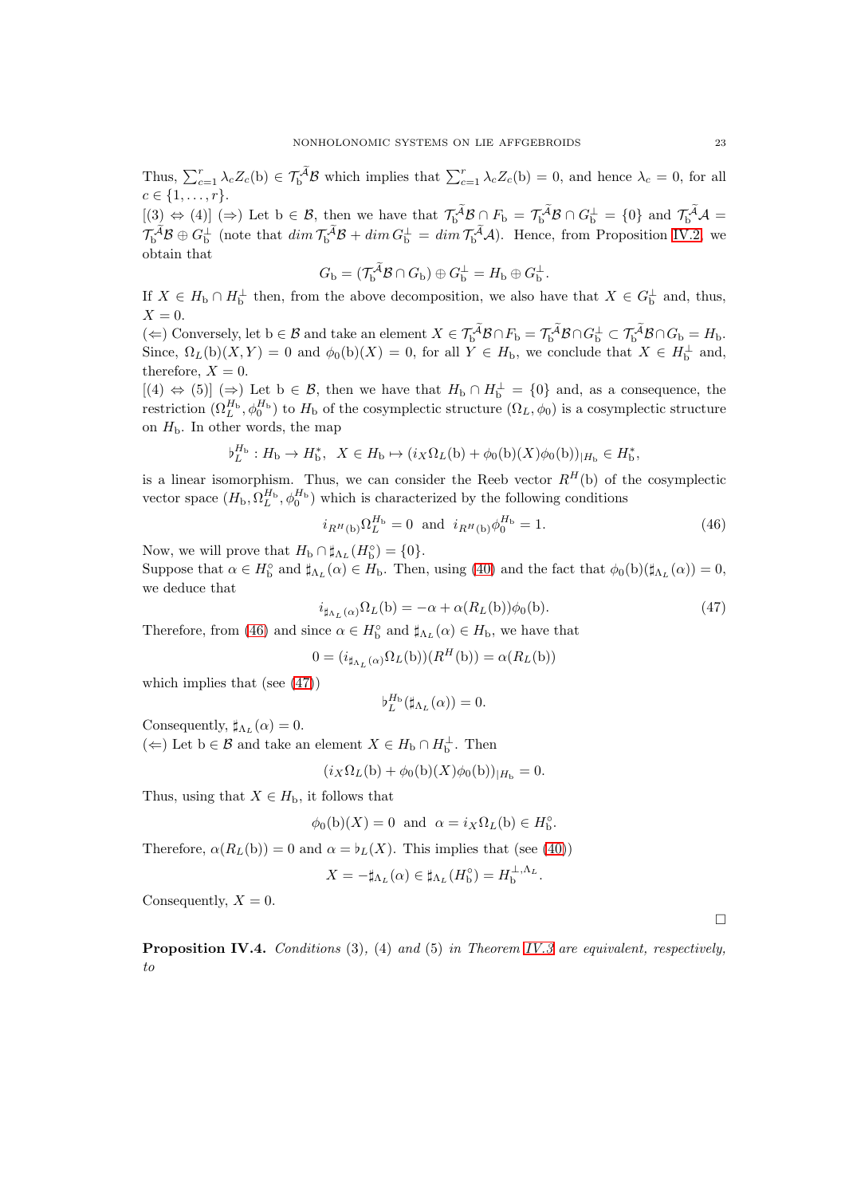Thus,  $\sum_{c=1}^{r} \lambda_c Z_c(b) \in \mathcal{T}_{b}^{\widetilde{\mathcal{A}}} \mathcal{B}$  which implies that  $\sum_{c=1}^{r} \lambda_c Z_c(b) = 0$ , and hence  $\lambda_c = 0$ , for all  $c \in \{1, \ldots, r\}.$ 

 $[(3) \Leftrightarrow (4)] \Rightarrow$  Let  $b \in \mathcal{B}$ , then we have that  $\mathcal{T}_{b}^{\mathcal{A}} \mathcal{B} \cap F_{b} = \mathcal{T}_{b}^{\mathcal{A}} \mathcal{B} \cap G_{b}^{\perp} = \{0\}$  and  $\mathcal{T}_{b}^{\mathcal{A}} \mathcal{A} =$  $\mathcal{T}_{b}^{\mathcal{A}}\mathcal{B} \oplus G_{b}^{\perp}$  (note that  $\dim \mathcal{T}_{b}^{\mathcal{A}}\mathcal{B} + \dim G_{b}^{\perp} = \dim \mathcal{T}_{b}^{\mathcal{A}}\mathcal{A}$ ). Hence, from Proposition [IV.2,](#page-19-2) we obtain that

$$
G_{\rm b} = (\mathcal{T}_{\rm b}^{\mathcal{A}} \mathcal{B} \cap G_{\rm b}) \oplus G_{\rm b}^{\perp} = H_{\rm b} \oplus G_{\rm b}^{\perp}.
$$

If  $X \in H_{\rm b} \cap H_{\rm b}^{\perp}$  then, from the above decomposition, we also have that  $X \in G_{\rm b}^{\perp}$  and, thus,  $X = 0$ .

( $\Leftarrow$ ) Conversely, let  $b \in \mathcal{B}$  and take an element  $X \in \mathcal{T}_{b}^{\mathcal{A}} \mathcal{B} \cap F_{b} = \mathcal{T}_{b}^{\mathcal{A}} \mathcal{B} \cap G_{b}^{\perp} \subset \mathcal{T}_{b}^{\mathcal{A}} \mathcal{B} \cap G_{b} = H_{b}$ . Since,  $\Omega_L(b)(X,Y) = 0$  and  $\phi_0(b)(X) = 0$ , for all  $Y \in H_b$ , we conclude that  $X \in H_b^{\perp}$  and, therefore,  $X = 0$ .

 $[(4) \Leftrightarrow (5)] \rightarrow (5)$  Let  $b \in \mathcal{B}$ , then we have that  $H_b \cap H_b^{\perp} = \{0\}$  and, as a consequence, the restriction  $(\Omega_L^{H_b}, \phi_0^{H_b})$  to  $H_b$  of the cosymplectic structure  $(\Omega_L, \phi_0)$  is a cosymplectic structure on  $H<sub>b</sub>$ . In other words, the map

$$
\flat_L^{H_{\rm b}}: H_{\rm b} \to H_{\rm b}^*, \ \ X \in H_{\rm b} \mapsto (i_X \Omega_L({\rm b}) + \phi_0({\rm b})(X)\phi_0({\rm b}))_{|H_{\rm b}} \in H_{\rm b}^*,
$$

is a linear isomorphism. Thus, we can consider the Reeb vector  $R^H($ b) of the cosymplectic vector space  $(H_b, \Omega_L^{H_b}, \phi_0^{H_b})$  which is characterized by the following conditions

<span id="page-22-0"></span>
$$
i_{R^H(b)}\Omega_L^{H_b} = 0 \text{ and } i_{R^H(b)}\phi_0^{H_b} = 1.
$$
 (46)

Now, we will prove that  $H_{\text{b}} \cap \sharp_{\Lambda_L}(H_{\text{b}}^{\circ}) = \{0\}.$ 

Suppose that  $\alpha \in H_{\mathbf{b}}^{\circ}$  and  $\sharp_{\Lambda_L}(\alpha) \in H_{\mathbf{b}}$ . Then, using [\(40\)](#page-20-1) and the fact that  $\phi_0(\mathbf{b})(\sharp_{\Lambda_L}(\alpha)) = 0$ , we deduce that

<span id="page-22-1"></span>
$$
i_{\sharp_{\Lambda_L}(\alpha)}\Omega_L(b) = -\alpha + \alpha(R_L(b))\phi_0(b). \tag{47}
$$

Therefore, from [\(46\)](#page-22-0) and since  $\alpha \in H_{\rm b}^{\circ}$  and  $\sharp_{\Lambda_L}(\alpha) \in H_{\rm b}$ , we have that

$$
0 = (i_{\sharp_{\Lambda_L}(\alpha)} \Omega_L(b))(R^H(b)) = \alpha(R_L(b))
$$

which implies that (see [\(47\)](#page-22-1))

$$
\flat_L^{H_{\rm b}}(\sharp_{\Lambda_L}(\alpha))=0.
$$

Consequently,  $\sharp_{\Lambda_L}(\alpha) = 0$ .

(←) Let  $b \in \mathcal{B}$  and take an element  $X \in H_{b} \cap H_{b}^{\perp}$ . Then

$$
(i_X \Omega_L(b) + \phi_0(b)(X)\phi_0(b))_{|H_b} = 0.
$$

Thus, using that  $X \in H_{\text{b}}$ , it follows that

$$
\phi_0(b)(X) = 0
$$
 and  $\alpha = i_X \Omega_L(b) \in H_b^{\circ}$ .

Therefore,  $\alpha(R_L(b)) = 0$  and  $\alpha = b_L(X)$ . This implies that (see [\(40\)](#page-20-1))

$$
X = -\sharp_{\Lambda_L}(\alpha) \in \sharp_{\Lambda_L}(H_{\mathrm{b}}^{\circ}) = H_{\mathrm{b}}^{\perp, \Lambda_L}.
$$

Consequently,  $X = 0$ .

Proposition IV.4. Conditions (3), (4) and (5) in Theorem [IV.3](#page-21-2) are equivalent, respectively,  $to$ 

 $\Box$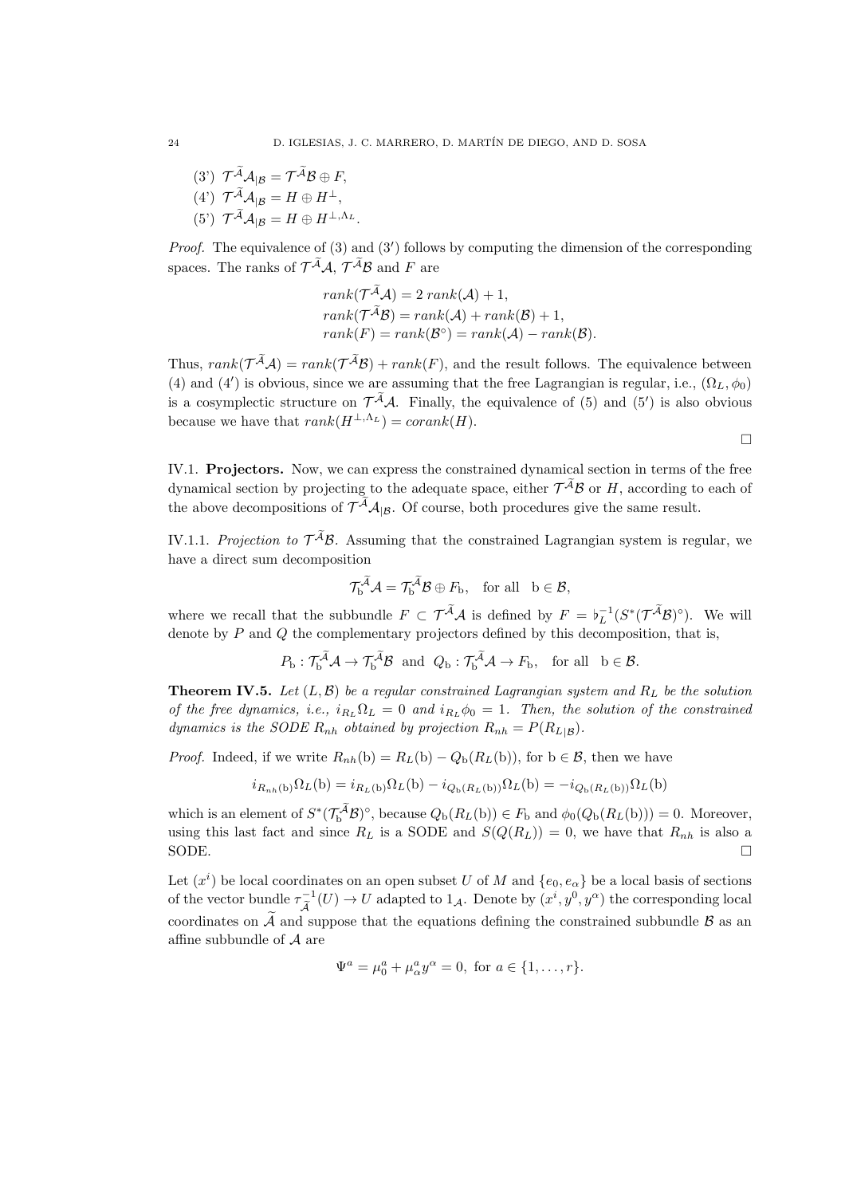(3')  $\mathcal{T}^{\mathcal{A}}\mathcal{A}_{|\mathcal{B}} = \mathcal{T}^{\mathcal{A}}\mathcal{B} \oplus F$ , (4')  $\mathcal{T}^{\mathcal{A}}\mathcal{A}_{|\mathcal{B}} = H \oplus H^{\perp},$ (5')  $\mathcal{T}^{\mathcal{A}}\mathcal{A}_{|\mathcal{B}} = H \oplus H^{\perp,\Lambda_L}.$ 

*Proof.* The equivalence of  $(3)$  and  $(3')$  follows by computing the dimension of the corresponding spaces. The ranks of  $\mathcal{T}^{\mathcal{A}}\mathcal{A}, \mathcal{T}^{\mathcal{A}}\mathcal{B}$  and F are

$$
rank(\mathcal{T}^{\tilde{\mathcal{A}}}\mathcal{A}) = 2 rank(\mathcal{A}) + 1,
$$
  
\n
$$
rank(\mathcal{T}^{\tilde{\mathcal{A}}}\mathcal{B}) = rank(\mathcal{A}) + rank(\mathcal{B}) + 1,
$$
  
\n
$$
rank(F) = rank(\mathcal{B}^{\circ}) = rank(\mathcal{A}) - rank(\mathcal{B}).
$$

Thus,  $rank(\mathcal{T}^{\mathcal{A}}\mathcal{A}) = rank(\mathcal{T}^{\mathcal{A}}\mathcal{B}) + rank(F)$ , and the result follows. The equivalence between (4) and (4') is obvious, since we are assuming that the free Lagrangian is regular, i.e.,  $(\Omega_L, \phi_0)$ is a cosymplectic structure on  $\mathcal{T}^{\mathcal{A}}\mathcal{A}$ . Finally, the equivalence of (5) and (5') is also obvious because we have that  $rank(H^{\perp,\Lambda_L}) = corank(H)$ .

 $\Box$ 

<span id="page-23-0"></span>IV.1. Projectors. Now, we can express the constrained dynamical section in terms of the free dynamical section by projecting to the adequate space, either  $\mathcal{T}^{\mathcal{A}}\mathcal{B}$  or H, according to each of the above decompositions of  $\mathcal{T}^{\mathcal{A}}\mathcal{A}_{|\mathcal{B}}$ . Of course, both procedures give the same result.

IV.1.1. Projection to  $\mathcal{T}^{\mathcal{A}}\mathcal{B}$ . Assuming that the constrained Lagrangian system is regular, we have a direct sum decomposition

$$
\mathcal{T}_{\mathbf{b}}^{\widetilde{\mathcal{A}}}\mathcal{A}=\mathcal{T}_{\mathbf{b}}^{\widetilde{\mathcal{A}}}\mathcal{B}\oplus F_{\mathbf{b}},\quad\text{for all}\quad\mathbf{b}\in\mathcal{B},
$$

where we recall that the subbundle  $F \subset \mathcal{T}^{\mathcal{A}}\mathcal{A}$  is defined by  $F = \mathfrak{b}_L^{-1}(S^*(\mathcal{T}^{\mathcal{A}}\mathcal{B})^{\circ})$ . We will denote by  $P$  and  $Q$  the complementary projectors defined by this decomposition, that is,

$$
P_{\mathbf{b}}: \mathcal{T}_{\mathbf{b}}^{\widetilde{\mathcal{A}}} \mathcal{A} \to \mathcal{T}_{\mathbf{b}}^{\widetilde{\mathcal{A}}} \mathcal{B} \text{ and } Q_{\mathbf{b}}: \mathcal{T}_{\mathbf{b}}^{\widetilde{\mathcal{A}}} \mathcal{A} \to F_{\mathbf{b}}, \text{ for all } \mathbf{b} \in \mathcal{B}.
$$

**Theorem IV.5.** Let  $(L, \mathcal{B})$  be a regular constrained Lagrangian system and  $R_L$  be the solution of the free dynamics, i.e.,  $i_{R_L} \Omega_L = 0$  and  $i_{R_L} \phi_0 = 1$ . Then, the solution of the constrained dynamics is the SODE  $R_{nh}$  obtained by projection  $R_{nh} = P(R_{L|B})$ .

*Proof.* Indeed, if we write  $R_{nh}(b) = R_L(b) - Q_b(R_L(b))$ , for  $b \in \mathcal{B}$ , then we have

$$
i_{R_{nh}(b)}\Omega_L(b) = i_{R_L(b)}\Omega_L(b) - i_{Q_b(R_L(b))}\Omega_L(b) = -i_{Q_b(R_L(b))}\Omega_L(b)
$$

which is an element of  $S^*(\mathcal{T}_{b}^{\mathcal{A}}\mathcal{B})^{\circ}$ , because  $Q_{b}(R_L(b)) \in F_b$  and  $\phi_0(Q_b(R_L(b))) = 0$ . Moreover, using this last fact and since  $R_L$  is a SODE and  $S(Q(R_L)) = 0$ , we have that  $R_{nh}$  is also a SODE.

Let  $(x^{i})$  be local coordinates on an open subset U of M and  $\{e_{0}, e_{\alpha}\}\$ be a local basis of sections of the vector bundle  $\tau_{\tilde{I}}^{-1}$  $\overline{\mathcal{A}}^{-1}(U) \to U$  adapted to  $1_{\mathcal{A}}$ . Denote by  $(x^{i}, y^{0}, y^{\alpha})$  the corresponding local coordinates on  $\tilde{\mathcal{A}}$  and suppose that the equations defining the constrained subbundle  $\mathcal{B}$  as an affine subbundle of A are

$$
\Psi^{a} = \mu_{0}^{a} + \mu_{\alpha}^{a} y^{\alpha} = 0, \text{ for } a \in \{1, ..., r\}.
$$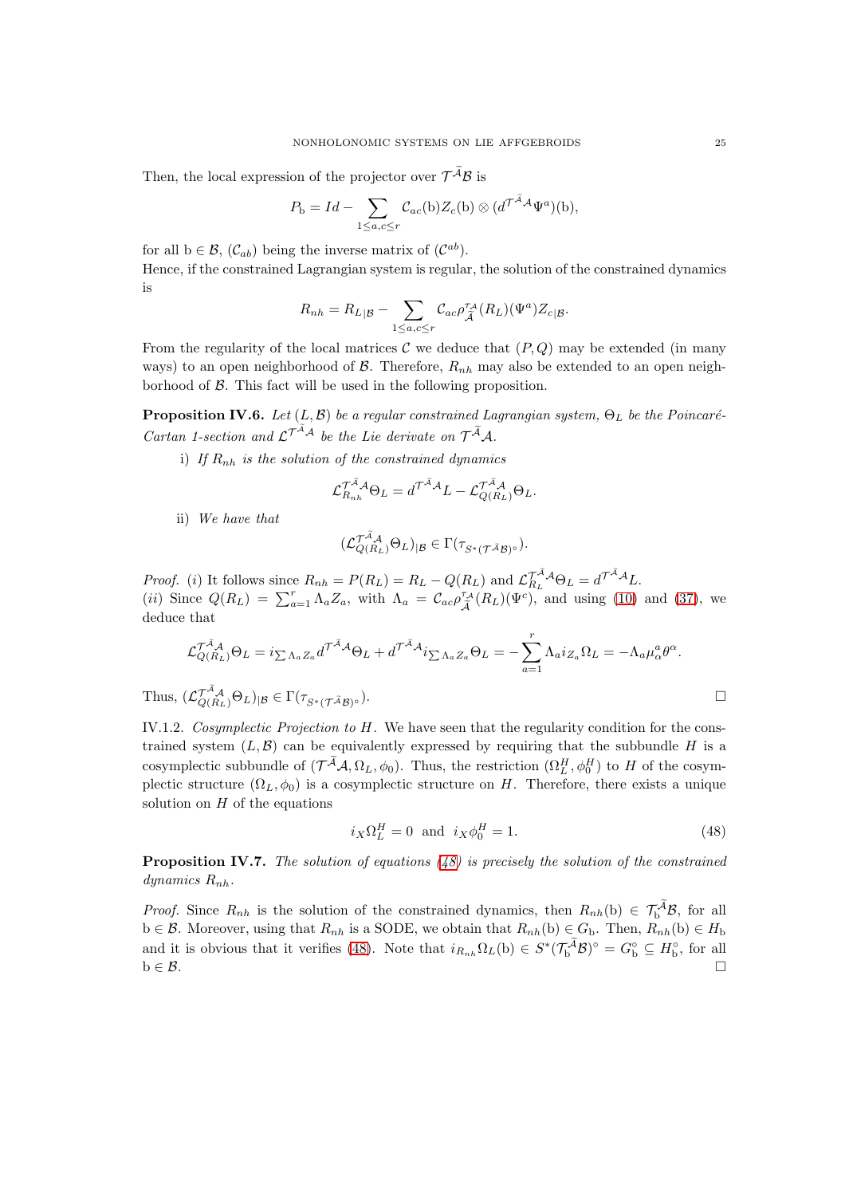Then, the local expression of the projector over  $\mathcal{T}^{\mathcal{A}}\mathcal{B}$  is

$$
P_{\mathbf{b}} = Id - \sum_{1 \leq a,c \leq r} \mathcal{C}_{ac}(\mathbf{b}) Z_c(\mathbf{b}) \otimes (d^{\mathcal{T}^{\widetilde{A}}\mathcal{A}} \Psi^a)(\mathbf{b}),
$$

for all  $b \in \mathcal{B}$ ,  $(\mathcal{C}_{ab})$  being the inverse matrix of  $(\mathcal{C}^{ab})$ . Hence, if the constrained Lagrangian system is regular, the solution of the constrained dynamics is

$$
R_{nh} = R_{L|\mathcal{B}} - \sum_{1 \leq a,c \leq r} C_{ac} \rho_{\widetilde{\mathcal{A}}}^{\tau_{\mathcal{A}}}(R_L) (\Psi^a) Z_{c|\mathcal{B}}.
$$

From the regularity of the local matrices  $\mathcal C$  we deduce that  $(P, Q)$  may be extended (in many ways) to an open neighborhood of B. Therefore,  $R_{nh}$  may also be extended to an open neighborhood of B. This fact will be used in the following proposition.

**Proposition IV.6.** Let  $(L, \mathcal{B})$  be a regular constrained Lagrangian system,  $\Theta_L$  be the Poincaré-Cartan 1-section and  $\mathcal{L}^{\mathcal{T}^{\mathcal{A}}\mathcal{A}}$  be the Lie derivate on  $\mathcal{T}^{\widetilde{\mathcal{A}}}\mathcal{A}$ .

i) If  $R_{nh}$  is the solution of the constrained dynamics

$$
\mathcal{L}_{R_{nh}}^{\mathcal{T}^{\tilde{\mathcal{A}}}\mathcal{A}}\Theta_L = d^{\mathcal{T}^{\tilde{\mathcal{A}}}\mathcal{A}}L - \mathcal{L}_{Q(R_L)}^{\mathcal{T}^{\tilde{\mathcal{A}}}\mathcal{A}}\Theta_L.
$$

ii) We have that

$$
(\mathcal{L}_{Q(R_L)}^{\mathcal{T}^{\widetilde{\mathcal{A}}}} \Theta_L)_{|\mathcal{B}} \in \Gamma(\tau_{S^*(\mathcal{T}^{\widetilde{\mathcal{A}}}\mathcal{B})^{\circ}}).
$$

*Proof.* (i) It follows since  $R_{nh} = P(R_L) = R_L - Q(R_L)$  and  $\mathcal{L}_{R_L}^{\mathcal{T}^A} A \Theta_L = d^{\mathcal{T}^A} A L$ . (*ii*) Since  $Q(R_L) = \sum_{a=1}^{r} \Lambda_a Z_a$ , with  $\Lambda_a = C_{ac} \rho_{\tilde{A}}^{\tau A}$  $\tilde{A}^{A}(R_L)(\Psi^c)$ , and using [\(10\)](#page-8-1) and [\(37\)](#page-19-0), we deduce that

$$
\mathcal{L}_{Q(R_L)}^{\mathcal{T}^{\tilde{A}}A}\Theta_L=i_{\sum\Lambda_aZ_a}d^{\mathcal{T}^{\tilde{A}}A}\Theta_L+d^{\mathcal{T}^{\tilde{A}}A}i_{\sum\Lambda_aZ_a}\Theta_L=-\sum_{a=1}^r\Lambda_a i_{Z_a}\Omega_L=-\Lambda_a\mu_{\alpha}^a\theta^{\alpha}.
$$

Thus,  $(\mathcal{L}_{Q(R_L)}^{\mathcal{T}^A\mathcal{A}} \Theta_L)|_{\mathcal{B}} \in \Gamma(\tau_{S^*(\mathcal{T}^{\widetilde{\mathcal{A}}}\mathcal{B})})$  $\circ$ ).

IV.1.2. Cosymplectic Projection to  $H$ . We have seen that the regularity condition for the constrained system  $(L, \mathcal{B})$  can be equivalently expressed by requiring that the subbundle H is a cosymplectic subbundle of  $(\mathcal{T}^{\mathcal{A}}, \Omega_L, \phi_0)$ . Thus, the restriction  $(\Omega_L^H, \phi_0^H)$  to H of the cosymplectic structure  $(\Omega_L, \phi_0)$  is a cosymplectic structure on H. Therefore, there exists a unique solution on  $H$  of the equations

<span id="page-24-0"></span>
$$
i_X \Omega_L^H = 0 \quad \text{and} \quad i_X \phi_0^H = 1. \tag{48}
$$

<span id="page-24-1"></span>**Proposition IV.7.** The solution of equations  $(48)$  is precisely the solution of the constrained  $dynamics R_{nh}$ .

*Proof.* Since  $R_{nh}$  is the solution of the constrained dynamics, then  $R_{nh}(b) \in \mathcal{T}_{b}^{\mathcal{A}}\mathcal{B}$ , for all  $b \in \mathcal{B}$ . Moreover, using that  $R_{nh}$  is a SODE, we obtain that  $R_{nh}(b) \in G_b$ . Then,  $R_{nh}(b) \in H_b$ and it is obvious that it verifies [\(48\)](#page-24-0). Note that  $i_{R_{nh}}\Omega_L(b) \in S^*(\mathcal{T}_{b}^{\mathcal{A}}\mathcal{B})^{\circ} = G_{b}^{\circ} \subseteq H_{b}^{\circ}$ , for all  $b \in \mathcal{B}$ .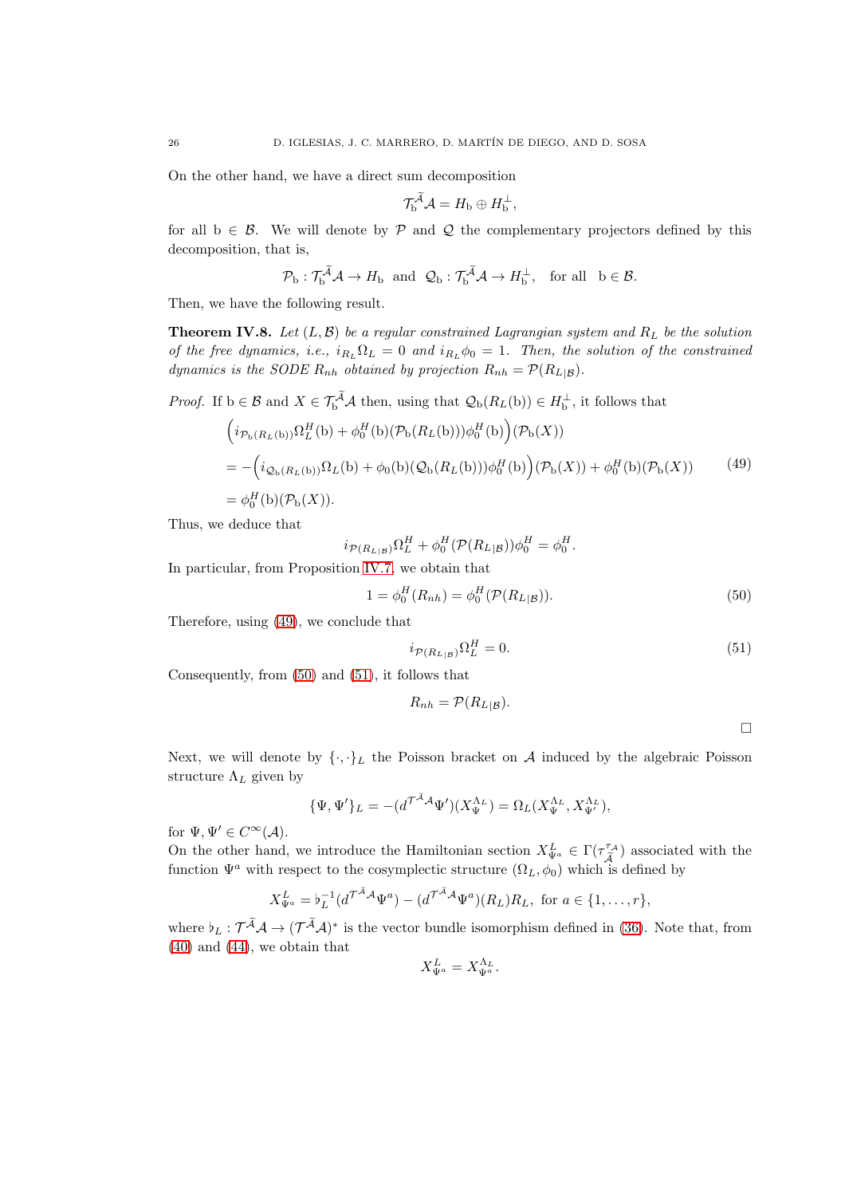On the other hand, we have a direct sum decomposition

$$
\mathcal{T}_{\mathrm{b}}^{\mathcal{A}}\mathcal{A}=H_{\mathrm{b}}\oplus H_{\mathrm{b}}^{\perp},
$$

for all  $b \in \mathcal{B}$ . We will denote by  $\mathcal{P}$  and  $\mathcal{Q}$  the complementary projectors defined by this decomposition, that is,

$$
\mathcal{P}_{\mathbf{b}}: \mathcal{T}_{\mathbf{b}}^{\widetilde{\mathcal{A}}}\mathcal{A} \to H_{\mathbf{b}} \text{ and } \mathcal{Q}_{\mathbf{b}}: \mathcal{T}_{\mathbf{b}}^{\widetilde{\mathcal{A}}}\mathcal{A} \to H_{\mathbf{b}}^{\perp}, \text{ for all } \mathbf{b} \in \mathcal{B}.
$$

Then, we have the following result.

**Theorem IV.8.** Let  $(L, \mathcal{B})$  be a regular constrained Lagrangian system and  $R_L$  be the solution of the free dynamics, i.e.,  $i_{R_L} \Omega_L = 0$  and  $i_{R_L} \phi_0 = 1$ . Then, the solution of the constrained dynamics is the SODE  $R_{nh}$  obtained by projection  $R_{nh} = \mathcal{P}(R_{L|B})$ .

*Proof.* If  $b \in \mathcal{B}$  and  $X \in \mathcal{T}_{b}^{\mathcal{A}}\mathcal{A}$  then, using that  $\mathcal{Q}_{b}(R_{L}(b)) \in H_{b}^{\perp}$ , it follows that

<span id="page-25-0"></span>
$$
\begin{aligned}\n\left(i_{\mathcal{P}_{b}(R_{L}(b))}\Omega_{L}^{H}(b) + \phi_{0}^{H}(b)(\mathcal{P}_{b}(R_{L}(b)))\phi_{0}^{H}(b)\right) & (\mathcal{P}_{b}(X)) \\
= -\left(i_{\mathcal{Q}_{b}(R_{L}(b))}\Omega_{L}(b) + \phi_{0}(b)(\mathcal{Q}_{b}(R_{L}(b)))\phi_{0}^{H}(b)\right)(\mathcal{P}_{b}(X)) + \phi_{0}^{H}(b)(\mathcal{P}_{b}(X)) \\
= \phi_{0}^{H}(b)(\mathcal{P}_{b}(X)).\n\end{aligned} \tag{49}
$$

Thus, we deduce that

$$
i_{\mathcal{P}(R_{L\,|\mathcal{B}})}\Omega_L^H + \phi_0^H(\mathcal{P}(R_{L\,|\mathcal{B}}))\phi_0^H = \phi_0^H.
$$

In particular, from Proposition [IV.7,](#page-24-1) we obtain that

<span id="page-25-1"></span>
$$
1 = \phi_0^H(R_{nh}) = \phi_0^H(\mathcal{P}(R_{L|\mathcal{B}})).
$$
\n(50)

Therefore, using [\(49\)](#page-25-0), we conclude that

<span id="page-25-2"></span>
$$
i_{\mathcal{P}(R_{L\,|\mathcal{B}})}\Omega_L^H = 0.\tag{51}
$$

Consequently, from [\(50\)](#page-25-1) and [\(51\)](#page-25-2), it follows that

$$
R_{nh} = \mathcal{P}(R_{L|\mathcal{B}}).
$$

Next, we will denote by  $\{\cdot,\cdot\}_L$  the Poisson bracket on A induced by the algebraic Poisson structure  $\Lambda_L$  given by

$$
\{\Psi, \Psi'\}_L = -(d^{\mathcal{T}^{\tilde{\mathcal{A}}}\mathcal{A}}\Psi')(X^{\Lambda_L}_{\Psi}) = \Omega_L(X^{\Lambda_L}_{\Psi}, X^{\Lambda_L}_{\Psi'}),
$$

for  $\Psi, \Psi' \in C^{\infty}(\mathcal{A})$ .

On the other hand, we introduce the Hamiltonian section  $X_{\Psi^a}^L \in \Gamma(\tau_A^{\tau_{\mathcal{A}}}$  $\left(\begin{matrix} \tau_A \\ \tilde{A} \end{matrix}\right)$  associated with the function  $\Psi^a$  with respect to the cosymplectic structure  $(\Omega_L, \phi_0)$  which is defined by

$$
X_{\Psi^a}^L = \flat_L^{-1} (d^{\mathcal{T}^{\widetilde{\mathcal{A}}}\mathcal{A}} \Psi^a) - (d^{\mathcal{T}^{\widetilde{\mathcal{A}}}\mathcal{A}} \Psi^a)(R_L) R_L, \text{ for } a \in \{1, \ldots, r\},\
$$

where  $\flat_L : \mathcal{T}^{\mathcal{A}}\mathcal{A} \to (\mathcal{T}^{\mathcal{A}}\mathcal{A})^*$  is the vector bundle isomorphism defined in [\(36\)](#page-19-3). Note that, from [\(40\)](#page-20-1) and [\(44\)](#page-21-3), we obtain that

$$
X_{\Psi^a}^L = X_{\Psi^a}^{\Lambda_L}.
$$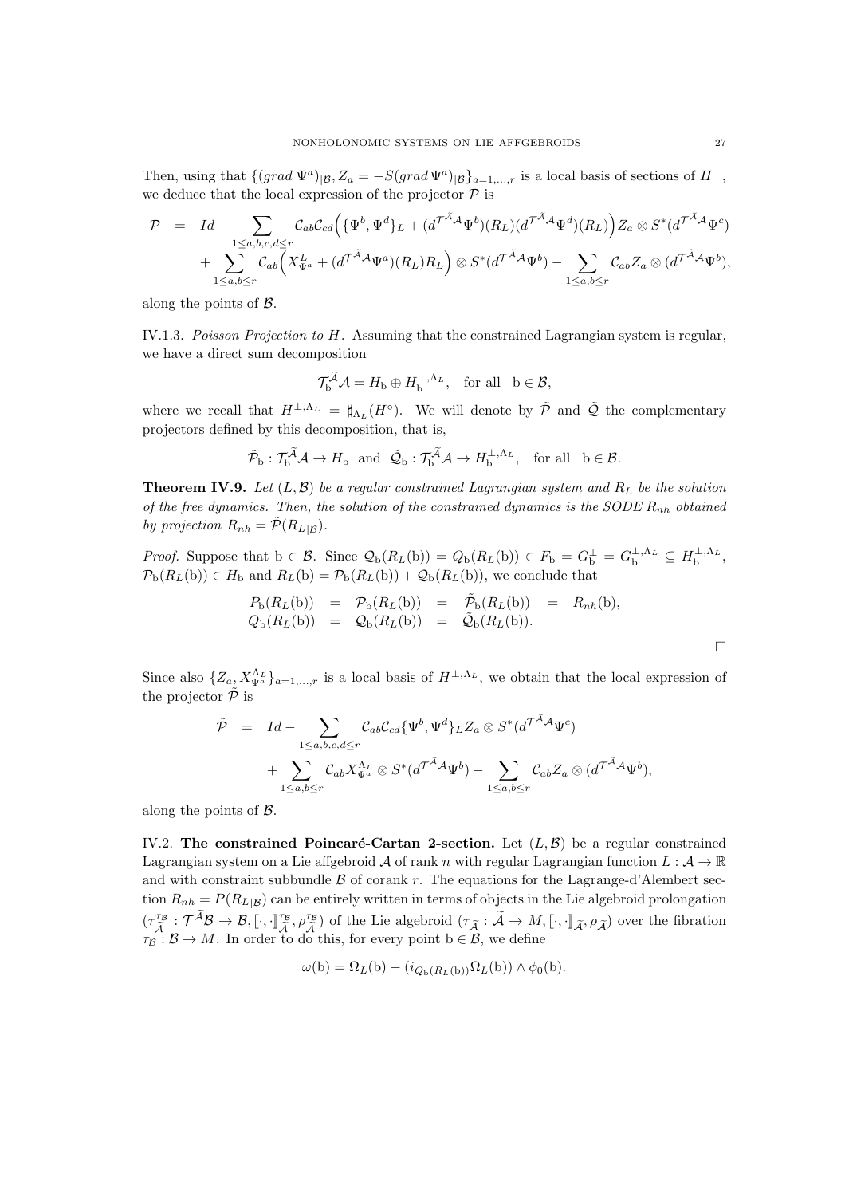Then, using that  $\{(\text{grad }\Psi^a)|_\mathcal{B}, Z_a = -S(\text{grad }\Psi^a)|_\mathcal{B}\}_{a=1,\dots,r}$  is a local basis of sections of  $H^{\perp}$ , we deduce that the local expression of the projector  $P$  is

$$
\mathcal{P} = Id - \sum_{1 \leq a,b,c,d \leq r} C_{ab} C_{cd} \Big( \{ \Psi^b, \Psi^d \}_{L} + (d^{\mathcal{T}^{\tilde{A}} \mathcal{A}} \Psi^b)(R_L) (d^{\mathcal{T}^{\tilde{A}} \mathcal{A}} \Psi^d)(R_L) \Big) Z_a \otimes S^*(d^{\mathcal{T}^{\tilde{A}} \mathcal{A}} \Psi^c) + \sum_{1 \leq a,b \leq r} C_{ab} \Big( X_{\Psi^a}^L + (d^{\mathcal{T}^{\tilde{A}} \mathcal{A}} \Psi^a)(R_L) R_L \Big) \otimes S^*(d^{\mathcal{T}^{\tilde{A}} \mathcal{A}} \Psi^b) - \sum_{1 \leq a,b \leq r} C_{ab} Z_a \otimes (d^{\mathcal{T}^{\tilde{A}} \mathcal{A}} \Psi^b),
$$

along the points of  $\beta$ .

IV.1.3. Poisson Projection to H. Assuming that the constrained Lagrangian system is regular, we have a direct sum decomposition

$$
\mathcal{T}_{\mathbf{b}}^{\tilde{\mathcal{A}}} \mathcal{A} = H_{\mathbf{b}} \oplus H_{\mathbf{b}}^{\perp, \Lambda_L}, \text{ for all } \mathbf{b} \in \mathcal{B},
$$

where we recall that  $H^{\perp,\Lambda_L} = \sharp_{\Lambda_L}(H^{\circ})$ . We will denote by  $\tilde{\mathcal{P}}$  and  $\tilde{\mathcal{Q}}$  the complementary projectors defined by this decomposition, that is,

$$
\tilde{\mathcal{P}}_{\mathbf{b}} : \mathcal{T}_{\mathbf{b}}^{\tilde{\mathcal{A}}} \mathcal{A} \to H_{\mathbf{b}} \text{ and } \tilde{\mathcal{Q}}_{\mathbf{b}} : \mathcal{T}_{\mathbf{b}}^{\tilde{\mathcal{A}}} \mathcal{A} \to H_{\mathbf{b}}^{\perp, \Lambda_L}, \text{ for all } \mathbf{b} \in \mathcal{B}.
$$

**Theorem IV.9.** Let  $(L, \mathcal{B})$  be a regular constrained Lagrangian system and  $R_L$  be the solution of the free dynamics. Then, the solution of the constrained dynamics is the SODE  $R_{nh}$  obtained by projection  $R_{nh} = \tilde{\mathcal{P}}(R_{L|\mathcal{B}})$ .

*Proof.* Suppose that  $b \in \mathcal{B}$ . Since  $\mathcal{Q}_b(R_L(b)) = Q_b(R_L(b)) \in F_b = G_b^{\perp} = G_b^{\perp,\Lambda_L} \subseteq H_b^{\perp,\Lambda_L}$ ,  $\mathcal{P}_{b}(R_L(b)) \in H_b$  and  $R_L(b) = \mathcal{P}_{b}(R_L(b)) + \mathcal{Q}_{b}(R_L(b))$ , we conclude that

$$
P_{\mathbf{b}}(R_L(\mathbf{b})) = \mathcal{P}_{\mathbf{b}}(R_L(\mathbf{b})) = \tilde{\mathcal{P}}_{\mathbf{b}}(R_L(\mathbf{b})) = R_{nh}(\mathbf{b}),
$$
  
\n
$$
Q_{\mathbf{b}}(R_L(\mathbf{b})) = \mathcal{Q}_{\mathbf{b}}(R_L(\mathbf{b})) = \tilde{\mathcal{Q}}_{\mathbf{b}}(R_L(\mathbf{b})).
$$

Since also  $\{Z_a, X_{\Psi^a}^{\Lambda_L}\}_{a=1,\dots,r}$  is a local basis of  $H^{\perp,\Lambda_L}$ , we obtain that the local expression of the projector  $\tilde{\mathcal{P}}$  is

$$
\tilde{\mathcal{P}} = Id - \sum_{1 \leq a,b,c,d \leq r} C_{ab} C_{cd} {\{\Psi^b, \Psi^d\}}_L Z_a \otimes S^*(d^{\mathcal{T}^{\tilde{A}}\mathcal{A}} \Psi^c) \n+ \sum_{1 \leq a,b \leq r} C_{ab} X_{\Psi^a}^{\Lambda_L} \otimes S^*(d^{\mathcal{T}^{\tilde{A}}\mathcal{A}} \Psi^b) - \sum_{1 \leq a,b \leq r} C_{ab} Z_a \otimes (d^{\mathcal{T}^{\tilde{A}}\mathcal{A}} \Psi^b),
$$

<span id="page-26-0"></span>along the points of B.

IV.2. The constrained Poincaré-Cartan 2-section. Let  $(L, \mathcal{B})$  be a regular constrained Lagrangian system on a Lie affgebroid A of rank n with regular Lagrangian function  $L : \mathcal{A} \to \mathbb{R}$ and with constraint subbundle  $\beta$  of corank r. The equations for the Lagrange-d'Alembert section  $R_{nh} = P(R_{L|B})$  can be entirely written in terms of objects in the Lie algebroid prolongation  $(\tau^{\tau_B}_{\widetilde{\lambda}})$  $\widetilde{\tilde{\mathcal{A}}}^{\tau_{\mathcal{B}}} : \mathcal{T}^{\tilde{\mathcal{A}}}\mathcal{B} \rightarrow \mathcal{B}, \llbracket \cdot, \cdot \rrbracket^{\tau_{\mathcal{B}}}_{\tilde{\mathcal{A}}}, \rho^{\tau_{\mathcal{B}}}_{\tilde{\mathcal{A}}}$ <sup>78</sup>) of the Lie algebroid  $(\tau_{\tilde{\mathcal{A}}} : \mathcal{A} \to M, [\![\cdot, \cdot]\!]_{\tilde{\mathcal{A}}}$ ,  $\rho_{\tilde{\mathcal{A}}}$  over the fibration  $\tau_{\mathcal{B}}:\mathcal{B}\to M.$  In order to do this, for every point  $b\in\mathcal{B}$ , we define

$$
\omega(b) = \Omega_L(b) - (i_{Q_b(R_L(b))}\Omega_L(b)) \wedge \phi_0(b).
$$

 $\Box$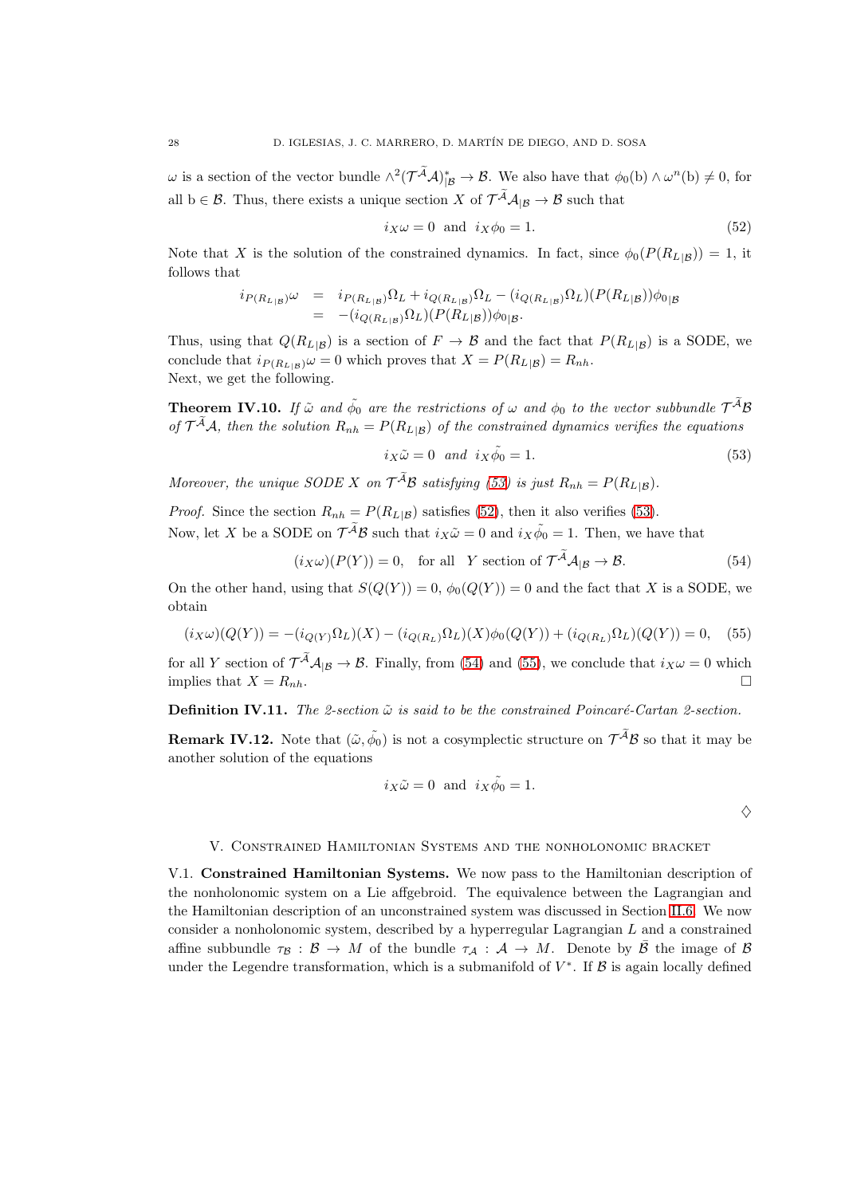$\omega$  is a section of the vector bundle  $\wedge^2(\mathcal{T}^{\mathcal{A}}\mathcal{A})^*_{|\mathcal{B}}\to\mathcal{B}$ . We also have that  $\phi_0(b)\wedge\omega^n(b)\neq 0$ , for all  $b \in \mathcal{B}$ . Thus, there exists a unique section X of  $\mathcal{T}^{\mathcal{A}}\mathcal{A}_{|\mathcal{B}} \to \mathcal{B}$  such that

<span id="page-27-3"></span>
$$
i_X \omega = 0 \text{ and } i_X \phi_0 = 1. \tag{52}
$$

Note that X is the solution of the constrained dynamics. In fact, since  $\phi_0(P(R_{L|B})) = 1$ , it follows that

$$
i_{P(R_{L|B})}\omega = i_{P(R_{L|B})}\Omega_L + i_{Q(R_{L|B})}\Omega_L - (i_{Q(R_{L|B})}\Omega_L)(P(R_{L|B}))\phi_{0|B}
$$
  
= 
$$
-(i_{Q(R_{L|B})}\Omega_L)(P(R_{L|B}))\phi_{0|B}.
$$

Thus, using that  $Q(R_{L|\mathcal{B}})$  is a section of  $F \to \mathcal{B}$  and the fact that  $P(R_{L|\mathcal{B}})$  is a SODE, we conclude that  $i_{P(R_{L|B})}\omega = 0$  which proves that  $X = P(R_{L|B}) = R_{nh}$ . Next, we get the following.

**Theorem IV.10.** If  $\tilde{\omega}$  and  $\tilde{\phi_0}$  are the restrictions of  $\omega$  and  $\phi_0$  to the vector subbundle  $\mathcal{T}^{\widetilde{\mathcal{A}}} \mathcal{B}$ of  $\mathcal{T}^A\mathcal{A}$ , then the solution  $R_{nh} = P(R_{L|\mathcal{B}})$  of the constrained dynamics verifies the equations

<span id="page-27-2"></span>
$$
i_X \tilde{\omega} = 0 \quad and \quad i_X \tilde{\phi}_0 = 1. \tag{53}
$$

Moreover, the unique SODE X on  $\mathcal{T}^{A}\mathcal{B}$  satisfying [\(53\)](#page-27-2) is just  $R_{nh} = P(R_{L|\mathcal{B}})$ .

*Proof.* Since the section  $R_{nh} = P(R_{L|B})$  satisfies [\(52\)](#page-27-3), then it also verifies [\(53\)](#page-27-2). Now, let X be a SODE on  $\mathcal{T}^{\widetilde{\mathcal{A}}} \mathcal{B}$  such that  $i_X \tilde{\omega} = 0$  and  $i_X \tilde{\phi}_0 = 1$ . Then, we have that

<span id="page-27-4"></span>
$$
(i_X \omega)(P(Y)) = 0, \text{ for all } Y \text{ section of } \mathcal{T}^{\mathcal{A}} \mathcal{A}_{|\mathcal{B}} \to \mathcal{B}.
$$
 (54)

On the other hand, using that  $S(Q(Y)) = 0$ ,  $\phi_0(Q(Y)) = 0$  and the fact that X is a SODE, we obtain

<span id="page-27-5"></span>
$$
(i_X\omega)(Q(Y)) = -(i_{Q(Y)}\Omega_L)(X) - (i_{Q(R_L)}\Omega_L)(X)\phi_0(Q(Y)) + (i_{Q(R_L)}\Omega_L)(Q(Y)) = 0,\tag{55}
$$

for all Y section of  $\mathcal{T}^{\mathcal{A}}\mathcal{A}_{|\mathcal{B}} \to \mathcal{B}$ . Finally, from [\(54\)](#page-27-4) and [\(55\)](#page-27-5), we conclude that  $i_X\omega = 0$  which implies that  $X = R_{nh}$ .

## **Definition IV.11.** The 2-section  $\tilde{\omega}$  is said to be the constrained Poincaré-Cartan 2-section.

**Remark IV.12.** Note that  $(\tilde{\omega}, \tilde{\phi_0})$  is not a cosymplectic structure on  $\mathcal{T}^{\tilde{\mathcal{A}}}B$  so that it may be another solution of the equations

$$
i_X\tilde{\omega} = 0
$$
 and  $i_X\tilde{\phi}_0 = 1$ .

 $\diamondsuit$ 

## V. Constrained Hamiltonian Systems and the nonholonomic bracket

<span id="page-27-1"></span><span id="page-27-0"></span>V.1. Constrained Hamiltonian Systems. We now pass to the Hamiltonian description of the nonholonomic system on a Lie affgebroid. The equivalence between the Lagrangian and the Hamiltonian description of an unconstrained system was discussed in Section [II.6.](#page-13-0) We now consider a nonholonomic system, described by a hyperregular Lagrangian L and a constrained affine subbundle  $\tau_B : \mathcal{B} \to M$  of the bundle  $\tau_A : \mathcal{A} \to M$ . Denote by  $\mathcal{B}$  the image of  $\mathcal{B}$ under the Legendre transformation, which is a submanifold of  $V^*$ . If  $\mathcal B$  is again locally defined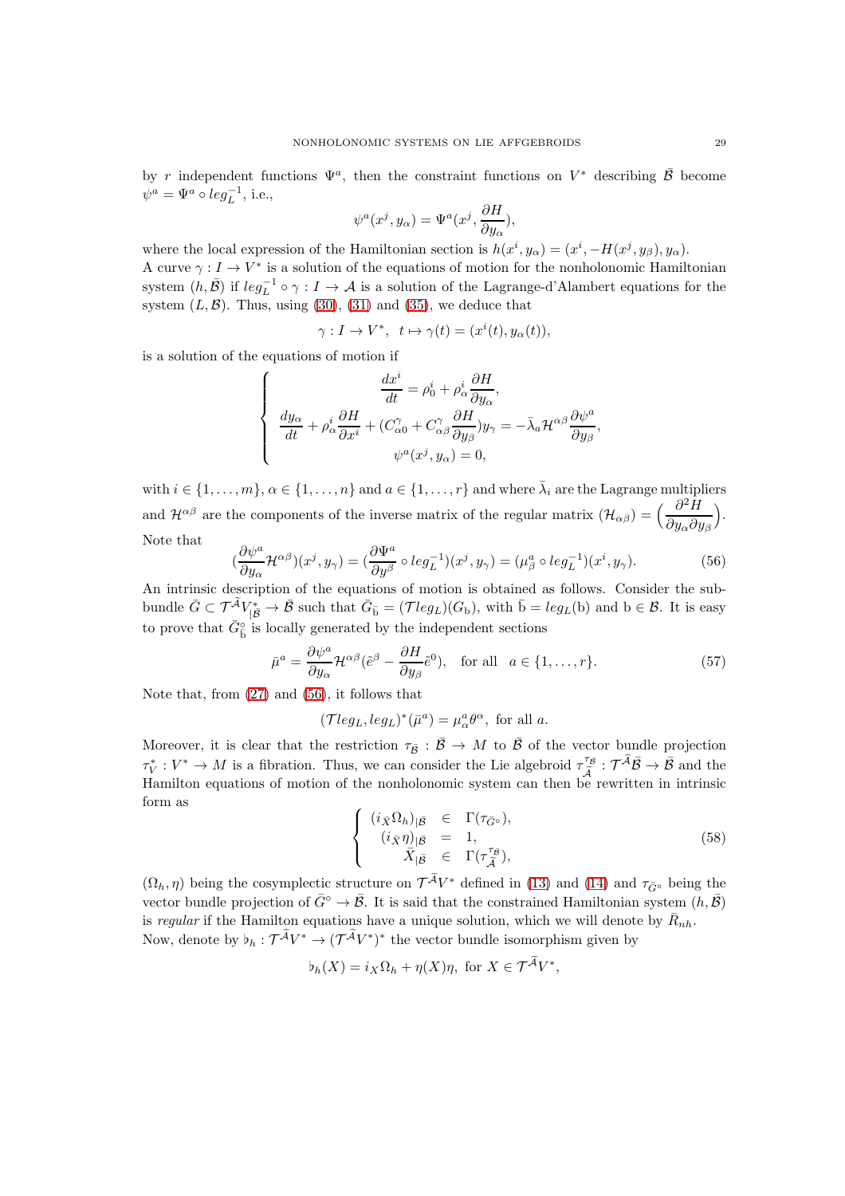by r independent functions  $\Psi^a$ , then the constraint functions on  $V^*$  describing  $\bar{\mathcal{B}}$  become  $\psi^a = \Psi^a \circ leg_L^{-1}$ , i.e.,

$$
\psi^a(x^j, y_\alpha) = \Psi^a(x^j, \frac{\partial H}{\partial y_\alpha}),
$$

where the local expression of the Hamiltonian section is  $h(x^i, y_\alpha) = (x^i, -H(x^j, y_\beta), y_\alpha)$ . A curve  $\gamma: I \to V^*$  is a solution of the equations of motion for the nonholonomic Hamiltonian system  $(h, \bar{B})$  if  $leg_L^{-1} \circ \gamma : I \to A$  is a solution of the Lagrange-d'Alambert equations for the system  $(L, \mathcal{B})$ . Thus, using  $(30)$ ,  $(31)$  and  $(35)$ , we deduce that

$$
\gamma: I \to V^*, \ \ t \mapsto \gamma(t) = (x^i(t), y_\alpha(t)),
$$

is a solution of the equations of motion if

$$
\label{eq:2.1} \left\{ \begin{array}{c} \displaystyle \frac{dx^i}{dt}=\rho_0^i+\rho_\alpha^i\frac{\partial H}{\partial y_\alpha},\\[1.5ex] \displaystyle \frac{dy_\alpha}{dt}+\rho_\alpha^i\frac{\partial H}{\partial x^i}+(C_{\alpha 0}^\gamma+C_{\alpha\beta}^\gamma\frac{\partial H}{\partial y_\beta})y_\gamma=-\bar{\lambda}_a\mathcal{H}^{\alpha\beta}\frac{\partial\psi^a}{\partial y_\beta},\\[1.5ex] \psi^a(x^j,y_\alpha)=0, \end{array} \right.
$$

with  $i \in \{1, \ldots, m\}, \alpha \in \{1, \ldots, n\}$  and  $a \in \{1, \ldots, r\}$  and where  $\overline{\lambda}_i$  are the Lagrange multipliers and  $\mathcal{H}^{\alpha\beta}$  are the components of the inverse matrix of the regular matrix  $(\mathcal{H}_{\alpha\beta}) = \left(\frac{\partial^2 H}{\partial \mu} \right)^2$  $\partial y_\alpha \partial y_\beta$  . Note that

<span id="page-28-0"></span>
$$
\left(\frac{\partial\psi^a}{\partial y_\alpha}\mathcal{H}^{\alpha\beta}\right)(x^j, y_\gamma) = \left(\frac{\partial\Psi^a}{\partial y^\beta}\circ leg_L^{-1}\right)(x^j, y_\gamma) = \left(\mu_\beta^a \circ leg_L^{-1}\right)(x^i, y_\gamma). \tag{56}
$$

An intrinsic description of the equations of motion is obtained as follows. Consider the subbundle  $\bar{G} \subset \mathcal{T}^{\tilde{\mathcal{A}}}V_{|\tilde{\mathcal{B}}}^* \to \bar{\mathcal{B}}$  such that  $\bar{G}_{\bar{b}} = (\mathcal{T}leg_L)(G_b)$ , with  $\bar{b} = leg_L(b)$  and  $b \in \mathcal{B}$ . It is easy to prove that  $\bar{G}_{\bar{\text{b}}}^{\circ}$  is locally generated by the independent sections

<span id="page-28-2"></span>
$$
\bar{\mu}^a = \frac{\partial \psi^a}{\partial y_\alpha} \mathcal{H}^{\alpha\beta} (\tilde{e}^\beta - \frac{\partial H}{\partial y_\beta} \tilde{e}^0), \text{ for all } a \in \{1, \dots, r\}. \tag{57}
$$

Note that, from [\(27\)](#page-13-5) and [\(56\)](#page-28-0), it follows that

$$
(\mathcal{T}leg_L, leg_L)^*(\bar{\mu}^a) = \mu^a_\alpha \theta^\alpha, \text{ for all } a.
$$

Moreover, it is clear that the restriction  $\tau_{\bar{\mathcal{B}}}$  :  $\bar{\mathcal{B}} \to M$  to  $\bar{\mathcal{B}}$  of the vector bundle projection  $\tau_V^*: V^* \to M$  is a fibration. Thus, we can consider the Lie algebroid  $\tau_{\widetilde{A}}^{\tau_B}$  $\overline{\tilde{\mathcal{A}}}^{\tau_{\tilde{\mathcal{B}}}}$ :  $\mathcal{T}^{\tilde{\mathcal{A}}}\overline{\mathcal{B}} \to \overline{\mathcal{B}}$  and the Hamilton equations of motion of the nonholonomic system can then be rewritten in intrinsic form as

<span id="page-28-1"></span>
$$
\begin{cases}\n(i_{\bar{X}}\Omega_h)_{|\bar{B}} \in \Gamma(\tau_{\bar{G}^{\circ}}), \\
(i_{\bar{X}}\eta)_{|\bar{B}} = 1, \\
\bar{X}_{|\bar{B}} \in \Gamma(\tau_{\bar{A}}^{\tau_{\bar{B}}}),\n\end{cases}
$$
\n(58)

 $(\Omega_h, \eta)$  being the cosymplectic structure on  $\mathcal{T}^{\mathcal{A}}V^*$  defined in [\(13\)](#page-10-0) and [\(14\)](#page-10-1) and  $\tau_{\bar{G}^{\circ}}$  being the vector bundle projection of  $\bar{G}$ <sup>°</sup>  $\rightarrow \bar{\mathcal{B}}$ . It is said that the constrained Hamiltonian system  $(h, \bar{\mathcal{B}})$ is regular if the Hamilton equations have a unique solution, which we will denote by  $\bar{R}_{nh}$ . Now, denote by  $\flat_h: \mathcal{T}^{\mathcal{A}}V^* \to (\mathcal{T}^{\mathcal{A}}V^*)^*$  the vector bundle isomorphism given by

$$
\flat_h(X) = i_X \Omega_h + \eta(X)\eta, \text{ for } X \in \mathcal{T}^{\mathcal{A}} V^*,
$$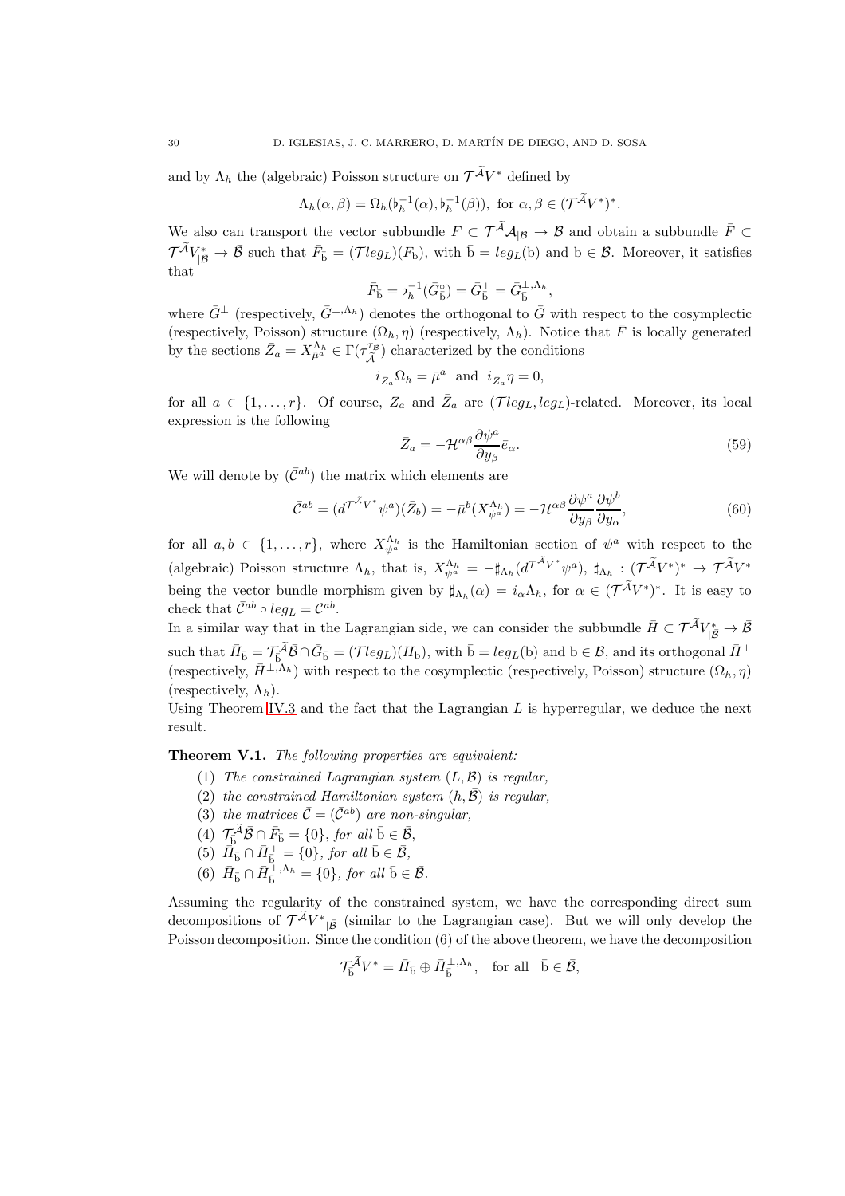and by  $\Lambda_h$  the (algebraic) Poisson structure on  $\mathcal{T}^AV^*$  defined by

$$
\Lambda_h(\alpha,\beta) = \Omega_h(\flat_h^{-1}(\alpha),\flat_h^{-1}(\beta)), \text{ for } \alpha,\beta \in (\mathcal{T}^{\mathcal{A}}V^*)^*.
$$

We also can transport the vector subbundle  $F \subset \mathcal{T}^{\widetilde{\mathcal{A}}}\mathcal{A}_{|\mathcal{B}} \to \mathcal{B}$  and obtain a subbundle  $\overline{F} \subset \mathcal{T}^{\widetilde{\mathcal{A}}}$  $\mathcal{T}^{\widetilde{\mathcal{A}}}V_{|\widetilde{\mathcal{B}}}^* \to \overline{\mathcal{B}}$  such that  $\overline{F}_{\overline{\mathbf{b}}} = (\mathcal{T}leg_L)(F_{\mathbf{b}})$ , with  $\overline{\mathbf{b}} = leg_L(\mathbf{b})$  and  $\mathbf{b} \in \mathcal{B}$ . Moreover, it satisfies that

$$
\bar{F}_{\bar{\mathbf{b}}} = \flat_h^{-1}(\bar{G}_{\bar{\mathbf{b}}}^{\circ}) = \bar{G}_{\bar{\mathbf{b}}}^{\perp} = \bar{G}_{\bar{\mathbf{b}}}^{\perp,\Lambda_h},
$$

where  $\bar{G}^{\perp}$  (respectively,  $\bar{G}^{\perp,\Lambda_h}$ ) denotes the orthogonal to  $\bar{G}$  with respect to the cosymplectic (respectively, Poisson) structure  $(\Omega_h, \eta)$  (respectively,  $\Lambda_h$ ). Notice that  $\overline{F}$  is locally generated by the sections  $\bar{Z}_a = X^{\Lambda_h}_{\bar{\mu}^a} \in \Gamma(\tau^{\tau_{\bar{\beta}}}_{\widetilde{A}})$  $(\tilde{\tilde{A}})^{T_{\tilde{\mathcal{B}}}}$  characterized by the conditions

$$
i_{\bar{Z}_a} \Omega_h = \bar{\mu}^a
$$
 and  $i_{\bar{Z}_a} \eta = 0$ ,

for all  $a \in \{1, \ldots, r\}$ . Of course,  $Z_a$  and  $\overline{Z}_a$  are  $(\mathcal{T} leg_L, leg_L)$ -related. Moreover, its local expression is the following

<span id="page-29-2"></span>
$$
\bar{Z}_a = -\mathcal{H}^{\alpha\beta} \frac{\partial \psi^a}{\partial y_\beta} \bar{e}_\alpha.
$$
\n(59)

We will denote by  $(\bar{\mathcal{C}}^{ab})$  the matrix which elements are

<span id="page-29-1"></span>
$$
\bar{\mathcal{C}}^{ab} = (d^{\mathcal{T}^{\tilde{\mathcal{A}}_V*}} \psi^a)(\bar{Z}_b) = -\bar{\mu}^b(X_{\psi^a}^{\Lambda_h}) = -\mathcal{H}^{\alpha\beta} \frac{\partial \psi^a}{\partial y_\beta} \frac{\partial \psi^b}{\partial y_\alpha},\tag{60}
$$

for all  $a, b \in \{1, \ldots, r\}$ , where  $X_{\psi^a}^{\Lambda_h}$  is the Hamiltonian section of  $\psi^a$  with respect to the (algebraic) Poisson structure  $\Lambda_h$ , that is,  $X_{\psi^a}^{\Lambda_h} = -\sharp_{\Lambda_h} (d^{\mathcal{T}^A V^*} \psi^a), \sharp_{\Lambda_h} : (\mathcal{T}^{\widetilde{A}} V^*)^* \to \mathcal{T}^{\widetilde{A}} V^*$ being the vector bundle morphism given by  $\sharp_{\Lambda_h}(\alpha) = i_\alpha \Lambda_h$ , for  $\alpha \in (\mathcal{T}^{\mathcal{A}} V^*)^*$ . It is easy to check that  $\bar{C}^{ab} \circ leg_L = C^{ab}$ .

In a similar way that in the Lagrangian side, we can consider the subbundle  $\bar{H} \subset \mathcal{T}^{\tilde{A}}V_{|\tilde{\mathcal{B}}}^* \to \bar{\mathcal{B}}$ such that  $\bar{H}_{\bar{\text{b}}} = \mathcal{T}_{\bar{\text{b}}}^{\tilde{\mathcal{A}}} \bar{\mathcal{B}} \cap \bar{G}_{\bar{\text{b}}} = (\mathcal{T} leg_L)(H_{\text{b}}), \text{ with } \bar{\text{b}} = leg_L(\text{b}) \text{ and } \text{b} \in \mathcal{B}, \text{ and its orthogonal } \bar{H}^{\perp}$ (respectively,  $\bar{H}^{\perp,\Lambda_h}$ ) with respect to the cosymplectic (respectively, Poisson) structure  $(\Omega_h, \eta)$ (respectively,  $\Lambda_h$ ).

Using Theorem [IV.3](#page-21-2) and the fact that the Lagrangian  $L$  is hyperregular, we deduce the next result.

<span id="page-29-0"></span>Theorem V.1. The following properties are equivalent:

- (1) The constrained Lagrangian system  $(L, \mathcal{B})$  is regular.
- (2) the constrained Hamiltonian system  $(h, \bar{B})$  is regular,
- (3) the matrices  $\bar{\mathcal{C}} = (\bar{\mathcal{C}}^{ab})$  are non-singular,
- (4)  $\mathcal{T}_{\bar{\mathbf{b}}} \tilde{\mathcal{A}} \tilde{\mathcal{B}} \cap \bar{F}_{\bar{\mathbf{b}}} = \{0\}, \text{ for all } \bar{\mathbf{b}} \in \tilde{\mathcal{B}},$
- (5)  $\tilde{H}_{\bar{\mathrm{b}}} \cap \bar{H}_{\bar{\mathrm{b}}}^{\perp} = \{0\}, \text{ for all } \bar{\mathrm{b}} \in \bar{\mathcal{B}},$
- (6)  $\bar{H}_{\bar{\mathrm{b}}} \cap \bar{H}_{\bar{\mathrm{b}}}^{\perp,\Lambda_h} = \{0\}, \text{ for all } \bar{\mathrm{b}} \in \bar{\mathcal{B}}.$

Assuming the regularity of the constrained system, we have the corresponding direct sum decompositions of  $\mathcal{T}^{\mathcal{A}}V^*_{|\mathcal{B}}$  (similar to the Lagrangian case). But we will only develop the Poisson decomposition. Since the condition (6) of the above theorem, we have the decomposition

$$
\mathcal{T}_{\bar{\mathbf{b}}}^{\bar{\mathcal{A}}}V^* = \bar{H}_{\bar{\mathbf{b}}} \oplus \bar{H}_{\bar{\mathbf{b}}}^{\perp,\Lambda_h}, \text{ for all } \bar{\mathbf{b}} \in \bar{\mathcal{B}},
$$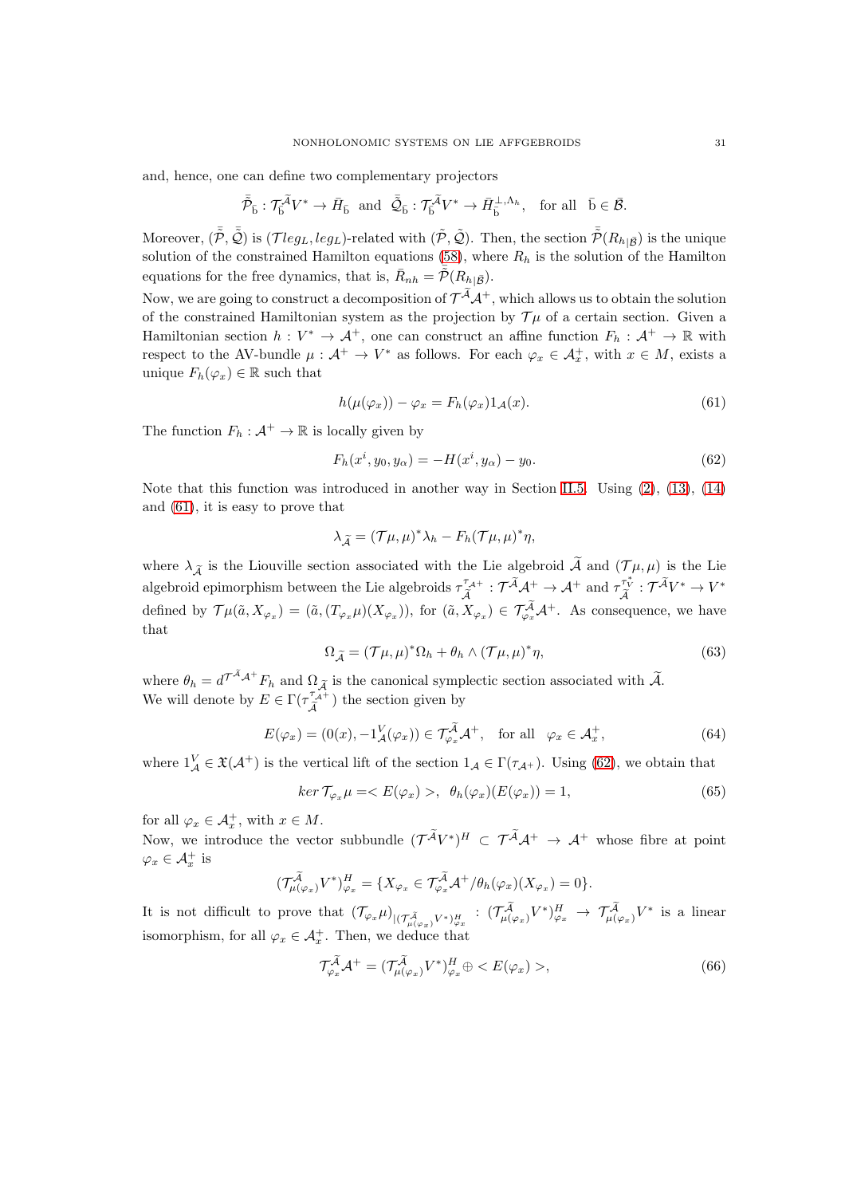and, hence, one can define two complementary projectors

$$
\bar{\tilde{\mathcal{P}}}_{\bar{b}}:\mathcal{T}_{\bar{b}}^{\tilde{\mathcal{A}}}V^* \to \bar{H}_{\bar{b}} \text{ and } \bar{\tilde{\mathcal{Q}}}_{\bar{b}}:\mathcal{T}_{\bar{b}}^{\tilde{\mathcal{A}}}V^* \to \bar{H}_{\bar{b}}^{\perp,\Lambda_h}, \text{ for all } \bar{b} \in \bar{\mathcal{B}}.
$$

Moreover,  $(\bar{\tilde{\mathcal{P}}},\bar{\tilde{\mathcal{Q}}})$  is  $(\mathcal{T}leg_L,leg_L)$ -related with  $(\tilde{\mathcal{P}},\tilde{\mathcal{Q}})$ . Then, the section  $\bar{\tilde{\mathcal{P}}}(R_{h|\bar{\mathcal{B}}})$  is the unique solution of the constrained Hamilton equations [\(58\)](#page-28-1), where  $R_h$  is the solution of the Hamilton equations for the free dynamics, that is,  $\bar{R}_{nh} = \tilde{\bar{\mathcal{P}}}(R_{h|\bar{\mathcal{B}}}).$ 

Now, we are going to construct a decomposition of  $\mathcal{T}^{\mathcal{A}}\mathcal{A}^{+}$ , which allows us to obtain the solution of the constrained Hamiltonian system as the projection by  $\mathcal{T}\mu$  of a certain section. Given a Hamiltonian section  $h: V^* \to \mathcal{A}^+$ , one can construct an affine function  $F_h: \mathcal{A}^+ \to \mathbb{R}$  with respect to the AV-bundle  $\mu : \mathcal{A}^+ \to V^*$  as follows. For each  $\varphi_x \in \mathcal{A}_x^+$ , with  $x \in M$ , exists a unique  $F_h(\varphi_x) \in \mathbb{R}$  such that

<span id="page-30-0"></span>
$$
h(\mu(\varphi_x)) - \varphi_x = F_h(\varphi_x) 1_{\mathcal{A}}(x). \tag{61}
$$

The function  $F_h : \mathcal{A}^+ \to \mathbb{R}$  is locally given by

<span id="page-30-1"></span>
$$
F_h(x^i, y_0, y_\alpha) = -H(x^i, y_\alpha) - y_0.
$$
\n(62)

Note that this function was introduced in another way in Section [II.5.](#page-9-0) Using [\(2\)](#page-4-1), [\(13\)](#page-10-0), [\(14\)](#page-10-1) and [\(61\)](#page-30-0), it is easy to prove that

$$
\lambda_{\widetilde{\mathcal{A}}} = (\mathcal{T}\mu, \mu)^* \lambda_h - F_h(\mathcal{T}\mu, \mu)^* \eta,
$$

where  $\lambda_{\tilde{\mathcal{A}}}$  is the Liouville section associated with the Lie algebroid A and  $(\mathcal{T}\mu,\mu)$  is the Lie algebroid epimorphism between the Lie algebroids  $\tau_{\widetilde{\lambda}}^{\tau_{\mathcal{A}}+}$  $\tilde{\mathcal{A}}^{\tau_{\mathcal{A}^+}}$ :  $\mathcal{T}^{\widetilde{\mathcal{A}}}\mathcal{A}^+$   $\to \mathcal{A}^+$  and  $\tau_{\widetilde{\mathcal{A}}}^{\tau_V^*}$ :  $\mathcal{T}^{\widetilde{\mathcal{A}}}V^*$   $\to V^*$ defined by  $\mathcal{T}\mu(\tilde{a},X_{\varphi_x})=(\tilde{a},(T_{\varphi_x}\mu)(X_{\varphi_x}))$ , for  $(\tilde{a},X_{\varphi_x})\in\mathcal{T}^{\mathcal{A}}_{\varphi_x}\mathcal{A}^+$ . As consequence, we have that

<span id="page-30-2"></span>
$$
\Omega_{\widetilde{\mathcal{A}}} = (\mathcal{T}\mu, \mu)^* \Omega_h + \theta_h \wedge (\mathcal{T}\mu, \mu)^* \eta, \tag{63}
$$

where  $\theta_h = d^{\mathcal{T}^A A^+} F_h$  and  $\Omega_{\widetilde{\mathcal{A}}}$  is the canonical symplectic section associated with  $\widetilde{\mathcal{A}}$ . We will denote by  $E \in \Gamma(\tau^{\tau_A +}_{\tilde{\tau}})$  $\left(\begin{matrix} A^+ \\ A^- \end{matrix}\right)$  the section given by

<span id="page-30-4"></span>
$$
E(\varphi_x) = (0(x), -1^V_{\mathcal{A}}(\varphi_x)) \in \mathcal{T}^{\widetilde{\mathcal{A}}}_{\varphi_x} \mathcal{A}^+, \text{ for all } \varphi_x \in \mathcal{A}_x^+, \tag{64}
$$

where  $1_A^V \in \mathfrak{X}(\mathcal{A}^+)$  is the vertical lift of the section  $1_{\mathcal{A}} \in \Gamma(\tau_{\mathcal{A}^+})$ . Using [\(62\)](#page-30-1), we obtain that

<span id="page-30-3"></span>
$$
ker \mathcal{T}_{\varphi_x} \mu = \langle E(\varphi_x) \rangle, \ \theta_h(\varphi_x)(E(\varphi_x)) = 1,\tag{65}
$$

for all  $\varphi_x \in \mathcal{A}_x^+$ , with  $x \in M$ .

Now, we introduce the vector subbundle  $({\cal T}^{\cal A}V^*)^H\subset{\cal T}^{\cal A}{\cal A}^+\to{\cal A}^+$  whose fibre at point  $\varphi_x \in \mathcal{A}_x^+$  is

$$
(\mathcal{T}_{\mu(\varphi_x)}^{\widetilde{\mathcal{A}}})V^*)^H_{\varphi_x} = \{X_{\varphi_x} \in \mathcal{T}_{\varphi_x}^{\widetilde{\mathcal{A}}}\mathcal{A}^+/\theta_h(\varphi_x)(X_{\varphi_x}) = 0\}.
$$

It is not difficult to prove that  $(\mathcal{T}_{\varphi_x} \mu)_{\vert (\mathcal{T}_{\mu(\varphi_x)}^{\widetilde{\mathcal{A}}}} V^*)_{\varphi_x}^H : (\mathcal{T}_{\mu(\varphi_x)}^{\mathcal{A}} V^*)_{\varphi_x}^H \to \mathcal{T}_{\mu(\varphi_x)}^{\mathcal{A}} V^*$  is a linear isomorphism, for all  $\varphi_x \in \mathcal{A}_x^+$ . Then, we deduce that

$$
\mathcal{T}_{\varphi_x}^{\widetilde{\mathcal{A}}}\mathcal{A}^+ = (\mathcal{T}_{\mu(\varphi_x)}^{\widetilde{\mathcal{A}}})V^*)^H_{\varphi_x}\oplus \langle E(\varphi_x) \rangle,
$$
\n(66)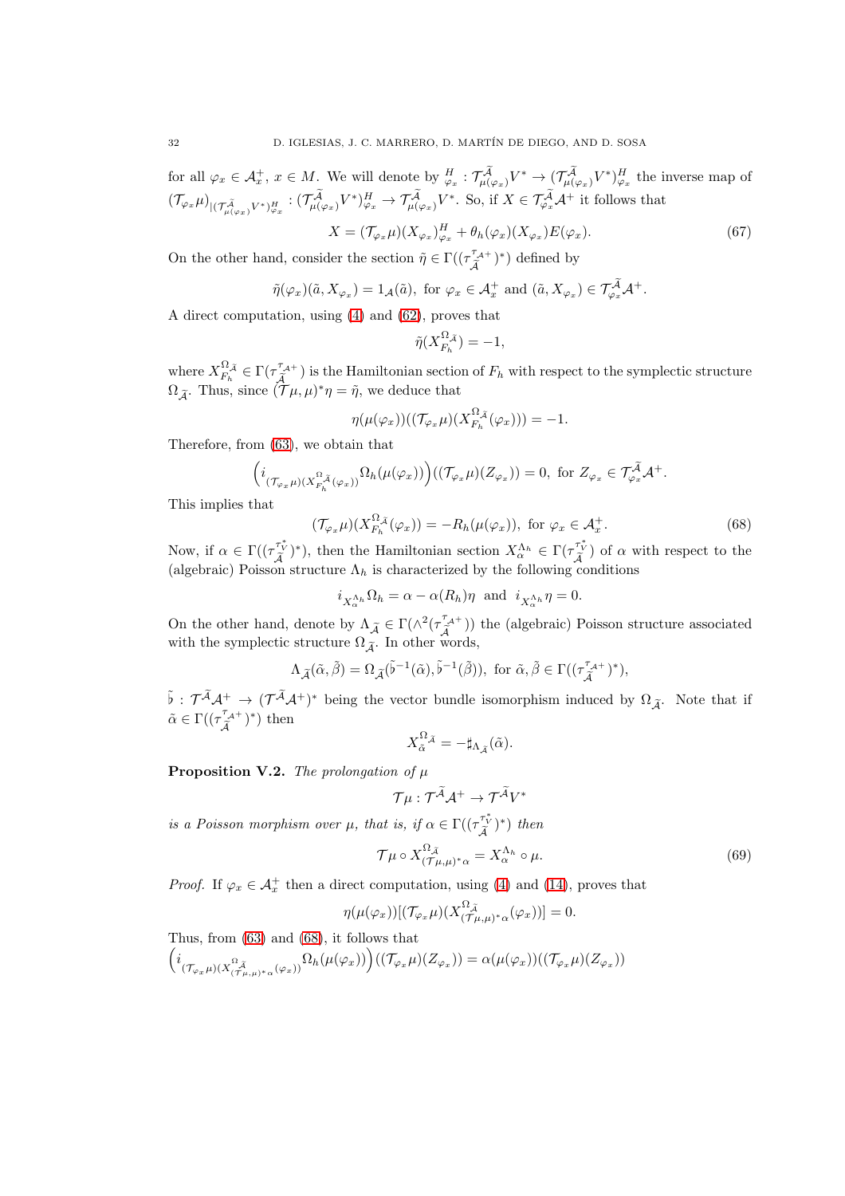for all  $\varphi_x \in \mathcal{A}_x^+$ ,  $x \in M$ . We will denote by  $\frac{H}{\varphi_x} : \mathcal{T}_{\mu(\varphi_x)}^{\mathcal{A}} V^* \to (\mathcal{T}_{\mu(\varphi_x)}^{\mathcal{A}} V^*)_{\varphi_x}^H$  the inverse map of  $(\mathcal{T}_{\varphi_x} \mu)_{\mid (\mathcal{T}_{\mu(\varphi_x)}^{\widetilde{\mathcal{A}}}} V^*)_{\varphi_x}^H : (\mathcal{T}_{\mu(\varphi_x)}^{\mathcal{A}} V^*)_{\varphi_x}^H \to \mathcal{T}_{\mu(\varphi_x)}^{\mathcal{A}} V^*$ . So, if  $X \in \mathcal{T}_{\varphi_x}^{\mathcal{A}} \mathcal{A}^+$  it follows that

<span id="page-31-3"></span>
$$
X = (\mathcal{T}_{\varphi_x} \mu)(X_{\varphi_x})_{\varphi_x}^H + \theta_h(\varphi_x)(X_{\varphi_x})E(\varphi_x). \tag{67}
$$

On the other hand, consider the section  $\tilde{\eta} \in \Gamma((\tau^{\tau_A +})$  $(\tilde{\tilde{A}}^{T_A+})^*$  defined by

$$
\tilde{\eta}(\varphi_x)(\tilde{a}, X_{\varphi_x}) = 1_{\mathcal{A}}(\tilde{a}), \text{ for } \varphi_x \in \mathcal{A}_x^+ \text{ and } (\tilde{a}, X_{\varphi_x}) \in \mathcal{T}_{\varphi_x}^{\mathcal{A}} \mathcal{A}^+.
$$

A direct computation, using [\(4\)](#page-5-1) and [\(62\)](#page-30-1), proves that

$$
\tilde{\eta}(X_{F_h}^{\Omega, \tilde{\mathcal{A}}}) = -1,
$$

where  $X_{F_h}^{\Omega, \widetilde{\mathcal{A}}} \in \Gamma(\tau^{\tau_{\mathcal{A}}+}_{\widetilde{\mathcal{A}}}$  $\mathcal{A}^{A^{+}}$ ) is the Hamiltonian section of  $F_h$  with respect to the symplectic structure  $\Omega_{\tilde{\mathcal{A}}}$ . Thus, since  $(\mathcal{T}\mu, \mu)^*\eta = \tilde{\eta}$ , we deduce that

$$
\eta(\mu(\varphi_x))((\mathcal{T}_{\varphi_x}\mu)(X_{F_h}^{\Omega,\tilde{\mathcal{A}}}(\varphi_x))) = -1.
$$

Therefore, from [\(63\)](#page-30-2), we obtain that

$$
\Big(i_{(\mathcal{T}_{\varphi_x}\mu)(X_{F_h}^{\Omega_{\widetilde{\mathcal{A}}}}(\varphi_x))}\Omega_h(\mu(\varphi_x))\Big)\big((\mathcal{T}_{\varphi_x}\mu)(Z_{\varphi_x})\big)=0,\ \text{for}\ Z_{\varphi_x}\in\mathcal{T}_{\varphi_x}^{\widetilde{\mathcal{A}}}\mathcal{A}^+.
$$

This implies that

<span id="page-31-0"></span>
$$
(\mathcal{T}_{\varphi_x}\mu)(X_{F_h}^{\Omega,\tilde{\mathcal{A}}}(\varphi_x)) = -R_h(\mu(\varphi_x)), \text{ for } \varphi_x \in \mathcal{A}_x^+.
$$
 (68)

Now, if  $\alpha \in \Gamma((\tau_{\widetilde{\mathcal{A}}}^{\tau_V^*})^*)$ , then the Hamiltonian section  $X_{\alpha}^{\Lambda_h} \in \Gamma(\tau_{\widetilde{\mathcal{A}}}^{\tau_V^*})$  of  $\alpha$  with respect to the (algebraic) Poisson structure  $\Lambda_h$  is characterized by the following conditions

$$
i_{X_{\alpha}^{\Lambda_h}}\Omega_h = \alpha - \alpha(R_h)\eta
$$
 and  $i_{X_{\alpha}^{\Lambda_h}}\eta = 0$ .

On the other hand, denote by  $\Lambda_{\widetilde{\mathcal{A}}} \in \Gamma(\wedge^2(\tau_{\widetilde{\mathcal{A}}}^{\tau_{\mathcal{A}^+}})$  $(\tilde{\tilde{A}}^{t_{A}+})$ ) the (algebraic) Poisson structure associated with the symplectic structure  $\Omega_{\widetilde{\mathcal{A}}}$ . In other words,

$$
\Lambda_{\widetilde{\mathcal{A}}}(\tilde{\alpha},\tilde{\beta}) = \Omega_{\widetilde{\mathcal{A}}}(\tilde{\flat}^{-1}(\tilde{\alpha}),\tilde{\flat}^{-1}(\tilde{\beta})), \text{ for } \tilde{\alpha}, \tilde{\beta} \in \Gamma((\tau_{\widetilde{\mathcal{A}}}^{\tau_{\mathcal{A}^+}})^*),
$$

 $\tilde{\phi}$ :  $\mathcal{T}^{\tilde{\mathcal{A}}}\mathcal{A}^+\rightarrow (\mathcal{T}^{\tilde{\mathcal{A}}}\mathcal{A}^+)^*$  being the vector bundle isomorphism induced by  $\Omega_{\tilde{\mathcal{A}}}$ . Note that if  $\tilde{\alpha} \in \Gamma((\tau^{\tau_{\mathcal{A}^{+}}}_{\tilde{\lambda}}$  $(\tilde{\tilde{A}}^{+\dagger})^*$  then

$$
X_{\tilde{\alpha}}^{\Omega, \tilde{\alpha}} = -\sharp_{\Lambda_{\tilde{\mathcal{A}}}}(\tilde{\alpha}).
$$

<span id="page-31-2"></span>**Proposition V.2.** The prolongation of  $\mu$ 

$$
{\cal T}\mu: {\cal T}^{\widetilde{\cal A}}{\cal A}^+\rightarrow {\cal T}^{\widetilde{\cal A}}V^*
$$

is a Poisson morphism over  $\mu$ , that is, if  $\alpha \in \Gamma((\tau_{\widetilde{\mathcal{A}}}^{\tau_{V}^{*}})^{*})$  then

<span id="page-31-1"></span>
$$
\mathcal{T}\mu \circ X_{(\mathcal{T}\mu,\mu)^*\alpha}^{\Omega_{\tilde{\mathcal{A}}}} = X_{\alpha}^{\Lambda_h} \circ \mu. \tag{69}
$$

*Proof.* If  $\varphi_x \in \mathcal{A}_x^+$  then a direct computation, using [\(4\)](#page-5-1) and [\(14\)](#page-10-1), proves that

$$
\eta(\mu(\varphi_x))[(\mathcal{T}_{\varphi_x}\mu)(X_{(\mathcal{T}\mu,\mu)^*\alpha}^{\Omega_{\widetilde{\mathcal{A}}}}(\varphi_x))] = 0.
$$

Thus, from [\(63\)](#page-30-2) and [\(68\)](#page-31-0), it follows that

$$
\Big(i_{(\mathcal{T}_{\varphi_x} \mu)(X^{\Omega}_{(\mathcal{T}_{\mu, \mu})^*\alpha}(\varphi_x))}\Omega_h(\mu(\varphi_x))\Big)((\mathcal{T}_{\varphi_x} \mu)(Z_{\varphi_x})) = \alpha(\mu(\varphi_x))((\mathcal{T}_{\varphi_x} \mu)(Z_{\varphi_x}))
$$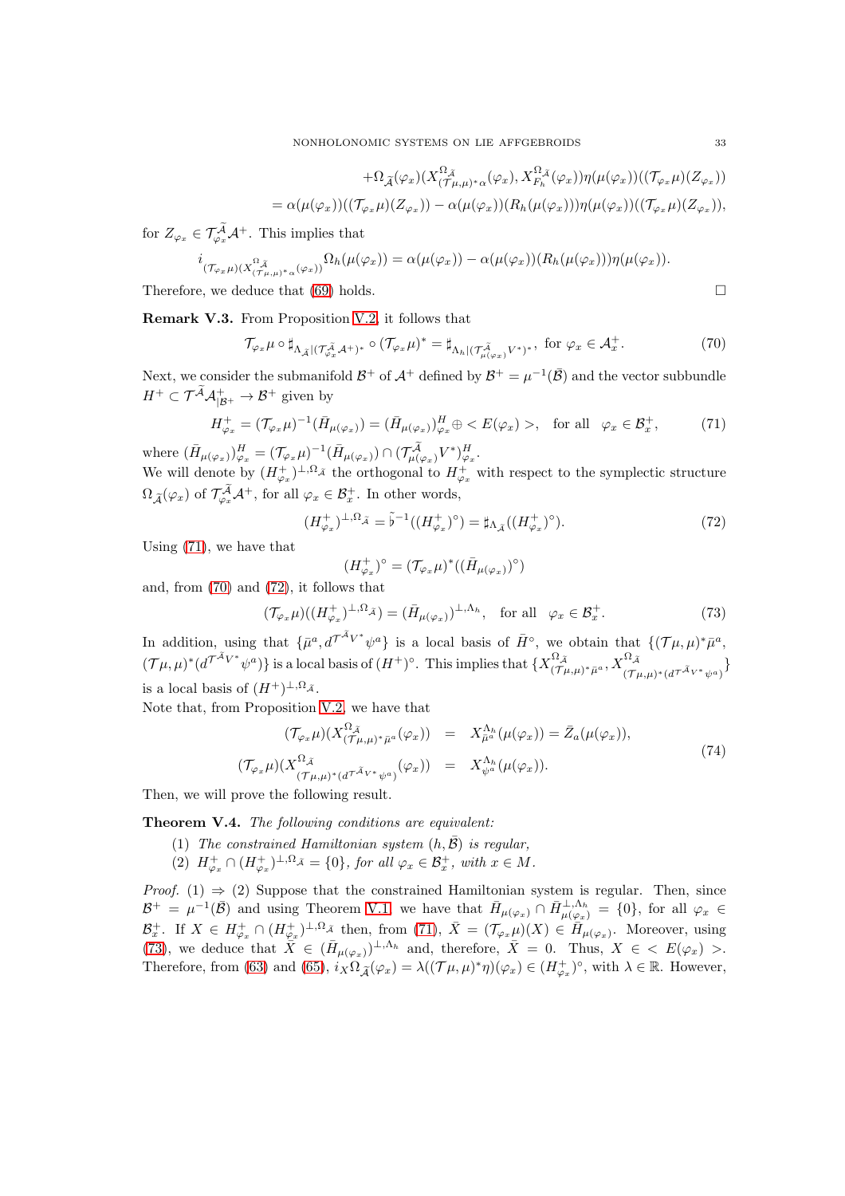$$
+ \Omega_{\widetilde{\mathcal{A}}}(\varphi_x)(X^{\Omega, \widetilde{\mathcal{A}}}_{(\mathcal{T}\mu, \mu)^* \alpha}(\varphi_x), X^{\Omega, \widetilde{\mathcal{A}}}_{F_h}(\varphi_x))\eta(\mu(\varphi_x))((\mathcal{T}_{\varphi_x}\mu)(Z_{\varphi_x}))
$$
  
=  $\alpha(\mu(\varphi_x))((\mathcal{T}_{\varphi_x}\mu)(Z_{\varphi_x})) - \alpha(\mu(\varphi_x))(R_h(\mu(\varphi_x)))\eta(\mu(\varphi_x))((\mathcal{T}_{\varphi_x}\mu)(Z_{\varphi_x})),$ 

for  $Z_{\varphi_x} \in \mathcal{T}_{\varphi_x}^{\mathcal{A}} \mathcal{A}^+$ . This implies that

$$
i_{(\mathcal{T}_{\varphi_x}\mu)(X_{(\mathcal{T}_{\mu,\mu})^*\alpha}^{\Omega_{\tilde{\mathcal{A}}}}(\varphi_x))}\Omega_h(\mu(\varphi_x))=\alpha(\mu(\varphi_x))-\alpha(\mu(\varphi_x))(R_h(\mu(\varphi_x)))\eta(\mu(\varphi_x)).
$$

Therefore, we deduce that [\(69\)](#page-31-1) holds.  $\square$ 

Remark V.3. From Proposition [V.2,](#page-31-2) it follows that

<span id="page-32-1"></span>
$$
\mathcal{T}_{\varphi_x} \mu \circ \sharp_{\Lambda_{\widetilde{\mathcal{A}}}} \circ (\mathcal{T}_{\varphi_x} \mathcal{A}^+)^* \circ (\mathcal{T}_{\varphi_x} \mu)^* = \sharp_{\Lambda_h \mid (\mathcal{T}_{\mu(\varphi_x)}^{\widetilde{\mathcal{A}}}} V^*)^*, \text{ for } \varphi_x \in \mathcal{A}_x^+.
$$
 (70)

Next, we consider the submanifold  $\mathcal{B}^+$  of  $\mathcal{A}^+$  defined by  $\mathcal{B}^+ = \mu^{-1}(\bar{\mathcal{B}})$  and the vector subbundle  $H^+ \subset \mathcal{T}^{\mathcal{A}} \mathcal{A}^+_{|\mathcal{B}^+} \to \mathcal{B}^+$  given by

<span id="page-32-0"></span>
$$
H_{\varphi_x}^+ = (\mathcal{T}_{\varphi_x} \mu)^{-1} (\bar{H}_{\mu(\varphi_x)}) = (\bar{H}_{\mu(\varphi_x)})_{\varphi_x}^H \oplus \langle E(\varphi_x) \rangle, \text{ for all } \varphi_x \in \mathcal{B}_x^+, \tag{71}
$$

where  $(\bar{H}_{\mu(\varphi_x)})_{\varphi_x}^H = (\mathcal{T}_{\varphi_x} \mu)^{-1} (\bar{H}_{\mu(\varphi_x)}) \cap (\mathcal{T}_{\mu(\varphi_x)}^{\tilde{\mathcal{A}}_x} V^*)_{\varphi_x}^H$ . We will denote by  $(H^+_{\varphi_x})^{\perp,\Omega_{\tilde{\mathcal{A}}}}$  the orthogonal to  $H^+_{\varphi_x}$  with respect to the symplectic structure  $\Omega_{\widetilde{\mathcal{A}}}(\varphi_x)$  of  $\mathcal{T}_{\varphi_x}^{\mathcal{A}}\mathcal{A}^+$ , for all  $\varphi_x \in \mathcal{B}_x^+$ . In other words,

<span id="page-32-2"></span>
$$
(H^+_{\varphi_x})^{\perp,\Omega_{\tilde{\mathcal{A}}}} = \tilde{\flat}^{-1}((H^+_{\varphi_x})^\circ) = \sharp_{\Lambda_{\tilde{\mathcal{A}}}}((H^+_{\varphi_x})^\circ).
$$
\n(72)

Using [\(71\)](#page-32-0), we have that

$$
(H^+_{\varphi_x})^\circ=(\mathcal{T}_{\varphi_x}\mu)^*((\bar{H}_{\mu(\varphi_x)})^\circ)
$$

and, from [\(70\)](#page-32-1) and [\(72\)](#page-32-2), it follows that

<span id="page-32-3"></span>
$$
(\mathcal{T}_{\varphi_x}\mu)((H^+_{\varphi_x})^{\perp,\Omega_{\tilde{\mathcal{A}}}}) = (\bar{H}_{\mu(\varphi_x)})^{\perp,\Lambda_h}, \text{ for all } \varphi_x \in \mathcal{B}_x^+.
$$
 (73)

In addition, using that  $\{\bar{\mu}^a, d^{\mathcal{T}^A V^*} \psi^a\}$  is a local basis of  $\bar{H}^\circ$ , we obtain that  $\{(\mathcal{T}\mu,\mu)^*\bar{\mu}^a,$  $(\mathcal{T}\mu,\mu)^*(d^{\mathcal{T}^{\tilde{\mathcal{A}}_V*}}\psi^a)\}$  is a local basis of  $(H^{\pm})^{\circ}$ . This implies that  $\{X_{(\mathcal{T}\mu,\mu)^*\bar{\mu}^a}^{\Omega_{\tilde{\mathcal{A}}}},X_{(\mathcal{T}\mu,\mu)^*(d^{\mathcal{T}^{\tilde{\mathcal{A}}_V*}}\psi^a)}^{\Omega_{\tilde{\mathcal{A}}}}\}$ is a local basis of  $(H^+)^{\perp,\Omega_{\tilde{\mathcal{A}}}}$ .

Note that, from Proposition [V.2,](#page-31-2) we have that

<span id="page-32-4"></span>
$$
(\mathcal{T}_{\varphi_x}\mu)(X^{\Omega_{\tilde{A}}}_{(\mathcal{T}\mu,\mu)^*\bar{\mu}^a}(\varphi_x)) = X^{\Lambda_h}_{\bar{\mu}^a}(\mu(\varphi_x)) = \bar{Z}_a(\mu(\varphi_x)),
$$
  

$$
(\mathcal{T}_{\varphi_x}\mu)(X^{\Omega_{\tilde{A}}}_{(\mathcal{T}\mu,\mu)^*(d^{\mathcal{T}\tilde{A}}V^*\psi^a)}(\varphi_x)) = X^{\Lambda_h}_{\psi^a}(\mu(\varphi_x)).
$$
\n
$$
(74)
$$

Then, we will prove the following result.

Theorem V.4. The following conditions are equivalent:

- (1) The constrained Hamiltonian system  $(h, \bar{B})$  is regular,
- (2)  $H^+_{\varphi_x} \cap (H^+_{\varphi_x})^{\perp,\Omega} \tilde{A} = \{0\}, \text{ for all } \varphi_x \in \mathcal{B}_x^+, \text{ with } x \in M.$

Proof. (1)  $\Rightarrow$  (2) Suppose that the constrained Hamiltonian system is regular. Then, since  $\mathcal{B}^+ = \mu^{-1}(\bar{\mathcal{B}})$  and using Theorem [V.1,](#page-29-0) we have that  $\bar{H}_{\mu(\varphi_x)} \cap \bar{H}_{\mu(\varphi_x)}^{\perp,\Lambda_h} = \{0\}$ , for all  $\varphi_x \in$  $\mathcal{B}_{x}^{+}$ . If  $X \in H_{\varphi_x}^{+} \cap (H_{\varphi_x}^{+})^{\perp,\Omega_{\tilde{\mathcal{A}}}}$  then, from  $(71)$ ,  $\bar{X} = (\mathcal{T}_{\varphi_x} \mu)(X) \in \overline{H}_{\mu(\varphi_x)}$ . Moreover, using [\(73\)](#page-32-3), we deduce that  $\overline{X} \in (\overline{H}_{\mu(\varphi_x)})^{\perp,\Lambda_h}$  and, therefore,  $\overline{X} = 0$ . Thus,  $X \in \langle E(\varphi_x) \rangle$ . Therefore, from [\(63\)](#page-30-2) and [\(65\)](#page-30-3),  $i_X\Omega_{\tilde{\mathcal{A}}}(\varphi_x) = \lambda((\mathcal{T}\mu,\mu)^*\eta)(\varphi_x) \in (H^+_{\varphi_x})^{\circ}$ , with  $\lambda \in \mathbb{R}$ . However,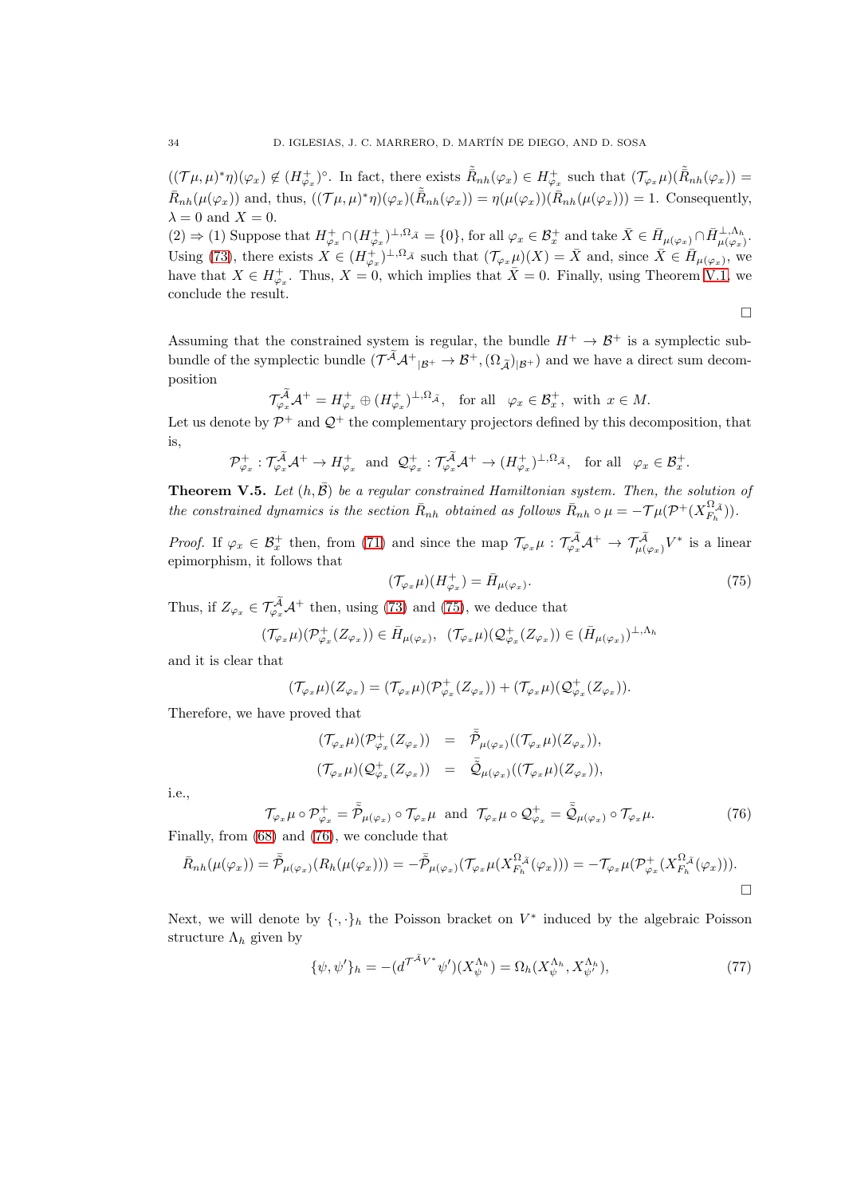$((\mathcal{T}\mu,\mu)^*\eta)(\varphi_x) \notin (H^+_{\varphi_x})^{\circ}$ . In fact, there exists  $\tilde{\bar{R}}_{nh}(\varphi_x) \in H^+_{\varphi_x}$  such that  $(\mathcal{T}_{\varphi_x}\mu)(\tilde{\bar{R}}_{nh}(\varphi_x)) =$  $\bar{R}_{nh}(\mu(\varphi_x))$  and, thus,  $((\mathcal{T}\mu,\mu)^*\eta)(\varphi_x)(\tilde{R}_{nh}(\varphi_x)) = \eta(\mu(\varphi_x))(\bar{R}_{nh}(\mu(\varphi_x))) = 1$ . Consequently,  $\lambda = 0$  and  $X = 0$ .

 $(2) \Rightarrow (1)$  Suppose that  $H^+_{\varphi_x} \cap (H^+_{\varphi_x})^{\perp,\Omega_{\tilde{\mathcal{A}}}} = \{0\}$ , for all  $\varphi_x \in \mathcal{B}_x^+$  and take  $\bar{X} \in \bar{H}_{\mu(\varphi_x)} \cap \bar{H}_{\mu(\varphi_x)}^{\perp,\Lambda_h}$ . Using [\(73\)](#page-32-3), there exists  $X \in (H^+_{\varphi_x})^{\perp,\Omega_{\widetilde{\mathcal{A}}}}$  such that  $(\mathcal{T}_{\varphi_x}\mu)(X) = \overline{X}$  and, since  $\overline{X} \in \overline{H}_{\mu(\varphi_x)}$ , we have that  $X \in H^+_{\varphi_x}$ . Thus,  $X = 0$ , which implies that  $\bar{X} = 0$ . Finally, using Theorem [V.1,](#page-29-0) we conclude the result.

 $\Box$ 

Assuming that the constrained system is regular, the bundle  $H^+ \to \mathcal{B}^+$  is a symplectic subbundle of the symplectic bundle  $(\mathcal{T}^{\mathcal{A}}\mathcal{A}^+_{|\mathcal{B}^+}\to \mathcal{B}^+,( \Omega_{\widetilde{\mathcal{A}}})_{|\mathcal{B}^+})$  and we have a direct sum decomposition

$$
\mathcal{T}_{\varphi_x}^{\widetilde{\mathcal{A}}}\mathcal{A}^+ = H_{\varphi_x}^+ \oplus (H_{\varphi_x}^+)^{\perp,\Omega_{\widetilde{\mathcal{A}}}}, \quad \text{for all} \quad \varphi_x \in \mathcal{B}_x^+, \text{ with } x \in M.
$$

Let us denote by  $\mathcal{P}^+$  and  $\mathcal{Q}^+$  the complementary projectors defined by this decomposition, that is,

$$
\mathcal{P}_{\varphi_x}^+:\mathcal{T}_{\varphi_x}^{\widetilde{\mathcal{A}}}\mathcal{A}^+\to H_{\varphi_x}^+\quad\text{and}\quad\mathcal{Q}_{\varphi_x}^+:\mathcal{T}_{\varphi_x}^{\widetilde{\mathcal{A}}}\mathcal{A}^+\to (H_{\varphi_x}^+)^{\perp,\Omega_{\widetilde{\mathcal{A}}}},\quad\text{for all}\quad\varphi_x\in\mathcal{B}_x^+.
$$

<span id="page-33-2"></span>**Theorem V.5.** Let  $(h, \overline{B})$  be a regular constrained Hamiltonian system. Then, the solution of the constrained dynamics is the section  $\bar{R}_{nh}$  obtained as follows  $\bar{R}_{nh} \circ \mu = -\mathcal{T} \mu(\mathcal{P}^+(X^{\Omega, \widetilde{A}}_{F_h}))$ .

*Proof.* If  $\varphi_x \in \mathcal{B}_x^+$  then, from [\(71\)](#page-32-0) and since the map  $\mathcal{T}_{\varphi_x} \mu : \mathcal{T}_{\varphi_x}^{\mathcal{A}} \mathcal{A}^+ \to \mathcal{T}_{\mu(\varphi_x)}^{\mathcal{A}} V^*$  is a linear epimorphism, it follows that

<span id="page-33-0"></span>
$$
(\mathcal{T}_{\varphi_x}\mu)(H_{\varphi_x}^+) = \bar{H}_{\mu(\varphi_x)}.
$$
\n(75)

Thus, if  $Z_{\varphi_x} \in \mathcal{T}_{\varphi_x}^{\mathcal{A}} \mathcal{A}^+$  then, using [\(73\)](#page-32-3) and [\(75\)](#page-33-0), we deduce that

$$
(\mathcal{T}_{\varphi_x}\mu)(\mathcal{P}_{\varphi_x}^+(Z_{\varphi_x})) \in \bar{H}_{\mu(\varphi_x)}, \ \ (\mathcal{T}_{\varphi_x}\mu)(\mathcal{Q}_{\varphi_x}^+(Z_{\varphi_x})) \in (\bar{H}_{\mu(\varphi_x)})^{\perp,\Lambda_h}
$$

and it is clear that

$$
(\mathcal{T}_{\varphi_x}\mu)(Z_{\varphi_x})=(\mathcal{T}_{\varphi_x}\mu)(\mathcal{P}_{\varphi_x}^+(Z_{\varphi_x}))+(\mathcal{T}_{\varphi_x}\mu)(\mathcal{Q}_{\varphi_x}^+(Z_{\varphi_x})).
$$

Therefore, we have proved that

$$
\begin{array}{rcl}\n(\mathcal{T}_{\varphi_x}\mu)(\mathcal{P}_{\varphi_x}^+(Z_{\varphi_x})) & = & \bar{\tilde{\mathcal{P}}}_{\mu(\varphi_x)}((\mathcal{T}_{\varphi_x}\mu)(Z_{\varphi_x})), \\
(\mathcal{T}_{\varphi_x}\mu)(\mathcal{Q}_{\varphi_x}^+(Z_{\varphi_x})) & = & \bar{\tilde{\mathcal{Q}}}_{\mu(\varphi_x)}((\mathcal{T}_{\varphi_x}\mu)(Z_{\varphi_x})),\n\end{array}
$$

i.e.,

<span id="page-33-1"></span>
$$
\mathcal{T}_{\varphi_x} \mu \circ \mathcal{P}_{\varphi_x}^+ = \bar{\tilde{\mathcal{P}}}_{\mu(\varphi_x)} \circ \mathcal{T}_{\varphi_x} \mu \text{ and } \mathcal{T}_{\varphi_x} \mu \circ \mathcal{Q}_{\varphi_x}^+ = \bar{\tilde{\mathcal{Q}}}_{\mu(\varphi_x)} \circ \mathcal{T}_{\varphi_x} \mu. \tag{76}
$$

Finally, from [\(68\)](#page-31-0) and [\(76\)](#page-33-1), we conclude that

$$
\bar{R}_{nh}(\mu(\varphi_x)) = \tilde{\bar{\mathcal{P}}}_{\mu(\varphi_x)}(R_h(\mu(\varphi_x))) = -\tilde{\bar{\mathcal{P}}}_{\mu(\varphi_x)}(\mathcal{T}_{\varphi_x}\mu(X_{F_h}^{\Omega,\tilde{\mathcal{A}}}(\varphi_x))) = -\mathcal{T}_{\varphi_x}\mu(\mathcal{P}_{\varphi_x}^+(\chi_{F_h}^{\Omega,\tilde{\mathcal{A}}}(\varphi_x))).
$$

Next, we will denote by  $\{\cdot,\cdot\}_h$  the Poisson bracket on  $V^*$  induced by the algebraic Poisson structure  $\Lambda_h$  given by

<span id="page-33-3"></span>
$$
\{\psi, \psi'\}_h = -(d^{\mathcal{T}^A V^*} \psi')(X^{\Lambda_h}_{\psi}) = \Omega_h(X^{\Lambda_h}_{\psi}, X^{\Lambda_h}_{\psi'}),\tag{77}
$$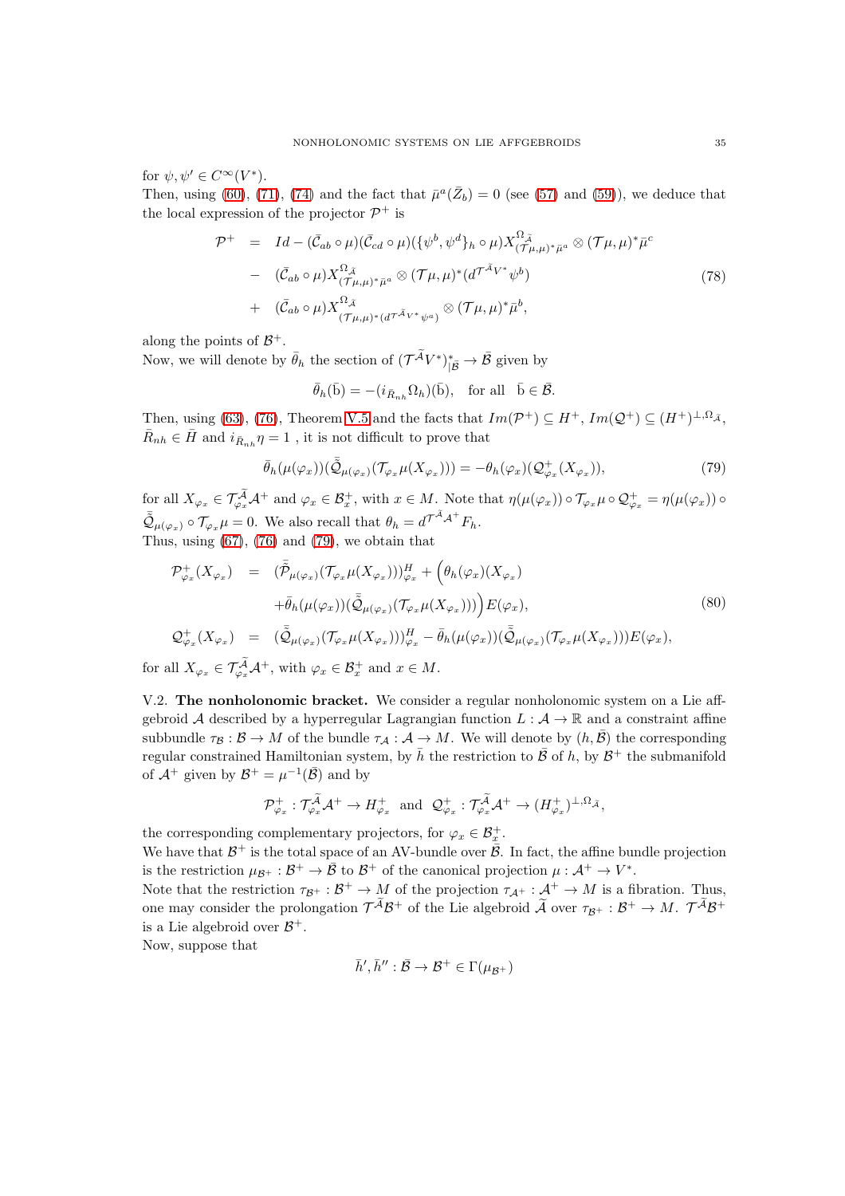for  $\psi, \psi' \in C^{\infty}(V^*)$ .

Then, using [\(60\)](#page-29-1), [\(71\)](#page-32-0), [\(74\)](#page-32-4) and the fact that  $\bar{\mu}^a(\bar{Z}_b) = 0$  (see [\(57\)](#page-28-2) and [\(59\)](#page-29-2)), we deduce that the local expression of the projector  $\mathcal{P}^+$  is

<span id="page-34-3"></span>
$$
\mathcal{P}^+ = Id - (\bar{C}_{ab} \circ \mu)(\bar{C}_{cd} \circ \mu)(\{\psi^b, \psi^d\}_h \circ \mu) X^{\Omega_{\tilde{A}}}_{(\mathcal{T}\mu, \mu)^*\bar{\mu}^a} \otimes (\mathcal{T}\mu, \mu)^*\bar{\mu}^c
$$
  
-  $(\bar{C}_{ab} \circ \mu) X^{\Omega_{\tilde{A}}}_{(\mathcal{T}\mu, \mu)^*\bar{\mu}^a} \otimes (\mathcal{T}\mu, \mu)^* (d^{\mathcal{T}^{\tilde{A}}V^*}\psi^b)$   
+  $(\bar{C}_{ab} \circ \mu) X^{\Omega_{\tilde{A}}}_{(\mathcal{T}\mu, \mu)^* (d^{\mathcal{T}\tilde{A}}V^*\psi^a)} \otimes (\mathcal{T}\mu, \mu)^*\bar{\mu}^b,$  (78)

along the points of  $\mathcal{B}^+$ .

Now, we will denote by  $\bar{\theta}_h$  the section of  $(\mathcal{T}^{\widetilde{\mathcal{A}}}_{V^*})_{|\widetilde{\mathcal{B}}}^* \to \overline{\mathcal{B}}$  given by

$$
\bar{\theta}_h(\bar{\mathbf{b}}) = -(i_{\bar{R}_{nh}} \Omega_h)(\bar{\mathbf{b}}), \text{ for all } \bar{\mathbf{b}} \in \bar{\mathcal{B}}.
$$

Then, using [\(63\)](#page-30-2), [\(76\)](#page-33-1), Theorem [V.5](#page-33-2) and the facts that  $Im(\mathcal{P}^+) \subseteq H^+$ ,  $Im(\mathcal{Q}^+) \subseteq (H^+)^{\perp,\Omega_{\tilde{\mathcal{A}}}}$ ,  $\bar{R}_{nh}\in \bar{H}$  and  $i_{\bar{R}_{nh}}\eta=1$  , it is not difficult to prove that

<span id="page-34-1"></span>
$$
\bar{\theta}_h(\mu(\varphi_x))(\tilde{\mathcal{Q}}_{\mu(\varphi_x)}(\mathcal{T}_{\varphi_x}\mu(X_{\varphi_x}))) = -\theta_h(\varphi_x)(\mathcal{Q}_{\varphi_x}^+(X_{\varphi_x})),\tag{79}
$$

for all  $X_{\varphi_x} \in \mathcal{T}^{\mathcal{A}}_{\varphi_x} \mathcal{A}^+$  and  $\varphi_x \in \mathcal{B}^+_x$ , with  $x \in M$ . Note that  $\eta(\mu(\varphi_x)) \circ \mathcal{T}_{\varphi_x} \mu \circ \mathcal{Q}^+_{\varphi_x} = \eta(\mu(\varphi_x)) \circ$  $\bar{\tilde{Q}}_{\mu(\varphi_x)} \circ \mathcal{T}_{\varphi_x} \mu = 0.$  We also recall that  $\theta_h = d^{\mathcal{T}^{\tilde{A}}\mathcal{A}^+} F_h$ . Thus, using  $(67)$ ,  $(76)$  and  $(79)$ , we obtain that

<span id="page-34-2"></span>
$$
\mathcal{P}_{\varphi_x}^+(X_{\varphi_x}) = (\bar{\tilde{\mathcal{P}}}_{\mu(\varphi_x)}(\mathcal{T}_{\varphi_x}\mu(X_{\varphi_x})))_{\varphi_x}^H + (\theta_h(\varphi_x)(X_{\varphi_x})
$$
  
\n
$$
+ \bar{\theta}_h(\mu(\varphi_x))(\bar{\tilde{\mathcal{Q}}}_{\mu(\varphi_x)}(\mathcal{T}_{\varphi_x}\mu(X_{\varphi_x}))))E(\varphi_x),
$$
  
\n
$$
\mathcal{Q}_{\varphi_x}^+(X_{\varphi_x}) = (\bar{\tilde{\mathcal{Q}}}_{\mu(\varphi_x)}(\mathcal{T}_{\varphi_x}\mu(X_{\varphi_x})))_{\varphi_x}^H - \bar{\theta}_h(\mu(\varphi_x))(\bar{\tilde{\mathcal{Q}}}_{\mu(\varphi_x)}(\mathcal{T}_{\varphi_x}\mu(X_{\varphi_x})))E(\varphi_x),
$$
\n(80)

<span id="page-34-0"></span>for all  $X_{\varphi_x} \in \mathcal{T}_{\varphi_x}^{\mathcal{A}} \mathcal{A}^+$ , with  $\varphi_x \in \mathcal{B}_x^+$  and  $x \in M$ .

V.2. The nonholonomic bracket. We consider a regular nonholonomic system on a Lie affgebroid  $\mathcal A$  described by a hyperregular Lagrangian function  $L: \mathcal A \to \mathbb R$  and a constraint affine subbundle  $\tau_{\mathcal{B}} : \mathcal{B} \to M$  of the bundle  $\tau_{\mathcal{A}} : \mathcal{A} \to M$ . We will denote by  $(h, \bar{\mathcal{B}})$  the corresponding regular constrained Hamiltonian system, by  $\bar{h}$  the restriction to  $\bar{\mathcal{B}}$  of h, by  $\mathcal{B}^+$  the submanifold of  $\mathcal{A}^+$  given by  $\mathcal{B}^+ = \mu^{-1}(\bar{\mathcal{B}})$  and by

$$
\mathcal{P}^+_{\varphi_x} : \mathcal{T}^{\widetilde{\mathcal{A}}}_{\varphi_x}\mathcal{A}^+ \to H^+_{\varphi_x} \text{ and } \mathcal{Q}^+_{\varphi_x} : \mathcal{T}^{\widetilde{\mathcal{A}}}_{\varphi_x}\mathcal{A}^+ \to (H^+_{\varphi_x})^{\perp,\Omega_{\widetilde{\mathcal{A}}}},
$$

the corresponding complementary projectors, for  $\varphi_x \in \mathcal{B}_x^+$ .

We have that  $\mathcal{B}^+$  is the total space of an AV-bundle over  $\bar{\mathcal{B}}$ . In fact, the affine bundle projection is the restriction  $\mu_{\mathcal{B}^+} : \mathcal{B}^+ \to \bar{\mathcal{B}}$  to  $\mathcal{B}^+$  of the canonical projection  $\mu : \mathcal{A}^+ \to V^*$ .

Note that the restriction  $\tau_{\mathcal{B}^+} : \mathcal{B}^+ \to M$  of the projection  $\tau_{\mathcal{A}^+} : \mathcal{A}^+ \to M$  is a fibration. Thus, one may consider the prolongation  $\mathcal{T}^{\mathcal{A}}\mathcal{B}^+$  of the Lie algebroid  $\tilde{\mathcal{A}}$  over  $\tau_{\mathcal{B}^+}:\mathcal{B}^+\to M$ .  $\mathcal{T}^{\mathcal{A}}\mathcal{B}^+$ is a Lie algebroid over  $\mathcal{B}^+$ .

Now, suppose that

$$
\bar h',\bar h'':\bar{\mathcal B}\to{\mathcal B}^+\in\Gamma(\mu_{{\mathcal B}^+})
$$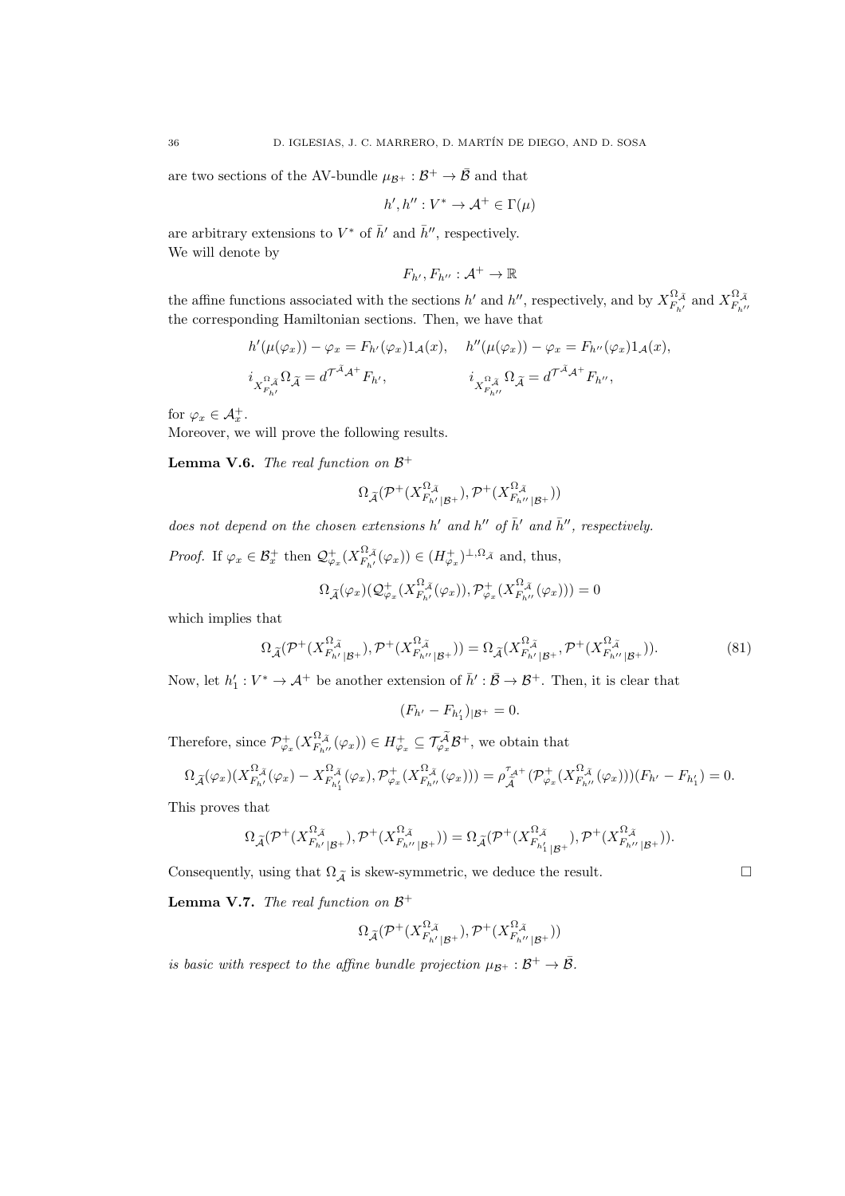are two sections of the AV-bundle  $\mu_{\mathcal{B}^+} : \mathcal{B}^+ \to \bar{\mathcal{B}}$  and that

$$
h', h'': V^* \to \mathcal{A}^+ \in \Gamma(\mu)
$$

are arbitrary extensions to  $V^*$  of  $\bar{h}'$  and  $\bar{h}''$ , respectively. We will denote by

$$
F_{h'}, F_{h''}: \mathcal{A}^+ \to \mathbb{R}
$$

the affine functions associated with the sections  $h'$  and  $h''$ , respectively, and by  $X_{F_{h'}}^{\Omega_{\widetilde{A}}}$  and  $X_{F_{h''}}^{\Omega_{\widetilde{A}}}$ the corresponding Hamiltonian sections. Then, we have that

$$
h'(\mu(\varphi_x)) - \varphi_x = F_{h'}(\varphi_x)1_{\mathcal{A}}(x), \quad h''(\mu(\varphi_x)) - \varphi_x = F_{h''}(\varphi_x)1_{\mathcal{A}}(x),
$$
  

$$
i_{X_{F_{h'}}^{\Omega_{\tilde{\mathcal{A}}}}}\Omega_{\tilde{\mathcal{A}}} = d^{\mathcal{T}^{\tilde{\mathcal{A}}}\mathcal{A}^+}F_{h'}, \qquad i_{X_{F_{h''}}^{\Omega_{\tilde{\mathcal{A}}}}}\Omega_{\tilde{\mathcal{A}}} = d^{\mathcal{T}^{\tilde{\mathcal{A}}}\mathcal{A}^+}F_{h''},
$$

for  $\varphi_x \in \mathcal{A}_x^+$ .

Moreover, we will prove the following results.

<span id="page-35-1"></span>**Lemma V.6.** The real function on  $\mathcal{B}^+$ 

$$
\Omega_{\widetilde{\mathcal{A}}}(\mathcal{P}^{+}(X^{\Omega,\widetilde{\mathcal{A}}}_{F_{h'|B^{+}}}),\mathcal{P}^{+}(X^{\Omega,\widetilde{\mathcal{A}}}_{F_{h''|B^{+}}}))
$$

does not depend on the chosen extensions  $h'$  and  $h''$  of  $\bar{h}'$  and  $\bar{h}''$ , respectively.

*Proof.* If  $\varphi_x \in \mathcal{B}_x^+$  then  $\mathcal{Q}_{\varphi_x}^+(X_{F_{h'}}^{\Omega_{\tilde{\mathcal{A}}}}(\varphi_x)) \in (H_{\varphi_x}^+)^{\perp,\Omega_{\tilde{\mathcal{A}}}}$  and, thus,

$$
\Omega_{\widetilde{\mathcal{A}}}(\varphi_x)(\mathcal{Q}_{\varphi_x}^+(X_{F_{h'}}^{\Omega_{\widetilde{\mathcal{A}}}}(\varphi_x)),\mathcal{P}_{\varphi_x}^+(X_{F_{h''}}^{\Omega_{\widetilde{\mathcal{A}}}}(\varphi_x)))=0
$$

which implies that

<span id="page-35-0"></span>
$$
\Omega_{\widetilde{\mathcal{A}}}(\mathcal{P}^+(X_{F_{h'}|\mathcal{B}^+}^{\Omega,\widetilde{\mathcal{A}}}),\mathcal{P}^+(X_{F_{h''}|\mathcal{B}^+}^{\Omega,\widetilde{\mathcal{A}}}) ) = \Omega_{\widetilde{\mathcal{A}}}(X_{F_{h'}|\mathcal{B}^+}^{\Omega,\widetilde{\mathcal{A}}},\mathcal{P}^+(X_{F_{h''}|\mathcal{B}^+}^{\Omega,\widetilde{\mathcal{A}}}) ).
$$
\n(81)

Now, let  $h'_1: V^* \to \mathcal{A}^+$  be another extension of  $\bar{h}': \bar{\mathcal{B}} \to \mathcal{B}^+$ . Then, it is clear that

$$
(F_{h'} - F_{h'_1})_{|\mathcal{B}^+} = 0.
$$

Therefore, since  $\mathcal{P}^+_{\varphi_x}(X^{\Omega,\tilde{A}}_{F_{h''}}(\varphi_x)) \in H^+_{\varphi_x} \subseteq \mathcal{T}^{\tilde{A}}_{\varphi_x} \mathcal{B}^+$ , we obtain that

$$
\Omega_{\widetilde{\mathcal{A}}}(\varphi_x)(X_{F_{h'}}^{\Omega_{\widetilde{\mathcal{A}}}}(\varphi_x)-X_{F_{h'_1}}^{\Omega_{\widetilde{\mathcal{A}}}}(\varphi_x),\mathcal{P}_{\varphi_x}^+(X_{F_{h''}}^{\Omega_{\widetilde{\mathcal{A}}}}(\varphi_x)))=\rho_{\widetilde{\mathcal{A}}}^{\tau_{\mathcal{A}^+}}(\mathcal{P}_{\varphi_x}^+(X_{F_{h''}}^{\Omega_{\widetilde{\mathcal{A}}}}(\varphi_x)))(F_{h'}-F_{h'_1})=0.
$$

This proves that

$$
\Omega_{\widetilde{\mathcal{A}}}(\mathcal{P}^{+}(X^{\Omega,\widetilde{\mathcal{A}}}_{F_{h'|B^{+}}}),\mathcal{P}^{+}(X^{\Omega,\widetilde{\mathcal{A}}}_{F_{h''|B^{+}}}))=\Omega_{\widetilde{\mathcal{A}}}(\mathcal{P}^{+}(X^{\Omega,\widetilde{\mathcal{A}}}_{F_{h'_{1}|B^{+}}}),\mathcal{P}^{+}(X^{\Omega,\widetilde{\mathcal{A}}}_{F_{h''|B^{+}}})).
$$

Consequently, using that  $\Omega_{\widetilde{\mathcal{A}}}$  is skew-symmetric, we deduce the result.  $\hfill \Box$ 

<span id="page-35-2"></span>**Lemma V.7.** The real function on  $\mathcal{B}^+$ 

$$
\Omega_{\widetilde{\mathcal{A}}}(\mathcal{P}^{+}(X^{\Omega,\widetilde{\mathcal{A}}}_{F_{h'|B^{+}}}),\mathcal{P}^{+}(X^{\Omega,\widetilde{\mathcal{A}}}_{F_{h''|B^{+}}}))
$$

is basic with respect to the affine bundle projection  $\mu_{\mathcal{B}^+} : \mathcal{B}^+ \to \overline{\mathcal{B}}$ .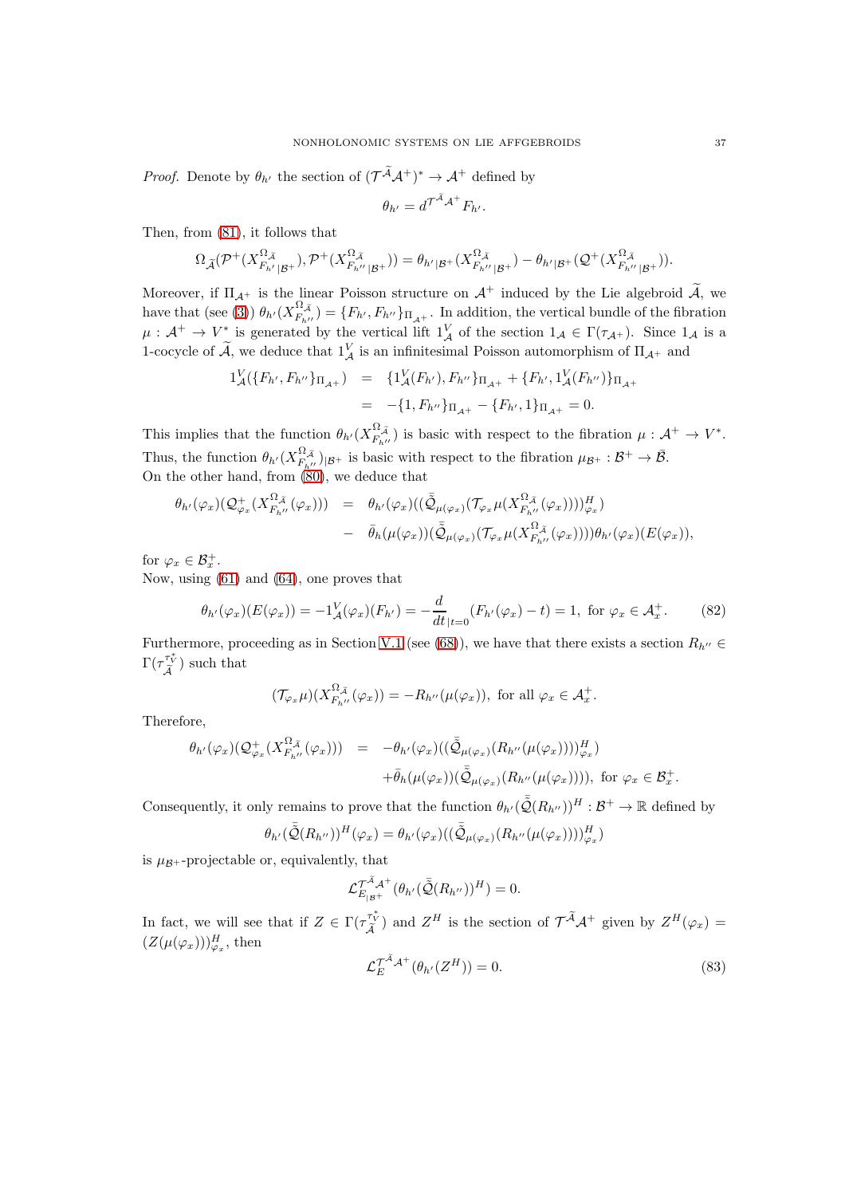*Proof.* Denote by  $\theta_{h'}$  the section of  $(\mathcal{T}^{\mathcal{A}}\mathcal{A}^+)^* \to \mathcal{A}^+$  defined by

$$
\theta_{h'} = d^{\mathcal{T}^{\mathcal{A}}\mathcal{A}^+} F_{h'}.
$$

Then, from [\(81\)](#page-35-0), it follows that

$$
\Omega_{\widetilde{\mathcal{A}}}(\mathcal{P}^{+}(X_{F_{h'}|\mathcal{B}^{+}}^{\Omega,\widetilde{\mathcal{A}}}),\mathcal{P}^{+}(X_{F_{h''}|\mathcal{B}^{+}}^{\Omega,\widetilde{\mathcal{A}}}))=\theta_{h'|\mathcal{B}^{+}}(X_{F_{h''}|\mathcal{B}^{+}}^{\Omega,\widetilde{\mathcal{A}}})-\theta_{h'|\mathcal{B}^{+}}(\mathcal{Q}^{+}(X_{F_{h''}|\mathcal{B}^{+}}^{\Omega,\widetilde{\mathcal{A}}}))
$$

Moreover, if  $\Pi_{\mathcal{A}^+}$  is the linear Poisson structure on  $\mathcal{A}^+$  induced by the Lie algebroid  $\widetilde{\mathcal{A}}$ , we have that (see [\(3\)](#page-5-3))  $\theta_{h'}(X^{\Omega,\tilde{\mathcal{A}}}_{F_{h''}}) = \{F_{h'}, F_{h''}\}_{\Pi_{\mathcal{A}^+}}$ . In addition, the vertical bundle of the fibration  $\mu: \mathcal{A}^+ \to V^*$  is generated by the vertical lift  $1^V_{\mathcal{A}}$  of the section  $1_{\mathcal{A}} \in \Gamma(\tau_{\mathcal{A}^+})$ . Since  $1_{\mathcal{A}}$  is a 1-cocycle of  $\tilde{A}$ , we deduce that  $1^V_{\mathcal{A}}$  is an infinitesimal Poisson automorphism of  $\Pi_{\mathcal{A}^+}$  and

$$
1_{\mathcal{A}}^V(\lbrace F_{h'}, F_{h''} \rbrace_{\Pi_{\mathcal{A}^+}}) = \lbrace 1_{\mathcal{A}}^V(F_{h'}) , F_{h''} \rbrace_{\Pi_{\mathcal{A}^+}} + \lbrace F_{h'}, 1_{\mathcal{A}}^V(F_{h''}) \rbrace_{\Pi_{\mathcal{A}^+}} = -\lbrace 1, F_{h''} \rbrace_{\Pi_{\mathcal{A}^+}} - \lbrace F_{h'}, 1 \rbrace_{\Pi_{\mathcal{A}^+}} = 0.
$$

This implies that the function  $\theta_{h'}(X_{F_{h''}}^{\Omega_{\widetilde{A}}})$  is basic with respect to the fibration  $\mu: \mathcal{A}^+ \to V^*$ . Thus, the function  $\theta_{h'}(X^{\Omega,\tilde{\mathcal{A}}}_{F_{h''}})_{|\mathcal{B}^{+}}$  is basic with respect to the fibration  $\mu_{\mathcal{B}^{+}}:\mathcal{B}^{+}\to\bar{\mathcal{B}}$ . On the other hand, from  $(80)$ , we deduce that

$$
\begin{array}{rcl}\n\theta_{h'}(\varphi_x)(\mathcal{Q}^+_{\varphi_x}(X^{\Omega,\tilde{\mathcal{A}}}_{F_{h''}}(\varphi_x))) & = & \theta_{h'}(\varphi_x)((\bar{\tilde{\mathcal{Q}}}_{\mu(\varphi_x)}(\mathcal{T}_{\varphi_x}\mu(X^{\Omega,\tilde{\mathcal{A}}}_{F_{h''}}(\varphi_x))))^H_{\varphi_x}) \\
& = & \bar{\theta}_h(\mu(\varphi_x))(\bar{\tilde{\mathcal{Q}}}_{\mu(\varphi_x)}(\mathcal{T}_{\varphi_x}\mu(X^{\Omega,\tilde{\mathcal{A}}}_{F_{h''}}(\varphi_x))))\theta_{h'}(\varphi_x)(E(\varphi_x)),\n\end{array}
$$

for  $\varphi_x \in \mathcal{B}_x^+$ .

Now, using [\(61\)](#page-30-0) and [\(64\)](#page-30-4), one proves that

<span id="page-36-0"></span>
$$
\theta_{h'}(\varphi_x)(E(\varphi_x)) = -1_{\mathcal{A}}^V(\varphi_x)(F_{h'}) = -\frac{d}{dt}_{|t=0}(F_{h'}(\varphi_x) - t) = 1, \text{ for } \varphi_x \in \mathcal{A}_x^+.
$$
 (82)

Furthermore, proceeding as in Section [V.1](#page-27-1) (see [\(68\)](#page-31-0)), we have that there exists a section  $R_{h''}$   $\in$  $\Gamma(\tau_{\widetilde{\mathcal{A}}}^{\tau_{V}^*})$  such that

$$
(\mathcal{T}_{\varphi_x}\mu)(X_{F_{h''}}^{\Omega,\tilde{\mathcal{A}}}(\varphi_x)) = -R_{h''}(\mu(\varphi_x)), \text{ for all } \varphi_x \in \mathcal{A}_x^+.
$$

Therefore,

$$
\begin{array}{rcl}\n\theta_{h'}(\varphi_x)(\mathcal{Q}^+_{\varphi_x}(X_{F_{h''}}^{\Omega_{\tilde{\mathcal{A}}}}(\varphi_x))) & = & -\theta_{h'}(\varphi_x)((\bar{\tilde{\mathcal{Q}}}_{\mu(\varphi_x)}(R_{h''}(\mu(\varphi_x))))_{\varphi_x}^H) \\
& & + \bar{\theta}_h(\mu(\varphi_x))(\bar{\tilde{\mathcal{Q}}}_{\mu(\varphi_x)}(R_{h''}(\mu(\varphi_x))))\n\end{array}
$$
\nfor  $\varphi_x \in \mathcal{B}_x^+$ 

Consequently, it only remains to prove that the function  $\theta_{h'}(\tilde{Q}(R_{h''}))^H : \mathcal{B}^+ \to \mathbb{R}$  defined by

$$
\theta_{h'}(\tilde{\mathcal{Q}}(R_{h''}))^H(\varphi_x) = \theta_{h'}(\varphi_x)((\tilde{\mathcal{Q}}_{\mu(\varphi_x)}(R_{h''}(\mu(\varphi_x))))^H_{\varphi_x})
$$

is  $\mu_{\mathcal{B}^+}$ -projectable or, equivalently, that

$$
\mathcal{L}^{\mathcal{T}^{\widetilde{\mathcal{A}}}_{\mathcal{A}}+}_{E_{|\mathcal{B}^+}}(\theta_{h'}(\widetilde{\mathcal{Q}}(R_{h''}))^H)=0.
$$

In fact, we will see that if  $Z \in \Gamma(\tau_{\widetilde{\mathcal{A}}}^{\tau_V^*})$  and  $Z^H$  is the section of  $\mathcal{T}^{\widetilde{\mathcal{A}}}\mathcal{A}^+$  given by  $Z^H(\varphi_x) =$  $(Z(\mu(\varphi_x)))_{\varphi_x}^H$ , then

<span id="page-36-1"></span>
$$
\mathcal{L}_E^{\mathcal{T}^A \mathcal{A}^+}(\theta_{h'}(Z^H)) = 0.
$$
\n(83)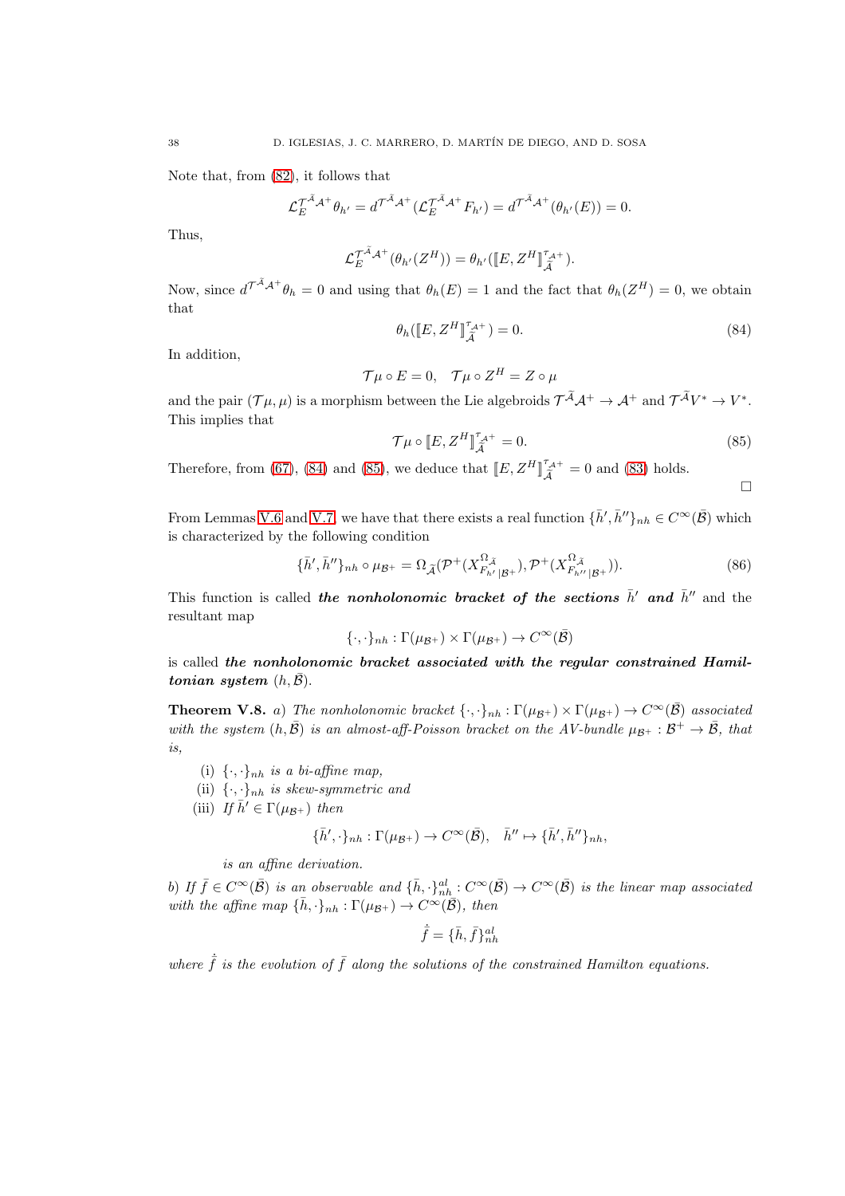Note that, from [\(82\)](#page-36-0), it follows that

$$
\mathcal{L}_E^{\mathcal{T}^{\tilde{A}}\mathcal{A}^+}\theta_{h'}=d^{\mathcal{T}^{\tilde{A}}\mathcal{A}^+}(\mathcal{L}_E^{\mathcal{T}^{\tilde{A}}\mathcal{A}^+}F_{h'})=d^{\mathcal{T}^{\tilde{A}}\mathcal{A}^+}(\theta_{h'}(E))=0.
$$

Thus,

$$
\mathcal{L}_E^{\mathcal{T}^{\tilde{\mathcal{A}}}\mathcal{A}^+}(\theta_{h'}(Z^H)) = \theta_{h'}(\llbracket E, Z^H \rrbracket^{\mathcal{T}_{\mathcal{A}^+}}) .
$$

Now, since  $d^{\mathcal{T}^A A^+} \theta_h = 0$  and using that  $\theta_h(E) = 1$  and the fact that  $\theta_h(Z^H) = 0$ , we obtain that

<span id="page-37-0"></span>
$$
\theta_h(\llbracket E, Z^H \rrbracket_{\widetilde{\mathcal{A}}}^{\tau_{\mathcal{A}^+}}) = 0. \tag{84}
$$

In addition,

$$
\mathcal{T}\mu \circ E = 0, \quad \mathcal{T}\mu \circ Z^H = Z \circ \mu
$$

and the pair  $(\mathcal{T}\mu,\mu)$  is a morphism between the Lie algebroids  $\mathcal{T}^{\mathcal{A}}\mathcal{A}^+\to\mathcal{A}^+$  and  $\mathcal{T}^{\mathcal{A}}V^*\to V^*.$ This implies that

<span id="page-37-1"></span>
$$
\mathcal{T}\mu \circ [E, Z^H]_{\widetilde{\mathcal{A}}}^{\tau_{\mathcal{A}^+}} = 0. \tag{85}
$$

Therefore, from [\(67\)](#page-31-3), [\(84\)](#page-37-0) and [\(85\)](#page-37-1), we deduce that  $[[E, Z^H]_{\tilde{\mathcal{A}}}^{\tau_{\mathcal{A}^+}} = 0$  and [\(83\)](#page-36-1) holds.

 $\Box$ 

From Lemmas [V.6](#page-35-1) and [V.7,](#page-35-2) we have that there exists a real function  $\{\bar{h}', \bar{h}''\}_{nh} \in C^{\infty}(\bar{\mathcal{B}})$  which is characterized by the following condition

<span id="page-37-2"></span>
$$
\{\bar{h}', \bar{h}''\}_{nh} \circ \mu_{\mathcal{B}^+} = \Omega_{\widetilde{\mathcal{A}}}(\mathcal{P}^+(X^{\Omega, \widetilde{\mathcal{A}}}_{F_{h'}|\mathcal{B}^+}), \mathcal{P}^+(X^{\Omega, \widetilde{\mathcal{A}}}_{F_{h''}|\mathcal{B}^+})).
$$
\n(86)

This function is called the nonholonomic bracket of the sections  $\bar{h}'$  and  $\bar{h}''$  and the resultant map

$$
\{\cdot,\cdot\}_{nh}:\Gamma(\mu_{\mathcal{B}^+})\times\Gamma(\mu_{\mathcal{B}^+})\to C^\infty(\bar{\mathcal{B}})
$$

is called the nonholonomic bracket associated with the regular constrained Hamiltonian system  $(h, \overline{B}).$ 

**Theorem V.8.** a) The nonholonomic bracket  $\{\cdot,\cdot\}_n$ <sub>hh</sub>:  $\Gamma(\mu_{\mathcal{B}^+}) \times \Gamma(\mu_{\mathcal{B}^+}) \to C^{\infty}(\overline{\mathcal{B}})$  associated with the system  $(h, \bar{B})$  is an almost-aff-Poisson bracket on the AV-bundle  $\mu_{\mathcal{B}^+} : \mathcal{B}^+ \to \bar{\mathcal{B}}$ , that is,

- (i)  $\{\cdot,\cdot\}_{nh}$  is a bi-affine map,
- (ii)  $\{\cdot,\cdot\}_{nh}$  is skew-symmetric and
- (iii) If  $\bar{h}' \in \Gamma(\mu_{\mathcal{B}^+})$  then

$$
\{\bar{h}',\cdot\}_{nh}:\Gamma(\mu_{\mathcal{B}^+})\to C^\infty(\bar{\mathcal{B}}),\quad \bar{h}''\mapsto \{\bar{h}',\bar{h}''\}_{nh},
$$

is an affine derivation.

b) If  $\bar{f} \in C^{\infty}(\bar{\mathcal{B}})$  is an observable and  $\{\bar{h}, \cdot\}_{nh}^{al} : C^{\infty}(\bar{\mathcal{B}}) \to C^{\infty}(\bar{\mathcal{B}})$  is the linear map associated with the affine map  $\{\bar{h}, \cdot\}_{nh} : \Gamma(\mu_{\mathcal{B}^+}) \to C^{\infty}(\bar{\mathcal{B}})$ , then

$$
\dot{\bar{f}}=\{\bar{h},\bar{f}\}^{al}_{nh}
$$

where  $\dot{f}$  is the evolution of  $\bar{f}$  along the solutions of the constrained Hamilton equations.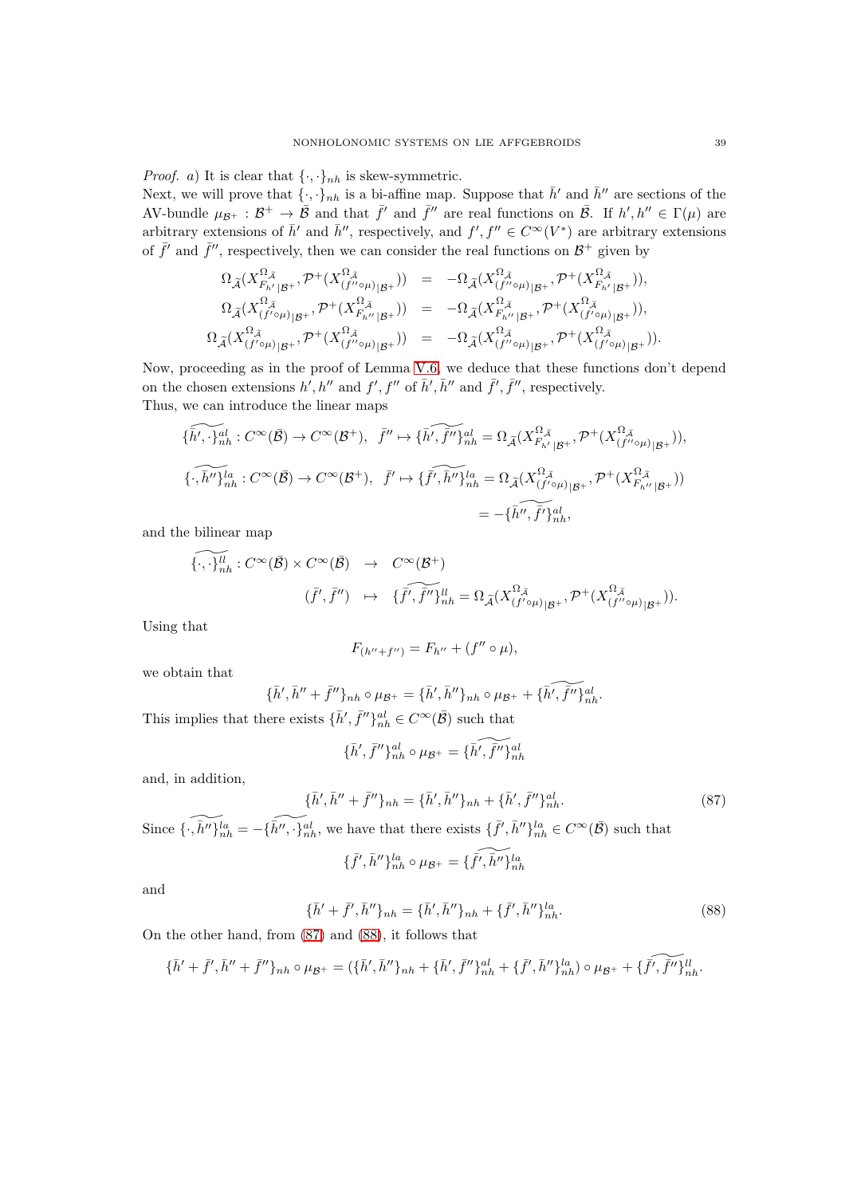*Proof.* a) It is clear that  $\{\cdot, \cdot\}_{nh}$  is skew-symmetric.

Next, we will prove that  $\{\cdot,\cdot\}_n$  is a bi-affine map. Suppose that  $\bar{h}'$  and  $\bar{h}''$  are sections of the AV-bundle  $\mu_{\mathcal{B}^+} : \mathcal{B}^+ \to \bar{\mathcal{B}}$  and that  $\bar{f}'$  and  $\bar{f}''$  are real functions on  $\bar{\mathcal{B}}$ . If  $h', h'' \in \Gamma(\mu)$  are arbitrary extensions of  $\bar{h}'$  and  $\bar{h}''$ , respectively, and  $f', f'' \in C^{\infty}(V^*)$  are arbitrary extensions of  $\bar{f}'$  and  $\bar{f}''$ , respectively, then we can consider the real functions on  $\mathcal{B}^+$  given by

$$
\begin{array}{rcl} \Omega_{\widetilde{\mathcal{A}}}(X^{\Omega_{\widetilde{A}}}_{F_{h'}|B^+},\mathcal{P}^+(X^{\Omega_{\widetilde{A}}}_{(f''\circ\mu)|B^+}))&=& -\Omega_{\widetilde{\mathcal{A}}}(X^{\Omega_{\widetilde{A}}}_{(f''\circ\mu)|B^+},\mathcal{P}^+(X^{\Omega_{\widetilde{A}}}_{F_{h'}|B^+})),\\ \Omega_{\widetilde{\mathcal{A}}}(X^{\Omega_{\widetilde{A}}}_{(f'\circ\mu)|B^+},\mathcal{P}^+(X^{\Omega_{\widetilde{A}}}_{F_{h''}|B^+}))&=& -\Omega_{\widetilde{\mathcal{A}}}(X^{\Omega_{\widetilde{A}}}_{F_{h''}|B^+},\mathcal{P}^+(X^{\Omega_{\widetilde{A}}}_{(f'\circ\mu)|B^+})),\\ \Omega_{\widetilde{\mathcal{A}}}(X^{\Omega_{\widetilde{A}}}_{(f'\circ\mu)|B^+},\mathcal{P}^+(X^{\Omega_{\widetilde{A}}}_{(f''\circ\mu)|B^+}))&=& -\Omega_{\widetilde{\mathcal{A}}}(X^{\Omega_{\widetilde{A}}}_{(f''\circ\mu)|B^+},\mathcal{P}^+(X^{\Omega_{\widetilde{A}}}_{(f'\circ\mu)|B^+})).\end{array}
$$

Now, proceeding as in the proof of Lemma [V.6,](#page-35-1) we deduce that these functions don't depend on the chosen extensions  $h', h''$  and  $f', f''$  of  $\bar{h}', \bar{h}''$  and  $\bar{f}', \bar{f}''$ , respectively. Thus, we can introduce the linear maps

$$
\begin{split} \widetilde{\{\boldsymbol{h}'},\cdot\}^{al}_{nh}: C^{\infty}(\bar{\mathcal{B}}) &\rightarrow C^{\infty}(\mathcal{B}^{+}), \quad \bar{f}'' \mapsto \widetilde{\{\boldsymbol{h}'},\overline{f}''\}^{al}_{nh} = \Omega_{\widetilde{\mathcal{A}}}(X^{ \Omega, \widetilde{\mathcal{A}}}_{F_{h'} \mid \mathcal{B}^{+}}, \mathcal{P}^{+}(X^{ \Omega, \widetilde{\mathcal{A}}}_{(f'' \circ \mu) \mid \mathcal{B}^{+}})),\\ \widetilde{\{\cdot,\boldsymbol{h}''\}^{la}_{nh}}: C^{\infty}(\bar{\mathcal{B}}) &\rightarrow C^{\infty}(\mathcal{B}^{+}), \quad \bar{f}' \mapsto \{\widetilde{f'},\widetilde{\boldsymbol{h}''}\}^{la}_{nh} = \Omega_{\widetilde{\mathcal{A}}}(X^{ \Omega, \widetilde{\mathcal{A}}}_{(f' \circ \mu) \mid \mathcal{B}^{+}}, \mathcal{P}^{+}(X^{ \Omega, \widetilde{\mathcal{A}}}_{F_{h''} \mid \mathcal{B}^{+}}))\\ &=-\{\widetilde{\boldsymbol{h}''}, \overline{f'}\}^{al}_{nh}, \end{split}
$$

and the bilinear map

$$
\begin{array}{rcl}\n\widetilde{\{\cdot,\cdot\}}_{nh}^{ll} : C^{\infty}(\overline{\mathcal{B}}) \times C^{\infty}(\overline{\mathcal{B}}) & \to & C^{\infty}(\mathcal{B}^+) \\
(\overline{f}', \overline{f}'') & \mapsto & \{\overline{f}', \overline{f}''\}_{nh}^{ll} = \Omega_{\widetilde{\mathcal{A}}}(X_{(f' \circ \mu)|\mathcal{B}^+}^{\Omega_{\widetilde{\mathcal{A}}}}, \mathcal{P}^+(X_{(f'' \circ \mu)|\mathcal{B}^+}^{\Omega_{\widetilde{\mathcal{A}}}})).\n\end{array}
$$

Using that

$$
F_{(h''+f'')}=F_{h''}+(f''\circ\mu),
$$

we obtain that

$$
\{\bar{h}',\bar{h}''+\bar{f}''\}_{nh}\circ \mu_{\mathcal{B}^+}=\{\bar{h}',\bar{h}''\}_{nh}\circ \mu_{\mathcal{B}^+}+\{\bar{h}',\overline{f}''\}_{nh}^{\text{al}}.
$$

This implies that there exists  $\{\bar{h}', \bar{f}''\}_{nh}^{al} \in C^{\infty}(\bar{\mathcal{B}})$  such that

$$
\{\bar{h}', \bar{f}''\}_{nh}^{al} \circ \mu_{\mathcal{B}^+} = \{\widetilde{h}', \widetilde{f}''\}_{nh}^{al}
$$

and, in addition,

<span id="page-38-0"></span>
$$
\{\bar{h}', \bar{h}'' + \bar{f}''\}_{nh} = \{\bar{h}', \bar{h}''\}_{nh} + \{\bar{h}', \bar{f}''\}_{nh}^{al}.
$$
\n(87)

Since  $\{\widetilde{\cdot}, \widetilde{h}''\}_{nh}^{la} = -\{\widetilde{h}'' , \widetilde{h}''_{nh}^{h}$ , we have that there exists  $\{\bar{f}', \bar{h}''\}_{nh}^{la} \in C^{\infty}(\bar{\mathcal{B}})$  such that  $\{\bar{f}', \bar{h}''\}_{nh}^{la} \circ \mu_{\mathcal{B}^+} = \{\widetilde{\bar{f}', \bar{h}''}\}_{nh}^{la}$ 

and

<span id="page-38-1"></span>
$$
\{\bar{h}' + \bar{f}', \bar{h}''\}_{nh} = \{\bar{h}', \bar{h}''\}_{nh} + \{\bar{f}', \bar{h}''\}_{nh}^{la}.
$$
\n(88)

On the other hand, from [\(87\)](#page-38-0) and [\(88\)](#page-38-1), it follows that

$$
\{\bar{h}' + \bar{f}', \bar{h}'' + \bar{f}''\}_{nh} \circ \mu_{\mathcal{B}^+} = (\{\bar{h}', \bar{h}''\}_{nh} + \{\bar{h}', \bar{f}''\}_{nh}^{al} + \{\bar{f}', \bar{h}''\}_{nh}^{la}) \circ \mu_{\mathcal{B}^+} + \{\bar{f}', \bar{f}''\}_{nh}^{al}.
$$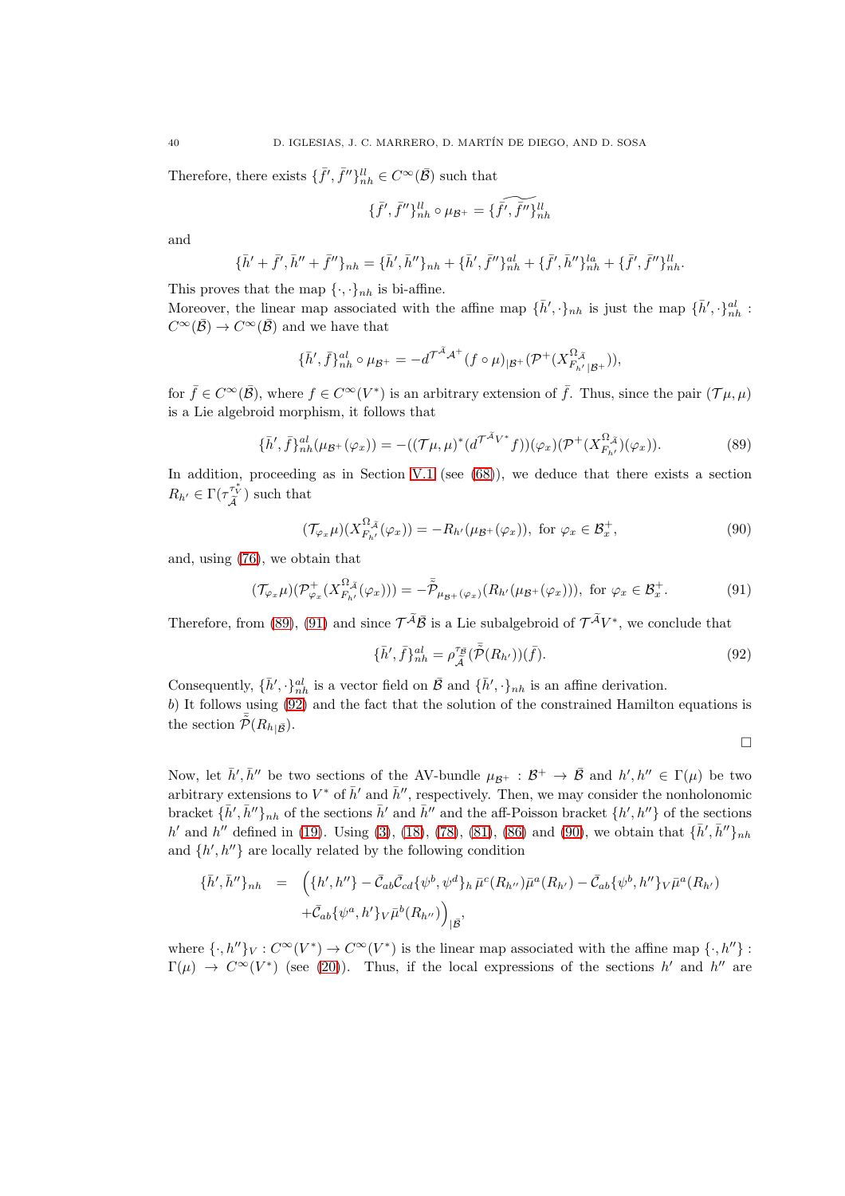Therefore, there exists  $\{\bar{f}', \bar{f}''\}_{nh}^{ll} \in C^{\infty}(\bar{\mathcal{B}})$  such that

$$
\{\bar{f}',\bar{f}''\}_{nh}^{ll}\circ \mu_{\mathcal{B}^+}=\{\widetilde{\bar{f}',\bar{f}''}\}_{nh}^{ll}
$$

and

$$
\{\bar{h}' + \bar{f}', \bar{h}'' + \bar{f}''\}_{nh} = \{\bar{h}', \bar{h}''\}_{nh} + \{\bar{h}', \bar{f}''\}_{nh}^{al} + \{\bar{f}', \bar{h}''\}_{nh}^{la} + \{\bar{f}', \bar{f}''\}_{nh}^{ll}.
$$

This proves that the map  $\{\cdot,\cdot\}_n$  is bi-affine.

Moreover, the linear map associated with the affine map  $\{\bar{h}', \cdot\}_{nh}$  is just the map  $\{\bar{h}', \cdot\}_{nh}^{\text{al}}$ :  $C^{\infty}(\overline{\mathcal{B}}) \to C^{\infty}(\overline{\mathcal{B}})$  and we have that

$$
\{\bar{h}',\bar{f}\}^{al}_{nh}\circ \mu_{\mathcal{B}^+}=-d^{\mathcal{T}^{\bar{\mathcal{A}}}\mathcal{A}^+}(f\circ \mu)_{|\mathcal{B}^+}(\mathcal{P}^+(X^{\Omega,\bar{\mathcal{A}}}_{F_{h'}|\mathcal{B}^+})),
$$

for  $\bar{f} \in C^{\infty}(\bar{\mathcal{B}})$ , where  $f \in C^{\infty}(V^*)$  is an arbitrary extension of  $\bar{f}$ . Thus, since the pair  $(\mathcal{T}\mu,\mu)$ is a Lie algebroid morphism, it follows that

<span id="page-39-0"></span>
$$
\{\bar{h}',\bar{f}\}^{al}_{nh}(\mu_{\mathcal{B}^+}(\varphi_x)) = -((\mathcal{T}\mu,\mu)^*(d^{\mathcal{T}^{\mathcal{A}}V^*}f))(\varphi_x)(\mathcal{P}^+(X_{F_{h'}}^{\Omega,\tilde{\mathcal{A}}})(\varphi_x)).
$$
\n(89)

In addition, proceeding as in Section [V.1](#page-27-1) (see [\(68\)](#page-31-0)), we deduce that there exists a section  $R_{h'} \in \Gamma(\tau_{\widetilde{\mathcal{A}}}^{\tau_V^*})$  such that

<span id="page-39-3"></span>
$$
(\mathcal{T}_{\varphi_x}\mu)(X_{F_{h'}}^{\Omega}\tilde{\mathcal{A}}(\varphi_x)) = -R_{h'}(\mu_{\mathcal{B}^+}(\varphi_x)), \text{ for } \varphi_x \in \mathcal{B}_x^+, \tag{90}
$$

and, using [\(76\)](#page-33-1), we obtain that

<span id="page-39-1"></span>
$$
(\mathcal{T}_{\varphi_x}\mu)(\mathcal{P}_{\varphi_x}^+(X_{F_{h'}}^{\Omega}\tilde{\mathcal{A}}(\varphi_x))) = -\tilde{\tilde{\mathcal{P}}}_{\mu_{\mathcal{B}^+}(\varphi_x)}(R_{h'}(\mu_{\mathcal{B}^+}(\varphi_x))), \text{ for } \varphi_x \in \mathcal{B}_x^+.
$$
 (91)

Therefore, from [\(89\)](#page-39-0), [\(91\)](#page-39-1) and since  $\mathcal{T}^{\widetilde{\mathcal{A}}}(\overline{\mathcal{B}})$  is a Lie subalgebroid of  $\mathcal{T}^{\widetilde{\mathcal{A}}}V^*$ , we conclude that

<span id="page-39-2"></span>
$$
\{\bar{h}',\bar{f}\}_{nh}^{al} = \rho_{\tilde{A}}^{\tau_{\tilde{B}}}(\tilde{\bar{\mathcal{P}}}(R_{h'}))(\bar{f}).\tag{92}
$$

Consequently,  $\{\bar{h}', \cdot\}_{nh}^{al}$  is a vector field on  $\bar{\mathcal{B}}$  and  $\{\bar{h}', \cdot\}_{nh}$  is an affine derivation. b) It follows using [\(92\)](#page-39-2) and the fact that the solution of the constrained Hamilton equations is the section  $\bar{\tilde{\mathcal{P}}}(R_{h|\bar{\mathcal{B}}}).$ 

$$
\Box
$$

Now, let  $\bar{h}', \bar{h}''$  be two sections of the AV-bundle  $\mu_{\mathcal{B}^+} : \mathcal{B}^+ \to \bar{\mathcal{B}}$  and  $h', h'' \in \Gamma(\mu)$  be two arbitrary extensions to  $V^*$  of  $\bar{h}'$  and  $\bar{h}''$ , respectively. Then, we may consider the nonholonomic bracket  $\{\bar{h}', \bar{h}''\}_{nh}$  of the sections  $\bar{h}'$  and  $\bar{h}''$  and the aff-Poisson bracket  $\{h', h''\}$  of the sections  $h'$  and  $h''$  defined in [\(19\)](#page-12-0). Using [\(3\)](#page-5-3), [\(18\)](#page-11-0), [\(78\)](#page-34-3), [\(81\)](#page-35-0), [\(86\)](#page-37-2) and [\(90\)](#page-39-3), we obtain that  $\{\bar{h}', \bar{h}''\}_{nh}$ and  $\{h', h''\}$  are locally related by the following condition

$$
\begin{split} \{\bar{h}', \bar{h}''\}_{nh} &= \left( \{h', h''\} - \bar{\mathcal{C}}_{ab} \bar{\mathcal{C}}_{cd} \{\psi^b, \psi^d\}_h \, \bar{\mu}^c(R_{h''}) \bar{\mu}^a(R_{h'}) - \bar{\mathcal{C}}_{ab} \{\psi^b, h''\}_V \bar{\mu}^a(R_{h'}) \\ &+ \bar{\mathcal{C}}_{ab} \{\psi^a, h'\}_V \bar{\mu}^b(R_{h''}) \right)_{|\bar{\mathcal{B}}}, \end{split}
$$

where  $\{\cdot, h''\}_V : C^\infty(V^*) \to C^\infty(V^*)$  is the linear map associated with the affine map  $\{\cdot, h''\}$ :  $\Gamma(\mu) \to C^{\infty}(V^*)$  (see [\(20\)](#page-12-1)). Thus, if the local expressions of the sections h' and h'' are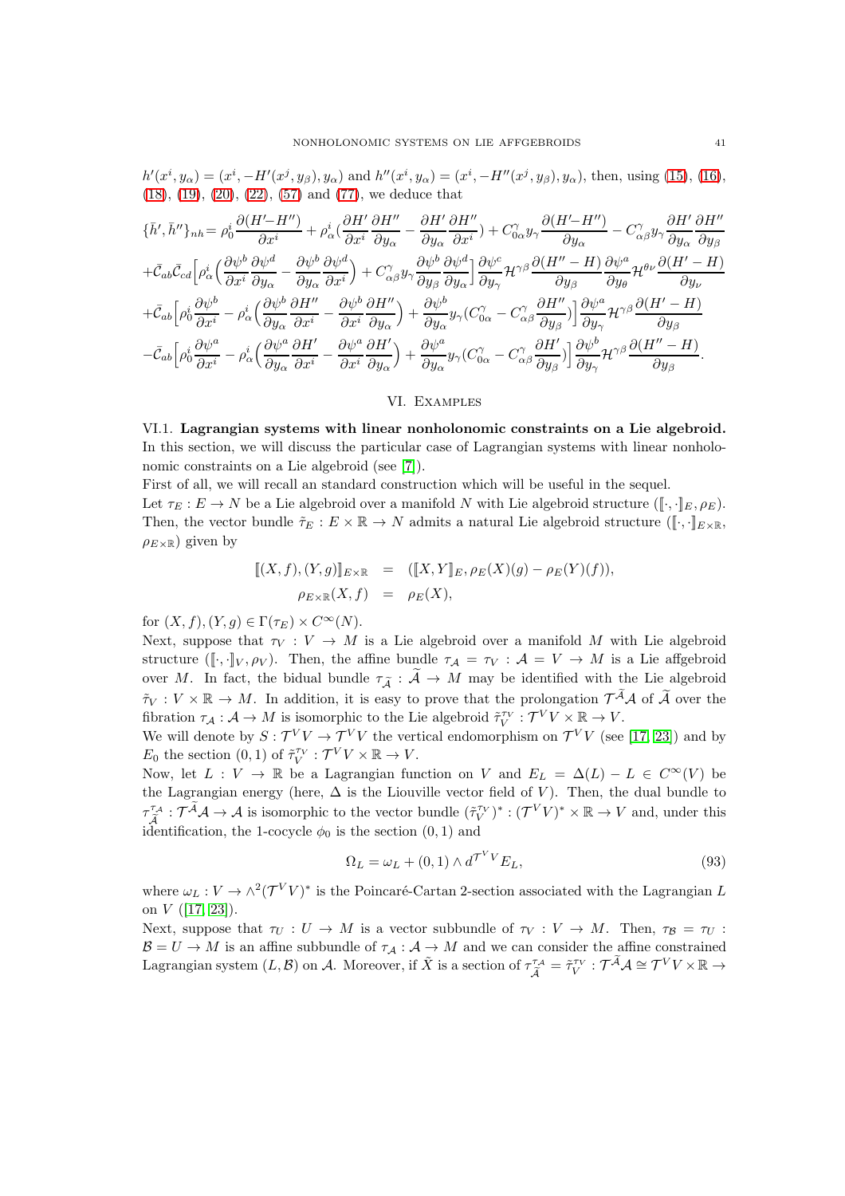$h'(x^i, y_\alpha) = (x^i, -H'(x^j, y_\beta), y_\alpha)$  and  $h''(x^i, y_\alpha) = (x^i, -H''(x^j, y_\beta), y_\alpha)$ , then, using [\(15\)](#page-10-2), [\(16\)](#page-11-2), [\(18\)](#page-11-0), [\(19\)](#page-12-0), [\(20\)](#page-12-1), [\(22\)](#page-12-3), [\(57\)](#page-28-2) and [\(77\)](#page-33-3), we deduce that

$$
\{\bar{h}',\bar{h}''\}_{nh} = \rho_0^i \frac{\partial (H'-H'')}{\partial x^i} + \rho_\alpha^i \left(\frac{\partial H'}{\partial x^i}\frac{\partial H''}{\partial y_\alpha} - \frac{\partial H'}{\partial y_\alpha}\frac{\partial H''}{\partial x^i}\right) + C_{0\alpha}^\gamma y_\gamma \frac{\partial (H'-H'')}{\partial y_\alpha} - C_{\alpha\beta}^\gamma y_\gamma \frac{\partial H'}{\partial y_\alpha} \frac{\partial H''}{\partial y_\beta}
$$
\n
$$
+ \bar{C}_{ab}\bar{C}_{cd}\left[\rho_\alpha^i \left(\frac{\partial \psi^b}{\partial x^i}\frac{\partial \psi^d}{\partial y_\alpha} - \frac{\partial \psi^b}{\partial y_\alpha}\frac{\partial \psi^d}{\partial x^i}\right) + C_{\alpha\beta}^\gamma y_\gamma \frac{\partial \psi^b}{\partial y_\beta}\frac{\partial \psi^d}{\partial y_\alpha}\right] \frac{\partial \psi^c}{\partial y_\gamma} + \mathcal{H}^{\gamma\beta} \frac{\partial (H''-H)}{\partial y_\beta} \frac{\partial \psi^a}{\partial y_\beta} + \theta^\nu \frac{\partial (H'-H)}{\partial y_\nu}
$$
\n
$$
+ \bar{C}_{ab}\left[\rho_0^i \frac{\partial \psi^b}{\partial x^i} - \rho_\alpha^i \left(\frac{\partial \psi^b}{\partial y_\alpha}\frac{\partial H''}{\partial x^i} - \frac{\partial \psi^b}{\partial x^i}\frac{\partial H''}{\partial y_\alpha}\right) + \frac{\partial \psi^b}{\partial y_\alpha} y_\gamma (C_{0\alpha}^\gamma - C_{\alpha\beta}^\gamma \frac{\partial H''}{\partial y_\beta})\right] \frac{\partial \psi^a}{\partial y_\gamma} + \mathcal{H}^{\gamma\beta} \frac{\partial (H'-H)}{\partial y_\beta}
$$
\n
$$
- \bar{C}_{ab}\left[\rho_0^i \frac{\partial \psi^a}{\partial x^i} - \rho_\alpha^i \left(\frac{\partial \psi^a}{\partial y_\alpha}\frac{\partial H'}{\partial x^i} - \frac{\partial \psi^a}{\partial x^i}\frac{\partial H'}{\partial y_\alpha}\right) + \frac{\partial \psi^a}{\partial y_\alpha} y_\gamma (C_{0\alpha}^\gamma - C_{\alpha\beta}^\gamma \frac{\partial H'}{\partial y_\beta})\right] \frac{\partial \psi^b}{\partial y_\gamma} + \mathcal
$$

### VI. Examples

<span id="page-40-1"></span><span id="page-40-0"></span>VI.1. Lagrangian systems with linear nonholonomic constraints on a Lie algebroid. In this section, we will discuss the particular case of Lagrangian systems with linear nonholonomic constraints on a Lie algebroid (see [\[7\]](#page-47-9)).

First of all, we will recall an standard construction which will be useful in the sequel. Let  $\tau_E : E \to N$  be a Lie algebroid over a manifold N with Lie algebroid structure  $([\cdot, \cdot]_E, \rho_E)$ . Then, the vector bundle  $\tilde{\tau}_E : E \times \mathbb{R} \to N$  admits a natural Lie algebroid structure  $([\cdot, \cdot]_{E \times \mathbb{R}})$  $\rho_{E\times\mathbb{R}}$ ) given by

$$
[[(X, f), (Y, g)]_{E \times \mathbb{R}} = ([X, Y]_E, \rho_E(X)(g) - \rho_E(Y)(f)),
$$
  

$$
\rho_{E \times \mathbb{R}}(X, f) = \rho_E(X),
$$

for  $(X, f), (Y, q) \in \Gamma(\tau_F) \times C^{\infty}(N)$ .

Next, suppose that  $\tau_V : V \to M$  is a Lie algebroid over a manifold M with Lie algebroid structure ([.,  $\cdot$ ] $_V$ ,  $\rho_V$ ). Then, the affine bundle  $\tau_A = \tau_V : A = V \to M$  is a Lie affgebroid over M. In fact, the bidual bundle  $\tau_{\tilde{A}} : \tilde{A} \to M$  may be identified with the Lie algebroid  $\tilde{\tau}_V: V \times \mathbb{R} \to M$ . In addition, it is easy to prove that the prolongation  $\mathcal{T}^{\tilde{\mathcal{A}}}\mathcal{A}$  of  $\tilde{\mathcal{A}}$  over the fibration  $\tau_{\mathcal{A}}: \mathcal{A} \to M$  is isomorphic to the Lie algebroid  $\tilde{\tau}_{V}^{\tau_{V}}: \mathcal{T}^{V}V \times \mathbb{R} \to V$ .

We will denote by  $S: \mathcal{T}^V V \to \mathcal{T}^V V$  the vertical endomorphism on  $\mathcal{T}^V V$  (see [\[17,](#page-48-16) [23\]](#page-48-15)) and by  $E_0$  the section  $(0,1)$  of  $\tilde{\tau}_V^{\tau_V} : \mathcal{T}^V V \times \mathbb{R} \to V$ .

Now, let  $L: V \to \mathbb{R}$  be a Lagrangian function on V and  $E_L = \Delta(L) - L \in C^{\infty}(V)$  be the Lagrangian energy (here,  $\Delta$  is the Liouville vector field of V). Then, the dual bundle to  $\tau_{\widetilde{\mathcal{A}}}^{\tau_{\mathcal{A}}} : \mathcal{T}^{\widetilde{\mathcal{A}}}\mathcal{A} \to \mathcal{A}$  is isomorphic to the vector bundle  $(\tilde{\tau}_{V}^{\tau_{V}})^{*} : (\mathcal{T}^{V}V)^{*} \times \mathbb{R} \to V$  and, under this identification, the 1-cocycle  $\phi_0$  is the section  $(0, 1)$  and

<span id="page-40-2"></span>
$$
\Omega_L = \omega_L + (0, 1) \wedge d^{\mathcal{T}^V V} E_L,\tag{93}
$$

where  $\omega_L : V \to \wedge^2 (\mathcal{T}^V V)^*$  is the Poincaré-Cartan 2-section associated with the Lagrangian L on  $V$  ([\[17,](#page-48-16) [23\]](#page-48-15)).

Next, suppose that  $\tau_U : U \to M$  is a vector subbundle of  $\tau_V : V \to M$ . Then,  $\tau_B = \tau_U$ :  $\mathcal{B} = U \to M$  is an affine subbundle of  $\tau_{\mathcal{A}} : \mathcal{A} \to M$  and we can consider the affine constrained Lagrangian system  $(L, \mathcal{B})$  on A. Moreover, if  $\tilde{X}$  is a section of  $\tau_{\tilde{\mathcal{A}}}^{\tau_{\mathcal{A}}} = \tilde{\tau}_{V}^{\tau_{V}} : \mathcal{T}^{\tilde{\mathcal{A}}} \mathcal{A} \cong \mathcal{T}^{V} V \times \mathbb{R} \to$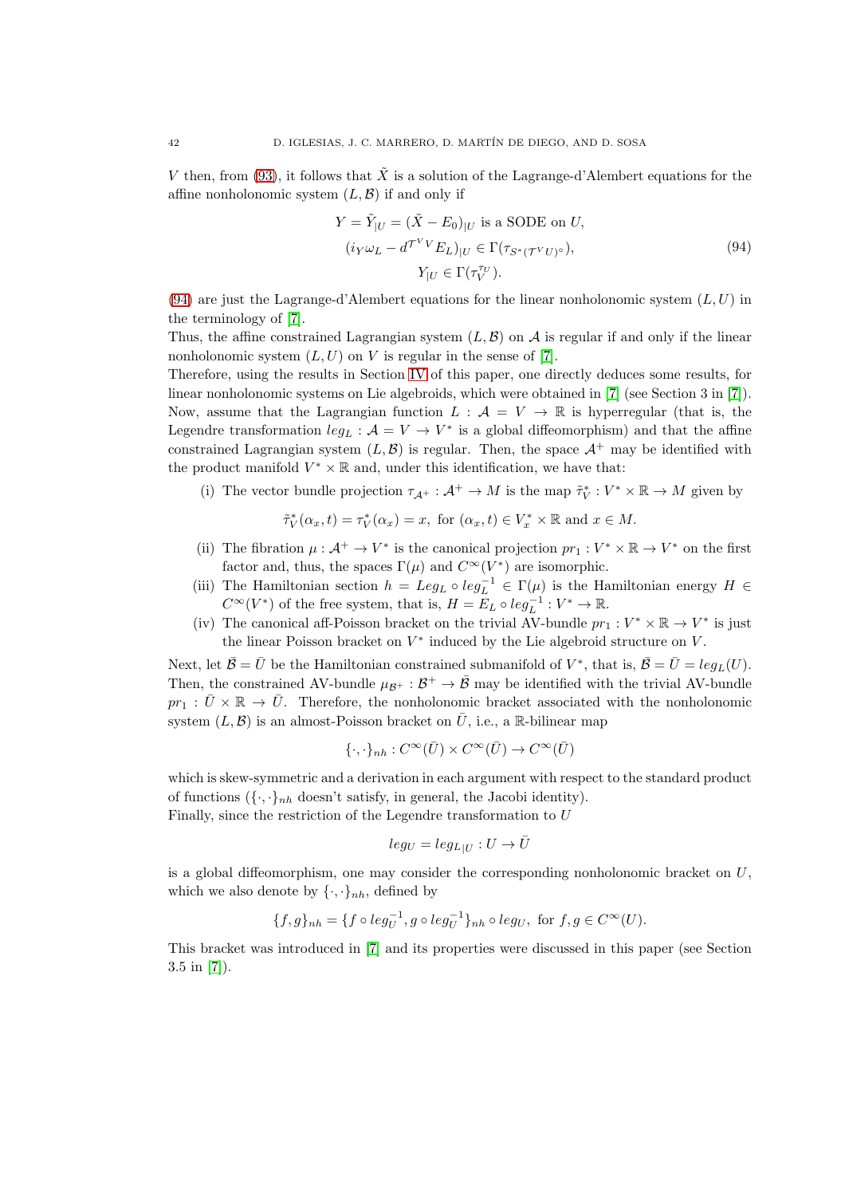V then, from [\(93\)](#page-40-2), it follows that  $\tilde{X}$  is a solution of the Lagrange-d'Alembert equations for the affine nonholonomic system  $(L, \mathcal{B})$  if and only if

<span id="page-41-0"></span>
$$
Y = \tilde{Y}_{|U} = (\tilde{X} - E_0)_{|U} \text{ is a SODE on } U,
$$
  
\n
$$
(i_Y \omega_L - d^{\mathcal{T}^V} E_L)_{|U} \in \Gamma(\tau_{S^*(\mathcal{T}^V U)^\circ}),
$$
  
\n
$$
Y_{|U} \in \Gamma(\tau_V^{\tau_U}).
$$
\n(94)

[\(94\)](#page-41-0) are just the Lagrange-d'Alembert equations for the linear nonholonomic system  $(L, U)$  in the terminology of [\[7\]](#page-47-9).

Thus, the affine constrained Lagrangian system  $(L, \mathcal{B})$  on  $\mathcal{A}$  is regular if and only if the linear nonholonomic system  $(L, U)$  on V is regular in the sense of [\[7\]](#page-47-9).

Therefore, using the results in Section [IV](#page-18-0) of this paper, one directly deduces some results, for linear nonholonomic systems on Lie algebroids, which were obtained in [\[7\]](#page-47-9) (see Section 3 in [\[7\]](#page-47-9)). Now, assume that the Lagrangian function  $L : \mathcal{A} = V \to \mathbb{R}$  is hyperregular (that is, the Legendre transformation  $leg_L: \mathcal{A} = V \rightarrow V^*$  is a global diffeomorphism) and that the affine constrained Lagrangian system  $(L, \mathcal{B})$  is regular. Then, the space  $\mathcal{A}^+$  may be identified with the product manifold  $V^* \times \mathbb{R}$  and, under this identification, we have that:

(i) The vector bundle projection  $\tau_{\mathcal{A}^+} : \mathcal{A}^+ \to M$  is the map  $\tilde{\tau}_V^* : V^* \times \mathbb{R} \to M$  given by

$$
\tilde{\tau}_V^*(\alpha_x, t) = \tau_V^*(\alpha_x) = x, \text{ for } (\alpha_x, t) \in V_x^* \times \mathbb{R} \text{ and } x \in M.
$$

- (ii) The fibration  $\mu: \mathcal{A}^+ \to V^*$  is the canonical projection  $pr_1: V^* \times \mathbb{R} \to V^*$  on the first factor and, thus, the spaces  $\Gamma(\mu)$  and  $C^{\infty}(V^*)$  are isomorphic.
- (iii) The Hamiltonian section  $h = Leg_L \circ leg_L^{-1} \in \Gamma(\mu)$  is the Hamiltonian energy  $H \in$  $C^{\infty}(V^*)$  of the free system, that is,  $H = E_L \circ leg_L^{-1} : V^* \to \mathbb{R}$ .
- (iv) The canonical aff-Poisson bracket on the trivial AV-bundle  $pr_1: V^* \times \mathbb{R} \to V^*$  is just the linear Poisson bracket on  $V^*$  induced by the Lie algebroid structure on  $V$ .

Next, let  $\bar{\mathcal{B}} = \bar{U}$  be the Hamiltonian constrained submanifold of  $V^*$ , that is,  $\bar{\mathcal{B}} = \bar{U} = leg_L(U)$ . Then, the constrained AV-bundle  $\mu_{\mathcal{B}^+} : \mathcal{B}^+ \to \bar{\mathcal{B}}$  may be identified with the trivial AV-bundle  $pr_1 : \bar{U} \times \mathbb{R} \to \bar{U}$ . Therefore, the nonholonomic bracket associated with the nonholonomic system  $(L, \mathcal{B})$  is an almost-Poisson bracket on  $\overline{U}$ , i.e., a R-bilinear map

$$
\{\cdot,\cdot\}_{nh}:C^\infty(\bar U)\times C^\infty(\bar U)\to C^\infty(\bar U)
$$

which is skew-symmetric and a derivation in each argument with respect to the standard product of functions  $({\{\cdot,\cdot\}}_{nh}$  doesn't satisfy, in general, the Jacobi identity). Finally, since the restriction of the Legendre transformation to U

$$
leg_U = leg_{L|U} : U \to \bar{U}
$$

is a global diffeomorphism, one may consider the corresponding nonholonomic bracket on  $U$ , which we also denote by  $\{\cdot,\cdot\}_n$ , defined by

$$
\{f, g\}_{nh} = \{f \circ leg_U^{-1}, g \circ leg_U^{-1}\}_{nh} \circ leg_U, \text{ for } f, g \in C^\infty(U).
$$

This bracket was introduced in [\[7\]](#page-47-9) and its properties were discussed in this paper (see Section 3.5 in [\[7\]](#page-47-9)).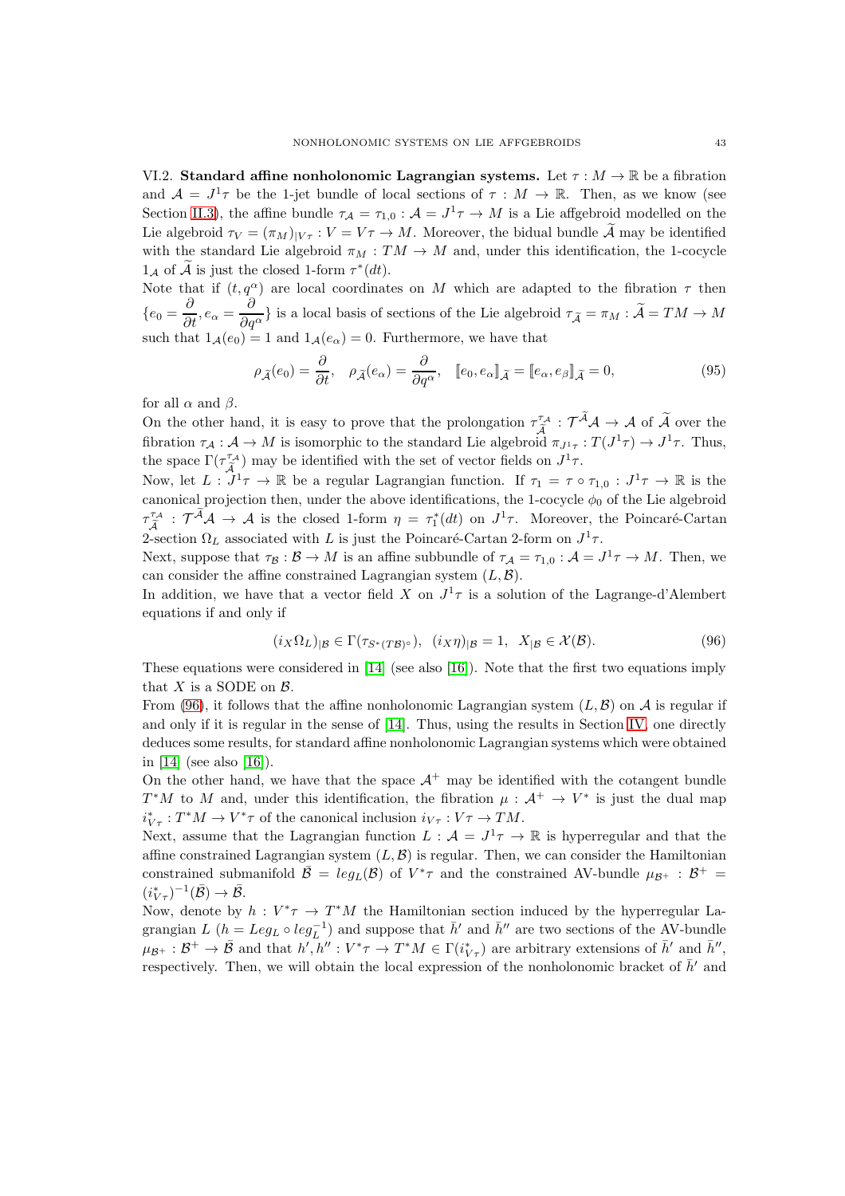<span id="page-42-0"></span>VI.2. Standard affine nonholonomic Lagrangian systems. Let  $\tau : M \to \mathbb{R}$  be a fibration and  $\mathcal{A} = J^1 \tau$  be the 1-jet bundle of local sections of  $\tau : M \to \mathbb{R}$ . Then, as we know (see Section [II.3\)](#page-5-0), the affine bundle  $\tau_A = \tau_{1,0} : A = J^1 \tau \to M$  is a Lie affgebroid modelled on the Lie algebroid  $\tau_V = (\pi_M)_{\vert V_{\tau}} : V = V_{\tau} \to M$ . Moreover, the bidual bundle  $\widetilde{\mathcal{A}}$  may be identified with the standard Lie algebroid  $\pi_M : TM \to M$  and, under this identification, the 1-cocycle  $1_A$  of  $\tilde{A}$  is just the closed 1-form  $\tau^*(dt)$ .

Note that if  $(t, q^{\alpha})$  are local coordinates on M which are adapted to the fibration  $\tau$  then  ${e_0 = \frac{\partial}{\partial t}, e_\alpha = \frac{\partial}{\partial q}}$  $\frac{\partial}{\partial q^{\alpha}}\}$  is a local basis of sections of the Lie algebroid  $\tau_{\tilde{\mathcal{A}}} = \pi_M : \mathcal{A} = TM \to M$ such that  $1_A(e_0) = 1$  and  $1_A(e_\alpha) = 0$ . Furthermore, we have that

<span id="page-42-2"></span>
$$
\rho_{\widetilde{\mathcal{A}}}(e_0) = \frac{\partial}{\partial t}, \quad \rho_{\widetilde{\mathcal{A}}}(e_\alpha) = \frac{\partial}{\partial q^\alpha}, \quad [e_0, e_\alpha]_{\widetilde{\mathcal{A}}} = [e_\alpha, e_\beta]_{\widetilde{\mathcal{A}}} = 0,\tag{95}
$$

for all  $\alpha$  and  $\beta$ .

On the other hand, it is easy to prove that the prolongation  $\tau_{\tilde{\lambda}}^{\tau_{\mathcal{A}}}$  $\widetilde{\widetilde{\mathcal{A}}}^{\tau_{\mathcal{A}}}$ :  $\mathcal{T}^{\mathcal{A}}\mathcal{A} \to \mathcal{A}$  of  $\widetilde{\mathcal{A}}$  over the fibration  $\tau_A : A \to M$  is isomorphic to the standard Lie algebroid  $\pi_{J^1\tau} : T(J^1\tau) \to J^1\tau$ . Thus, the space  $\Gamma(\tau_{\widetilde{\lambda}}^{\tau_{\mathcal{A}}}$  $\mathcal{I}_{\tilde{\mathcal{A}}}^{\tau_{\mathcal{A}}}$ ) may be identified with the set of vector fields on  $J^1\tau$ .

Now, let  $L: J^1\tau \to \mathbb{R}$  be a regular Lagrangian function. If  $\tau_1 = \tau \circ \tau_{1,0} : J^1\tau \to \mathbb{R}$  is the canonical projection then, under the above identifications, the 1-cocycle  $\phi_0$  of the Lie algebroid  $\tau_{\widetilde{\lambda}}^{\tau_{\mathcal{A}}}$  $\tilde{\mathcal{A}}^{\tau_A}$ :  $\mathcal{T}^A\mathcal{A} \to \mathcal{A}$  is the closed 1-form  $\eta = \tau_1^*(dt)$  on  $J^1\tau$ . Moreover, the Poincaré-Cartan 2-section  $\Omega_L$  associated with L is just the Poincaré-Cartan 2-form on  $J^1\tau$ .

Next, suppose that  $\tau_B : \mathcal{B} \to M$  is an affine subbundle of  $\tau_A = \tau_{1,0} : \mathcal{A} = J^1 \tau \to M$ . Then, we can consider the affine constrained Lagrangian system  $(L, \mathcal{B})$ .

In addition, we have that a vector field X on  $J^1\tau$  is a solution of the Lagrange-d'Alembert equations if and only if

<span id="page-42-1"></span>
$$
(i_X \Omega_L)_{|\mathcal{B}} \in \Gamma(\tau_{S^*(T\mathcal{B})^\circ}), \ (i_X \eta)_{|\mathcal{B}} = 1, \ X_{|\mathcal{B}} \in \mathcal{X}(\mathcal{B}). \tag{96}
$$

These equations were considered in [\[14\]](#page-48-7) (see also [\[16\]](#page-48-8)). Note that the first two equations imply that  $X$  is a SODE on  $\mathcal{B}$ .

From [\(96\)](#page-42-1), it follows that the affine nonholonomic Lagrangian system  $(L, \mathcal{B})$  on A is regular if and only if it is regular in the sense of [\[14\]](#page-48-7). Thus, using the results in Section [IV,](#page-18-0) one directly deduces some results, for standard affine nonholonomic Lagrangian systems which were obtained in [\[14\]](#page-48-7) (see also [\[16\]](#page-48-8)).

On the other hand, we have that the space  $A^+$  may be identified with the cotangent bundle  $T^*M$  to M and, under this identification, the fibration  $\mu : A^+ \to V^*$  is just the dual map  $i_{V\tau}^* : T^*M \to V^*\tau$  of the canonical inclusion  $i_{V\tau} : V\tau \to TM$ .

Next, assume that the Lagrangian function  $L : \mathcal{A} = J^1 \tau \to \mathbb{R}$  is hyperregular and that the affine constrained Lagrangian system  $(L, \mathcal{B})$  is regular. Then, we can consider the Hamiltonian constrained submanifold  $\bar{\mathcal{B}} = leg_L(\mathcal{B})$  of  $V^*\tau$  and the constrained AV-bundle  $\mu_{\mathcal{B}^+}$  :  $\mathcal{B}^+$  =  $(i_{V\tau}^*)^{-1}(\bar{\mathcal{B}}) \to \bar{\mathcal{B}}.$ 

Now, denote by  $h: V^*\tau \to T^*M$  the Hamiltonian section induced by the hyperregular Lagrangian L ( $h = Leg_L \circ leg_L^{-1}$ ) and suppose that  $\bar{h}'$  and  $\bar{h}''$  are two sections of the AV-bundle  $\mu_{\mathcal{B}^+} : \mathcal{B}^+ \to \bar{\mathcal{B}}$  and that  $h', h'': V^*\tau \to T^*M \in \Gamma(i_{V\tau}^*)$  are arbitrary extensions of  $\bar{h}'$  and  $\bar{h}''$ , respectively. Then, we will obtain the local expression of the nonholonomic bracket of  $\bar{h}'$  and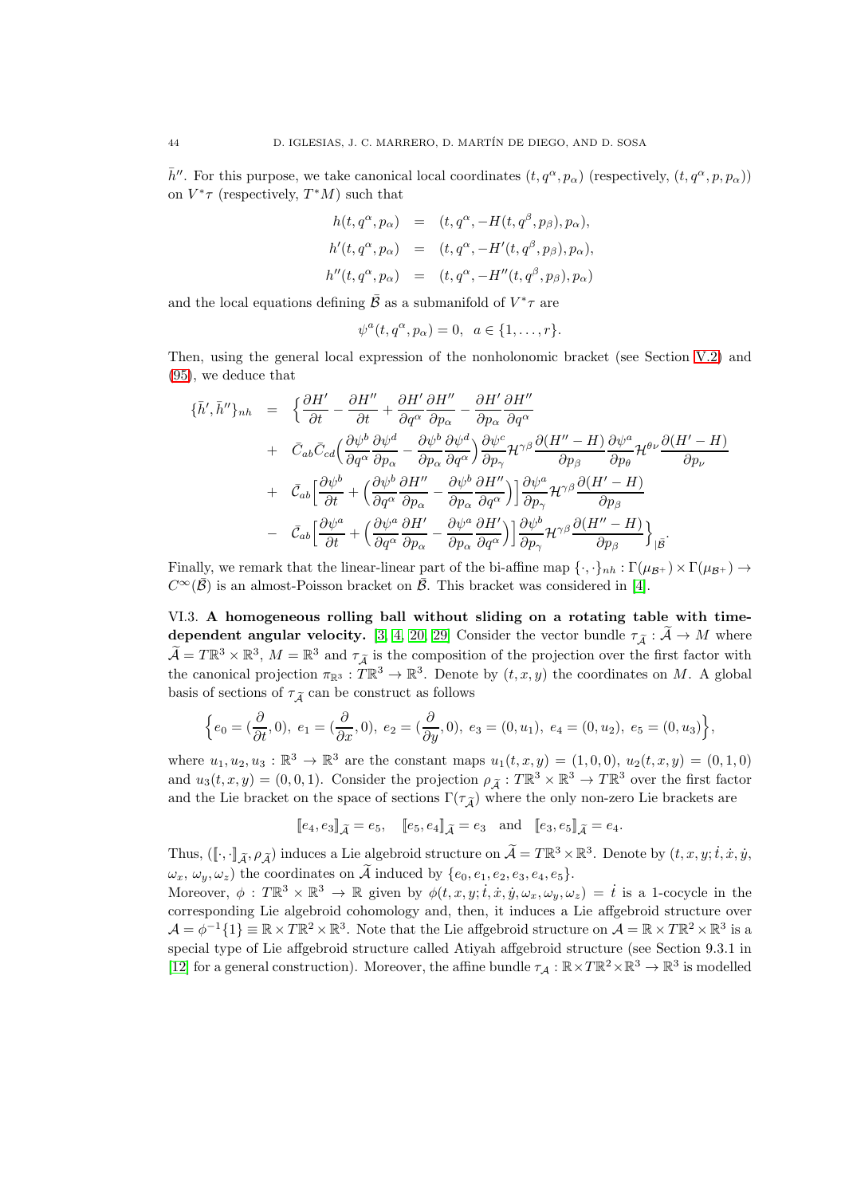$\bar{h}''$ . For this purpose, we take canonical local coordinates  $(t, q^{\alpha}, p_{\alpha})$  (respectively,  $(t, q^{\alpha}, p, p_{\alpha})$ ) on  $V^*\tau$  (respectively,  $T^*M$ ) such that

$$
h(t, q^{\alpha}, p_{\alpha}) = (t, q^{\alpha}, -H(t, q^{\beta}, p_{\beta}), p_{\alpha}),
$$
  
\n
$$
h'(t, q^{\alpha}, p_{\alpha}) = (t, q^{\alpha}, -H'(t, q^{\beta}, p_{\beta}), p_{\alpha}),
$$
  
\n
$$
h''(t, q^{\alpha}, p_{\alpha}) = (t, q^{\alpha}, -H''(t, q^{\beta}, p_{\beta}), p_{\alpha})
$$

and the local equations defining  $\bar{\mathcal{B}}$  as a submanifold of  $V^*\tau$  are

$$
\psi^a(t, q^\alpha, p_\alpha) = 0, \ \ a \in \{1, \dots, r\}.
$$

Then, using the general local expression of the nonholonomic bracket (see Section [V.2\)](#page-34-0) and [\(95\)](#page-42-2), we deduce that

$$
\begin{array}{rcl}\n\{\bar{h}',\bar{h}''\}_{nh} & = & \bigg\{\frac{\partial H'}{\partial t} - \frac{\partial H''}{\partial t} + \frac{\partial H'}{\partial q^{\alpha}} \frac{\partial H''}{\partial p_{\alpha}} - \frac{\partial H'}{\partial p_{\alpha}} \frac{\partial H''}{\partial q^{\alpha}} \\
& + & \bar{C}_{ab}\bar{C}_{cd} \Big(\frac{\partial \psi^{b}}{\partial q^{\alpha}} \frac{\partial \psi^{d}}{\partial p_{\alpha}} - \frac{\partial \psi^{b}}{\partial p_{\alpha}} \frac{\partial \psi^{d}}{\partial q^{\alpha}}\Big) \frac{\partial \psi^{c}}{\partial p_{\gamma}} \mathcal{H}^{\gamma\beta} \frac{\partial (H'' - H)}{\partial p_{\beta}} \frac{\partial \psi^{a}}{\partial p_{\theta}} \mathcal{H}^{\theta\nu} \frac{\partial (H' - H)}{\partial p_{\nu}} \\
& + & \bar{C}_{ab} \Big[\frac{\partial \psi^{b}}{\partial t} + \Big(\frac{\partial \psi^{b}}{\partial q^{\alpha}} \frac{\partial H''}{\partial p_{\alpha}} - \frac{\partial \psi^{b}}{\partial p_{\alpha}} \frac{\partial H''}{\partial q^{\alpha}}\Big)\Big] \frac{\partial \psi^{a}}{\partial p_{\gamma}} \mathcal{H}^{\gamma\beta} \frac{\partial (H' - H)}{\partial p_{\beta}} \\
& - & \bar{C}_{ab} \Big[\frac{\partial \psi^{a}}{\partial t} + \Big(\frac{\partial \psi^{a}}{\partial q^{\alpha}} \frac{\partial H'}{\partial p_{\alpha}} - \frac{\partial \psi^{a}}{\partial p_{\alpha}} \frac{\partial H'}{\partial q^{\alpha}}\Big)\Big] \frac{\partial \psi^{b}}{\partial p_{\gamma}} \mathcal{H}^{\gamma\beta} \frac{\partial (H'' - H)}{\partial p_{\beta}}\Big\}_{\beta};\n\end{array}
$$

Finally, we remark that the linear-linear part of the bi-affine map  $\{\cdot,\cdot\}_n$  :  $\Gamma(\mu_{\mathcal{B}+}) \times \Gamma(\mu_{\mathcal{B}+}) \to$  $C^{\infty}(\bar{\mathcal{B}})$  is an almost-Poisson bracket on  $\bar{\mathcal{B}}$ . This bracket was considered in [\[4\]](#page-47-8).

<span id="page-43-0"></span>VI.3. A homogeneous rolling ball without sliding on a rotating table with time-dependent angular velocity. [\[3,](#page-47-6) [4,](#page-47-8) [20,](#page-48-24) [29\]](#page-48-0) Consider the vector bundle  $\tau_{\widetilde{A}} : \widetilde{A} \to M$  where  $\widetilde{\mathcal{A}} = T \mathbb{R}^3 \times \mathbb{R}^3$ ,  $M = \mathbb{R}^3$  and  $\tau_{\widetilde{\mathcal{A}}}$  is the composition of the projection over the first factor with the canonical projection  $\pi_{\mathbb{R}^3}: T\mathbb{R}^3 \to \mathbb{R}^3$ . Denote by  $(t, x, y)$  the coordinates on M. A global basis of sections of  $\tau_{\tilde{A}}$  can be construct as follows

$$
\Big\{e_0=(\frac{\partial}{\partial t},0),\ e_1=(\frac{\partial}{\partial x},0),\ e_2=(\frac{\partial}{\partial y},0),\ e_3=(0,u_1),\ e_4=(0,u_2),\ e_5=(0,u_3)\Big\},\
$$

where  $u_1, u_2, u_3 : \mathbb{R}^3 \to \mathbb{R}^3$  are the constant maps  $u_1(t, x, y) = (1, 0, 0), u_2(t, x, y) = (0, 1, 0)$ and  $u_3(t, x, y) = (0, 0, 1)$ . Consider the projection  $\rho_{\tilde{\mathcal{A}}}: T\mathbb{R}^3 \times \mathbb{R}^3 \to T\mathbb{R}^3$  over the first factor and the Lie bracket on the space of sections  $\Gamma(\tau_{\tilde{A}})$  where the only non-zero Lie brackets are

$$
[\![e_4,e_3]\!]_{\widetilde{\mathcal{A}}}=e_5,\quad [\![e_5,e_4]\!]_{\widetilde{\mathcal{A}}}=e_3\quad \text{and}\quad [\![e_3,e_5]\!]_{\widetilde{\mathcal{A}}}=e_4.
$$

Thus,  $([\cdot, \cdot]_{\widetilde{\mathcal{A}}, \rho_{\widetilde{\mathcal{A}}}})$  induces a Lie algebroid structure on  $\widetilde{\mathcal{A}} = T \mathbb{R}^3 \times \mathbb{R}^3$ . Denote by  $(t, x, y; \dot{t}, \dot{x}, \dot{y}, \dot{y})$  $(\omega_x, \omega_y, \omega_z)$  the coordinates on  $\tilde{\mathcal{A}}$  induced by  $\{e_0, e_1, e_2, e_3, e_4, e_5\}.$ 

Moreover,  $\phi: T\mathbb{R}^3 \times \mathbb{R}^3 \to \mathbb{R}$  given by  $\phi(t, x, y; \dot{t}, \dot{x}, \dot{y}, \omega_x, \omega_y, \omega_z) = \dot{t}$  is a 1-cocycle in the corresponding Lie algebroid cohomology and, then, it induces a Lie affgebroid structure over  $\mathcal{A} = \phi^{-1}{1} \equiv \mathbb{R} \times T\mathbb{R}^2 \times \mathbb{R}^3$ . Note that the Lie affgebroid structure on  $\mathcal{A} = \mathbb{R} \times T\mathbb{R}^2 \times \mathbb{R}^3$  is a special type of Lie affgebroid structure called Atiyah affgebroid structure (see Section 9.3.1 in [\[12\]](#page-47-13) for a general construction). Moreover, the affine bundle  $\tau_A : \mathbb{R} \times T \mathbb{R}^2 \times \mathbb{R}^3 \to \mathbb{R}^3$  is modelled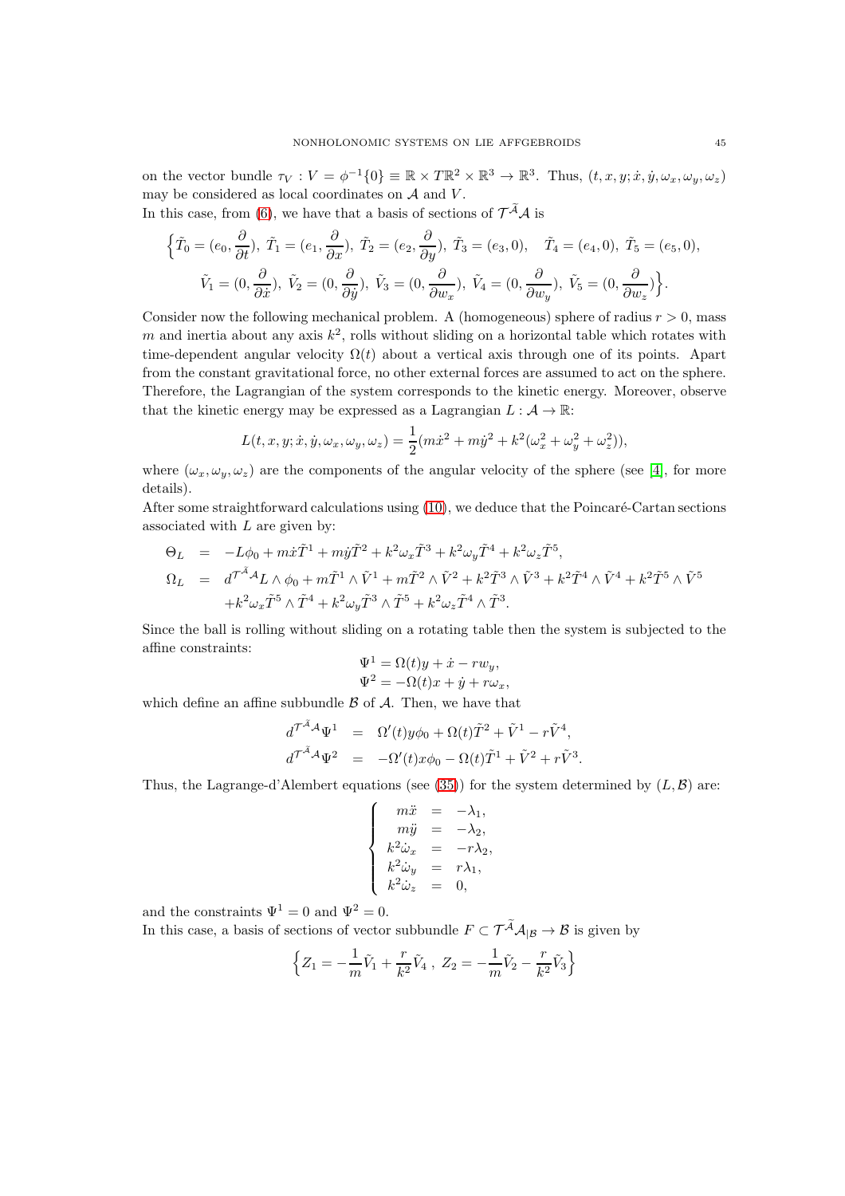on the vector bundle  $\tau_V : V = \phi^{-1}\{0\} \equiv \mathbb{R} \times T\mathbb{R}^2 \times \mathbb{R}^3 \to \mathbb{R}^3$ . Thus,  $(t, x, y; \dot{x}, \dot{y}, \omega_x, \omega_y, \omega_z)$ may be considered as local coordinates on  $A$  and  $V$ .

∂

In this case, from [\(6\)](#page-7-2), we have that a basis of sections of  $\mathcal{T}^{\mathcal{A}}\mathcal{A}$  is ∂

∂

$$
\left\{\tilde{T}_0 = (e_0, \frac{\partial}{\partial t}), \ \tilde{T}_1 = (e_1, \frac{\partial}{\partial x}), \ \tilde{T}_2 = (e_2, \frac{\partial}{\partial y}), \ \tilde{T}_3 = (e_3, 0), \quad \tilde{T}_4 = (e_4, 0), \ \tilde{T}_5 = (e_5, 0), \tilde{V}_1 = (0, \frac{\partial}{\partial \dot{x}}), \ \tilde{V}_2 = (0, \frac{\partial}{\partial \dot{y}}), \ \tilde{V}_3 = (0, \frac{\partial}{\partial w_x}), \ \tilde{V}_4 = (0, \frac{\partial}{\partial w_y}), \ \tilde{V}_5 = (0, \frac{\partial}{\partial w_z})\right\}.
$$

Consider now the following mechanical problem. A (homogeneous) sphere of radius  $r > 0$ , mass m and inertia about any axis  $k^2$ , rolls without sliding on a horizontal table which rotates with time-dependent angular velocity  $\Omega(t)$  about a vertical axis through one of its points. Apart from the constant gravitational force, no other external forces are assumed to act on the sphere. Therefore, the Lagrangian of the system corresponds to the kinetic energy. Moreover, observe that the kinetic energy may be expressed as a Lagrangian  $L : \mathcal{A} \to \mathbb{R}$ :

$$
L(t, x, y; \dot{x}, \dot{y}, \omega_x, \omega_y, \omega_z) = \frac{1}{2} (m \dot{x}^2 + m \dot{y}^2 + k^2 (\omega_x^2 + \omega_y^2 + \omega_z^2)),
$$

where  $(\omega_x, \omega_y, \omega_z)$  are the components of the angular velocity of the sphere (see [\[4\]](#page-47-8), for more details).

After some straightforward calculations using  $(10)$ , we deduce that the Poincaré-Cartan sections associated with L are given by:

$$
\Theta_L = -L\phi_0 + m\dot{x}\tilde{T}^1 + m\dot{y}\tilde{T}^2 + k^2\omega_x\tilde{T}^3 + k^2\omega_y\tilde{T}^4 + k^2\omega_z\tilde{T}^5,
$$
  
\n
$$
\Omega_L = d^{\mathcal{T}^{\tilde{A}}}\Delta_L \wedge \phi_0 + m\tilde{T}^1 \wedge \tilde{V}^1 + m\tilde{T}^2 \wedge \tilde{V}^2 + k^2\tilde{T}^3 \wedge \tilde{V}^3 + k^2\tilde{T}^4 \wedge \tilde{V}^4 + k^2\tilde{T}^5 \wedge \tilde{V}^5
$$
  
\n
$$
+k^2\omega_x\tilde{T}^5 \wedge \tilde{T}^4 + k^2\omega_y\tilde{T}^3 \wedge \tilde{T}^5 + k^2\omega_z\tilde{T}^4 \wedge \tilde{T}^3.
$$

Since the ball is rolling without sliding on a rotating table then the system is subjected to the affine constraints:

$$
\Psi^{1} = \Omega(t)y + \dot{x} - rw_y,
$$
  

$$
\Psi^{2} = -\Omega(t)x + \dot{y} + r\omega_x,
$$

which define an affine subbundle  $\beta$  of  $\mathcal{A}$ . Then, we have that

$$
d^{\mathcal{T}^{\mathcal{A}}\mathcal{A}}\Psi^{1} = \Omega'(t)y\phi_{0} + \Omega(t)\tilde{T}^{2} + \tilde{V}^{1} - r\tilde{V}^{4},
$$
  

$$
d^{\mathcal{T}^{\tilde{\mathcal{A}}}\mathcal{A}}\Psi^{2} = -\Omega'(t)x\phi_{0} - \Omega(t)\tilde{T}^{1} + \tilde{V}^{2} + r\tilde{V}^{3}.
$$

Thus, the Lagrange-d'Alembert equations (see [\(35\)](#page-18-2)) for the system determined by  $(L, \mathcal{B})$  are:

$$
\left\{ \begin{array}{rcl} m\ddot{x} &=& -\lambda_1,\\ m\ddot{y} &=& -\lambda_2,\\ k^2\dot{\omega}_x &=& -r\lambda_2,\\ k^2\dot{\omega}_y &=& r\lambda_1,\\ k^2\dot{\omega}_z &=& 0, \end{array} \right.
$$

and the constraints  $\Psi^1 = 0$  and  $\Psi^2 = 0$ .

In this case, a basis of sections of vector subbundle  $F\subset \mathcal{T}^{\widetilde{\mathcal{A}}}\mathcal{A}_{|\mathcal{B}}\to \mathcal{B}$  is given by

$$
\left\{ Z_1 = -\frac{1}{m}\tilde{V}_1 + \frac{r}{k^2}\tilde{V}_4 \; , \; Z_2 = -\frac{1}{m}\tilde{V}_2 - \frac{r}{k^2}\tilde{V}_3 \right\}
$$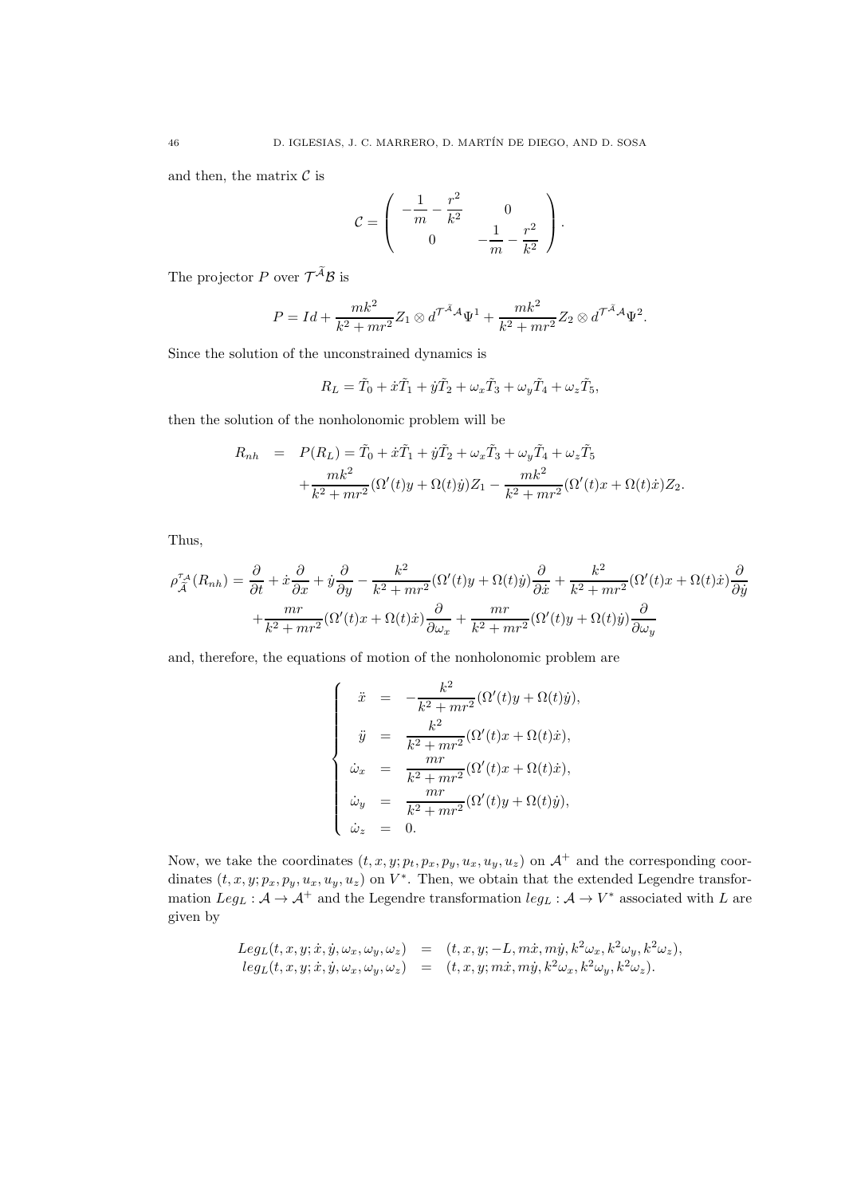and then, the matrix  $\mathcal C$  is

$$
\mathcal{C} = \begin{pmatrix} -\frac{1}{m} - \frac{r^2}{k^2} & 0 \\ 0 & -\frac{1}{m} - \frac{r^2}{k^2} \end{pmatrix}.
$$

The projector P over  $\mathcal{T}^{\mathcal{A}}\mathcal{B}$  is

$$
P = Id + \frac{mk^2}{k^2 + mr^2} Z_1 \otimes d^{\mathcal{T}^{\tilde{A}}\mathcal{A}} \Psi^1 + \frac{mk^2}{k^2 + mr^2} Z_2 \otimes d^{\mathcal{T}^{\tilde{A}}\mathcal{A}} \Psi^2.
$$

Since the solution of the unconstrained dynamics is

$$
R_L = \tilde{T}_0 + \dot{x}\tilde{T}_1 + \dot{y}\tilde{T}_2 + \omega_x\tilde{T}_3 + \omega_y\tilde{T}_4 + \omega_z\tilde{T}_5,
$$

then the solution of the nonholonomic problem will be

$$
R_{nh} = P(R_L) = \tilde{T}_0 + \dot{x}\tilde{T}_1 + \dot{y}\tilde{T}_2 + \omega_x\tilde{T}_3 + \omega_y\tilde{T}_4 + \omega_z\tilde{T}_5 + \frac{mk^2}{k^2 + mr^2} (\Omega'(t)y + \Omega(t)\dot{y})Z_1 - \frac{mk^2}{k^2 + mr^2} (\Omega'(t)x + \Omega(t)\dot{x})Z_2.
$$

Thus,

$$
\rho_{\tilde{\mathcal{A}}}^{\tau_{\mathcal{A}}}(R_{nh}) = \frac{\partial}{\partial t} + \dot{x}\frac{\partial}{\partial x} + \dot{y}\frac{\partial}{\partial y} - \frac{k^{2}}{k^{2} + mr^{2}}(\Omega'(t)y + \Omega(t)\dot{y})\frac{\partial}{\partial \dot{x}} + \frac{k^{2}}{k^{2} + mr^{2}}(\Omega'(t)x + \Omega(t)\dot{x})\frac{\partial}{\partial \dot{y}}
$$

$$
+ \frac{mr}{k^{2} + mr^{2}}(\Omega'(t)x + \Omega(t)\dot{x})\frac{\partial}{\partial \omega_{x}} + \frac{mr}{k^{2} + mr^{2}}(\Omega'(t)y + \Omega(t)\dot{y})\frac{\partial}{\partial \omega_{y}}
$$

and, therefore, the equations of motion of the nonholonomic problem are

$$
\begin{cases}\n\ddot{x} = -\frac{k^2}{k^2 + mr^2} (\Omega'(t)y + \Omega(t)\dot{y}), \\
\ddot{y} = \frac{k^2}{k^2 + mr^2} (\Omega'(t)x + \Omega(t)\dot{x}), \\
\dot{\omega}_x = \frac{mr}{k^2 + mr^2} (\Omega'(t)x + \Omega(t)\dot{x}), \\
\dot{\omega}_y = \frac{mr}{k^2 + mr^2} (\Omega'(t)y + \Omega(t)\dot{y}), \\
\dot{\omega}_z = 0.\n\end{cases}
$$

Now, we take the coordinates  $(t, x, y; p_t, p_x, p_y, u_x, u_y, u_z)$  on  $\mathcal{A}^+$  and the corresponding coordinates  $(t, x, y; p_x, p_y, u_x, u_y, u_z)$  on  $V^*$ . Then, we obtain that the extended Legendre transformation  $Leg_L: \mathcal{A} \to \mathcal{A}^+$  and the Legendre transformation  $leg_L: \mathcal{A} \to V^*$  associated with L are given by

$$
Leg_L(t, x, y; \dot{x}, \dot{y}, \omega_x, \omega_y, \omega_z) = (t, x, y; -L, m\dot{x}, m\dot{y}, k^2\omega_x, k^2\omega_y, k^2\omega_z),
$$
  
\n
$$
leg_L(t, x, y; \dot{x}, \dot{y}, \omega_x, \omega_y, \omega_z) = (t, x, y; m\dot{x}, m\dot{y}, k^2\omega_x, k^2\omega_y, k^2\omega_z).
$$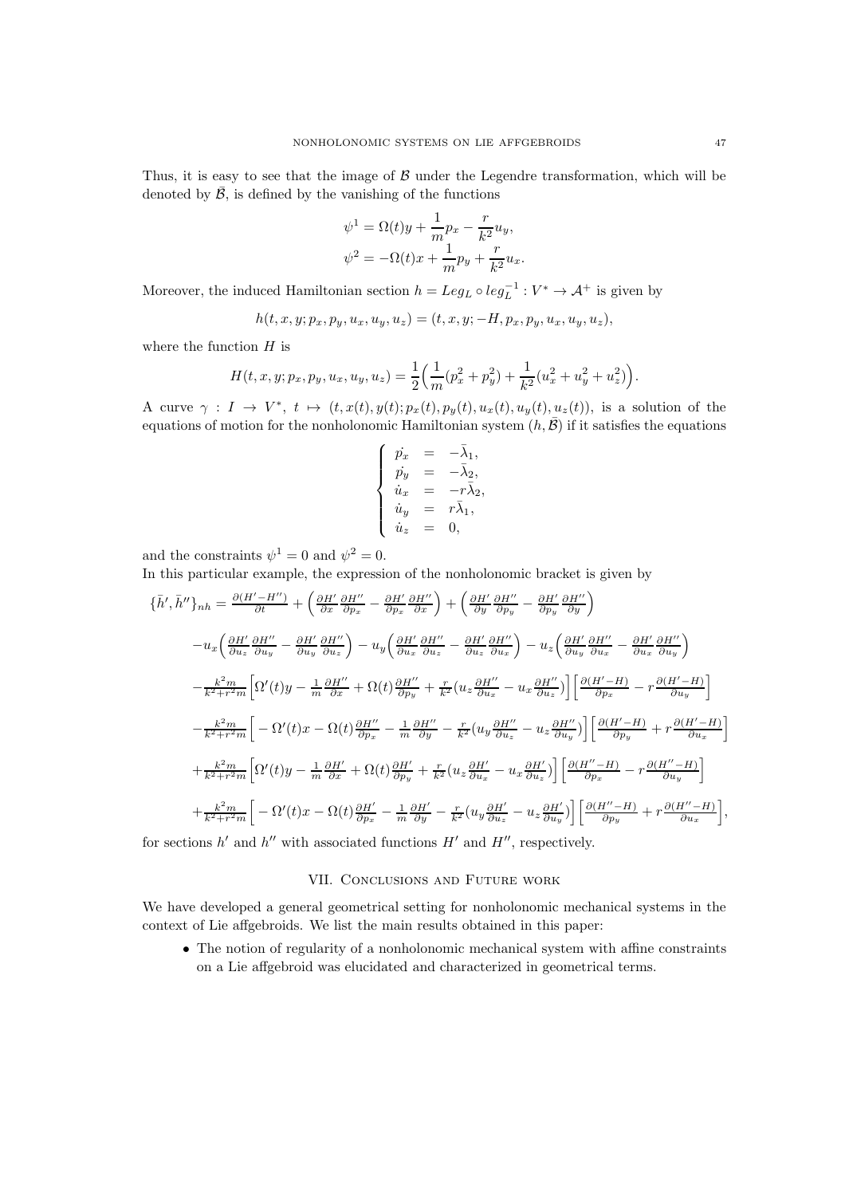Thus, it is easy to see that the image of  $\beta$  under the Legendre transformation, which will be denoted by  $\bar{\mathcal{B}}$ , is defined by the vanishing of the functions

$$
\psi^1 = \Omega(t)y + \frac{1}{m}p_x - \frac{r}{k^2}u_y,
$$
  

$$
\psi^2 = -\Omega(t)x + \frac{1}{m}p_y + \frac{r}{k^2}u_x.
$$

Moreover, the induced Hamiltonian section  $h = Leg_L \circ leg_L^{-1} : V^* \to A^+$  is given by

$$
h(t, x, y; p_x, p_y, u_x, u_y, u_z) = (t, x, y; -H, p_x, p_y, u_x, u_y, u_z),
$$

where the function  $H$  is

$$
H(t, x, y; p_x, p_y, u_x, u_y, u_z) = \frac{1}{2} \left( \frac{1}{m} (p_x^2 + p_y^2) + \frac{1}{k^2} (u_x^2 + u_y^2 + u_z^2) \right).
$$

A curve  $\gamma : I \to V^*$ ,  $t \mapsto (t, x(t), y(t); p_x(t), p_y(t), u_x(t), u_y(t), u_z(t))$ , is a solution of the equations of motion for the nonholonomic Hamiltonian system  $(h, \overline{B})$  if it satisfies the equations

$$
\left\{ \begin{array}{rcl} \dot{p_x} &=& -\bar{\lambda}_1, \\ \dot{p_y} &=& -\bar{\lambda}_2, \\ \dot{u}_x &=& -r\bar{\lambda}_2, \\ \dot{u}_y &=& r\bar{\lambda}_1, \\ \dot{u}_z &=& 0, \end{array} \right.
$$

and the constraints  $\psi^1 = 0$  and  $\psi^2 = 0$ .

In this particular example, the expression of the nonholonomic bracket is given by

$$
\{\bar{h}',\bar{h}''\}_{nh} = \frac{\partial(H'-H'')}{\partial t} + \left(\frac{\partial H'}{\partial x}\frac{\partial H''}{\partial p_x} - \frac{\partial H'}{\partial p_x}\frac{\partial H''}{\partial x}\right) + \left(\frac{\partial H'}{\partial y}\frac{\partial H''}{\partial p_y} - \frac{\partial H'}{\partial p_y}\frac{\partial H''}{\partial y}\right)
$$

$$
-u_x\left(\frac{\partial H'}{\partial u_x}\frac{\partial H''}{\partial u_y} - \frac{\partial H'}{\partial u_y}\frac{\partial H''}{\partial u_z}\right) - u_y\left(\frac{\partial H'}{\partial u_x}\frac{\partial H''}{\partial u_x} - \frac{\partial H'}{\partial u_x}\frac{\partial H''}{\partial u_x}\right) - u_z\left(\frac{\partial H'}{\partial u_y}\frac{\partial H''}{\partial u_x} - \frac{\partial H'}{\partial u_x}\frac{\partial H''}{\partial u_y}\right)
$$

$$
-\frac{k^2m}{k^2+r^2m}\left[\Omega'(t)y - \frac{1}{m}\frac{\partial H''}{\partial x} + \Omega(t)\frac{\partial H''}{\partial p_y} + \frac{r}{k^2}(u_z\frac{\partial H''}{\partial u_x} - u_x\frac{\partial H''}{\partial u_z})\right] \left[\frac{\partial(H'-H)}{\partial p_x} - r\frac{\partial(H'-H)}{\partial u_y}\right]
$$

$$
-\frac{k^2m}{k^2+r^2m}\left[-\Omega'(t)x - \Omega(t)\frac{\partial H''}{\partial p_x} - \frac{1}{m}\frac{\partial H''}{\partial y} - \frac{r}{k^2}(u_y\frac{\partial H''}{\partial u_x} - u_z\frac{\partial H''}{\partial u_y})\right] \left[\frac{\partial(H'-H)}{\partial p_y} + r\frac{\partial(H'-H)}{\partial u_x}\right]
$$

$$
+\frac{k^2m}{k^2+r^2m}\left[\Omega'(t)y - \frac{1}{m}\frac{\partial H'}{\partial x} + \Omega(t)\frac{\partial H'}{\partial p_y} + \frac{r}{k^2}(u_z\frac{\partial H'}{\partial u_x} - u_x\frac{\partial H'}{\partial u_z})\right] \left[\frac{\partial(H''-H)}{\partial p_x} - r\frac{\partial(H''-H)}{\partial u_y}\right]
$$

$$
+\frac{k^2m}{k^2+r^2m}\left[-\Omega'(t)x - \Omega(t)\frac{\partial H'}{\partial p_x} - \frac{1}{m}\frac{\partial H'}{\partial y} - \
$$

<span id="page-46-0"></span>for sections  $h'$  and  $h''$  with associated functions  $H'$  and  $H''$ , respectively.

# VII. Conclusions and Future work

We have developed a general geometrical setting for nonholonomic mechanical systems in the context of Lie affgebroids. We list the main results obtained in this paper:

• The notion of regularity of a nonholonomic mechanical system with affine constraints on a Lie affgebroid was elucidated and characterized in geometrical terms.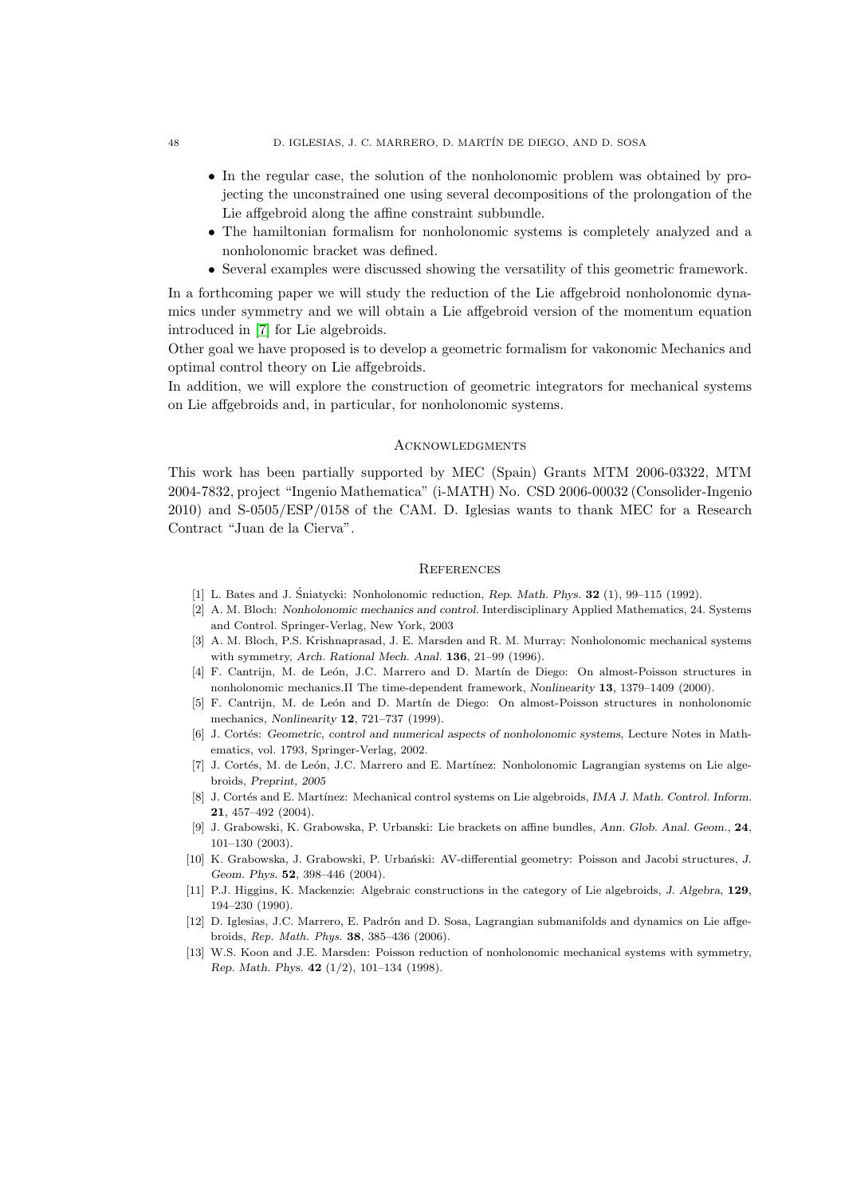- In the regular case, the solution of the nonholonomic problem was obtained by projecting the unconstrained one using several decompositions of the prolongation of the Lie affgebroid along the affine constraint subbundle.
- The hamiltonian formalism for nonholonomic systems is completely analyzed and a nonholonomic bracket was defined.
- Several examples were discussed showing the versatility of this geometric framework.

In a forthcoming paper we will study the reduction of the Lie affgebroid nonholonomic dynamics under symmetry and we will obtain a Lie affgebroid version of the momentum equation introduced in [\[7\]](#page-47-9) for Lie algebroids.

Other goal we have proposed is to develop a geometric formalism for vakonomic Mechanics and optimal control theory on Lie affgebroids.

In addition, we will explore the construction of geometric integrators for mechanical systems on Lie affgebroids and, in particular, for nonholonomic systems.

### **ACKNOWLEDGMENTS**

<span id="page-47-0"></span>This work has been partially supported by MEC (Spain) Grants MTM 2006-03322, MTM 2004-7832, project "Ingenio Mathematica" (i-MATH) No. CSD 2006-00032 (Consolider-Ingenio 2010) and S-0505/ESP/0158 of the CAM. D. Iglesias wants to thank MEC for a Research Contract "Juan de la Cierva".

### **REFERENCES**

- <span id="page-47-7"></span><span id="page-47-2"></span><span id="page-47-1"></span>[1] L. Bates and J. Sniatycki: Nonholonomic reduction, Rep. Math. Phys. **32** (1), 99–115 (1992).
- [2] A. M. Bloch: *Nonholonomic mechanics and control*. Interdisciplinary Applied Mathematics, 24. Systems and Control. Springer-Verlag, New York, 2003
- <span id="page-47-6"></span>[3] A. M. Bloch, P.S. Krishnaprasad, J. E. Marsden and R. M. Murray: Nonholonomic mechanical systems with symmetry, *Arch. Rational Mech. Anal.* 136, 21–99 (1996).
- <span id="page-47-8"></span><span id="page-47-4"></span>[4] F. Cantrijn, M. de León, J.C. Marrero and D. Martín de Diego: On almost-Poisson structures in nonholonomic mechanics.II The time-dependent framework, *Nonlinearity* 13, 1379–1409 (2000).
- [5] F. Cantrijn, M. de León and D. Martín de Diego: On almost-Poisson structures in nonholonomic mechanics, *Nonlinearity* 12, 721–737 (1999).
- <span id="page-47-3"></span>[6] J. Cortés: *Geometric, control and numerical aspects of nonholonomic systems*, Lecture Notes in Mathematics, vol. 1793, Springer-Verlag, 2002.
- <span id="page-47-9"></span>[7] J. Cortés, M. de León, J.C. Marrero and E. Martínez: Nonholonomic Lagrangian systems on Lie algebroids, *Preprint, 2005*
- <span id="page-47-10"></span>[8] J. Cortés and E. Martínez: Mechanical control systems on Lie algebroids, *IMA J. Math. Control. Inform.* 21, 457–492 (2004).
- <span id="page-47-11"></span>[9] J. Grabowski, K. Grabowska, P. Urbanski: Lie brackets on affine bundles, *Ann. Glob. Anal. Geom.*, 24, 101–130 (2003).
- <span id="page-47-12"></span>[10] K. Grabowska, J. Grabowski, P. Urbański: AV-differential geometry: Poisson and Jacobi structures, *J. Geom. Phys.* 52, 398–446 (2004).
- <span id="page-47-14"></span>[11] P.J. Higgins, K. Mackenzie: Algebraic constructions in the category of Lie algebroids, *J. Algebra*, 129, 194–230 (1990).
- <span id="page-47-13"></span>[12] D. Iglesias, J.C. Marrero, E. Padrón and D. Sosa, Lagrangian submanifolds and dynamics on Lie affgebroids, Rep. Math. Phys. 38, 385–436 (2006).
- <span id="page-47-5"></span>[13] W.S. Koon and J.E. Marsden: Poisson reduction of nonholonomic mechanical systems with symmetry, *Rep. Math. Phys.* 42 (1/2), 101–134 (1998).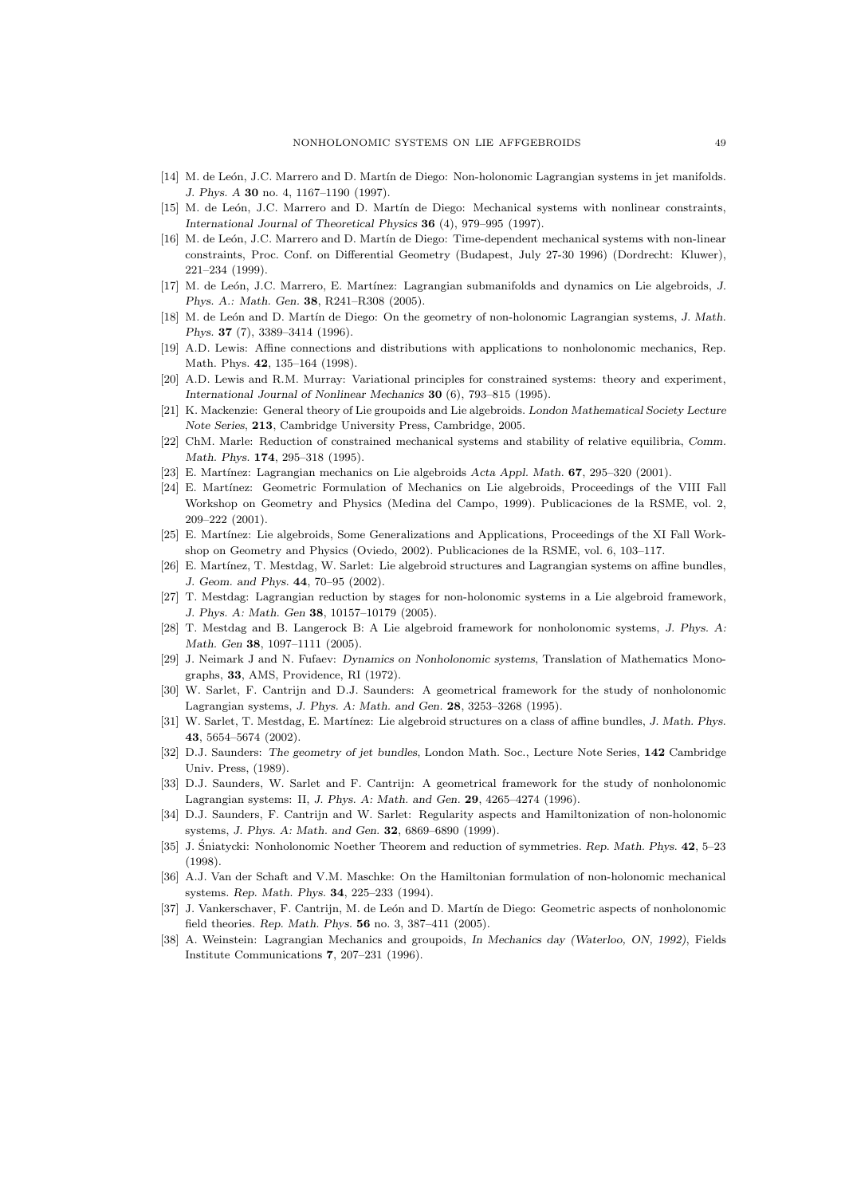- <span id="page-48-7"></span><span id="page-48-2"></span>[14] M. de León, J.C. Marrero and D. Martín de Diego: Non-holonomic Lagrangian systems in jet manifolds. *J. Phys. A* 30 no. 4, 1167–1190 (1997).
- <span id="page-48-8"></span>[15] M. de León, J.C. Marrero and D. Martín de Diego: Mechanical systems with nonlinear constraints, *International Journal of Theoretical Physics* 36 (4), 979–995 (1997).
- [16] M. de León, J.C. Marrero and D. Martín de Diego: Time-dependent mechanical systems with non-linear constraints, Proc. Conf. on Differential Geometry (Budapest, July 27-30 1996) (Dordrecht: Kluwer), 221–234 (1999).
- <span id="page-48-16"></span><span id="page-48-3"></span>[17] M. de León, J.C. Marrero, E. Martínez: Lagrangian submanifolds and dynamics on Lie algebroids, *J. Phys. A.: Math. Gen.* 38, R241–R308 (2005).
- <span id="page-48-1"></span>[18] M. de León and D. Martín de Diego: On the geometry of non-holonomic Lagrangian systems, *J. Math. Phys.* 37 (7), 3389–3414 (1996).
- [19] A.D. Lewis: Affine connections and distributions with applications to nonholonomic mechanics, Rep. Math. Phys. 42, 135–164 (1998).
- <span id="page-48-24"></span>[20] A.D. Lewis and R.M. Murray: Variational principles for constrained systems: theory and experiment, *International Journal of Nonlinear Mechanics* 30 (6), 793–815 (1995).
- <span id="page-48-13"></span><span id="page-48-6"></span>[21] K. Mackenzie: General theory of Lie groupoids and Lie algebroids. *London Mathematical Society Lecture Note Series*, 213, Cambridge University Press, Cambridge, 2005.
- <span id="page-48-15"></span>[22] ChM. Marle: Reduction of constrained mechanical systems and stability of relative equilibria, *Comm. Math. Phys.* 174, 295–318 (1995).
- <span id="page-48-17"></span>[23] E. Martínez: Lagrangian mechanics on Lie algebroids *Acta Appl. Math.* **67**, 295–320 (2001).
- [24] E. Martínez: Geometric Formulation of Mechanics on Lie algebroids, Proceedings of the VIII Fall Workshop on Geometry and Physics (Medina del Campo, 1999). Publicaciones de la RSME, vol. 2, 209–222 (2001).
- <span id="page-48-21"></span>[25] E. Martínez: Lie algebroids, Some Generalizations and Applications, Proceedings of the XI Fall Workshop on Geometry and Physics (Oviedo, 2002). Publicaciones de la RSME, vol. 6, 103–117.
- <span id="page-48-20"></span>[26] E. Martínez, T. Mestdag, W. Sarlet: Lie algebroid structures and Lagrangian systems on affine bundles, *J. Geom. and Phys.* 44, 70–95 (2002).
- <span id="page-48-18"></span>[27] T. Mestdag: Lagrangian reduction by stages for non-holonomic systems in a Lie algebroid framework, *J. Phys. A: Math. Gen* 38, 10157–10179 (2005).
- <span id="page-48-19"></span>[28] T. Mestdag and B. Langerock B: A Lie algebroid framework for nonholonomic systems, *J. Phys. A: Math. Gen* 38, 1097–1111 (2005).
- <span id="page-48-0"></span>[29] J. Neimark J and N. Fufaev: *Dynamics on Nonholonomic systems*, Translation of Mathematics Monographs, 33, AMS, Providence, RI (1972).
- <span id="page-48-9"></span>[30] W. Sarlet, F. Cantrijn and D.J. Saunders: A geometrical framework for the study of nonholonomic Lagrangian systems, *J. Phys. A: Math. and Gen.* 28, 3253–3268 (1995).
- <span id="page-48-22"></span>[31] W. Sarlet, T. Mestdag, E. Martínez: Lie algebroid structures on a class of affine bundles, *J. Math. Phys.* 43, 5654–5674 (2002).
- <span id="page-48-23"></span>[32] D.J. Saunders: *The geometry of jet bundles*, London Math. Soc., Lecture Note Series, 142 Cambridge Univ. Press, (1989).
- <span id="page-48-10"></span>[33] D.J. Saunders, W. Sarlet and F. Cantrijn: A geometrical framework for the study of nonholonomic Lagrangian systems: II, *J. Phys. A: Math. and Gen.* 29, 4265–4274 (1996).
- <span id="page-48-11"></span>[34] D.J. Saunders, F. Cantrijn and W. Sarlet: Regularity aspects and Hamiltonization of non-holonomic systems, *J. Phys. A: Math. and Gen.* 32, 6869–6890 (1999).
- <span id="page-48-5"></span>[35] J. Śniatycki: Nonholonomic Noether Theorem and reduction of symmetries. *Rep. Math. Phys.* **42**, 5–23 (1998).
- <span id="page-48-4"></span>[36] A.J. Van der Schaft and V.M. Maschke: On the Hamiltonian formulation of non-holonomic mechanical systems. *Rep. Math. Phys.* 34, 225–233 (1994).
- <span id="page-48-12"></span>[37] J. Vankerschaver, F. Cantrijn, M. de León and D. Martín de Diego: Geometric aspects of nonholonomic field theories. *Rep. Math. Phys.* 56 no. 3, 387–411 (2005).
- <span id="page-48-14"></span>[38] A. Weinstein: Lagrangian Mechanics and groupoids, *In Mechanics day (Waterloo, ON, 1992)*, Fields Institute Communications 7, 207–231 (1996).